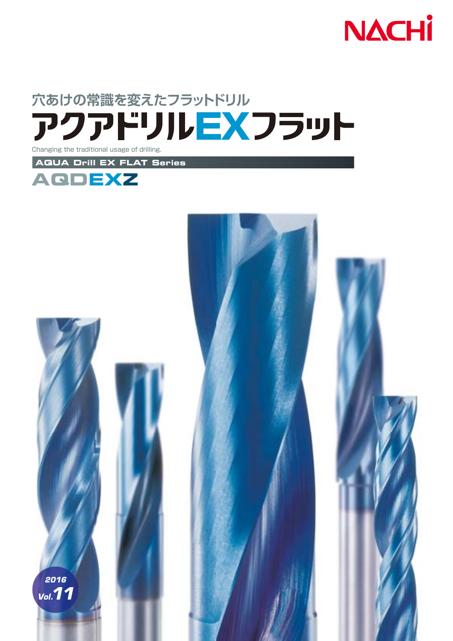



*2016*

*Vol.11*

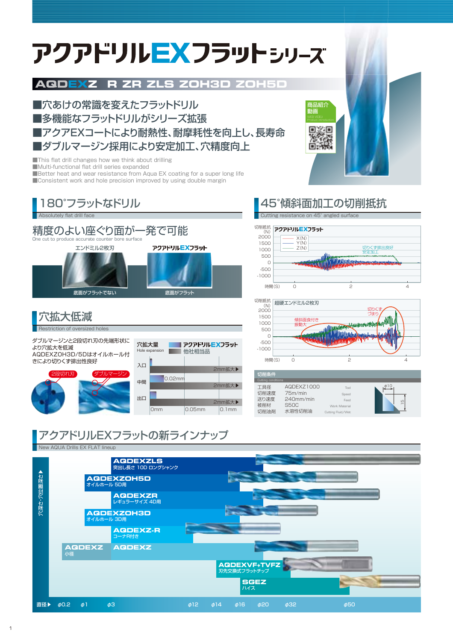# アクアドリルEXフラットシッーズ

## **AQDEXZ R ZR ZLS ZOH3D ZOH5D**

■穴あけの常識を変えたフラットドリル ■多機能なフラットドリルがシリーズ拡張 ■アクアEXコートにより耐熱性、耐摩耗性を向上し、長寿命 ■ダブルマージン採用により安定加工、穴精度向上

■This flat drill changes how we think about drilling ■Multi-functional flat drill series expanded ■Better heat and wear resistance from Aqua EX coating for a super long life ■ Consistent work and hole precision improved by using double margin



2段切れ刃 (タブルマージン AQDEXZOH3D/5Dはオイルホール付 きにより切りくず排出性良好

| t | , was the | Hole expansion | , , , , , , <u>, , ,</u> , , ,<br>他社相当品 |          |
|---|-----------|----------------|-----------------------------------------|----------|
|   | 入口        |                |                                         |          |
|   |           |                |                                         | 2mm拡大▶   |
|   | 中間        | 0.02mm         |                                         |          |
|   |           |                |                                         | 2mm拡大▶   |
|   | 出口        |                |                                         |          |
|   |           |                |                                         | 2mm拡大▶   |
|   |           | Omm            | $0.05$ mm                               | $0.1$ mm |
|   |           |                |                                         |          |

## 45°傾斜面加工の切削抵抗

商品紹介 動画

Cutting resistance on 45° angled surface





| 切削条件               |             |                   |                          |
|--------------------|-------------|-------------------|--------------------------|
| Cutting conditions |             |                   |                          |
| 工具径                | AQDEXZ1000  | Tool              |                          |
| 切削速度               | 75m/min     | Speed             |                          |
| 送り速度               | 240mm/min   | Feed              | LO                       |
| 被削材                | <b>S50C</b> | Work Material     | $\overline{\phantom{a}}$ |
| 切削油剤               | 水溶性切削油      | Cutting Fluid/Wet |                          |
|                    |             |                   |                          |

## アクアドリルEXフラットの新ラインナップ

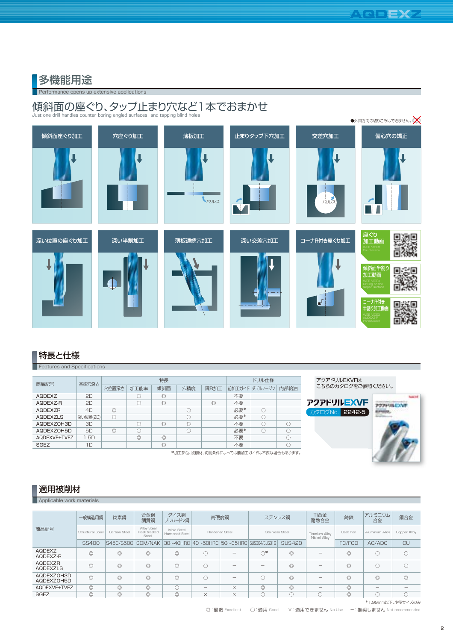## **Performance opens up extensive applications** 多機能用途

## 傾斜面の座ぐり、タップ止まり穴など1本でおまかせ

Just one drill handles counter boring angled surfaces, and tapping blind holes



## 特長と仕様

**Features and Specifications** 

| 商品記号            | 基準穴深さ    |                |                | 特長             |                | ドリル仕様          |     |                |      |
|-----------------|----------|----------------|----------------|----------------|----------------|----------------|-----|----------------|------|
|                 |          | 穴位置深さ          | 加工能率           | 傾斜面            | 穴精度            | 隅R加工           |     | 前加工ガイド ダブルマージン | 内部給油 |
| <b>AQDEXZ</b>   | 2D.      |                | $\circledcirc$ | $\circledcirc$ |                |                | 不要  |                |      |
| AQDEXZ-R        | 2D       |                | $\circledcirc$ | $\circledcirc$ |                | $\circledcirc$ | 不要  |                |      |
| AQDEXZR         | 4D       | $\circledcirc$ |                |                |                |                | 必要* |                |      |
| <b>AQDEXZLS</b> | 深い位置(2D) | $\circledcirc$ |                |                |                |                | 必要* | C              |      |
| AQDEXZOH3D      | 3D       |                | $\circledcirc$ | $\circledcirc$ | $\circledcirc$ |                | 不要  |                |      |
| AQDEXZOH5D      | 5D       | $\circledcirc$ |                |                |                |                | 必要* |                |      |
| AQDEXVF+TVFZ    | 1.5D     |                | $\circledcirc$ | $\circledcirc$ |                |                | 不要  |                |      |
| <b>SGEZ</b>     | 1D       |                |                | $\circledcirc$ |                |                | 不要  |                |      |

\*加工部位、被削材、切削条件によっては前加工ガイドは不要な場合もあります。







## 適用被削材

Applicable work material

|                          | 一般構造用鋼           | 炭素鋼            | 合金鋼<br>調質鋼                           | ダイス鋼<br>プレハードン鋼                                            |                                       | 高硬度鋼           |                        | ステンレス鋼         | Ti合金<br>耐熱合金                          | 鋳鉄             | アルミニウム<br>合金                          | 銅合金            |
|--------------------------|------------------|----------------|--------------------------------------|------------------------------------------------------------|---------------------------------------|----------------|------------------------|----------------|---------------------------------------|----------------|---------------------------------------|----------------|
| 商品記号                     | Structural Steel | Carbon Steel   | Alloy Steel<br>Heat treated<br>Steel | Mold Steel<br>Hardened Steel                               |                                       | Hardened Steel | <b>Stainless Steel</b> |                | <b>Titanium Alloy</b><br>Nickel Alloy | Cast Iron      | Aluminum Allov                        | Copper Alloy   |
|                          | <b>SS400</b>     |                |                                      | S45C/S50C SCM/NAK 30~40HRC 40~50HRC 50~65HRC SUS304/SUS316 |                                       |                |                        | <b>SUS420</b>  |                                       | FC/FCD         | AC/ADC                                | CU             |
| AQDEXZ<br>AQDEXZ-R       | $\circledcirc$   | $\circledcirc$ | $\circledcirc$                       | $\circledcirc$                                             |                                       |                | $\bigcirc^*$           | $\circledcirc$ |                                       | $\circledcirc$ | O                                     |                |
| AQDEXZR<br>AQDEXZLS      | $\circledcirc$   | $\circledcirc$ | $\circledcirc$                       | $\circledcirc$                                             |                                       |                |                        | $\circledcirc$ |                                       | $\circledcirc$ | 0                                     |                |
| AQDEXZOH3D<br>AQDEXZOH5D | $\circledcirc$   | $\circledcirc$ | $\circledcirc$                       | $\circledcirc$                                             |                                       |                |                        | $\circledcirc$ | —                                     | $\circledcirc$ | $\circledcirc$                        | $\circledcirc$ |
| AQDEXVF+TVFZ             | $\circledcirc$   | $\circledcirc$ | $\circledcirc$                       |                                                            | $\hspace{1.0cm} \rule{1.5cm}{0.15cm}$ | $\times$       | $\circledcirc$         | $\circledcirc$ | $\hspace{1.0cm} \rule{1.5cm}{0.15cm}$ | $\circledcirc$ | $\hspace{1.0cm} \rule{1.5cm}{0.15cm}$ |                |
| <b>SGEZ</b>              | $\circ$          | $\circledcirc$ | $\circledcirc$                       | $\circledcirc$                                             | $\times$                              | $\times$       |                        |                |                                       | $\circledcirc$ |                                       |                |
|                          |                  |                |                                      |                                                            |                                       |                |                        |                |                                       |                | *1.99mm以下、小径サイズのみ                     |                |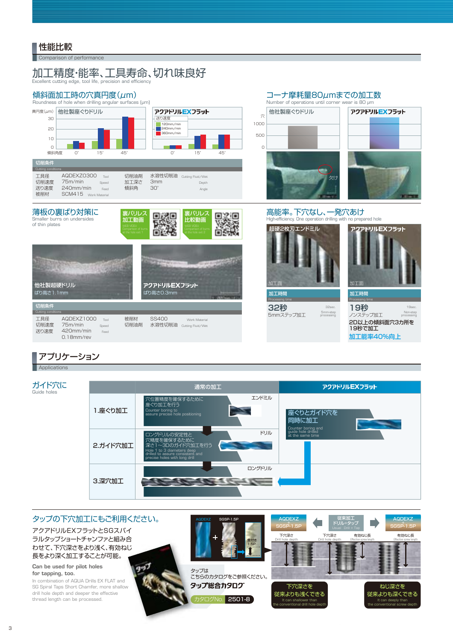## 性能比較

**Comparison of performance** 

### Excellent cutting edge, tool life, precision and efficiency 加工精度・能率、工具寿命、切れ味良好

## 傾斜面加工時の穴真円度(μm)





## コーナ摩耗量80μmまでの加工数



32sec.



500 1000

穴

0

**32秒** 5mmステップ加工 5mm-step processing



アクアドリルEXフラット

**19秒** ノンステップ加工  $19$ Non-step processing 2D以上の傾斜面穴3カ所を 19秒で加工 加工能率40%向上

## アプリケーション

**Applications** 

Guide holes



### タップの下穴加工にもご利用ください。 タップは タッ こちらのカタログをご参照ください。 カタログNo. 2501-8 アクアドリルEXフラットとSGスパイ ラルタップショートチャンファと組み合 ラルタップショートチャンファと組み合<br>わせて、下穴深さをより浅く、有効ねじ 長をより深く加工することが可能。 **Can be used for pilot holes for tapping, too.** In combination of AQUA Drills EX FLAT and d SG Spiral Taps Short Chamfer, more shallow drill hole depth and deeper the effective thread length can be processed. カ キー AQDEXZ SGSP-1.5P<br>SGSP-1.5<br>AQDEXZ SGSP-1.5<br>SGSP-1.5<br>CSSP-1.5<br>AQDEXZ SGSP-1.5<br>SGSP-1.5<br>SGSP-1.5<br>CSSP-1.5<br>AQDEXZ<br>SGSP-1.5<br>CSSP-1.5<br>CSSP-1.5<br>CSSP-1.5<br>CSSP-1.5<br>COMBible death<br>Combine death<br>Combine death<br>Combine death<br>Comb SGSP-1.5P 従来加工 ドリル+タップ **AQDEX2** SGSP-1.5P AQDEXZ SGSP-1.5P 食付き 1.5P 有効ねじ長 Effective screw length 有効ねじ長 Effective screw length 下穴深さ Drill hole depth 下穴深さ Drill hole depth 下穴深さを 《ください。<br>- F穴深さを<br>-8 It can shallower than the conventional drill hole depth ねじ深さを 従来よりも深くできる It can deeply than the conventional screw depth タップ総合カタログ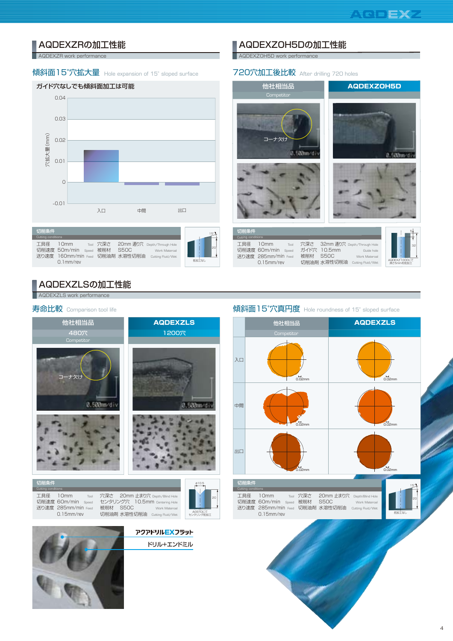

## AQDEXZRの加工性能

**AQDEXZR** work performance

### 傾斜面15°穴拡大量 Hole expansion of 15° sloped surface

### ガイド穴なしでも傾斜面加工は可能



| 切削条件                      |                                      |       |                 |                                                |                                                                   |       | $15^\circ$ |
|---------------------------|--------------------------------------|-------|-----------------|------------------------------------------------|-------------------------------------------------------------------|-------|------------|
| Cutting conditions<br>丁具径 | 10mm<br>切削速度 50m/min<br>$0.1$ mm/rev | Speed | Tool 穴深さ<br>被削材 | <b>S50C</b><br>送り速度 160mm/min Feed 切削油剤 水溶性切削油 | 20mm 通り穴 Depth/Through Hole<br>Work Materoal<br>Cutting Fluid/Wet | 前加工なし | l2n        |
|                           |                                      |       |                 |                                                |                                                                   |       |            |

## AQDEXZLSの加工性能

AQDEXZLS work performan



## ■ AQDEXZOH5Dの加工性能

**AQDEXZOH5D work performance** 

### 720穴加工後比較 After drilling 720 holes



Cutting conditions 工具径 切削速度 60m/min Speed 送り速度 285mm/min Feed 10mm 0.15mm/rev

Tool

穴深さ ガイド穴 10.5mm 被削材 S50C 切削油剤 水溶性切削油 Cutting Fluid/Wet 32mm 通り穴 Depth/Through Hole Work Matero



Guide hole

## 寿命比較 Comparison tool life external external comparison tool life external external comparison tool life extern

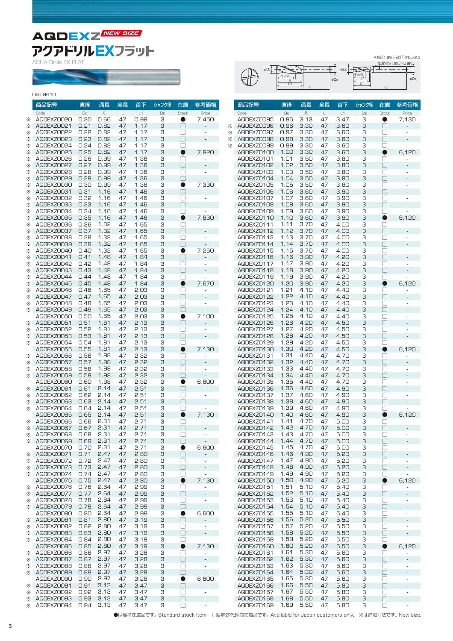**AQDEXZ NEW SIZE**アクアドリルEXフラット

AQUA Drills EX FLAT

|        | LIST 9610                |              |                       |          |              |         |                                   |                          |   |
|--------|--------------------------|--------------|-----------------------|----------|--------------|---------|-----------------------------------|--------------------------|---|
|        | 商品記号                     | 直径           | 溝長                    | 全長       | 首下           | シャンク径   | 在庫                                | 参考価格                     |   |
| ⋇      | Code<br>AQDEXZ0020       | Dc<br>0.20   | $\mathcal{Q}$<br>0.66 | L<br>47  | L1<br>0.98   | Ds<br>З | Stock<br>●                        | Price<br>7,450           |   |
| ⋇      | AQDEXZ0021               | 0.21         | 0.82                  | 47       | 1.17         | З       | $\mathbf{1}$                      |                          | ⋇ |
| ⋇      | AQDEXZ0022               | 0.22         | 0.82                  | 47       | 1.17         | З       | П                                 |                          | ⋇ |
| ⋇      | AQDEXZ0023               | 0.23         | 0.82                  | 47       | 1.17         | З       | П                                 |                          | ⋇ |
| ⋇      | AQDEXZ0024               | 0.24         | 0.82                  | 47       | 1.17         | З       | $\mathbf{1}$                      |                          | ⋇ |
| ⋇      | AQDEXZ0025               | 0.25         | 0.82                  | 47       | 1.17         | З       | $\bullet$                         | 7,920                    |   |
| ⋇      | AQDEXZ0026               | 0.26         | 0.99                  | 47       | 1.36         | З       | П                                 |                          |   |
| ⋇      | AQDEXZ0027               | 0.27         | 0.99                  | 47       | 1.36         | З       | П                                 |                          |   |
| ⋇      | AQDEXZ0028               | 0.28         | 0.99                  | 47       | 1.36         | З       | $\vert \ \ \vert$                 |                          |   |
| ⋇      | AQDEXZ0029               | 0.29         | 0.99                  | 47       | 1.36         | З       | $\vert \ \ \vert$                 |                          |   |
| ⋇      | AQDEXZ0030               | 0.30         | 0.99                  | 47       | 1.36         | З       |                                   | 7,330                    |   |
| ⋇      | AQDEXZ0031               | 0.31         | 1.16                  | 47       | 1.46         | З       | П                                 |                          |   |
| ⋇      | AQDEXZ0032               | 0.32         | 1.16                  | 47       | 1.46         | З       | П                                 |                          |   |
| ⋇      | AQDEXZ0033               | 0.33         | 1.16                  | 47       | 1.46         | З       | H                                 |                          |   |
| ⋇      | AQDEXZ0034               | 0.34         | 1.16                  | 47       | 1.46         | З       | П                                 |                          |   |
| ⋇      | AQDEXZ0035               | 0.35         | 1.16                  | 47       | 1.46         | З       |                                   | 7,830                    |   |
| ⋇      | AQDEXZ0036               | 0.36         | 1.32                  | 47       | 1.65         | З       | $\vert \ \ \vert$                 |                          |   |
| ⋇      | AQDEXZ0037               | 0.37         | 1.32                  | 47       | 1.65         | З       | $\mathbf{1}$                      |                          |   |
| ⋇      | AQDEXZ0038               | 0.38         | 1.32                  | 47       | 1.65         | З       | П                                 |                          |   |
| ⋇      | AQDEXZ0039               | 0.39         | 1.32                  | 47       | 1.65         | З       | П                                 |                          |   |
| ⋇      | AQDEXZ0040               | 0.40         | 1.32                  | 47       | 1.65         | З       |                                   | 7,250                    |   |
| ⋇      | AQDEXZ0041               | 0.41         | 1.48                  | 47       | 1.84         | З       | П                                 |                          |   |
| ⋇      | AQDEXZ0042               | 0.42         | 1.48                  | 47       | 1.84         | З       | $\Box$                            |                          |   |
| ⋇      | AQDEXZ0043               | 0.43         | 1.48                  | 47       | 1.84         | З       | П                                 |                          |   |
| ⋇      | AQDEXZ0044               | 0.44         | 1.48                  | 47       | 1.84         | З       | ⊔                                 |                          |   |
| ⋇      | AQDEXZ0045               | 0.45         | 1.48                  | 47       | 1.84         | З       | $\bullet$                         | 7,670                    |   |
| ⋇      | AQDEXZ0046               | 0.46         | 1.65                  | 47       | 2.03         | З       | $\vert \ \ \vert$                 |                          |   |
| ⋇      | AQDEXZ0047               | 0.47         | 1.65                  | 47       | 2.03         | З       |                                   |                          |   |
| ⋇      | AQDEXZ0048               | 0.48         | 1.65                  | 47       | 2.03         | З       | П                                 |                          |   |
| ⋇      | AQDEXZ0049               | 0.49         | 1.65                  | 47       | 2.03         | З       | H                                 |                          |   |
|        | AQDEXZ0050               | 0.50         | 1.65                  | 47       | 2.03         | З       | 0                                 | 7,100                    |   |
| ⋇      | AQDEXZ0051               | 0.51         | 1.81<br>1.81          | 47<br>47 | 2.13         | З<br>З  | П                                 |                          |   |
| ⋇      | AQDEXZ0052<br>AQDEXZ0053 | 0.52<br>0.53 | 1.81                  | 47       | 2.13<br>2.13 | З       | $\vert \ \ \vert$<br>$\mathbf{1}$ |                          |   |
| ⋇      |                          | 0.54         | 1.81                  | 47       |              | З       | П                                 |                          |   |
| ⋇      | AQDEXZ0054               | 0.55         | 1.81                  | 47       | 2.13<br>2.13 | З       |                                   |                          |   |
|        | AQDEXZ0055<br>AQDEXZ0056 | 0.56         | 1.98                  | 47       | 2.32         |         | $\mathbf{1}$                      | 7,130                    |   |
| ⋇      | AQDEXZ0057               | 0.57         | 1.98                  | 47       | 2.32         | З<br>З  | П                                 |                          |   |
| ⋇<br>⋇ | AQDEXZ0058               | 0.58         | 1.98                  | 47       | 2.32         | З       | $\vert \ \ \vert$                 |                          |   |
| ⋇      | AQDEXZ0059               | 0.59         | 1.98                  | 47       | 2.32         | З       | П                                 |                          |   |
|        | AQDEXZ0060               | 0.60         | 1.98                  | 47       | 2.32         | З       | $\bullet$                         | 6,600                    |   |
| ⋇      | AQDEXZ0061               | 0.61         | 2.14                  | 47       | 2.51         | З       | $\mathbf{1}$                      |                          |   |
| ⋇      | AQDEXZ0062               | 0.62         | 2.14                  | 47       | 2.51         | З       | $\mathbf{L}$                      |                          |   |
| ⋇      | AQDEXZ0063               | 0.63         | 2.14                  | 47       | 2.51         | З       |                                   |                          |   |
| ⋇      | AQDEXZ0064               | 0.64         | 2.14                  | 47       | 2.51         | З       | $\mathbf{1}$                      |                          |   |
|        | AQDEXZ0065               | 0.65         | 2.14                  | 47       | 2.51         | З       |                                   | 7,130                    |   |
| ⋇      | AQDEXZ0066               | 0.66         | 2.31                  | 47       | 2.71         | З       | П                                 |                          |   |
| ⋇      | AQDEXZ0067               | 0.67         | 2.31                  | 47       | 2.71         | З       | П                                 |                          |   |
| ⋇      | AQDEXZ0068               | 0.68         | 2.31                  | 47       | 2.71         | З       | Ц                                 |                          |   |
| ⋇      | AQDEXZ0069               | 0.69         | 2.31                  | 47       | 2.71         | З       | ⊔                                 | $\overline{\phantom{a}}$ |   |
|        | AQDEXZ0070               | 0.70         | 2.31                  | 47       | 2.71         | З       | $\bullet$                         | 6,600                    |   |
| ⋇      | AQDEXZ0071               | 0.71         | 2.47                  | 47       | 2.80         | З       | П                                 |                          |   |
| ⋇      | AQDEXZ0072               | 0.72         | 2.47                  | 47       | 2.80         | З       | $\Box$                            | $\frac{1}{2}$            |   |
| ⋇      | AQDEXZ0073               | 0.73         | 2.47                  | 47       | 2.80         | З       | □                                 |                          |   |
| ፠      | AQDEXZ0074               | 0.74         | 2.47                  | 47       | 2.80         | З       | □                                 | $\frac{1}{2}$            |   |
|        | AQDEXZ0075               | 0.75         | 2.47                  | 47       | 2.80         | З       | $\bullet$                         | 7,130                    |   |
| ⋇      | AQDEXZ0076               | 0.76         | 2.64                  | 47       | 2.99         | З       | ⊔                                 | L,                       |   |
| ⋇      | AQDEXZ0077               | 0.77         | 2.64                  | 47       | 2.99         | З       | П                                 |                          |   |
| ⋇      | AQDEXZ0078               | 0.78         | 2.64                  | 47       | 2.99         | З       | □                                 |                          |   |
| ⋇      | AQDEXZ0079               | 0.79         | 2.64                  | 47       | 2.99         | З       | П                                 | ÷                        |   |
|        | AQDEXZ0080               | 0.80         | 2.64                  | 47       | 2.99         | З       | ●                                 | 6,600                    |   |
| ⋇      | AQDEXZOO81               | 0.81         | 2.80                  | 47       | 3.19         | З       | П                                 | -                        |   |
| ⋇      | AQDEXZ0082               | 0.82         | 2.80                  | 47       | 3.19         | З       | □                                 |                          |   |
| ⋇      | AQDEXZOO83               | 0.83         | 2.80                  | 47       | 3.19         | З       | П                                 |                          |   |
| ⋇      | AQDEXZ0084               | 0.84         | 2.80                  | 47       | 3.19         | З       | □                                 | ÷,                       |   |
|        | AQDEXZ0085               | 0.85         | 2.80                  | 47       | 3.19         | З       | $\bullet$                         | 7,130                    |   |
| ⋇      | AQDEXZ0086               | 0.86         | 2.97                  | 47       | 3.28         | З       | □                                 |                          |   |
| ⋇      | AQDEXZ0087               | 0.87         | 2.97                  | 47       | 3.28         | З       | П                                 |                          |   |
| ⋇      | AQDEXZ0088               | 0.88         | 2.97                  | 47       | 3.28         | З       | $\Box$                            | $\frac{1}{2}$            |   |
| ⋇      | AQDEXZ0089               | 0.89         | 2.97                  | 47       | 3.28         | З       | П                                 | ÷,                       |   |
|        | AQDEXZ0090               | 0.90         | 2.97                  | 47       | 3.28         | З       | $\bullet$                         | 6,600                    |   |
| ⋇      | AQDEXZ0091               | 0.91         | 3.13                  | 47       | 3.47         | З       | $\Box$                            | ÷,                       |   |
| ⋇      | AQDEXZ0092               | 0.92         | 3.13                  | 47       | 3.47         | З       | $\mathbf{1}$                      |                          |   |

|                          |              |              |          | అ⊔ຮ          |        |                          |                          |
|--------------------------|--------------|--------------|----------|--------------|--------|--------------------------|--------------------------|
|                          |              |              |          |              |        |                          |                          |
| 商品記号                     | 直径           | 溝長           | 全長       | 首下           | シャンク径  | 在庫                       | 参考価格                     |
| Code                     | $\Box$       | $\ell$       | L        | L1           | Ds     | Stock                    | Price                    |
| AQDEXZ0095<br>AQDEXZ0096 | 0.95<br>0.96 | 3.13<br>3.30 | 47<br>47 | 3.47<br>3.60 | З<br>З | 0<br>Π                   | 7,130                    |
| AQDEXZ0097               | 0.97         | 3.30         | 47       | 3.60         | З      | П                        | ÷,                       |
| AQDEXZ0098               | 0.98         | 3.30         | 47       | 3.60         | З      | ┐                        |                          |
| AQDEXZ0099               | 0.99         | 3.30         | 47       | 3.60         | З      | $\vert \ \ \vert$        | ä,                       |
| AQDEXZ0100               | 1.00         | 3.30         | 47       | 3.60         | З      | D                        | 6,120                    |
| AQDEXZ0101               | 1.01         | 3.50         | 47       | 3.80         | З      | П                        | L,                       |
| AQDEXZ0102<br>AQDEXZ0103 | 1.02<br>1.03 | 3.50<br>3.50 | 47<br>47 | 3.80<br>3.80 | З<br>З | ┐<br>$\vert \ \ \vert$   | L,<br>L,                 |
| AQDEXZ0104               | 1.04         | 3.50         | 47       | 3.80         | З      |                          |                          |
| AQDEXZ0105               | 1.05         | 3.50         | 47       | 3.80         | З      |                          |                          |
| AQDEXZ0106               | 1.06         | 3.60         | 47       | 3.90         | З      |                          | -                        |
| AQDEXZ0107               | 1.07<br>1.08 | 3.60<br>3.60 | 47       | 3.90         | З      | - 1<br>П                 | ÷,                       |
| AQDEXZ0108<br>AQDEXZ0109 | 1.09         | 3.60         | 47<br>47 | 3.90<br>3.90 | З<br>З | ┐                        | L,                       |
| AQDEXZ0110               | 1.10         | 3.60         | 47       | 3.90         | З      | D                        | 6,120                    |
| AQDEXZ0111               | 1.11         | 3.70         | 47       | 4.00         | З      | $\mathbf{1}$             | L                        |
| AQDEXZ0112               | 1.12         | 3.70         | 47       | 4.00         | З      | $\mathbf{L}$             |                          |
| AQDEXZ0113               | 1.13         | 3.70         | 47       | 4.00         | З      | П                        | ÷,                       |
| AQDEXZ0114<br>AQDEXZ0115 | 1.14<br>1.15 | 3.70<br>3.70 | 47<br>47 | 4.00<br>4.00 | З<br>З | $\mathbf{1}$             | ÷<br>÷,                  |
| AQDEXZ0116               | 1.16         | 3.90         | 47       | 4.20         | З      | ┐                        |                          |
| AQDEXZ0117               | 1.17         | 3.90         | 47       | 4.20         | З      | П                        |                          |
| AQDEXZ0118               | 1.18         | 3.90         | 47       | 4.20         | З      | ┐                        | L,                       |
| AQDEXZ0119               | 1.19         | 3.90         | 47       | 4.20         | З      | $\vert \ \ \vert$        | ä,                       |
| AQDEXZ0120<br>AQDEXZ0121 | 1.20<br>1.21 | 3.90<br>4.10 | 47<br>47 | 4.20<br>4.40 | З<br>З | 0<br>$\mathbf{1}$        | 6,120                    |
| AQDEXZ0122               | 1.22         | 4.10         | 47       | 4.40         | З      |                          | -                        |
| AQDEXZ0123               | 1.23         | 4.10         | 47       | 4.40         | З      | $\overline{\phantom{0}}$ | ÷,                       |
| AQDEXZ0124               | 1.24         | 4.10         | 47       | 4.40         | З      | ┐                        |                          |
| AQDEXZ0125               | 1.25         | 4.10         | 47       | 4.40         | З      | ┐                        | L,                       |
| AQDEXZO126               | 1.26<br>1.27 | 4.20         | 47       | 4.50         | З      | ┐                        | ä,                       |
| AQDEXZ0127<br>AQDEXZO128 | 1.28         | 4.20<br>4.20 | 47<br>47 | 4.50<br>4.50 | З<br>З | $\vert \ \ \vert$        | ÷                        |
| AQDEXZ0129               | 1.29         | 4.20         | 47       | 4.50         | З      | П                        | ÷,                       |
| AQDEXZ0130               | 1.30         | 4.20         | 47       | 4.50         | З      |                          | 6,120                    |
| AQDEXZ0131               | 1.31         | 4.40         | 47       | 4.70         | З      | $\mathbf{1}$             | ÷                        |
| AQDEXZ0132               | 1.32         | 4.40         | 47       | 4.70         | З      | П                        |                          |
| AQDEXZ0133<br>AQDEXZO134 | 1.33<br>1.34 | 4.40<br>4.40 | 47<br>47 | 4.70<br>4.70 | З<br>З | П<br>┐                   | ÷,<br>L                  |
| AQDEXZ0135               | 1.35         | 4.40         | 47       | 4.70         | З      | $\mathbf{L}$             |                          |
| AQDEXZ0136               | 1.36         | 4.60         | 47       | 4.90         | З      |                          |                          |
| AQDEXZ0137               | 1.37         | 4.60         | 47       | 4.90         | З      |                          |                          |
| AQDEXZ0138               | 1.38         | 4.60         | 47       | 4.90         | З      |                          | -                        |
| AQDEXZ0139<br>AQDEXZ0140 | 1.39<br>1.40 | 4.60<br>4.60 | 47<br>47 | 4.90<br>4.90 | З<br>З | $\overline{\phantom{a}}$ | L,<br>6,120              |
| AQDEXZ0141               | 1.41         | 4.70         | 47       | 5.00         | З      | ⊔                        |                          |
| AQDEXZ0142               | 1.42         | 4.70         | 47       | 5.00         | З      | □                        | -                        |
| AQDEXZO143               | 1.43         | 4.70         | 47       | 5.00         | З      | ⊔                        | ÷,                       |
| AQDEXZ0144               | 1.44         | 4.70         | 47       | 5.00         | З      | □                        | -                        |
| AQDEXZ0145<br>AQDEXZ0146 | 1.45<br>1.46 | 4.70<br>4.90 | 47<br>47 | 5.00<br>5.20 | З<br>З | П<br>П                   | ÷<br>-                   |
| AQDEXZ0147               | 1.47         | 4.90         | 47       | 5.20         | З      | ⊔                        | $\overline{\phantom{0}}$ |
| AQDEXZ0148               | 1.48         | 4.90         | 47       | 5.20         | З      | $\Box$                   | -                        |
| AQDEXZ0149               | 1.49         | 4.90         | 47       | 5.20         | З      | □                        | ÷                        |
| AQDEXZ0150               | 1.50         | 4.90         | 47       | 5.20         | З      | ●                        | 6,120                    |
| AQDEXZ0151<br>AQDEXZ0152 | 1.51<br>1.52 | 5.10<br>5.10 | 47<br>47 | 5.40<br>5.40 | З<br>З | ⊔<br>□                   | ÷,<br>-                  |
| AQDEXZ0153               | 1.53         | 5.10         | 47       | 5.40         | З      | □                        | ÷,                       |
| AQDEXZ0154               | 1.54         | 5.10         | 47       | 5.40         | З      | П                        | -                        |
| AQDEXZ0155               | 1.55         | 5.10         | 47       | 5.40         | З      | □                        | ÷,                       |
| AQDEXZ0156               | 1.56         | 5.20         | 47       | 5.50         | З      | П                        | -                        |
| AQDEXZ0157<br>AQDEXZ0158 | 1.57<br>1.58 | 5.20<br>5.20 | 47<br>47 | 5.50<br>5.50 | З<br>З | П<br>$\Box$              | -<br>÷                   |
| AQDEXZ0159               | 1.59         | 5.20         | 47       | 5.50         | З      | П                        | i,                       |
| AQDEXZ0160               | 1.60         | 5.20         | 47       | 5.50         | З      | 0                        | 6,120                    |
| AQDEXZ0161               | 1.61         | 5.30         | 47       | 5.60         | З      | П                        | ÷,                       |
| AQDEXZ0162               | 1.62         | 5.30         | 47       | 5.60         | З      | □                        | -                        |
| AQDEXZ0163<br>AQDEXZ0164 | 1.63<br>1.64 | 5.30<br>5.30 | 47<br>47 | 5.60<br>5.60 | З<br>З | ⊔<br>$\Box$              | $\frac{1}{2}$            |
| AQDEXZO165               | 1.65         | 5.30         | 47       | 5.60         | З      | □                        | -                        |
| AQDEXZO166               | 1.66         | 5.50         | 47       | 5.80         | З      | $\Box$                   | -                        |
| AQDEXZ0167               | 1.67         | 5.50         | 47       | 5.80         | З      |                          | -                        |



\*直径1.99mm以下はDc×2.3

●は標準在庫品です。 Standard stock item. □は特定代理店在庫品です。 Available for Japan customers only. ※は追加寸法です。 New size.

1.67 1.68 1.69 5.50 5.50 5.50 47 47 47 5.80 5.80 5.80

□ □

- - -

3 3

AQDEXZ0167 AQDEXZ0168 AQDEXZ0169

※

AQDEXZ0092

AQDEXZ0093 0.93 3.13 47 ※ AQDEXZ0094 0.94 3.13 47 ※

0.92

47

3.47 3.47 3.47 □ □

- - -

3 3 3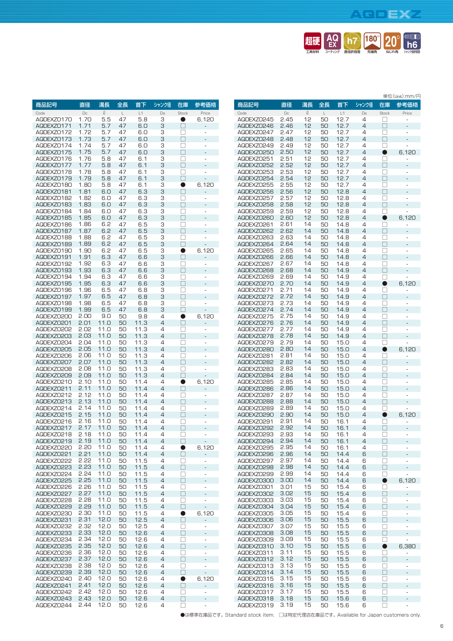## **AQDEXZ**



|                          | 直径           |              |          |              |         |                     |                          |
|--------------------------|--------------|--------------|----------|--------------|---------|---------------------|--------------------------|
| 商品記号                     |              | 溝長<br>$\ell$ | 全長<br>L  | 首下<br>L1     | シャンク径   | 在庫<br>Stock         | 参考価格                     |
| Code<br>AQDEXZ0170       | Dc<br>1.70   | 5.5          | 47       | 5.8          | Ds<br>З | o                   | Price<br>6,120           |
| AQDEXZ0171               | 1.71         | 5.7          | 47       | 6.0          | З       | П                   |                          |
| AQDEXZ0172               | 1.72         | 5.7          | 47       | 6.0          | З       | $\vert \ \ \vert$   |                          |
| AQDEXZ0173               | 1.73         | 5.7          | 47       | 6.0          | 3       | П                   |                          |
| AQDEXZ0174               | 1.74         | 5.7          | 47       | 6.0          | З       | П                   | ÷,                       |
| AQDEXZ0175               | 1.75         | 5.7          | 47       | 6.0          | З       | П                   | $\qquad \qquad -$        |
| AQDEXZO176               | 1.76         | 5.8          | 47       | 6.1          | З       | П                   | ÷,                       |
| AQDEXZ0177               | 1.77         | 5.8          | 47       | 6.1          | З       | П                   |                          |
| AQDEXZO178               | 1.78         | 5.8          | 47       | 6.1          | З       | П                   |                          |
| AQDEXZ0179               | 1.79         | 5.8          | 47       | 6.1          | З       | П                   | i,                       |
| AQDEXZ0180               | 1.80         | 5.8          | 47       | 6.1          | З       | 0                   | 6,120                    |
| AQDEXZ0181               | 1.81         | 6.0          | 47       | 6.3          | З       | П                   | -                        |
| AQDEXZ0182               | 1.82         | 6.0          | 47       | 6.3          | З       | П                   | ÷,                       |
| AQDEXZO183               | 1.83         | 6.0          | 47       | 6.3          | З       | $\Box$              | $\overline{a}$           |
| AQDEXZ0184               | 1.84         | 6.0          | 47       | 6.3          | З       | П                   | ÷,                       |
| AQDEXZO185               | 1.85         | 6.0          | 47       | 6.3          | З       | П                   |                          |
| AQDEXZ0186               | 1.86         | 6.2          | 47       | 6.5          | З       | П                   | ÷,                       |
| AQDEXZ0187               | 1.87         | 6.2          | 47       | 6.5          | З       | П                   | $\overline{a}$           |
| AQDEXZO188               | 1.88         | 6.2          | 47       | 6.5          | З       | n                   |                          |
| AQDEXZO189               | 1.89         | 6.2          | 47       | 6.5          | З       | П                   | ÷,                       |
| AQDEXZO190               | 1.90         | 6.2          | 47       | 6.5          | З       |                     | 6,120                    |
| AQDEXZ0191               | 1.91<br>1.92 | 6.3          | 47       | 6.6<br>6.6   | З       | П                   |                          |
| AQDEXZO192<br>AQDEXZO193 | 1.93         | 6.3<br>6.3   | 47<br>47 | 6.6          | З       | П<br>П              | ÷,                       |
| AQDEXZ0194               | 1.94         | 6.3          | 47       | 6.6          | З<br>З  | П                   |                          |
| AQDEXZ0195               | 1.95         | 6.3          | 47       | 6.6          | З       | П                   |                          |
| AQDEXZ0196               | 1.96         | 6.5          | 47       | 6.8          | З       | П                   | L,                       |
| AQDEXZ0197               | 1.97         | 6.5          | 47       | 6.8          | 3       |                     |                          |
| AQDEXZO198               | 1.98         | 6.5          | 47       | 6.8          | З       | П                   | ä,                       |
| AQDEXZO199               | 1.99         | 6.5          | 47       | 6.8          | З       | П                   | i,                       |
| AQDEXZ0200               | 2.00         | 9.0          | 50       | 9.8          | 4       | O                   | 6,120                    |
| AQDEXZ0201               | 2.01         | 11.0         | 50       | 11.3         | 4       | П                   |                          |
| AQDEXZ0202               | 2.02         | 11.0         | 50       | 11.3         | 4       | П                   | ÷,                       |
| AQDEXZ0203               | 2.03         | 11.0         | 50       | 11.3         | 4       | П                   | L,                       |
| AQDEXZ0204               | 2.04         | 11.0         | 50       | 11.3         | 4       | $\vert \ \ \vert$   | L,                       |
| AQDEXZ0205               | 2.05         | 11.0         | 50       | 11.3         | 4       | П                   |                          |
| AQDEXZ0206               | 2.06         | 11.0         | 50       | 11.3         | 4       |                     | ÷,                       |
| AQDEXZ0207               | 2.07         | 11.0         | 50       | 11.3         | 4       | П                   | ٠                        |
| AQDEXZ0208               | 2.08         | 11.0         | 50       | 11.3         | 4       | П                   | ä,                       |
| AQDEXZ0209               | 2.09         | 11.0         | 50       | 11.3         | 4       | П                   |                          |
| AQDEXZ0210               | 2.10         | 11.0         | 50       | 11.4         | 4       | 0                   | 6,120                    |
| AQDEXZ0211               | 2.11         | 11.0         | 50       | 11.4         | 4       | □                   |                          |
| AQDEXZ0212               | 2.12         | 11.0         | 50       | 11.4         | 4       | П                   |                          |
| AQDEXZ0213               | 2.13         | 11.0         | 50       | 11.4         | 4       | П                   |                          |
| AQDEXZ0214               | 2.14         | 11.0         | 50       | 11.4         | 4       | П                   | ÷,                       |
| AQDEXZ0215               | 2.15         | 11.0         | 50       | 11.4         | 4       |                     | -                        |
| AQDEXZ0216               | 2.16         | 11.0<br>11.0 | 50       | 11.4         | 4       | $\vert \ \ \vert$   | ÷,                       |
| AQDEXZ0217               | 2.17         |              | 50       | 11.4         | 4       | П                   |                          |
| AQDEXZ0218               | 2.18<br>2.19 | 11.O<br>11.0 | 50       | 11.4         | 4<br>4  |                     |                          |
| AQDEXZ0219<br>AQDEXZ0220 | 2.20         | 11.0         | 50<br>50 | 11.4<br>11.4 | 4       | □                   | 6,120                    |
| AQDEXZ0221               | 2.21         | 11.0         | 50       | 11.4         | 4       | $\bullet$<br>$\Box$ |                          |
| AQDEXZ0222               | 2.22         | 11.0         | 50       | 11.5         | 4       | □                   | ÷                        |
| AQDEXZ0223               | 2.23         | 11.0         | 50       | 11.5         | 4       | $\Box$              | ÷,                       |
| AQDEXZ0224               | 2.24         | 11.0         | 50       | 11.5         | 4       | □                   | ÷,                       |
| AQDEXZ0225               | 2.25         | 11.0         | 50       | 11.5         | 4       | $\Box$              | $\overline{\phantom{a}}$ |
| AQDEXZ0226               | 2.26         | 11.0         | 50       | 11.5         | 4       | П                   | ÷,                       |
| AQDEXZ0227               | 2.27         | 11.0         | 50       | 11.5         | 4       | $\Box$              | L,                       |
| AQDEXZ0228               | 2.28         | 11.0         | 50       | 11.5         | 4       | □                   | ÷,                       |
| AQDEXZ0229               | 2.29         | 11.0         | 50       | 11.5         | 4       | $\Box$              | ÷,                       |
| AQDEXZ0230               | 2.30         | 11.0         | 50       | 11.5         | 4       | $\bullet$           | 6,120                    |
| AQDEXZ0231               | 2.31         | 12.0         | 50       | 12.5         | 4       | $\Box$              | -                        |
| AQDEXZ0232               | 2.32         | 12.0         | 50       | 12.5         | 4       | □                   | $\overline{\phantom{a}}$ |
| AQDEXZ0233               | 2.33         | 12.0         | 50       | 12.6         | 4       | $\Box$              | -                        |
| AQDEXZ0234               | 2.34         | 12.0         | 50       | 12.6         | 4       | □                   | $\overline{\phantom{0}}$ |
| AQDEXZ0235               | 2.35         | 12.0         | 50       | 12.6         | 4       | $\Box$              | $\overline{a}$           |
| AQDEXZ0236               | 2.36         | 12.0         | 50       | 12.6         | 4       | □                   | ÷,                       |
| AQDEXZ0237               | 2.37         | 12.0         | 50       | 12.6         | 4       | П                   | ÷,                       |
| AQDEXZ0238               | 2.38         | 12.0         | 50       | 12.6         | 4       | □                   | ÷                        |
| AQDEXZ0239               | 2.39         | 12.0         | 50       | 12.6         | 4       | $\Box$              | l,                       |
| AQDEXZ0240               | 2.40         | 12.0         | 50       | 12.6         | 4       | $\bullet$           | 6,120                    |
| AQDEXZ0241               | 2.41         | 12.0         | 50       | 12.6         | 4       | $\Box$              | ÷                        |
| AQDEXZ0242               | 2.42         | 12.0         | 50       | 12.6         | 4       | □                   | ÷,                       |
| AQDEXZ0243               | 2.43         | 12.0         | 50       | 12.6         | 4       | $\Box$              | ÷,                       |
| AQDEXZ0244               | 2.44         | 12.0         | 50       | 12.6         | 4       | $\Box$              | ۰                        |

|                          |              |          |          |              |        |                   | 単位(Unit):mm/円            |
|--------------------------|--------------|----------|----------|--------------|--------|-------------------|--------------------------|
| 商品記号                     | 直径           | 溝長       | 全長       | 首下           | シャンク径  | 在庫                | 参考価格                     |
| Code                     | $\Box$       | Q        | L        | L1           | Ds     | Stock             | Price                    |
| AQDEXZ0245               | 2.45         | 12       | 50       | 12.7         | 4<br>4 |                   |                          |
| AQDEXZ0246<br>AQDEXZ0247 | 2.46<br>2.47 | 12<br>12 | 50<br>50 | 12.7<br>12.7 | 4      |                   | ÷,                       |
| AQDEXZ0248               | 2.48         | 12       | 50       | 12.7         | 4      | П                 | $\overline{\phantom{m}}$ |
| AQDEXZ0249               | 2.49         | 12       | 50       | 12.7         | 4      | П                 | ä,                       |
| AQDEXZ0250               | 2.50         | 12       | 50       | 12.7         | 4      | D                 | 6,120                    |
| AQDEXZ0251               | 2.51         | 12       | 50       | 12.7         | 4      | П                 | i,                       |
| AQDEXZ0252<br>AQDEXZ0253 | 2.52<br>2.53 | 12<br>12 | 50<br>50 | 12.7<br>12.7 | 4<br>4 | П<br>$\mathbf{L}$ | L<br>ä,                  |
| AQDEXZ0254               | 2.54         | 12       | 50       | 12.7         | 4      |                   | L,                       |
| AQDEXZ0255               | 2.55         | 12       | 50       | 12.7         | 4      | ┓                 | ÷,                       |
| AQDEXZ0256               | 2.56         | 12       | 50       | 12.8         | 4      | ┐                 | ÷                        |
| AQDEXZ0257               | 2.57         | 12       | 50       | 12.8         | 4      | П                 | ÷,                       |
| AQDEXZ0258<br>AQDEXZ0259 | 2.58<br>2.59 | 12<br>12 | 50<br>50 | 12.8<br>12.8 | 4<br>4 | П<br>П            | ÷,                       |
| AQDEXZ0260               | 2.60         | 12       | 50       | 12.8         | 4      | $\bullet$         | 6,120                    |
| AQDEXZ0261               | 2.61         | 14       | 50       | 14.8         | 4      | H                 | ä,                       |
| AQDEXZ0262               | 2.62         | 14       | 50       | 14.8         | 4      | П                 | -                        |
| AQDEXZ0263               | 2.63         | 14       | 50       | 14.8         | 4      |                   | ä,                       |
| AQDEXZ0264<br>AQDEXZ0265 | 2.64<br>2.65 | 14<br>14 | 50<br>50 | 14.8<br>14.8 | 4<br>4 | ٦                 | ÷<br>ä,                  |
| AQDEXZ0266               | 2.66         | 14       | 50       | 14.8         | 4      | П                 |                          |
| AQDEXZ0267               | 2.67         | 14       | 50       | 14.8         | 4      | ٦                 | ä,                       |
| AQDEXZ0268               | 2.68         | 14       | 50       | 14.9         | 4      | ┓                 | L                        |
| AQDEXZ0269               | 2.69         | 14       | 50       | 14.9         | 4      | $\mathbf{L}$      | ä,                       |
| AQDEXZ0270<br>AQDEXZ0271 | 2.70<br>2.71 | 14<br>14 | 50<br>50 | 14.9<br>14.9 | 4<br>4 | $\mathbf{L}$      | 6,120<br>ä,              |
| AQDEXZ0272               | 2.72         | 14       | 50       | 14.9         | 4      | П                 |                          |
| AQDEXZ0273               | 2.73         | 14       | 50       | 14.9         | 4      | П                 | ä,                       |
| AQDEXZ0274               | 2.74         | 14       | 50       | 14.9         | 4      | П                 |                          |
| AQDEXZ0275               | 2.75         | 14       | 50       | 14.9         | 4      | П                 | ÷,                       |
| AQDEXZ0276<br>AQDEXZ0277 | 2.76<br>2.77 | 14<br>14 | 50<br>50 | 14.9<br>14.9 | 4<br>4 | ┓<br>$\mathbf{L}$ | L,<br>ä,                 |
| AQDEXZ0278               | 2.78         | 14       | 50       | 14.9         | 4      | H                 | L,                       |
| AQDEXZ0279               | 2.79         | 14       | 50       | 15.0         | 4      | П                 | ä,                       |
| AQDEXZ0280               | 2.80         | 14       | 50       | 15.0         | 4      | D                 | 6,120                    |
| AQDEXZ0281               | 2.81         | 14       | 50       | 15.0         | 4      | $\mathbf{L}$      | ä,                       |
| AQDEXZ0282<br>AQDEXZ0283 | 2.82<br>2.83 | 14<br>14 | 50<br>50 | 15.0<br>15.0 | 4<br>4 | П<br>П            | ä,                       |
| AQDEXZ0284               | 2.84         | 14       | 50       | 15.0         | 4      | ٦                 | L                        |
| AQDEXZ0285               | 2.85         | 14       | 50       | 15.0         | 4      | $\mathbf{L}$      | ä,                       |
| AQDEXZ0286               | 2.86         | 14       | 50       | 15.0         | 4      |                   |                          |
| AQDEXZ0287               | 2.87         | 14       | 50       | 15.0         | 4      | ۰                 | ÷,                       |
| AQDEXZ0288<br>AQDEXZ0289 | 2.88<br>2.89 | 14<br>14 | 50<br>50 | 15.0<br>15.0 | 4<br>4 | П<br>П            | -<br>i,                  |
| AQDEXZ0290               | 2.90         | 14       | 50       | 15.0         | 4      | 0                 | 6,120                    |
| AQDEXZ0291               | 2.91         | 14       | 50       | 16.1         | 4      | П                 | ÷                        |
| AQDEXZ0292               | 2.92         | 14       | 50       | 16.1         | 4      | ٦                 |                          |
| AQDEXZ0293               | 2.93         | 14       | 50       | 16.1         | 4      |                   | ÷,                       |
| AQDEXZ0294<br>AQDEXZ0295 | 2.94<br>2.95 | 14<br>14 | 50<br>50 | 16.1<br>16.1 | 4<br>4 | П                 | ÷<br>÷,                  |
| AQDEXZ0296               | 2.96         | 14       | 50       | 14.4         | 6      | П                 | -                        |
| AQDEXZ0297               | 2.97         | 14       | 50       | 14.4         | 6      | $\Box$            | ÷,                       |
| AQDEXZ0298               | 2.98         | 14       | 50       | 14.4         | 6      | П                 | -                        |
| AQDEXZ0299               | 2.99         | 14<br>14 | 50       | 14.4         | 6<br>6 | П                 | i,<br>6,120              |
| AQDEXZ0300<br>AQDEXZ0301 | 3.00<br>3.01 | 15       | 50<br>50 | 14.4<br>15.4 | 6      | $\bullet$<br>⊔    | ä,                       |
| AQDEXZ0302               | 3.02         | 15       | 50       | 15.4         | 6      | $\Box$            | -                        |
| AQDEXZ0303               | 3.03         | 15       | 50       | 15.4         | 6      | П                 | ÷                        |
| AQDEXZ0304               | 3.04         | 15       | 50       | 15.4         | 6      | П                 | -                        |
| AQDEXZ0305               | 3.05         | 15       | 50       | 15.4         | 6      | П                 | ÷                        |
| AQDEXZ0306<br>AQDEXZ0307 | 3.06<br>3.07 | 15<br>15 | 50<br>50 | 15.5<br>15.5 | 6<br>6 | $\Box$<br>П       | ÷,                       |
| AQDEXZ0308               | 3.08         | 15       | 50       | 15.5         | 6      | $\Box$            | $\overline{a}$           |
| AQDEXZ0309               | 3.09         | 15       | 50       | 15.5         | 6      | $\Box$            | ä,                       |
| AQDEXZ0310               | 3.10         | 15       | 50       | 15.5         | 6      | $\bullet$         | 6,380                    |
| AQDEXZ0311<br>AQDEXZ0312 | 3.11<br>3.12 | 15<br>15 | 50<br>50 | 15.5<br>15.5 | 6<br>6 | П<br>П            | $\frac{1}{2}$            |
| AQDEXZ0313               | 3.13         | 15       | 50       | 15.5         | 6      | □                 | ÷<br>÷,                  |
| AQDEXZ0314               | 3.14         | 15       | 50       | 15.5         | 6      | П                 | -                        |
| AQDEXZ0315               | 3.15         | 15       | 50       | 15.5         | 6      | П                 | ÷,                       |
| AQDEXZ0316               | 3.16         | 15       | 50       | 15.5         | 6      | $\Box$            | L,                       |
| AQDEXZ0317<br>AQDEXZ0318 | 3.17<br>3.18 | 15<br>15 | 50<br>50 | 15.5<br>15.6 | 6<br>6 | □<br>$\Box$       | ä,<br>-                  |
| AQDEXZO319               | 3.19         | 15       | 50       | 15.6         | 6      | $\Box$            | ÷,                       |

●は標準在庫品です。 Standard stock item. □は特定代理店在庫品です。 Available for Japan customers only.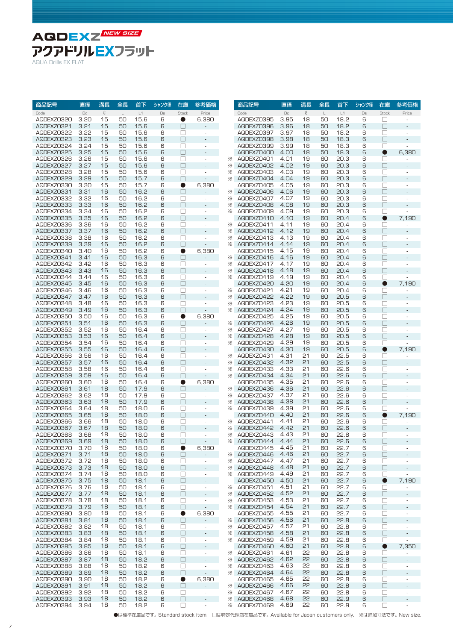

| $\mathcal{Q}$<br>$\mathcal{Q}$<br>$\Box c$<br>$\mathsf L$<br>L1<br>$\Box$<br>$\mathsf{L}$<br>L1<br>$\Box$<br>Stock<br>Price<br>$\Box$<br>Stock<br>Price<br>Code<br>Code<br>3.20<br>15<br>50<br>15.6<br>6,380<br>3.95<br>18<br>18.2<br>$\Box$<br>AQDEXZ0320<br>6<br>AQDEXZ0395<br>50<br>6<br>0<br>$\overline{\phantom{0}}$<br>$\Box$<br>3.21<br>15<br>6<br>□<br>3.96<br>18<br>18.2<br>6<br>AQDEXZ0321<br>50<br>15.6<br>AQDEXZ0396<br>50<br>÷,<br>$\Box$<br>AQDEXZ0322<br>3.22<br>15<br>50<br>15.6<br>6<br>□<br>AQDEXZ0397<br>3.97<br>18<br>50<br>18.2<br>6<br>$\overline{\phantom{a}}$<br>٠<br>3.23<br>15<br>15.6<br>6<br>П<br>3.98<br>18<br>18.3<br>6<br>$\Box$<br>AQDEXZ0323<br>50<br>AQDEXZ0398<br>50<br>3.24<br>15<br>50<br>15.6<br>$\Box$<br>3.99<br>18<br>18.3<br>$\Box$<br>AQDEXZ0324<br>6<br>AQDEXZ0399<br>50<br>6<br>÷,<br>AQDEXZ0325<br>3.25<br>15<br>50<br>15.6<br>6<br>П<br>AQDEXZ0400<br>18<br>50<br>18.3<br>$\bullet$<br>6,380<br>4.00<br>6<br>$\overline{\phantom{a}}$<br>$\Box$<br>15.6<br>6<br>20.3<br>$\Box$<br>AQDEXZ0326<br>3.26<br>15<br>50<br>AQDEXZ0401<br>4.01<br>19<br>60<br>6<br>⋇<br>$\sim$<br>AQDEXZ0327<br>3.27<br>15<br>50<br>15.6<br>6<br>$\Box$<br>4.02<br>19<br>20.3<br>6<br>$\Box$<br>⋇<br>AQDEXZ0402<br>60<br>÷,<br>$\Box$<br>AQDEXZ0328<br>3.28<br>15<br>50<br>15.6<br>6<br>4.03<br>19<br>20.3<br>6<br>$\Box$<br>⋇<br>AQDEXZ0403<br>60<br>$\overline{\phantom{a}}$<br>٠<br>$\Box$<br>3.29<br>15<br>50<br>6<br>□<br>19<br>6<br>AQDEXZ0329<br>15.7<br>⋇<br>AQDEXZ0404<br>4.04<br>60<br>20.3<br>÷,<br>$\bullet$<br>6,380<br>$\Box$<br>AQDEXZ0330<br>3.30<br>15<br>50<br>15.7<br>6<br>AQDEXZ0405<br>4.05<br>19<br>60<br>20.3<br>6<br>÷.<br>$\Box$<br>16<br>50<br>16.2<br>6<br>□<br>19<br>20.3<br>6<br>AQDEXZ0331<br>3.31<br>AQDEXZ0406<br>4.06<br>60<br>⋇<br>AQDEXZ0332<br>3.32<br>16<br>50<br>16.2<br>6<br>□<br>⋇<br>AQDEXZ0407<br>4.07<br>19<br>20.3<br>$\Box$<br>60<br>6<br>$\overline{\phantom{a}}$<br>$\Box$<br>$\Box$<br>AQDEXZ0333<br>50<br>16.2<br>6<br>19<br>20.3<br>6<br>3.33<br>16<br>⋇<br>AQDEXZ0408<br>4.08<br>60<br>$\overline{\phantom{a}}$<br>AQDEXZ0334<br>16.2<br>$\Box$<br>20.3<br>$\Box$<br>3.34<br>16<br>50<br>6<br>AQDEXZ0409<br>4.09<br>19<br>60<br>6<br>$\overline{\phantom{a}}$<br>⋇<br>$\Box$<br>AQDEXZ0335<br>3.35<br>16<br>50<br>16.2<br>6<br>4.10<br>19<br>60<br>20.4<br>6<br>$\bullet$<br>7,190<br>AQDEXZ0410<br>AQDEXZ0336<br>50<br>16.2<br>6<br>4.11<br>19<br>20.4<br>3.36<br>16<br>$\Box$<br>AQDEXZ0411<br>60<br>6<br>$\Box$<br>$\overline{\phantom{a}}$<br><br>16.2<br>6<br>П<br>19<br>6<br>$\Box$<br>AQDEXZ0337<br>3.37<br>16<br>50<br>AQDEXZ0412<br>4.12<br>60<br>20.4<br>⋇<br>÷,<br>AQDEXZ0338<br>3.38<br>16<br>50<br>16.2<br>6<br>□<br>AQDEXZ0413<br>4.13<br>19<br>60<br>20.4<br>6<br>$\Box$<br>⋇<br>$\overline{\phantom{a}}$<br>$\overline{\phantom{0}}$<br>3.39<br>16<br>50<br>16.2<br>6<br>П<br>19<br>20.4<br>6<br>$\Box$<br>AQDEXZ0339<br>AQDEXZ0414<br>4.14<br>60<br>⋇<br>$\overline{\phantom{a}}$<br>50<br>16.2<br>6<br>6,380<br>4.15<br>19<br>20.4<br>AQDEXZ0340<br>3.40<br>16<br>$\bullet$<br>AQDEXZ0415<br>60<br>6<br>□<br>AQDEXZ0341<br>50<br>16.3<br>6<br>AQDEXZ0416<br>19<br>20.4<br>$\Box$<br>3.41<br>16<br>П<br>4.16<br>60<br>6<br>÷,<br>⋇<br>16.3<br>19<br>$\Box$<br>AQDEXZ0342<br>3.42<br>16<br>50<br>6<br>$\Box$<br>AQDEXZ0417<br>4.17<br>60<br>20.4<br>6<br>⋇<br>÷<br>÷.<br>16<br>50<br>16.3<br>6<br>$\Box$<br>4.18<br>20.4<br>6<br>$\Box$<br>AQDEXZ0343<br>3.43<br>AQDEXZ0418<br>19<br>60<br>⋇<br>$\overline{\phantom{a}}$<br>AQDEXZ0344<br>16<br>50<br>16.3<br>6<br>4.19<br>19<br>20.4<br>6<br>3.44<br>$\Box$<br>AQDEXZ0419<br>60<br>$\Box$<br>⋇<br>$\overline{\phantom{a}}$<br>٠<br>$\Box$<br>AQDEXZ0345<br>16<br>50<br>16.3<br>6<br>AQDEXZ0420<br>4.20<br>19<br>20.4<br>6<br>7,190<br>3.45<br>60<br>●<br>$\overline{a}$<br>16<br>50<br>16.3<br>6<br>$\Box$<br>4.21<br>19<br>20.4<br>6<br>$\Box$<br>AQDEXZ0346<br>3.46<br>AQDEXZ0421<br>60<br>⋇<br>$\overline{\phantom{a}}$<br>$\Box$<br>4.22<br>19<br>16<br>50<br>6<br>20.5<br>6<br>$\Box$<br>AQDEXZ0347<br>3.47<br>16.3<br>⋇<br>AQDEXZ0422<br>60<br>$\overline{a}$<br>4.23<br>19<br>16<br>16.3<br>6<br>$\Box$<br>20.5<br>AQDEXZ0348<br>3.48<br>50<br>⋇<br>AQDEXZ0423<br>60<br>6<br>$\Box$<br>$\sim$<br>$\Box$<br>19<br>$\Box$<br>AQDEXZ0349<br>3.49<br>16<br>50<br>16.3<br>6<br>AQDEXZ0424<br>4.24<br>60<br>20.5<br>6<br>⋇<br>AQDEXZ0350<br>16<br>50<br>16.3<br>6<br>$\bullet$<br>6,380<br>AQDEXZ0425<br>4.25<br>19<br>20.5<br>$\Box$<br>3.50<br>60<br>6<br>٠<br>$\Box$<br>$\Box$<br>4.26<br>19<br>16<br>50<br>16.3<br>6<br>60<br>20.5<br>6<br>AQDEXZ0351<br>3.51<br>AQDEXZ0426<br>⋇<br>ä,<br>4.27<br>16<br>6<br>$\Box$<br>19<br>20.5<br>$\Box$<br>AQDEXZ0352<br>3.52<br>50<br>16.4<br>AQDEXZ0427<br>60<br>6<br>⋇<br>$\overline{\phantom{a}}$<br>$\overline{\phantom{a}}$<br>$\Box$<br>$\Box$<br>AQDEXZ0353<br>3.53<br>16<br>50<br>16.4<br>6<br>4.28<br>19<br>60<br>20.5<br>6<br>⋇<br>AQDEXZ0428<br>16<br>50<br>□<br>4.29<br>19<br>$\Box$<br>AQDEXZ0354<br>3.54<br>16.4<br>6<br>⋇<br>AQDEXZ0429<br>60<br>20.5<br>6<br>$\overline{\phantom{a}}$<br>$\Box$<br>19<br>16<br>6<br>4.30<br>6<br>$\bullet$<br>7,190<br>AQDEXZ0355<br>3.55<br>50<br>16.4<br>AQDEXZ0430<br>60<br>20.5<br>L.<br>4.31<br>21<br>16<br>50<br>$\Box$<br>22.5<br>AQDEXZ0356<br>3.56<br>16.4<br>6<br>AQDEXZ0431<br>60<br>6<br>$\Box$<br>⋇<br>$\overline{\phantom{a}}$<br>$\Box$<br>4.32<br>21<br>$\Box$<br>AQDEXZ0357<br>3.57<br>16<br>50<br>16.4<br>6<br>⋇<br>AQDEXZ0432<br>60<br>22.5<br>6<br>$\overline{\phantom{a}}$<br>$\Box$<br>AQDEXZ0358<br>16<br>50<br>16.4<br>6<br>□<br>4.33<br>21<br>22.6<br>3.58<br>⋇<br>AQDEXZ0433<br>60<br>6<br>$\sim$<br>÷.<br>21<br>$\Box$<br>16<br>16.4<br>6<br>$\Box$<br>4.34<br>22.6<br>AQDEXZ0359<br>3.59<br>50<br>⋇<br>AQDEXZ0434<br>60<br>6<br>$\overline{a}$<br>21<br>16<br>50<br>6<br>$\bullet$<br>6,380<br>4.35<br>22.6<br>6<br>$\Box$<br>AQDEXZ0360<br>3.60<br>16.4<br>AQDEXZ0435<br>60<br>÷.<br>21<br>18<br>50<br>17.9<br>6<br>□<br>4.36<br>22.6<br>6<br>$\Box$<br>AQDEXZ0361<br>3.61<br>AQDEXZ0436<br>60<br>⋇<br>18<br>50<br>17.9<br>6<br>$\Box$<br>4.37<br>21<br>22.6<br>6<br>$\Box$<br>AQDEXZ0362<br>3.62<br>⋇<br>AQDEXZ0437<br>60<br>$\overline{\phantom{a}}$<br>٠<br>18<br>$\Box$<br>4.38<br>21<br>$\Box$<br>50<br>17.9<br>6<br>22.6<br>AQDEXZ0363<br>3.63<br>⋇<br>AQDEXZ0438<br>60<br>6<br>$\overline{a}$<br>4.39<br>21<br>18<br>50<br>6<br>$\Box$<br>22.6<br>6<br>AQDEXZ0364<br>3.64<br>18.0<br>⋇<br>AQDEXZ0439<br>60<br>□<br>$\overline{\phantom{a}}$<br>$\Box$<br>21<br>AQDEXZ0365<br>18<br>50<br>18.0<br>6<br>4.40<br>60<br>22.6<br>6<br>$\bullet$<br>7,190<br>3.65<br>AQDEXZ0440<br>$\overline{a}$<br>AQDEXZ0366<br>18<br>П<br>4.41<br>21<br>22.6<br>3.66<br>50<br>18.0<br>6<br>AQDEXZ0441<br>60<br>6<br>□<br>⋇<br>$\overline{\phantom{a}}$<br>٠<br>18<br>$\Box$<br>21<br>$\Box$<br>50<br>18.0<br>6<br>4.42<br>60<br>22.6<br>AQDEXZ0367<br>3.67<br>⋇<br>AQDEXZ0442<br>6<br>÷,<br>21<br>18<br>50<br>6<br>П<br>4.43<br>22.6<br>$\Box$<br>AQDEXZ0368<br>3.68<br>18.0<br>AQDEXZ0443<br>60<br>6<br>⋇<br>$\overline{\phantom{a}}$<br>$\overline{\phantom{a}}$<br>AQDEXZ0369<br>18<br>21<br>3.69<br>50<br>18.0<br>6<br>$\Box$<br><b>XX AQDEXZ0444</b><br>4.44<br>60<br>22.6<br>6<br>$\Box$<br>18<br>4.45<br>21<br>22.7<br>$\Box$<br>AQDEXZ0370<br>3.70<br>50<br>18.0<br>6<br>$\bullet$<br>6,380<br>AQDEXZ0445<br>60<br>6<br>$\overline{\phantom{a}}$<br>18<br>4.46<br>21<br>22.7<br>6<br>$\Box$<br>AQDEXZ0371<br>3.71<br>50<br>18.0<br>6<br>$\Box$<br>$\overline{\phantom{a}}$<br><b>EXAGDEXZ0446</b><br>60<br>21<br>18<br>4.47<br>22.7<br>AQDEXZ0372<br>3.72<br>50<br>18.0<br>6<br>$\Box$<br>⋇<br>AQDEXZ0447<br>60<br>6<br>$\Box$<br>$\overline{\phantom{a}}$<br>$\overline{\phantom{0}}$<br>AQDEXZ0373<br>3.73<br>18<br>50<br>18.0<br>□<br>AQDEXZ0448<br>4.48<br>21<br>22.7<br>6<br>$\Box$<br>6<br>⋇<br>60<br>$\overline{\phantom{a}}$<br>AQDEXZ0374<br>3.74<br>18<br>18.0<br>$\Box$<br>AQDEXZ0449<br>4.49<br>21<br>22.7<br>$\Box$<br>50<br>6<br>⋇<br>60<br>6<br>$\overline{\phantom{a}}$<br>$\overline{\phantom{a}}$<br>AQDEXZ0375<br>18<br>□<br>AQDEXZ0450<br>4.50<br>21<br>22.7<br>7,190<br>3.75<br>50<br>18.1<br>6<br>$\Box$<br>60<br>6<br>$\bullet$<br>21<br>3.76<br>18<br>18.1<br>AQDEXZ0451<br>4.51<br>22.7<br>6<br>$\Box$<br>AQDEXZ0376<br>50<br>6<br>□<br>60<br>$\overline{\phantom{a}}$<br>፠<br>$\overline{\phantom{0}}$<br>AQDEXZ0377<br>3.77<br>18<br>18.1<br>$\Box$<br>AQDEXZ0452<br>4.52<br>21<br>22.7<br>6<br>$\Box$<br>50<br>6<br>⋇<br>60<br>$\overline{\phantom{a}}$<br>3.78<br>18<br>18.1<br>□<br>4.53<br>21<br>22.7<br>6<br>$\Box$<br>AQDEXZ0378<br>50<br>6<br>AQDEXZ0453<br>60<br>⋇<br>$\overline{\phantom{a}}$<br>$\overline{\phantom{a}}$<br>21<br>18<br>4.54<br>22.7<br>6<br>$\Box$<br>AQDEXZ0379<br>3.79<br>50<br>18.1<br>6<br>$\Box$<br><b>EXAGDEXZ0454</b><br>60<br>$\overline{\phantom{a}}$<br>$\overline{\phantom{a}}$<br>18<br>6,380<br>4.55<br>21<br>22.7<br>6<br>AQDEXZ0380<br>3.80<br>50<br>18.1<br>6<br>$\bullet$<br>AQDEXZ0455<br>60<br>$\Box$<br>$\overline{\phantom{a}}$<br>21<br>$\Box$<br>AQDEXZ0381<br>3.81<br>18<br>50<br>18.1<br>6<br>$\Box$<br>AQDEXZ0456<br>4.56<br>60<br>22.8<br>6<br>$\mathcal{L}_{\mathcal{A}}$<br>⋇<br>AQDEXZ0382<br>3.82<br>18<br>18.1<br>AQDEXZ0457<br>4.57<br>21<br>22.8<br>□<br>50<br>6<br>□<br>⋇<br>60<br>6<br>$\overline{\phantom{a}}$<br>$\overline{\phantom{a}}$<br>$\Box$<br>21<br>$\Box$<br>18<br>18.1<br>AQDEXZ0458<br>4.58<br>60<br>22.8<br>6<br>AQDEXZ0383<br>3.83<br>50<br>6<br>$\overline{\phantom{a}}$<br>⋇<br>18<br>18.1<br>4.59<br>21<br>22.8<br>$\Box$<br>AQDEXZ0384<br>3.84<br>50<br>6<br>□<br>AQDEXZ0459<br>60<br>6<br>$\overline{\phantom{a}}$<br>፠<br>$\frac{1}{2}$<br>3.85<br>18<br>18.1<br>6<br>$\Box$<br>AQDEXZ0460<br>4.60<br>21<br>22.8<br>6<br>$\bullet$<br>7,350<br>AQDEXZ0385<br>50<br>60<br>$\overline{\phantom{a}}$<br>18<br>□<br>4.61<br>55<br>22.8<br>$\Box$<br>AQDEXZ0386<br>3.86<br>50<br>18.1<br>6<br>AQDEXZ0461<br>60<br>6<br>$\overline{\phantom{a}}$<br>⋇<br>$\overline{\phantom{a}}$<br>55<br>18<br>$\Box$<br>$\Box$<br>4.62<br>22.8<br>6<br>$\Box$<br>AQDEXZ0387<br>3.87<br>50<br>18.2<br>6<br>⋇<br>AQDEXZ0462<br>60<br>$\overline{\phantom{m}}$<br>55<br>18<br>18.2<br>4.63<br>22.8<br>AQDEXZ0388<br>3.88<br>50<br>6<br>□<br>AQDEXZ0463<br>60<br>6<br>$\Box$<br>⋇<br>$\overline{\phantom{a}}$<br>$\overline{\phantom{a}}$<br>55<br>AQDEXZ0389<br>3.89<br>18<br>50<br>18.2<br>6<br>□<br><b>XX AQDEXZ0464</b><br>4.64<br>22.8<br>6<br>$\Box$<br>60<br>$\overline{\phantom{a}}$<br>AQDEXZ0390<br>3.90<br>18<br>18.2<br>6,380<br>AQDEXZ0465<br>4.65<br>55<br>22.8<br>$\Box$<br>50<br>6<br>$\bullet$<br>60<br>6<br>$\overline{\phantom{a}}$<br>18<br>18.2<br><b>XX AGDEXZ0466</b><br>4.66<br>55<br>22.8<br>$\Box$<br>AQDEXZ0391<br>3.91<br>50<br>6<br>$\Box$<br>$\blacksquare$<br>60<br>6<br>٠<br>55<br>22.8<br>3.92<br>18<br>18.2<br>$\Box$<br>4.67<br>6<br>$\Box$<br>AQDEXZ0392<br>50<br>6<br>AQDEXZ0467<br>60<br>$\overline{\phantom{a}}$<br>⋇<br>$\overline{\phantom{a}}$<br>AQDEXZ0393<br>3.93<br>18<br>18.2<br>$\Box$<br>AQDEXZ0468<br>4.68<br>55<br>22.9<br>$\Box$<br>50<br>6<br>⋇<br>60<br>6<br>$\overline{\phantom{a}}$<br>18<br>18.2<br>□<br>4.69<br>55<br>22.9<br>$\Box$<br>AQDEXZ0394<br>3.94<br>50<br>6<br>AQDEXZ0469<br>60<br>6<br>⋇<br>$\overline{\phantom{a}}$<br>$\overline{\phantom{0}}$ | 商品記号 | 直径 | 溝長 | 全長 | 首下 | シャンク径 | 在庫 | 参考価格 | 商品記号 | 直径 | 溝長 | 全長 | 首下 | シャンク径 | 在庫 | 参考価格 |
|-------------------------------------------------------------------------------------------------------------------------------------------------------------------------------------------------------------------------------------------------------------------------------------------------------------------------------------------------------------------------------------------------------------------------------------------------------------------------------------------------------------------------------------------------------------------------------------------------------------------------------------------------------------------------------------------------------------------------------------------------------------------------------------------------------------------------------------------------------------------------------------------------------------------------------------------------------------------------------------------------------------------------------------------------------------------------------------------------------------------------------------------------------------------------------------------------------------------------------------------------------------------------------------------------------------------------------------------------------------------------------------------------------------------------------------------------------------------------------------------------------------------------------------------------------------------------------------------------------------------------------------------------------------------------------------------------------------------------------------------------------------------------------------------------------------------------------------------------------------------------------------------------------------------------------------------------------------------------------------------------------------------------------------------------------------------------------------------------------------------------------------------------------------------------------------------------------------------------------------------------------------------------------------------------------------------------------------------------------------------------------------------------------------------------------------------------------------------------------------------------------------------------------------------------------------------------------------------------------------------------------------------------------------------------------------------------------------------------------------------------------------------------------------------------------------------------------------------------------------------------------------------------------------------------------------------------------------------------------------------------------------------------------------------------------------------------------------------------------------------------------------------------------------------------------------------------------------------------------------------------------------------------------------------------------------------------------------------------------------------------------------------------------------------------------------------------------------------------------------------------------------------------------------------------------------------------------------------------------------------------------------------------------------------------------------------------------------------------------------------------------------------------------------------------------------------------------------------------------------------------------------------------------------------------------------------------------------------------------------------------------------------------------------------------------------------------------------------------------------------------------------------------------------------------------------------------------------------------------------------------------------------------------------------------------------------------------------------------------------------------------------------------------------------------------------------------------------------------------------------------------------------------------------------------------------------------------------------------------------------------------------------------------------------------------------------------------------------------------------------------------------------------------------------------------------------------------------------------------------------------------------------------------------------------------------------------------------------------------------------------------------------------------------------------------------------------------------------------------------------------------------------------------------------------------------------------------------------------------------------------------------------------------------------------------------------------------------------------------------------------------------------------------------------------------------------------------------------------------------------------------------------------------------------------------------------------------------------------------------------------------------------------------------------------------------------------------------------------------------------------------------------------------------------------------------------------------------------------------------------------------------------------------------------------------------------------------------------------------------------------------------------------------------------------------------------------------------------------------------------------------------------------------------------------------------------------------------------------------------------------------------------------------------------------------------------------------------------------------------------------------------------------------------------------------------------------------------------------------------------------------------------------------------------------------------------------------------------------------------------------------------------------------------------------------------------------------------------------------------------------------------------------------------------------------------------------------------------------------------------------------------------------------------------------------------------------------------------------------------------------------------------------------------------------------------------------------------------------------------------------------------------------------------------------------------------------------------------------------------------------------------------------------------------------------------------------------------------------------------------------------------------------------------------------------------------------------------------------------------------------------------------------------------------------------------------------------------------------------------------------------------------------------------------------------------------------------------------------------------------------------------------------------------------------------------------------------------------------------------------------------------------------------------------------------------------------------------------------------------------------------------------------------------------------------------------------------------------------------------------------------------------------------------------------------------------------------------------------------------------------------------------------------------------------------------------------------------------------------------------------------------------------------------------------------------------------------------------------------------------------------------------------------------------------------------------------------------------------------------------------------------------------------------------------------------------------------------------------------------------------------------------------------------------------------------------------------------------------------------------------------------------------------------------------------------------------------------------------------------------------------------------------------------------------------------------------------------------------------------------------------------------------------------------------------------------------------------------------------------------------------------------------------------------------------------------------------------------------------------------------------------------------------------------------------------------------------------------------------------------------------------------------------------------------------------------------------------------------------------------------------------------------------------------------------------------------------------------------------------------------------------------------------------------------------------------------------------------------------------------------------------------------------------------------------------------------------------------------------------------------------------------------------------------------------------------------------------------------------------------------------------------------------------------------------------------------------------------------------------------------------------------------------------------------------------------------------------------------------------------------------------------------------------------------------------------------------------------------------------------------------------------------------------------------------------------------------------------------------------------------------------------------------------------------------------------------------------------------------------------------------------------------------------------------------------------------------------------------------------------------------------------------------------------------------------------------------------------------------------------------------------------------------------------------------------------------------------------------------------------------------------------------------------------------------------------------------------------------------------------------------------------------------------------------------------------------------------------------------------------------------|------|----|----|----|----|-------|----|------|------|----|----|----|----|-------|----|------|
|                                                                                                                                                                                                                                                                                                                                                                                                                                                                                                                                                                                                                                                                                                                                                                                                                                                                                                                                                                                                                                                                                                                                                                                                                                                                                                                                                                                                                                                                                                                                                                                                                                                                                                                                                                                                                                                                                                                                                                                                                                                                                                                                                                                                                                                                                                                                                                                                                                                                                                                                                                                                                                                                                                                                                                                                                                                                                                                                                                                                                                                                                                                                                                                                                                                                                                                                                                                                                                                                                                                                                                                                                                                                                                                                                                                                                                                                                                                                                                                                                                                                                                                                                                                                                                                                                                                                                                                                                                                                                                                                                                                                                                                                                                                                                                                                                                                                                                                                                                                                                                                                                                                                                                                                                                                                                                                                                                                                                                                                                                                                                                                                                                                                                                                                                                                                                                                                                                                                                                                                                                                                                                                                                                                                                                                                                                                                                                                                                                                                                                                                                                                                                                                                                                                                                                                                                                                                                                                                                                                                                                                                                                                                                                                                                                                                                                                                                                                                                                                                                                                                                                                                                                                                                                                                                                                                                                                                                                                                                                                                                                                                                                                                                                                                                                                                                                                                                                                                                                                                                                                                                                                                                                                                                                                                                                                                                                                                                                                                                                                                                                                                                                                                                                                                                                                                                                                                                                                                                                                                                                                                                                                                                                                                                                                                                                                                                                                                                                                                                                                                                                                                                                                                                                                                                                                                                                                                                                                                                                                                                                                                                                                                                                                                                                                                                                                                                                                                                                                                                                                                                                                                                                                                                                                                                                                                                                                                                                               |      |    |    |    |    |       |    |      |      |    |    |    |    |       |    |      |
|                                                                                                                                                                                                                                                                                                                                                                                                                                                                                                                                                                                                                                                                                                                                                                                                                                                                                                                                                                                                                                                                                                                                                                                                                                                                                                                                                                                                                                                                                                                                                                                                                                                                                                                                                                                                                                                                                                                                                                                                                                                                                                                                                                                                                                                                                                                                                                                                                                                                                                                                                                                                                                                                                                                                                                                                                                                                                                                                                                                                                                                                                                                                                                                                                                                                                                                                                                                                                                                                                                                                                                                                                                                                                                                                                                                                                                                                                                                                                                                                                                                                                                                                                                                                                                                                                                                                                                                                                                                                                                                                                                                                                                                                                                                                                                                                                                                                                                                                                                                                                                                                                                                                                                                                                                                                                                                                                                                                                                                                                                                                                                                                                                                                                                                                                                                                                                                                                                                                                                                                                                                                                                                                                                                                                                                                                                                                                                                                                                                                                                                                                                                                                                                                                                                                                                                                                                                                                                                                                                                                                                                                                                                                                                                                                                                                                                                                                                                                                                                                                                                                                                                                                                                                                                                                                                                                                                                                                                                                                                                                                                                                                                                                                                                                                                                                                                                                                                                                                                                                                                                                                                                                                                                                                                                                                                                                                                                                                                                                                                                                                                                                                                                                                                                                                                                                                                                                                                                                                                                                                                                                                                                                                                                                                                                                                                                                                                                                                                                                                                                                                                                                                                                                                                                                                                                                                                                                                                                                                                                                                                                                                                                                                                                                                                                                                                                                                                                                                                                                                                                                                                                                                                                                                                                                                                                                                                                                                                               |      |    |    |    |    |       |    |      |      |    |    |    |    |       |    |      |
|                                                                                                                                                                                                                                                                                                                                                                                                                                                                                                                                                                                                                                                                                                                                                                                                                                                                                                                                                                                                                                                                                                                                                                                                                                                                                                                                                                                                                                                                                                                                                                                                                                                                                                                                                                                                                                                                                                                                                                                                                                                                                                                                                                                                                                                                                                                                                                                                                                                                                                                                                                                                                                                                                                                                                                                                                                                                                                                                                                                                                                                                                                                                                                                                                                                                                                                                                                                                                                                                                                                                                                                                                                                                                                                                                                                                                                                                                                                                                                                                                                                                                                                                                                                                                                                                                                                                                                                                                                                                                                                                                                                                                                                                                                                                                                                                                                                                                                                                                                                                                                                                                                                                                                                                                                                                                                                                                                                                                                                                                                                                                                                                                                                                                                                                                                                                                                                                                                                                                                                                                                                                                                                                                                                                                                                                                                                                                                                                                                                                                                                                                                                                                                                                                                                                                                                                                                                                                                                                                                                                                                                                                                                                                                                                                                                                                                                                                                                                                                                                                                                                                                                                                                                                                                                                                                                                                                                                                                                                                                                                                                                                                                                                                                                                                                                                                                                                                                                                                                                                                                                                                                                                                                                                                                                                                                                                                                                                                                                                                                                                                                                                                                                                                                                                                                                                                                                                                                                                                                                                                                                                                                                                                                                                                                                                                                                                                                                                                                                                                                                                                                                                                                                                                                                                                                                                                                                                                                                                                                                                                                                                                                                                                                                                                                                                                                                                                                                                                                                                                                                                                                                                                                                                                                                                                                                                                                                                                                               |      |    |    |    |    |       |    |      |      |    |    |    |    |       |    |      |
|                                                                                                                                                                                                                                                                                                                                                                                                                                                                                                                                                                                                                                                                                                                                                                                                                                                                                                                                                                                                                                                                                                                                                                                                                                                                                                                                                                                                                                                                                                                                                                                                                                                                                                                                                                                                                                                                                                                                                                                                                                                                                                                                                                                                                                                                                                                                                                                                                                                                                                                                                                                                                                                                                                                                                                                                                                                                                                                                                                                                                                                                                                                                                                                                                                                                                                                                                                                                                                                                                                                                                                                                                                                                                                                                                                                                                                                                                                                                                                                                                                                                                                                                                                                                                                                                                                                                                                                                                                                                                                                                                                                                                                                                                                                                                                                                                                                                                                                                                                                                                                                                                                                                                                                                                                                                                                                                                                                                                                                                                                                                                                                                                                                                                                                                                                                                                                                                                                                                                                                                                                                                                                                                                                                                                                                                                                                                                                                                                                                                                                                                                                                                                                                                                                                                                                                                                                                                                                                                                                                                                                                                                                                                                                                                                                                                                                                                                                                                                                                                                                                                                                                                                                                                                                                                                                                                                                                                                                                                                                                                                                                                                                                                                                                                                                                                                                                                                                                                                                                                                                                                                                                                                                                                                                                                                                                                                                                                                                                                                                                                                                                                                                                                                                                                                                                                                                                                                                                                                                                                                                                                                                                                                                                                                                                                                                                                                                                                                                                                                                                                                                                                                                                                                                                                                                                                                                                                                                                                                                                                                                                                                                                                                                                                                                                                                                                                                                                                                                                                                                                                                                                                                                                                                                                                                                                                                                                                                                               |      |    |    |    |    |       |    |      |      |    |    |    |    |       |    |      |
|                                                                                                                                                                                                                                                                                                                                                                                                                                                                                                                                                                                                                                                                                                                                                                                                                                                                                                                                                                                                                                                                                                                                                                                                                                                                                                                                                                                                                                                                                                                                                                                                                                                                                                                                                                                                                                                                                                                                                                                                                                                                                                                                                                                                                                                                                                                                                                                                                                                                                                                                                                                                                                                                                                                                                                                                                                                                                                                                                                                                                                                                                                                                                                                                                                                                                                                                                                                                                                                                                                                                                                                                                                                                                                                                                                                                                                                                                                                                                                                                                                                                                                                                                                                                                                                                                                                                                                                                                                                                                                                                                                                                                                                                                                                                                                                                                                                                                                                                                                                                                                                                                                                                                                                                                                                                                                                                                                                                                                                                                                                                                                                                                                                                                                                                                                                                                                                                                                                                                                                                                                                                                                                                                                                                                                                                                                                                                                                                                                                                                                                                                                                                                                                                                                                                                                                                                                                                                                                                                                                                                                                                                                                                                                                                                                                                                                                                                                                                                                                                                                                                                                                                                                                                                                                                                                                                                                                                                                                                                                                                                                                                                                                                                                                                                                                                                                                                                                                                                                                                                                                                                                                                                                                                                                                                                                                                                                                                                                                                                                                                                                                                                                                                                                                                                                                                                                                                                                                                                                                                                                                                                                                                                                                                                                                                                                                                                                                                                                                                                                                                                                                                                                                                                                                                                                                                                                                                                                                                                                                                                                                                                                                                                                                                                                                                                                                                                                                                                                                                                                                                                                                                                                                                                                                                                                                                                                                                                                               |      |    |    |    |    |       |    |      |      |    |    |    |    |       |    |      |
|                                                                                                                                                                                                                                                                                                                                                                                                                                                                                                                                                                                                                                                                                                                                                                                                                                                                                                                                                                                                                                                                                                                                                                                                                                                                                                                                                                                                                                                                                                                                                                                                                                                                                                                                                                                                                                                                                                                                                                                                                                                                                                                                                                                                                                                                                                                                                                                                                                                                                                                                                                                                                                                                                                                                                                                                                                                                                                                                                                                                                                                                                                                                                                                                                                                                                                                                                                                                                                                                                                                                                                                                                                                                                                                                                                                                                                                                                                                                                                                                                                                                                                                                                                                                                                                                                                                                                                                                                                                                                                                                                                                                                                                                                                                                                                                                                                                                                                                                                                                                                                                                                                                                                                                                                                                                                                                                                                                                                                                                                                                                                                                                                                                                                                                                                                                                                                                                                                                                                                                                                                                                                                                                                                                                                                                                                                                                                                                                                                                                                                                                                                                                                                                                                                                                                                                                                                                                                                                                                                                                                                                                                                                                                                                                                                                                                                                                                                                                                                                                                                                                                                                                                                                                                                                                                                                                                                                                                                                                                                                                                                                                                                                                                                                                                                                                                                                                                                                                                                                                                                                                                                                                                                                                                                                                                                                                                                                                                                                                                                                                                                                                                                                                                                                                                                                                                                                                                                                                                                                                                                                                                                                                                                                                                                                                                                                                                                                                                                                                                                                                                                                                                                                                                                                                                                                                                                                                                                                                                                                                                                                                                                                                                                                                                                                                                                                                                                                                                                                                                                                                                                                                                                                                                                                                                                                                                                                                                                               |      |    |    |    |    |       |    |      |      |    |    |    |    |       |    |      |
|                                                                                                                                                                                                                                                                                                                                                                                                                                                                                                                                                                                                                                                                                                                                                                                                                                                                                                                                                                                                                                                                                                                                                                                                                                                                                                                                                                                                                                                                                                                                                                                                                                                                                                                                                                                                                                                                                                                                                                                                                                                                                                                                                                                                                                                                                                                                                                                                                                                                                                                                                                                                                                                                                                                                                                                                                                                                                                                                                                                                                                                                                                                                                                                                                                                                                                                                                                                                                                                                                                                                                                                                                                                                                                                                                                                                                                                                                                                                                                                                                                                                                                                                                                                                                                                                                                                                                                                                                                                                                                                                                                                                                                                                                                                                                                                                                                                                                                                                                                                                                                                                                                                                                                                                                                                                                                                                                                                                                                                                                                                                                                                                                                                                                                                                                                                                                                                                                                                                                                                                                                                                                                                                                                                                                                                                                                                                                                                                                                                                                                                                                                                                                                                                                                                                                                                                                                                                                                                                                                                                                                                                                                                                                                                                                                                                                                                                                                                                                                                                                                                                                                                                                                                                                                                                                                                                                                                                                                                                                                                                                                                                                                                                                                                                                                                                                                                                                                                                                                                                                                                                                                                                                                                                                                                                                                                                                                                                                                                                                                                                                                                                                                                                                                                                                                                                                                                                                                                                                                                                                                                                                                                                                                                                                                                                                                                                                                                                                                                                                                                                                                                                                                                                                                                                                                                                                                                                                                                                                                                                                                                                                                                                                                                                                                                                                                                                                                                                                                                                                                                                                                                                                                                                                                                                                                                                                                                                                                               |      |    |    |    |    |       |    |      |      |    |    |    |    |       |    |      |
|                                                                                                                                                                                                                                                                                                                                                                                                                                                                                                                                                                                                                                                                                                                                                                                                                                                                                                                                                                                                                                                                                                                                                                                                                                                                                                                                                                                                                                                                                                                                                                                                                                                                                                                                                                                                                                                                                                                                                                                                                                                                                                                                                                                                                                                                                                                                                                                                                                                                                                                                                                                                                                                                                                                                                                                                                                                                                                                                                                                                                                                                                                                                                                                                                                                                                                                                                                                                                                                                                                                                                                                                                                                                                                                                                                                                                                                                                                                                                                                                                                                                                                                                                                                                                                                                                                                                                                                                                                                                                                                                                                                                                                                                                                                                                                                                                                                                                                                                                                                                                                                                                                                                                                                                                                                                                                                                                                                                                                                                                                                                                                                                                                                                                                                                                                                                                                                                                                                                                                                                                                                                                                                                                                                                                                                                                                                                                                                                                                                                                                                                                                                                                                                                                                                                                                                                                                                                                                                                                                                                                                                                                                                                                                                                                                                                                                                                                                                                                                                                                                                                                                                                                                                                                                                                                                                                                                                                                                                                                                                                                                                                                                                                                                                                                                                                                                                                                                                                                                                                                                                                                                                                                                                                                                                                                                                                                                                                                                                                                                                                                                                                                                                                                                                                                                                                                                                                                                                                                                                                                                                                                                                                                                                                                                                                                                                                                                                                                                                                                                                                                                                                                                                                                                                                                                                                                                                                                                                                                                                                                                                                                                                                                                                                                                                                                                                                                                                                                                                                                                                                                                                                                                                                                                                                                                                                                                                                                                               |      |    |    |    |    |       |    |      |      |    |    |    |    |       |    |      |
|                                                                                                                                                                                                                                                                                                                                                                                                                                                                                                                                                                                                                                                                                                                                                                                                                                                                                                                                                                                                                                                                                                                                                                                                                                                                                                                                                                                                                                                                                                                                                                                                                                                                                                                                                                                                                                                                                                                                                                                                                                                                                                                                                                                                                                                                                                                                                                                                                                                                                                                                                                                                                                                                                                                                                                                                                                                                                                                                                                                                                                                                                                                                                                                                                                                                                                                                                                                                                                                                                                                                                                                                                                                                                                                                                                                                                                                                                                                                                                                                                                                                                                                                                                                                                                                                                                                                                                                                                                                                                                                                                                                                                                                                                                                                                                                                                                                                                                                                                                                                                                                                                                                                                                                                                                                                                                                                                                                                                                                                                                                                                                                                                                                                                                                                                                                                                                                                                                                                                                                                                                                                                                                                                                                                                                                                                                                                                                                                                                                                                                                                                                                                                                                                                                                                                                                                                                                                                                                                                                                                                                                                                                                                                                                                                                                                                                                                                                                                                                                                                                                                                                                                                                                                                                                                                                                                                                                                                                                                                                                                                                                                                                                                                                                                                                                                                                                                                                                                                                                                                                                                                                                                                                                                                                                                                                                                                                                                                                                                                                                                                                                                                                                                                                                                                                                                                                                                                                                                                                                                                                                                                                                                                                                                                                                                                                                                                                                                                                                                                                                                                                                                                                                                                                                                                                                                                                                                                                                                                                                                                                                                                                                                                                                                                                                                                                                                                                                                                                                                                                                                                                                                                                                                                                                                                                                                                                                                                                               |      |    |    |    |    |       |    |      |      |    |    |    |    |       |    |      |
|                                                                                                                                                                                                                                                                                                                                                                                                                                                                                                                                                                                                                                                                                                                                                                                                                                                                                                                                                                                                                                                                                                                                                                                                                                                                                                                                                                                                                                                                                                                                                                                                                                                                                                                                                                                                                                                                                                                                                                                                                                                                                                                                                                                                                                                                                                                                                                                                                                                                                                                                                                                                                                                                                                                                                                                                                                                                                                                                                                                                                                                                                                                                                                                                                                                                                                                                                                                                                                                                                                                                                                                                                                                                                                                                                                                                                                                                                                                                                                                                                                                                                                                                                                                                                                                                                                                                                                                                                                                                                                                                                                                                                                                                                                                                                                                                                                                                                                                                                                                                                                                                                                                                                                                                                                                                                                                                                                                                                                                                                                                                                                                                                                                                                                                                                                                                                                                                                                                                                                                                                                                                                                                                                                                                                                                                                                                                                                                                                                                                                                                                                                                                                                                                                                                                                                                                                                                                                                                                                                                                                                                                                                                                                                                                                                                                                                                                                                                                                                                                                                                                                                                                                                                                                                                                                                                                                                                                                                                                                                                                                                                                                                                                                                                                                                                                                                                                                                                                                                                                                                                                                                                                                                                                                                                                                                                                                                                                                                                                                                                                                                                                                                                                                                                                                                                                                                                                                                                                                                                                                                                                                                                                                                                                                                                                                                                                                                                                                                                                                                                                                                                                                                                                                                                                                                                                                                                                                                                                                                                                                                                                                                                                                                                                                                                                                                                                                                                                                                                                                                                                                                                                                                                                                                                                                                                                                                                                                                               |      |    |    |    |    |       |    |      |      |    |    |    |    |       |    |      |
|                                                                                                                                                                                                                                                                                                                                                                                                                                                                                                                                                                                                                                                                                                                                                                                                                                                                                                                                                                                                                                                                                                                                                                                                                                                                                                                                                                                                                                                                                                                                                                                                                                                                                                                                                                                                                                                                                                                                                                                                                                                                                                                                                                                                                                                                                                                                                                                                                                                                                                                                                                                                                                                                                                                                                                                                                                                                                                                                                                                                                                                                                                                                                                                                                                                                                                                                                                                                                                                                                                                                                                                                                                                                                                                                                                                                                                                                                                                                                                                                                                                                                                                                                                                                                                                                                                                                                                                                                                                                                                                                                                                                                                                                                                                                                                                                                                                                                                                                                                                                                                                                                                                                                                                                                                                                                                                                                                                                                                                                                                                                                                                                                                                                                                                                                                                                                                                                                                                                                                                                                                                                                                                                                                                                                                                                                                                                                                                                                                                                                                                                                                                                                                                                                                                                                                                                                                                                                                                                                                                                                                                                                                                                                                                                                                                                                                                                                                                                                                                                                                                                                                                                                                                                                                                                                                                                                                                                                                                                                                                                                                                                                                                                                                                                                                                                                                                                                                                                                                                                                                                                                                                                                                                                                                                                                                                                                                                                                                                                                                                                                                                                                                                                                                                                                                                                                                                                                                                                                                                                                                                                                                                                                                                                                                                                                                                                                                                                                                                                                                                                                                                                                                                                                                                                                                                                                                                                                                                                                                                                                                                                                                                                                                                                                                                                                                                                                                                                                                                                                                                                                                                                                                                                                                                                                                                                                                                                                                               |      |    |    |    |    |       |    |      |      |    |    |    |    |       |    |      |
|                                                                                                                                                                                                                                                                                                                                                                                                                                                                                                                                                                                                                                                                                                                                                                                                                                                                                                                                                                                                                                                                                                                                                                                                                                                                                                                                                                                                                                                                                                                                                                                                                                                                                                                                                                                                                                                                                                                                                                                                                                                                                                                                                                                                                                                                                                                                                                                                                                                                                                                                                                                                                                                                                                                                                                                                                                                                                                                                                                                                                                                                                                                                                                                                                                                                                                                                                                                                                                                                                                                                                                                                                                                                                                                                                                                                                                                                                                                                                                                                                                                                                                                                                                                                                                                                                                                                                                                                                                                                                                                                                                                                                                                                                                                                                                                                                                                                                                                                                                                                                                                                                                                                                                                                                                                                                                                                                                                                                                                                                                                                                                                                                                                                                                                                                                                                                                                                                                                                                                                                                                                                                                                                                                                                                                                                                                                                                                                                                                                                                                                                                                                                                                                                                                                                                                                                                                                                                                                                                                                                                                                                                                                                                                                                                                                                                                                                                                                                                                                                                                                                                                                                                                                                                                                                                                                                                                                                                                                                                                                                                                                                                                                                                                                                                                                                                                                                                                                                                                                                                                                                                                                                                                                                                                                                                                                                                                                                                                                                                                                                                                                                                                                                                                                                                                                                                                                                                                                                                                                                                                                                                                                                                                                                                                                                                                                                                                                                                                                                                                                                                                                                                                                                                                                                                                                                                                                                                                                                                                                                                                                                                                                                                                                                                                                                                                                                                                                                                                                                                                                                                                                                                                                                                                                                                                                                                                                                                                               |      |    |    |    |    |       |    |      |      |    |    |    |    |       |    |      |
|                                                                                                                                                                                                                                                                                                                                                                                                                                                                                                                                                                                                                                                                                                                                                                                                                                                                                                                                                                                                                                                                                                                                                                                                                                                                                                                                                                                                                                                                                                                                                                                                                                                                                                                                                                                                                                                                                                                                                                                                                                                                                                                                                                                                                                                                                                                                                                                                                                                                                                                                                                                                                                                                                                                                                                                                                                                                                                                                                                                                                                                                                                                                                                                                                                                                                                                                                                                                                                                                                                                                                                                                                                                                                                                                                                                                                                                                                                                                                                                                                                                                                                                                                                                                                                                                                                                                                                                                                                                                                                                                                                                                                                                                                                                                                                                                                                                                                                                                                                                                                                                                                                                                                                                                                                                                                                                                                                                                                                                                                                                                                                                                                                                                                                                                                                                                                                                                                                                                                                                                                                                                                                                                                                                                                                                                                                                                                                                                                                                                                                                                                                                                                                                                                                                                                                                                                                                                                                                                                                                                                                                                                                                                                                                                                                                                                                                                                                                                                                                                                                                                                                                                                                                                                                                                                                                                                                                                                                                                                                                                                                                                                                                                                                                                                                                                                                                                                                                                                                                                                                                                                                                                                                                                                                                                                                                                                                                                                                                                                                                                                                                                                                                                                                                                                                                                                                                                                                                                                                                                                                                                                                                                                                                                                                                                                                                                                                                                                                                                                                                                                                                                                                                                                                                                                                                                                                                                                                                                                                                                                                                                                                                                                                                                                                                                                                                                                                                                                                                                                                                                                                                                                                                                                                                                                                                                                                                                                                               |      |    |    |    |    |       |    |      |      |    |    |    |    |       |    |      |
|                                                                                                                                                                                                                                                                                                                                                                                                                                                                                                                                                                                                                                                                                                                                                                                                                                                                                                                                                                                                                                                                                                                                                                                                                                                                                                                                                                                                                                                                                                                                                                                                                                                                                                                                                                                                                                                                                                                                                                                                                                                                                                                                                                                                                                                                                                                                                                                                                                                                                                                                                                                                                                                                                                                                                                                                                                                                                                                                                                                                                                                                                                                                                                                                                                                                                                                                                                                                                                                                                                                                                                                                                                                                                                                                                                                                                                                                                                                                                                                                                                                                                                                                                                                                                                                                                                                                                                                                                                                                                                                                                                                                                                                                                                                                                                                                                                                                                                                                                                                                                                                                                                                                                                                                                                                                                                                                                                                                                                                                                                                                                                                                                                                                                                                                                                                                                                                                                                                                                                                                                                                                                                                                                                                                                                                                                                                                                                                                                                                                                                                                                                                                                                                                                                                                                                                                                                                                                                                                                                                                                                                                                                                                                                                                                                                                                                                                                                                                                                                                                                                                                                                                                                                                                                                                                                                                                                                                                                                                                                                                                                                                                                                                                                                                                                                                                                                                                                                                                                                                                                                                                                                                                                                                                                                                                                                                                                                                                                                                                                                                                                                                                                                                                                                                                                                                                                                                                                                                                                                                                                                                                                                                                                                                                                                                                                                                                                                                                                                                                                                                                                                                                                                                                                                                                                                                                                                                                                                                                                                                                                                                                                                                                                                                                                                                                                                                                                                                                                                                                                                                                                                                                                                                                                                                                                                                                                                                                                               |      |    |    |    |    |       |    |      |      |    |    |    |    |       |    |      |
|                                                                                                                                                                                                                                                                                                                                                                                                                                                                                                                                                                                                                                                                                                                                                                                                                                                                                                                                                                                                                                                                                                                                                                                                                                                                                                                                                                                                                                                                                                                                                                                                                                                                                                                                                                                                                                                                                                                                                                                                                                                                                                                                                                                                                                                                                                                                                                                                                                                                                                                                                                                                                                                                                                                                                                                                                                                                                                                                                                                                                                                                                                                                                                                                                                                                                                                                                                                                                                                                                                                                                                                                                                                                                                                                                                                                                                                                                                                                                                                                                                                                                                                                                                                                                                                                                                                                                                                                                                                                                                                                                                                                                                                                                                                                                                                                                                                                                                                                                                                                                                                                                                                                                                                                                                                                                                                                                                                                                                                                                                                                                                                                                                                                                                                                                                                                                                                                                                                                                                                                                                                                                                                                                                                                                                                                                                                                                                                                                                                                                                                                                                                                                                                                                                                                                                                                                                                                                                                                                                                                                                                                                                                                                                                                                                                                                                                                                                                                                                                                                                                                                                                                                                                                                                                                                                                                                                                                                                                                                                                                                                                                                                                                                                                                                                                                                                                                                                                                                                                                                                                                                                                                                                                                                                                                                                                                                                                                                                                                                                                                                                                                                                                                                                                                                                                                                                                                                                                                                                                                                                                                                                                                                                                                                                                                                                                                                                                                                                                                                                                                                                                                                                                                                                                                                                                                                                                                                                                                                                                                                                                                                                                                                                                                                                                                                                                                                                                                                                                                                                                                                                                                                                                                                                                                                                                                                                                                                                               |      |    |    |    |    |       |    |      |      |    |    |    |    |       |    |      |
|                                                                                                                                                                                                                                                                                                                                                                                                                                                                                                                                                                                                                                                                                                                                                                                                                                                                                                                                                                                                                                                                                                                                                                                                                                                                                                                                                                                                                                                                                                                                                                                                                                                                                                                                                                                                                                                                                                                                                                                                                                                                                                                                                                                                                                                                                                                                                                                                                                                                                                                                                                                                                                                                                                                                                                                                                                                                                                                                                                                                                                                                                                                                                                                                                                                                                                                                                                                                                                                                                                                                                                                                                                                                                                                                                                                                                                                                                                                                                                                                                                                                                                                                                                                                                                                                                                                                                                                                                                                                                                                                                                                                                                                                                                                                                                                                                                                                                                                                                                                                                                                                                                                                                                                                                                                                                                                                                                                                                                                                                                                                                                                                                                                                                                                                                                                                                                                                                                                                                                                                                                                                                                                                                                                                                                                                                                                                                                                                                                                                                                                                                                                                                                                                                                                                                                                                                                                                                                                                                                                                                                                                                                                                                                                                                                                                                                                                                                                                                                                                                                                                                                                                                                                                                                                                                                                                                                                                                                                                                                                                                                                                                                                                                                                                                                                                                                                                                                                                                                                                                                                                                                                                                                                                                                                                                                                                                                                                                                                                                                                                                                                                                                                                                                                                                                                                                                                                                                                                                                                                                                                                                                                                                                                                                                                                                                                                                                                                                                                                                                                                                                                                                                                                                                                                                                                                                                                                                                                                                                                                                                                                                                                                                                                                                                                                                                                                                                                                                                                                                                                                                                                                                                                                                                                                                                                                                                                                                                               |      |    |    |    |    |       |    |      |      |    |    |    |    |       |    |      |
|                                                                                                                                                                                                                                                                                                                                                                                                                                                                                                                                                                                                                                                                                                                                                                                                                                                                                                                                                                                                                                                                                                                                                                                                                                                                                                                                                                                                                                                                                                                                                                                                                                                                                                                                                                                                                                                                                                                                                                                                                                                                                                                                                                                                                                                                                                                                                                                                                                                                                                                                                                                                                                                                                                                                                                                                                                                                                                                                                                                                                                                                                                                                                                                                                                                                                                                                                                                                                                                                                                                                                                                                                                                                                                                                                                                                                                                                                                                                                                                                                                                                                                                                                                                                                                                                                                                                                                                                                                                                                                                                                                                                                                                                                                                                                                                                                                                                                                                                                                                                                                                                                                                                                                                                                                                                                                                                                                                                                                                                                                                                                                                                                                                                                                                                                                                                                                                                                                                                                                                                                                                                                                                                                                                                                                                                                                                                                                                                                                                                                                                                                                                                                                                                                                                                                                                                                                                                                                                                                                                                                                                                                                                                                                                                                                                                                                                                                                                                                                                                                                                                                                                                                                                                                                                                                                                                                                                                                                                                                                                                                                                                                                                                                                                                                                                                                                                                                                                                                                                                                                                                                                                                                                                                                                                                                                                                                                                                                                                                                                                                                                                                                                                                                                                                                                                                                                                                                                                                                                                                                                                                                                                                                                                                                                                                                                                                                                                                                                                                                                                                                                                                                                                                                                                                                                                                                                                                                                                                                                                                                                                                                                                                                                                                                                                                                                                                                                                                                                                                                                                                                                                                                                                                                                                                                                                                                                                                                                               |      |    |    |    |    |       |    |      |      |    |    |    |    |       |    |      |
|                                                                                                                                                                                                                                                                                                                                                                                                                                                                                                                                                                                                                                                                                                                                                                                                                                                                                                                                                                                                                                                                                                                                                                                                                                                                                                                                                                                                                                                                                                                                                                                                                                                                                                                                                                                                                                                                                                                                                                                                                                                                                                                                                                                                                                                                                                                                                                                                                                                                                                                                                                                                                                                                                                                                                                                                                                                                                                                                                                                                                                                                                                                                                                                                                                                                                                                                                                                                                                                                                                                                                                                                                                                                                                                                                                                                                                                                                                                                                                                                                                                                                                                                                                                                                                                                                                                                                                                                                                                                                                                                                                                                                                                                                                                                                                                                                                                                                                                                                                                                                                                                                                                                                                                                                                                                                                                                                                                                                                                                                                                                                                                                                                                                                                                                                                                                                                                                                                                                                                                                                                                                                                                                                                                                                                                                                                                                                                                                                                                                                                                                                                                                                                                                                                                                                                                                                                                                                                                                                                                                                                                                                                                                                                                                                                                                                                                                                                                                                                                                                                                                                                                                                                                                                                                                                                                                                                                                                                                                                                                                                                                                                                                                                                                                                                                                                                                                                                                                                                                                                                                                                                                                                                                                                                                                                                                                                                                                                                                                                                                                                                                                                                                                                                                                                                                                                                                                                                                                                                                                                                                                                                                                                                                                                                                                                                                                                                                                                                                                                                                                                                                                                                                                                                                                                                                                                                                                                                                                                                                                                                                                                                                                                                                                                                                                                                                                                                                                                                                                                                                                                                                                                                                                                                                                                                                                                                                                                                               |      |    |    |    |    |       |    |      |      |    |    |    |    |       |    |      |
|                                                                                                                                                                                                                                                                                                                                                                                                                                                                                                                                                                                                                                                                                                                                                                                                                                                                                                                                                                                                                                                                                                                                                                                                                                                                                                                                                                                                                                                                                                                                                                                                                                                                                                                                                                                                                                                                                                                                                                                                                                                                                                                                                                                                                                                                                                                                                                                                                                                                                                                                                                                                                                                                                                                                                                                                                                                                                                                                                                                                                                                                                                                                                                                                                                                                                                                                                                                                                                                                                                                                                                                                                                                                                                                                                                                                                                                                                                                                                                                                                                                                                                                                                                                                                                                                                                                                                                                                                                                                                                                                                                                                                                                                                                                                                                                                                                                                                                                                                                                                                                                                                                                                                                                                                                                                                                                                                                                                                                                                                                                                                                                                                                                                                                                                                                                                                                                                                                                                                                                                                                                                                                                                                                                                                                                                                                                                                                                                                                                                                                                                                                                                                                                                                                                                                                                                                                                                                                                                                                                                                                                                                                                                                                                                                                                                                                                                                                                                                                                                                                                                                                                                                                                                                                                                                                                                                                                                                                                                                                                                                                                                                                                                                                                                                                                                                                                                                                                                                                                                                                                                                                                                                                                                                                                                                                                                                                                                                                                                                                                                                                                                                                                                                                                                                                                                                                                                                                                                                                                                                                                                                                                                                                                                                                                                                                                                                                                                                                                                                                                                                                                                                                                                                                                                                                                                                                                                                                                                                                                                                                                                                                                                                                                                                                                                                                                                                                                                                                                                                                                                                                                                                                                                                                                                                                                                                                                                                                               |      |    |    |    |    |       |    |      |      |    |    |    |    |       |    |      |
|                                                                                                                                                                                                                                                                                                                                                                                                                                                                                                                                                                                                                                                                                                                                                                                                                                                                                                                                                                                                                                                                                                                                                                                                                                                                                                                                                                                                                                                                                                                                                                                                                                                                                                                                                                                                                                                                                                                                                                                                                                                                                                                                                                                                                                                                                                                                                                                                                                                                                                                                                                                                                                                                                                                                                                                                                                                                                                                                                                                                                                                                                                                                                                                                                                                                                                                                                                                                                                                                                                                                                                                                                                                                                                                                                                                                                                                                                                                                                                                                                                                                                                                                                                                                                                                                                                                                                                                                                                                                                                                                                                                                                                                                                                                                                                                                                                                                                                                                                                                                                                                                                                                                                                                                                                                                                                                                                                                                                                                                                                                                                                                                                                                                                                                                                                                                                                                                                                                                                                                                                                                                                                                                                                                                                                                                                                                                                                                                                                                                                                                                                                                                                                                                                                                                                                                                                                                                                                                                                                                                                                                                                                                                                                                                                                                                                                                                                                                                                                                                                                                                                                                                                                                                                                                                                                                                                                                                                                                                                                                                                                                                                                                                                                                                                                                                                                                                                                                                                                                                                                                                                                                                                                                                                                                                                                                                                                                                                                                                                                                                                                                                                                                                                                                                                                                                                                                                                                                                                                                                                                                                                                                                                                                                                                                                                                                                                                                                                                                                                                                                                                                                                                                                                                                                                                                                                                                                                                                                                                                                                                                                                                                                                                                                                                                                                                                                                                                                                                                                                                                                                                                                                                                                                                                                                                                                                                                                                                               |      |    |    |    |    |       |    |      |      |    |    |    |    |       |    |      |
|                                                                                                                                                                                                                                                                                                                                                                                                                                                                                                                                                                                                                                                                                                                                                                                                                                                                                                                                                                                                                                                                                                                                                                                                                                                                                                                                                                                                                                                                                                                                                                                                                                                                                                                                                                                                                                                                                                                                                                                                                                                                                                                                                                                                                                                                                                                                                                                                                                                                                                                                                                                                                                                                                                                                                                                                                                                                                                                                                                                                                                                                                                                                                                                                                                                                                                                                                                                                                                                                                                                                                                                                                                                                                                                                                                                                                                                                                                                                                                                                                                                                                                                                                                                                                                                                                                                                                                                                                                                                                                                                                                                                                                                                                                                                                                                                                                                                                                                                                                                                                                                                                                                                                                                                                                                                                                                                                                                                                                                                                                                                                                                                                                                                                                                                                                                                                                                                                                                                                                                                                                                                                                                                                                                                                                                                                                                                                                                                                                                                                                                                                                                                                                                                                                                                                                                                                                                                                                                                                                                                                                                                                                                                                                                                                                                                                                                                                                                                                                                                                                                                                                                                                                                                                                                                                                                                                                                                                                                                                                                                                                                                                                                                                                                                                                                                                                                                                                                                                                                                                                                                                                                                                                                                                                                                                                                                                                                                                                                                                                                                                                                                                                                                                                                                                                                                                                                                                                                                                                                                                                                                                                                                                                                                                                                                                                                                                                                                                                                                                                                                                                                                                                                                                                                                                                                                                                                                                                                                                                                                                                                                                                                                                                                                                                                                                                                                                                                                                                                                                                                                                                                                                                                                                                                                                                                                                                                                                                               |      |    |    |    |    |       |    |      |      |    |    |    |    |       |    |      |
|                                                                                                                                                                                                                                                                                                                                                                                                                                                                                                                                                                                                                                                                                                                                                                                                                                                                                                                                                                                                                                                                                                                                                                                                                                                                                                                                                                                                                                                                                                                                                                                                                                                                                                                                                                                                                                                                                                                                                                                                                                                                                                                                                                                                                                                                                                                                                                                                                                                                                                                                                                                                                                                                                                                                                                                                                                                                                                                                                                                                                                                                                                                                                                                                                                                                                                                                                                                                                                                                                                                                                                                                                                                                                                                                                                                                                                                                                                                                                                                                                                                                                                                                                                                                                                                                                                                                                                                                                                                                                                                                                                                                                                                                                                                                                                                                                                                                                                                                                                                                                                                                                                                                                                                                                                                                                                                                                                                                                                                                                                                                                                                                                                                                                                                                                                                                                                                                                                                                                                                                                                                                                                                                                                                                                                                                                                                                                                                                                                                                                                                                                                                                                                                                                                                                                                                                                                                                                                                                                                                                                                                                                                                                                                                                                                                                                                                                                                                                                                                                                                                                                                                                                                                                                                                                                                                                                                                                                                                                                                                                                                                                                                                                                                                                                                                                                                                                                                                                                                                                                                                                                                                                                                                                                                                                                                                                                                                                                                                                                                                                                                                                                                                                                                                                                                                                                                                                                                                                                                                                                                                                                                                                                                                                                                                                                                                                                                                                                                                                                                                                                                                                                                                                                                                                                                                                                                                                                                                                                                                                                                                                                                                                                                                                                                                                                                                                                                                                                                                                                                                                                                                                                                                                                                                                                                                                                                                                                                               |      |    |    |    |    |       |    |      |      |    |    |    |    |       |    |      |
|                                                                                                                                                                                                                                                                                                                                                                                                                                                                                                                                                                                                                                                                                                                                                                                                                                                                                                                                                                                                                                                                                                                                                                                                                                                                                                                                                                                                                                                                                                                                                                                                                                                                                                                                                                                                                                                                                                                                                                                                                                                                                                                                                                                                                                                                                                                                                                                                                                                                                                                                                                                                                                                                                                                                                                                                                                                                                                                                                                                                                                                                                                                                                                                                                                                                                                                                                                                                                                                                                                                                                                                                                                                                                                                                                                                                                                                                                                                                                                                                                                                                                                                                                                                                                                                                                                                                                                                                                                                                                                                                                                                                                                                                                                                                                                                                                                                                                                                                                                                                                                                                                                                                                                                                                                                                                                                                                                                                                                                                                                                                                                                                                                                                                                                                                                                                                                                                                                                                                                                                                                                                                                                                                                                                                                                                                                                                                                                                                                                                                                                                                                                                                                                                                                                                                                                                                                                                                                                                                                                                                                                                                                                                                                                                                                                                                                                                                                                                                                                                                                                                                                                                                                                                                                                                                                                                                                                                                                                                                                                                                                                                                                                                                                                                                                                                                                                                                                                                                                                                                                                                                                                                                                                                                                                                                                                                                                                                                                                                                                                                                                                                                                                                                                                                                                                                                                                                                                                                                                                                                                                                                                                                                                                                                                                                                                                                                                                                                                                                                                                                                                                                                                                                                                                                                                                                                                                                                                                                                                                                                                                                                                                                                                                                                                                                                                                                                                                                                                                                                                                                                                                                                                                                                                                                                                                                                                                                                                               |      |    |    |    |    |       |    |      |      |    |    |    |    |       |    |      |
|                                                                                                                                                                                                                                                                                                                                                                                                                                                                                                                                                                                                                                                                                                                                                                                                                                                                                                                                                                                                                                                                                                                                                                                                                                                                                                                                                                                                                                                                                                                                                                                                                                                                                                                                                                                                                                                                                                                                                                                                                                                                                                                                                                                                                                                                                                                                                                                                                                                                                                                                                                                                                                                                                                                                                                                                                                                                                                                                                                                                                                                                                                                                                                                                                                                                                                                                                                                                                                                                                                                                                                                                                                                                                                                                                                                                                                                                                                                                                                                                                                                                                                                                                                                                                                                                                                                                                                                                                                                                                                                                                                                                                                                                                                                                                                                                                                                                                                                                                                                                                                                                                                                                                                                                                                                                                                                                                                                                                                                                                                                                                                                                                                                                                                                                                                                                                                                                                                                                                                                                                                                                                                                                                                                                                                                                                                                                                                                                                                                                                                                                                                                                                                                                                                                                                                                                                                                                                                                                                                                                                                                                                                                                                                                                                                                                                                                                                                                                                                                                                                                                                                                                                                                                                                                                                                                                                                                                                                                                                                                                                                                                                                                                                                                                                                                                                                                                                                                                                                                                                                                                                                                                                                                                                                                                                                                                                                                                                                                                                                                                                                                                                                                                                                                                                                                                                                                                                                                                                                                                                                                                                                                                                                                                                                                                                                                                                                                                                                                                                                                                                                                                                                                                                                                                                                                                                                                                                                                                                                                                                                                                                                                                                                                                                                                                                                                                                                                                                                                                                                                                                                                                                                                                                                                                                                                                                                                                                                               |      |    |    |    |    |       |    |      |      |    |    |    |    |       |    |      |
|                                                                                                                                                                                                                                                                                                                                                                                                                                                                                                                                                                                                                                                                                                                                                                                                                                                                                                                                                                                                                                                                                                                                                                                                                                                                                                                                                                                                                                                                                                                                                                                                                                                                                                                                                                                                                                                                                                                                                                                                                                                                                                                                                                                                                                                                                                                                                                                                                                                                                                                                                                                                                                                                                                                                                                                                                                                                                                                                                                                                                                                                                                                                                                                                                                                                                                                                                                                                                                                                                                                                                                                                                                                                                                                                                                                                                                                                                                                                                                                                                                                                                                                                                                                                                                                                                                                                                                                                                                                                                                                                                                                                                                                                                                                                                                                                                                                                                                                                                                                                                                                                                                                                                                                                                                                                                                                                                                                                                                                                                                                                                                                                                                                                                                                                                                                                                                                                                                                                                                                                                                                                                                                                                                                                                                                                                                                                                                                                                                                                                                                                                                                                                                                                                                                                                                                                                                                                                                                                                                                                                                                                                                                                                                                                                                                                                                                                                                                                                                                                                                                                                                                                                                                                                                                                                                                                                                                                                                                                                                                                                                                                                                                                                                                                                                                                                                                                                                                                                                                                                                                                                                                                                                                                                                                                                                                                                                                                                                                                                                                                                                                                                                                                                                                                                                                                                                                                                                                                                                                                                                                                                                                                                                                                                                                                                                                                                                                                                                                                                                                                                                                                                                                                                                                                                                                                                                                                                                                                                                                                                                                                                                                                                                                                                                                                                                                                                                                                                                                                                                                                                                                                                                                                                                                                                                                                                                                                                                               |      |    |    |    |    |       |    |      |      |    |    |    |    |       |    |      |
|                                                                                                                                                                                                                                                                                                                                                                                                                                                                                                                                                                                                                                                                                                                                                                                                                                                                                                                                                                                                                                                                                                                                                                                                                                                                                                                                                                                                                                                                                                                                                                                                                                                                                                                                                                                                                                                                                                                                                                                                                                                                                                                                                                                                                                                                                                                                                                                                                                                                                                                                                                                                                                                                                                                                                                                                                                                                                                                                                                                                                                                                                                                                                                                                                                                                                                                                                                                                                                                                                                                                                                                                                                                                                                                                                                                                                                                                                                                                                                                                                                                                                                                                                                                                                                                                                                                                                                                                                                                                                                                                                                                                                                                                                                                                                                                                                                                                                                                                                                                                                                                                                                                                                                                                                                                                                                                                                                                                                                                                                                                                                                                                                                                                                                                                                                                                                                                                                                                                                                                                                                                                                                                                                                                                                                                                                                                                                                                                                                                                                                                                                                                                                                                                                                                                                                                                                                                                                                                                                                                                                                                                                                                                                                                                                                                                                                                                                                                                                                                                                                                                                                                                                                                                                                                                                                                                                                                                                                                                                                                                                                                                                                                                                                                                                                                                                                                                                                                                                                                                                                                                                                                                                                                                                                                                                                                                                                                                                                                                                                                                                                                                                                                                                                                                                                                                                                                                                                                                                                                                                                                                                                                                                                                                                                                                                                                                                                                                                                                                                                                                                                                                                                                                                                                                                                                                                                                                                                                                                                                                                                                                                                                                                                                                                                                                                                                                                                                                                                                                                                                                                                                                                                                                                                                                                                                                                                                                                                               |      |    |    |    |    |       |    |      |      |    |    |    |    |       |    |      |
|                                                                                                                                                                                                                                                                                                                                                                                                                                                                                                                                                                                                                                                                                                                                                                                                                                                                                                                                                                                                                                                                                                                                                                                                                                                                                                                                                                                                                                                                                                                                                                                                                                                                                                                                                                                                                                                                                                                                                                                                                                                                                                                                                                                                                                                                                                                                                                                                                                                                                                                                                                                                                                                                                                                                                                                                                                                                                                                                                                                                                                                                                                                                                                                                                                                                                                                                                                                                                                                                                                                                                                                                                                                                                                                                                                                                                                                                                                                                                                                                                                                                                                                                                                                                                                                                                                                                                                                                                                                                                                                                                                                                                                                                                                                                                                                                                                                                                                                                                                                                                                                                                                                                                                                                                                                                                                                                                                                                                                                                                                                                                                                                                                                                                                                                                                                                                                                                                                                                                                                                                                                                                                                                                                                                                                                                                                                                                                                                                                                                                                                                                                                                                                                                                                                                                                                                                                                                                                                                                                                                                                                                                                                                                                                                                                                                                                                                                                                                                                                                                                                                                                                                                                                                                                                                                                                                                                                                                                                                                                                                                                                                                                                                                                                                                                                                                                                                                                                                                                                                                                                                                                                                                                                                                                                                                                                                                                                                                                                                                                                                                                                                                                                                                                                                                                                                                                                                                                                                                                                                                                                                                                                                                                                                                                                                                                                                                                                                                                                                                                                                                                                                                                                                                                                                                                                                                                                                                                                                                                                                                                                                                                                                                                                                                                                                                                                                                                                                                                                                                                                                                                                                                                                                                                                                                                                                                                                                                                               |      |    |    |    |    |       |    |      |      |    |    |    |    |       |    |      |
|                                                                                                                                                                                                                                                                                                                                                                                                                                                                                                                                                                                                                                                                                                                                                                                                                                                                                                                                                                                                                                                                                                                                                                                                                                                                                                                                                                                                                                                                                                                                                                                                                                                                                                                                                                                                                                                                                                                                                                                                                                                                                                                                                                                                                                                                                                                                                                                                                                                                                                                                                                                                                                                                                                                                                                                                                                                                                                                                                                                                                                                                                                                                                                                                                                                                                                                                                                                                                                                                                                                                                                                                                                                                                                                                                                                                                                                                                                                                                                                                                                                                                                                                                                                                                                                                                                                                                                                                                                                                                                                                                                                                                                                                                                                                                                                                                                                                                                                                                                                                                                                                                                                                                                                                                                                                                                                                                                                                                                                                                                                                                                                                                                                                                                                                                                                                                                                                                                                                                                                                                                                                                                                                                                                                                                                                                                                                                                                                                                                                                                                                                                                                                                                                                                                                                                                                                                                                                                                                                                                                                                                                                                                                                                                                                                                                                                                                                                                                                                                                                                                                                                                                                                                                                                                                                                                                                                                                                                                                                                                                                                                                                                                                                                                                                                                                                                                                                                                                                                                                                                                                                                                                                                                                                                                                                                                                                                                                                                                                                                                                                                                                                                                                                                                                                                                                                                                                                                                                                                                                                                                                                                                                                                                                                                                                                                                                                                                                                                                                                                                                                                                                                                                                                                                                                                                                                                                                                                                                                                                                                                                                                                                                                                                                                                                                                                                                                                                                                                                                                                                                                                                                                                                                                                                                                                                                                                                                                                               |      |    |    |    |    |       |    |      |      |    |    |    |    |       |    |      |
|                                                                                                                                                                                                                                                                                                                                                                                                                                                                                                                                                                                                                                                                                                                                                                                                                                                                                                                                                                                                                                                                                                                                                                                                                                                                                                                                                                                                                                                                                                                                                                                                                                                                                                                                                                                                                                                                                                                                                                                                                                                                                                                                                                                                                                                                                                                                                                                                                                                                                                                                                                                                                                                                                                                                                                                                                                                                                                                                                                                                                                                                                                                                                                                                                                                                                                                                                                                                                                                                                                                                                                                                                                                                                                                                                                                                                                                                                                                                                                                                                                                                                                                                                                                                                                                                                                                                                                                                                                                                                                                                                                                                                                                                                                                                                                                                                                                                                                                                                                                                                                                                                                                                                                                                                                                                                                                                                                                                                                                                                                                                                                                                                                                                                                                                                                                                                                                                                                                                                                                                                                                                                                                                                                                                                                                                                                                                                                                                                                                                                                                                                                                                                                                                                                                                                                                                                                                                                                                                                                                                                                                                                                                                                                                                                                                                                                                                                                                                                                                                                                                                                                                                                                                                                                                                                                                                                                                                                                                                                                                                                                                                                                                                                                                                                                                                                                                                                                                                                                                                                                                                                                                                                                                                                                                                                                                                                                                                                                                                                                                                                                                                                                                                                                                                                                                                                                                                                                                                                                                                                                                                                                                                                                                                                                                                                                                                                                                                                                                                                                                                                                                                                                                                                                                                                                                                                                                                                                                                                                                                                                                                                                                                                                                                                                                                                                                                                                                                                                                                                                                                                                                                                                                                                                                                                                                                                                                                                                               |      |    |    |    |    |       |    |      |      |    |    |    |    |       |    |      |
|                                                                                                                                                                                                                                                                                                                                                                                                                                                                                                                                                                                                                                                                                                                                                                                                                                                                                                                                                                                                                                                                                                                                                                                                                                                                                                                                                                                                                                                                                                                                                                                                                                                                                                                                                                                                                                                                                                                                                                                                                                                                                                                                                                                                                                                                                                                                                                                                                                                                                                                                                                                                                                                                                                                                                                                                                                                                                                                                                                                                                                                                                                                                                                                                                                                                                                                                                                                                                                                                                                                                                                                                                                                                                                                                                                                                                                                                                                                                                                                                                                                                                                                                                                                                                                                                                                                                                                                                                                                                                                                                                                                                                                                                                                                                                                                                                                                                                                                                                                                                                                                                                                                                                                                                                                                                                                                                                                                                                                                                                                                                                                                                                                                                                                                                                                                                                                                                                                                                                                                                                                                                                                                                                                                                                                                                                                                                                                                                                                                                                                                                                                                                                                                                                                                                                                                                                                                                                                                                                                                                                                                                                                                                                                                                                                                                                                                                                                                                                                                                                                                                                                                                                                                                                                                                                                                                                                                                                                                                                                                                                                                                                                                                                                                                                                                                                                                                                                                                                                                                                                                                                                                                                                                                                                                                                                                                                                                                                                                                                                                                                                                                                                                                                                                                                                                                                                                                                                                                                                                                                                                                                                                                                                                                                                                                                                                                                                                                                                                                                                                                                                                                                                                                                                                                                                                                                                                                                                                                                                                                                                                                                                                                                                                                                                                                                                                                                                                                                                                                                                                                                                                                                                                                                                                                                                                                                                                                                                               |      |    |    |    |    |       |    |      |      |    |    |    |    |       |    |      |
|                                                                                                                                                                                                                                                                                                                                                                                                                                                                                                                                                                                                                                                                                                                                                                                                                                                                                                                                                                                                                                                                                                                                                                                                                                                                                                                                                                                                                                                                                                                                                                                                                                                                                                                                                                                                                                                                                                                                                                                                                                                                                                                                                                                                                                                                                                                                                                                                                                                                                                                                                                                                                                                                                                                                                                                                                                                                                                                                                                                                                                                                                                                                                                                                                                                                                                                                                                                                                                                                                                                                                                                                                                                                                                                                                                                                                                                                                                                                                                                                                                                                                                                                                                                                                                                                                                                                                                                                                                                                                                                                                                                                                                                                                                                                                                                                                                                                                                                                                                                                                                                                                                                                                                                                                                                                                                                                                                                                                                                                                                                                                                                                                                                                                                                                                                                                                                                                                                                                                                                                                                                                                                                                                                                                                                                                                                                                                                                                                                                                                                                                                                                                                                                                                                                                                                                                                                                                                                                                                                                                                                                                                                                                                                                                                                                                                                                                                                                                                                                                                                                                                                                                                                                                                                                                                                                                                                                                                                                                                                                                                                                                                                                                                                                                                                                                                                                                                                                                                                                                                                                                                                                                                                                                                                                                                                                                                                                                                                                                                                                                                                                                                                                                                                                                                                                                                                                                                                                                                                                                                                                                                                                                                                                                                                                                                                                                                                                                                                                                                                                                                                                                                                                                                                                                                                                                                                                                                                                                                                                                                                                                                                                                                                                                                                                                                                                                                                                                                                                                                                                                                                                                                                                                                                                                                                                                                                                                                                               |      |    |    |    |    |       |    |      |      |    |    |    |    |       |    |      |
|                                                                                                                                                                                                                                                                                                                                                                                                                                                                                                                                                                                                                                                                                                                                                                                                                                                                                                                                                                                                                                                                                                                                                                                                                                                                                                                                                                                                                                                                                                                                                                                                                                                                                                                                                                                                                                                                                                                                                                                                                                                                                                                                                                                                                                                                                                                                                                                                                                                                                                                                                                                                                                                                                                                                                                                                                                                                                                                                                                                                                                                                                                                                                                                                                                                                                                                                                                                                                                                                                                                                                                                                                                                                                                                                                                                                                                                                                                                                                                                                                                                                                                                                                                                                                                                                                                                                                                                                                                                                                                                                                                                                                                                                                                                                                                                                                                                                                                                                                                                                                                                                                                                                                                                                                                                                                                                                                                                                                                                                                                                                                                                                                                                                                                                                                                                                                                                                                                                                                                                                                                                                                                                                                                                                                                                                                                                                                                                                                                                                                                                                                                                                                                                                                                                                                                                                                                                                                                                                                                                                                                                                                                                                                                                                                                                                                                                                                                                                                                                                                                                                                                                                                                                                                                                                                                                                                                                                                                                                                                                                                                                                                                                                                                                                                                                                                                                                                                                                                                                                                                                                                                                                                                                                                                                                                                                                                                                                                                                                                                                                                                                                                                                                                                                                                                                                                                                                                                                                                                                                                                                                                                                                                                                                                                                                                                                                                                                                                                                                                                                                                                                                                                                                                                                                                                                                                                                                                                                                                                                                                                                                                                                                                                                                                                                                                                                                                                                                                                                                                                                                                                                                                                                                                                                                                                                                                                                                                                               |      |    |    |    |    |       |    |      |      |    |    |    |    |       |    |      |
|                                                                                                                                                                                                                                                                                                                                                                                                                                                                                                                                                                                                                                                                                                                                                                                                                                                                                                                                                                                                                                                                                                                                                                                                                                                                                                                                                                                                                                                                                                                                                                                                                                                                                                                                                                                                                                                                                                                                                                                                                                                                                                                                                                                                                                                                                                                                                                                                                                                                                                                                                                                                                                                                                                                                                                                                                                                                                                                                                                                                                                                                                                                                                                                                                                                                                                                                                                                                                                                                                                                                                                                                                                                                                                                                                                                                                                                                                                                                                                                                                                                                                                                                                                                                                                                                                                                                                                                                                                                                                                                                                                                                                                                                                                                                                                                                                                                                                                                                                                                                                                                                                                                                                                                                                                                                                                                                                                                                                                                                                                                                                                                                                                                                                                                                                                                                                                                                                                                                                                                                                                                                                                                                                                                                                                                                                                                                                                                                                                                                                                                                                                                                                                                                                                                                                                                                                                                                                                                                                                                                                                                                                                                                                                                                                                                                                                                                                                                                                                                                                                                                                                                                                                                                                                                                                                                                                                                                                                                                                                                                                                                                                                                                                                                                                                                                                                                                                                                                                                                                                                                                                                                                                                                                                                                                                                                                                                                                                                                                                                                                                                                                                                                                                                                                                                                                                                                                                                                                                                                                                                                                                                                                                                                                                                                                                                                                                                                                                                                                                                                                                                                                                                                                                                                                                                                                                                                                                                                                                                                                                                                                                                                                                                                                                                                                                                                                                                                                                                                                                                                                                                                                                                                                                                                                                                                                                                                                                                               |      |    |    |    |    |       |    |      |      |    |    |    |    |       |    |      |
|                                                                                                                                                                                                                                                                                                                                                                                                                                                                                                                                                                                                                                                                                                                                                                                                                                                                                                                                                                                                                                                                                                                                                                                                                                                                                                                                                                                                                                                                                                                                                                                                                                                                                                                                                                                                                                                                                                                                                                                                                                                                                                                                                                                                                                                                                                                                                                                                                                                                                                                                                                                                                                                                                                                                                                                                                                                                                                                                                                                                                                                                                                                                                                                                                                                                                                                                                                                                                                                                                                                                                                                                                                                                                                                                                                                                                                                                                                                                                                                                                                                                                                                                                                                                                                                                                                                                                                                                                                                                                                                                                                                                                                                                                                                                                                                                                                                                                                                                                                                                                                                                                                                                                                                                                                                                                                                                                                                                                                                                                                                                                                                                                                                                                                                                                                                                                                                                                                                                                                                                                                                                                                                                                                                                                                                                                                                                                                                                                                                                                                                                                                                                                                                                                                                                                                                                                                                                                                                                                                                                                                                                                                                                                                                                                                                                                                                                                                                                                                                                                                                                                                                                                                                                                                                                                                                                                                                                                                                                                                                                                                                                                                                                                                                                                                                                                                                                                                                                                                                                                                                                                                                                                                                                                                                                                                                                                                                                                                                                                                                                                                                                                                                                                                                                                                                                                                                                                                                                                                                                                                                                                                                                                                                                                                                                                                                                                                                                                                                                                                                                                                                                                                                                                                                                                                                                                                                                                                                                                                                                                                                                                                                                                                                                                                                                                                                                                                                                                                                                                                                                                                                                                                                                                                                                                                                                                                                                                                               |      |    |    |    |    |       |    |      |      |    |    |    |    |       |    |      |
|                                                                                                                                                                                                                                                                                                                                                                                                                                                                                                                                                                                                                                                                                                                                                                                                                                                                                                                                                                                                                                                                                                                                                                                                                                                                                                                                                                                                                                                                                                                                                                                                                                                                                                                                                                                                                                                                                                                                                                                                                                                                                                                                                                                                                                                                                                                                                                                                                                                                                                                                                                                                                                                                                                                                                                                                                                                                                                                                                                                                                                                                                                                                                                                                                                                                                                                                                                                                                                                                                                                                                                                                                                                                                                                                                                                                                                                                                                                                                                                                                                                                                                                                                                                                                                                                                                                                                                                                                                                                                                                                                                                                                                                                                                                                                                                                                                                                                                                                                                                                                                                                                                                                                                                                                                                                                                                                                                                                                                                                                                                                                                                                                                                                                                                                                                                                                                                                                                                                                                                                                                                                                                                                                                                                                                                                                                                                                                                                                                                                                                                                                                                                                                                                                                                                                                                                                                                                                                                                                                                                                                                                                                                                                                                                                                                                                                                                                                                                                                                                                                                                                                                                                                                                                                                                                                                                                                                                                                                                                                                                                                                                                                                                                                                                                                                                                                                                                                                                                                                                                                                                                                                                                                                                                                                                                                                                                                                                                                                                                                                                                                                                                                                                                                                                                                                                                                                                                                                                                                                                                                                                                                                                                                                                                                                                                                                                                                                                                                                                                                                                                                                                                                                                                                                                                                                                                                                                                                                                                                                                                                                                                                                                                                                                                                                                                                                                                                                                                                                                                                                                                                                                                                                                                                                                                                                                                                                                                                               |      |    |    |    |    |       |    |      |      |    |    |    |    |       |    |      |
|                                                                                                                                                                                                                                                                                                                                                                                                                                                                                                                                                                                                                                                                                                                                                                                                                                                                                                                                                                                                                                                                                                                                                                                                                                                                                                                                                                                                                                                                                                                                                                                                                                                                                                                                                                                                                                                                                                                                                                                                                                                                                                                                                                                                                                                                                                                                                                                                                                                                                                                                                                                                                                                                                                                                                                                                                                                                                                                                                                                                                                                                                                                                                                                                                                                                                                                                                                                                                                                                                                                                                                                                                                                                                                                                                                                                                                                                                                                                                                                                                                                                                                                                                                                                                                                                                                                                                                                                                                                                                                                                                                                                                                                                                                                                                                                                                                                                                                                                                                                                                                                                                                                                                                                                                                                                                                                                                                                                                                                                                                                                                                                                                                                                                                                                                                                                                                                                                                                                                                                                                                                                                                                                                                                                                                                                                                                                                                                                                                                                                                                                                                                                                                                                                                                                                                                                                                                                                                                                                                                                                                                                                                                                                                                                                                                                                                                                                                                                                                                                                                                                                                                                                                                                                                                                                                                                                                                                                                                                                                                                                                                                                                                                                                                                                                                                                                                                                                                                                                                                                                                                                                                                                                                                                                                                                                                                                                                                                                                                                                                                                                                                                                                                                                                                                                                                                                                                                                                                                                                                                                                                                                                                                                                                                                                                                                                                                                                                                                                                                                                                                                                                                                                                                                                                                                                                                                                                                                                                                                                                                                                                                                                                                                                                                                                                                                                                                                                                                                                                                                                                                                                                                                                                                                                                                                                                                                                                                                               |      |    |    |    |    |       |    |      |      |    |    |    |    |       |    |      |
|                                                                                                                                                                                                                                                                                                                                                                                                                                                                                                                                                                                                                                                                                                                                                                                                                                                                                                                                                                                                                                                                                                                                                                                                                                                                                                                                                                                                                                                                                                                                                                                                                                                                                                                                                                                                                                                                                                                                                                                                                                                                                                                                                                                                                                                                                                                                                                                                                                                                                                                                                                                                                                                                                                                                                                                                                                                                                                                                                                                                                                                                                                                                                                                                                                                                                                                                                                                                                                                                                                                                                                                                                                                                                                                                                                                                                                                                                                                                                                                                                                                                                                                                                                                                                                                                                                                                                                                                                                                                                                                                                                                                                                                                                                                                                                                                                                                                                                                                                                                                                                                                                                                                                                                                                                                                                                                                                                                                                                                                                                                                                                                                                                                                                                                                                                                                                                                                                                                                                                                                                                                                                                                                                                                                                                                                                                                                                                                                                                                                                                                                                                                                                                                                                                                                                                                                                                                                                                                                                                                                                                                                                                                                                                                                                                                                                                                                                                                                                                                                                                                                                                                                                                                                                                                                                                                                                                                                                                                                                                                                                                                                                                                                                                                                                                                                                                                                                                                                                                                                                                                                                                                                                                                                                                                                                                                                                                                                                                                                                                                                                                                                                                                                                                                                                                                                                                                                                                                                                                                                                                                                                                                                                                                                                                                                                                                                                                                                                                                                                                                                                                                                                                                                                                                                                                                                                                                                                                                                                                                                                                                                                                                                                                                                                                                                                                                                                                                                                                                                                                                                                                                                                                                                                                                                                                                                                                                                                                               |      |    |    |    |    |       |    |      |      |    |    |    |    |       |    |      |
|                                                                                                                                                                                                                                                                                                                                                                                                                                                                                                                                                                                                                                                                                                                                                                                                                                                                                                                                                                                                                                                                                                                                                                                                                                                                                                                                                                                                                                                                                                                                                                                                                                                                                                                                                                                                                                                                                                                                                                                                                                                                                                                                                                                                                                                                                                                                                                                                                                                                                                                                                                                                                                                                                                                                                                                                                                                                                                                                                                                                                                                                                                                                                                                                                                                                                                                                                                                                                                                                                                                                                                                                                                                                                                                                                                                                                                                                                                                                                                                                                                                                                                                                                                                                                                                                                                                                                                                                                                                                                                                                                                                                                                                                                                                                                                                                                                                                                                                                                                                                                                                                                                                                                                                                                                                                                                                                                                                                                                                                                                                                                                                                                                                                                                                                                                                                                                                                                                                                                                                                                                                                                                                                                                                                                                                                                                                                                                                                                                                                                                                                                                                                                                                                                                                                                                                                                                                                                                                                                                                                                                                                                                                                                                                                                                                                                                                                                                                                                                                                                                                                                                                                                                                                                                                                                                                                                                                                                                                                                                                                                                                                                                                                                                                                                                                                                                                                                                                                                                                                                                                                                                                                                                                                                                                                                                                                                                                                                                                                                                                                                                                                                                                                                                                                                                                                                                                                                                                                                                                                                                                                                                                                                                                                                                                                                                                                                                                                                                                                                                                                                                                                                                                                                                                                                                                                                                                                                                                                                                                                                                                                                                                                                                                                                                                                                                                                                                                                                                                                                                                                                                                                                                                                                                                                                                                                                                                                                                               |      |    |    |    |    |       |    |      |      |    |    |    |    |       |    |      |
|                                                                                                                                                                                                                                                                                                                                                                                                                                                                                                                                                                                                                                                                                                                                                                                                                                                                                                                                                                                                                                                                                                                                                                                                                                                                                                                                                                                                                                                                                                                                                                                                                                                                                                                                                                                                                                                                                                                                                                                                                                                                                                                                                                                                                                                                                                                                                                                                                                                                                                                                                                                                                                                                                                                                                                                                                                                                                                                                                                                                                                                                                                                                                                                                                                                                                                                                                                                                                                                                                                                                                                                                                                                                                                                                                                                                                                                                                                                                                                                                                                                                                                                                                                                                                                                                                                                                                                                                                                                                                                                                                                                                                                                                                                                                                                                                                                                                                                                                                                                                                                                                                                                                                                                                                                                                                                                                                                                                                                                                                                                                                                                                                                                                                                                                                                                                                                                                                                                                                                                                                                                                                                                                                                                                                                                                                                                                                                                                                                                                                                                                                                                                                                                                                                                                                                                                                                                                                                                                                                                                                                                                                                                                                                                                                                                                                                                                                                                                                                                                                                                                                                                                                                                                                                                                                                                                                                                                                                                                                                                                                                                                                                                                                                                                                                                                                                                                                                                                                                                                                                                                                                                                                                                                                                                                                                                                                                                                                                                                                                                                                                                                                                                                                                                                                                                                                                                                                                                                                                                                                                                                                                                                                                                                                                                                                                                                                                                                                                                                                                                                                                                                                                                                                                                                                                                                                                                                                                                                                                                                                                                                                                                                                                                                                                                                                                                                                                                                                                                                                                                                                                                                                                                                                                                                                                                                                                                                                                               |      |    |    |    |    |       |    |      |      |    |    |    |    |       |    |      |
|                                                                                                                                                                                                                                                                                                                                                                                                                                                                                                                                                                                                                                                                                                                                                                                                                                                                                                                                                                                                                                                                                                                                                                                                                                                                                                                                                                                                                                                                                                                                                                                                                                                                                                                                                                                                                                                                                                                                                                                                                                                                                                                                                                                                                                                                                                                                                                                                                                                                                                                                                                                                                                                                                                                                                                                                                                                                                                                                                                                                                                                                                                                                                                                                                                                                                                                                                                                                                                                                                                                                                                                                                                                                                                                                                                                                                                                                                                                                                                                                                                                                                                                                                                                                                                                                                                                                                                                                                                                                                                                                                                                                                                                                                                                                                                                                                                                                                                                                                                                                                                                                                                                                                                                                                                                                                                                                                                                                                                                                                                                                                                                                                                                                                                                                                                                                                                                                                                                                                                                                                                                                                                                                                                                                                                                                                                                                                                                                                                                                                                                                                                                                                                                                                                                                                                                                                                                                                                                                                                                                                                                                                                                                                                                                                                                                                                                                                                                                                                                                                                                                                                                                                                                                                                                                                                                                                                                                                                                                                                                                                                                                                                                                                                                                                                                                                                                                                                                                                                                                                                                                                                                                                                                                                                                                                                                                                                                                                                                                                                                                                                                                                                                                                                                                                                                                                                                                                                                                                                                                                                                                                                                                                                                                                                                                                                                                                                                                                                                                                                                                                                                                                                                                                                                                                                                                                                                                                                                                                                                                                                                                                                                                                                                                                                                                                                                                                                                                                                                                                                                                                                                                                                                                                                                                                                                                                                                                                                               |      |    |    |    |    |       |    |      |      |    |    |    |    |       |    |      |
|                                                                                                                                                                                                                                                                                                                                                                                                                                                                                                                                                                                                                                                                                                                                                                                                                                                                                                                                                                                                                                                                                                                                                                                                                                                                                                                                                                                                                                                                                                                                                                                                                                                                                                                                                                                                                                                                                                                                                                                                                                                                                                                                                                                                                                                                                                                                                                                                                                                                                                                                                                                                                                                                                                                                                                                                                                                                                                                                                                                                                                                                                                                                                                                                                                                                                                                                                                                                                                                                                                                                                                                                                                                                                                                                                                                                                                                                                                                                                                                                                                                                                                                                                                                                                                                                                                                                                                                                                                                                                                                                                                                                                                                                                                                                                                                                                                                                                                                                                                                                                                                                                                                                                                                                                                                                                                                                                                                                                                                                                                                                                                                                                                                                                                                                                                                                                                                                                                                                                                                                                                                                                                                                                                                                                                                                                                                                                                                                                                                                                                                                                                                                                                                                                                                                                                                                                                                                                                                                                                                                                                                                                                                                                                                                                                                                                                                                                                                                                                                                                                                                                                                                                                                                                                                                                                                                                                                                                                                                                                                                                                                                                                                                                                                                                                                                                                                                                                                                                                                                                                                                                                                                                                                                                                                                                                                                                                                                                                                                                                                                                                                                                                                                                                                                                                                                                                                                                                                                                                                                                                                                                                                                                                                                                                                                                                                                                                                                                                                                                                                                                                                                                                                                                                                                                                                                                                                                                                                                                                                                                                                                                                                                                                                                                                                                                                                                                                                                                                                                                                                                                                                                                                                                                                                                                                                                                                                                                                               |      |    |    |    |    |       |    |      |      |    |    |    |    |       |    |      |
|                                                                                                                                                                                                                                                                                                                                                                                                                                                                                                                                                                                                                                                                                                                                                                                                                                                                                                                                                                                                                                                                                                                                                                                                                                                                                                                                                                                                                                                                                                                                                                                                                                                                                                                                                                                                                                                                                                                                                                                                                                                                                                                                                                                                                                                                                                                                                                                                                                                                                                                                                                                                                                                                                                                                                                                                                                                                                                                                                                                                                                                                                                                                                                                                                                                                                                                                                                                                                                                                                                                                                                                                                                                                                                                                                                                                                                                                                                                                                                                                                                                                                                                                                                                                                                                                                                                                                                                                                                                                                                                                                                                                                                                                                                                                                                                                                                                                                                                                                                                                                                                                                                                                                                                                                                                                                                                                                                                                                                                                                                                                                                                                                                                                                                                                                                                                                                                                                                                                                                                                                                                                                                                                                                                                                                                                                                                                                                                                                                                                                                                                                                                                                                                                                                                                                                                                                                                                                                                                                                                                                                                                                                                                                                                                                                                                                                                                                                                                                                                                                                                                                                                                                                                                                                                                                                                                                                                                                                                                                                                                                                                                                                                                                                                                                                                                                                                                                                                                                                                                                                                                                                                                                                                                                                                                                                                                                                                                                                                                                                                                                                                                                                                                                                                                                                                                                                                                                                                                                                                                                                                                                                                                                                                                                                                                                                                                                                                                                                                                                                                                                                                                                                                                                                                                                                                                                                                                                                                                                                                                                                                                                                                                                                                                                                                                                                                                                                                                                                                                                                                                                                                                                                                                                                                                                                                                                                                                                                               |      |    |    |    |    |       |    |      |      |    |    |    |    |       |    |      |
|                                                                                                                                                                                                                                                                                                                                                                                                                                                                                                                                                                                                                                                                                                                                                                                                                                                                                                                                                                                                                                                                                                                                                                                                                                                                                                                                                                                                                                                                                                                                                                                                                                                                                                                                                                                                                                                                                                                                                                                                                                                                                                                                                                                                                                                                                                                                                                                                                                                                                                                                                                                                                                                                                                                                                                                                                                                                                                                                                                                                                                                                                                                                                                                                                                                                                                                                                                                                                                                                                                                                                                                                                                                                                                                                                                                                                                                                                                                                                                                                                                                                                                                                                                                                                                                                                                                                                                                                                                                                                                                                                                                                                                                                                                                                                                                                                                                                                                                                                                                                                                                                                                                                                                                                                                                                                                                                                                                                                                                                                                                                                                                                                                                                                                                                                                                                                                                                                                                                                                                                                                                                                                                                                                                                                                                                                                                                                                                                                                                                                                                                                                                                                                                                                                                                                                                                                                                                                                                                                                                                                                                                                                                                                                                                                                                                                                                                                                                                                                                                                                                                                                                                                                                                                                                                                                                                                                                                                                                                                                                                                                                                                                                                                                                                                                                                                                                                                                                                                                                                                                                                                                                                                                                                                                                                                                                                                                                                                                                                                                                                                                                                                                                                                                                                                                                                                                                                                                                                                                                                                                                                                                                                                                                                                                                                                                                                                                                                                                                                                                                                                                                                                                                                                                                                                                                                                                                                                                                                                                                                                                                                                                                                                                                                                                                                                                                                                                                                                                                                                                                                                                                                                                                                                                                                                                                                                                                                                                               |      |    |    |    |    |       |    |      |      |    |    |    |    |       |    |      |
|                                                                                                                                                                                                                                                                                                                                                                                                                                                                                                                                                                                                                                                                                                                                                                                                                                                                                                                                                                                                                                                                                                                                                                                                                                                                                                                                                                                                                                                                                                                                                                                                                                                                                                                                                                                                                                                                                                                                                                                                                                                                                                                                                                                                                                                                                                                                                                                                                                                                                                                                                                                                                                                                                                                                                                                                                                                                                                                                                                                                                                                                                                                                                                                                                                                                                                                                                                                                                                                                                                                                                                                                                                                                                                                                                                                                                                                                                                                                                                                                                                                                                                                                                                                                                                                                                                                                                                                                                                                                                                                                                                                                                                                                                                                                                                                                                                                                                                                                                                                                                                                                                                                                                                                                                                                                                                                                                                                                                                                                                                                                                                                                                                                                                                                                                                                                                                                                                                                                                                                                                                                                                                                                                                                                                                                                                                                                                                                                                                                                                                                                                                                                                                                                                                                                                                                                                                                                                                                                                                                                                                                                                                                                                                                                                                                                                                                                                                                                                                                                                                                                                                                                                                                                                                                                                                                                                                                                                                                                                                                                                                                                                                                                                                                                                                                                                                                                                                                                                                                                                                                                                                                                                                                                                                                                                                                                                                                                                                                                                                                                                                                                                                                                                                                                                                                                                                                                                                                                                                                                                                                                                                                                                                                                                                                                                                                                                                                                                                                                                                                                                                                                                                                                                                                                                                                                                                                                                                                                                                                                                                                                                                                                                                                                                                                                                                                                                                                                                                                                                                                                                                                                                                                                                                                                                                                                                                                                                                               |      |    |    |    |    |       |    |      |      |    |    |    |    |       |    |      |
|                                                                                                                                                                                                                                                                                                                                                                                                                                                                                                                                                                                                                                                                                                                                                                                                                                                                                                                                                                                                                                                                                                                                                                                                                                                                                                                                                                                                                                                                                                                                                                                                                                                                                                                                                                                                                                                                                                                                                                                                                                                                                                                                                                                                                                                                                                                                                                                                                                                                                                                                                                                                                                                                                                                                                                                                                                                                                                                                                                                                                                                                                                                                                                                                                                                                                                                                                                                                                                                                                                                                                                                                                                                                                                                                                                                                                                                                                                                                                                                                                                                                                                                                                                                                                                                                                                                                                                                                                                                                                                                                                                                                                                                                                                                                                                                                                                                                                                                                                                                                                                                                                                                                                                                                                                                                                                                                                                                                                                                                                                                                                                                                                                                                                                                                                                                                                                                                                                                                                                                                                                                                                                                                                                                                                                                                                                                                                                                                                                                                                                                                                                                                                                                                                                                                                                                                                                                                                                                                                                                                                                                                                                                                                                                                                                                                                                                                                                                                                                                                                                                                                                                                                                                                                                                                                                                                                                                                                                                                                                                                                                                                                                                                                                                                                                                                                                                                                                                                                                                                                                                                                                                                                                                                                                                                                                                                                                                                                                                                                                                                                                                                                                                                                                                                                                                                                                                                                                                                                                                                                                                                                                                                                                                                                                                                                                                                                                                                                                                                                                                                                                                                                                                                                                                                                                                                                                                                                                                                                                                                                                                                                                                                                                                                                                                                                                                                                                                                                                                                                                                                                                                                                                                                                                                                                                                                                                                                                                               |      |    |    |    |    |       |    |      |      |    |    |    |    |       |    |      |
|                                                                                                                                                                                                                                                                                                                                                                                                                                                                                                                                                                                                                                                                                                                                                                                                                                                                                                                                                                                                                                                                                                                                                                                                                                                                                                                                                                                                                                                                                                                                                                                                                                                                                                                                                                                                                                                                                                                                                                                                                                                                                                                                                                                                                                                                                                                                                                                                                                                                                                                                                                                                                                                                                                                                                                                                                                                                                                                                                                                                                                                                                                                                                                                                                                                                                                                                                                                                                                                                                                                                                                                                                                                                                                                                                                                                                                                                                                                                                                                                                                                                                                                                                                                                                                                                                                                                                                                                                                                                                                                                                                                                                                                                                                                                                                                                                                                                                                                                                                                                                                                                                                                                                                                                                                                                                                                                                                                                                                                                                                                                                                                                                                                                                                                                                                                                                                                                                                                                                                                                                                                                                                                                                                                                                                                                                                                                                                                                                                                                                                                                                                                                                                                                                                                                                                                                                                                                                                                                                                                                                                                                                                                                                                                                                                                                                                                                                                                                                                                                                                                                                                                                                                                                                                                                                                                                                                                                                                                                                                                                                                                                                                                                                                                                                                                                                                                                                                                                                                                                                                                                                                                                                                                                                                                                                                                                                                                                                                                                                                                                                                                                                                                                                                                                                                                                                                                                                                                                                                                                                                                                                                                                                                                                                                                                                                                                                                                                                                                                                                                                                                                                                                                                                                                                                                                                                                                                                                                                                                                                                                                                                                                                                                                                                                                                                                                                                                                                                                                                                                                                                                                                                                                                                                                                                                                                                                                                                                               |      |    |    |    |    |       |    |      |      |    |    |    |    |       |    |      |
|                                                                                                                                                                                                                                                                                                                                                                                                                                                                                                                                                                                                                                                                                                                                                                                                                                                                                                                                                                                                                                                                                                                                                                                                                                                                                                                                                                                                                                                                                                                                                                                                                                                                                                                                                                                                                                                                                                                                                                                                                                                                                                                                                                                                                                                                                                                                                                                                                                                                                                                                                                                                                                                                                                                                                                                                                                                                                                                                                                                                                                                                                                                                                                                                                                                                                                                                                                                                                                                                                                                                                                                                                                                                                                                                                                                                                                                                                                                                                                                                                                                                                                                                                                                                                                                                                                                                                                                                                                                                                                                                                                                                                                                                                                                                                                                                                                                                                                                                                                                                                                                                                                                                                                                                                                                                                                                                                                                                                                                                                                                                                                                                                                                                                                                                                                                                                                                                                                                                                                                                                                                                                                                                                                                                                                                                                                                                                                                                                                                                                                                                                                                                                                                                                                                                                                                                                                                                                                                                                                                                                                                                                                                                                                                                                                                                                                                                                                                                                                                                                                                                                                                                                                                                                                                                                                                                                                                                                                                                                                                                                                                                                                                                                                                                                                                                                                                                                                                                                                                                                                                                                                                                                                                                                                                                                                                                                                                                                                                                                                                                                                                                                                                                                                                                                                                                                                                                                                                                                                                                                                                                                                                                                                                                                                                                                                                                                                                                                                                                                                                                                                                                                                                                                                                                                                                                                                                                                                                                                                                                                                                                                                                                                                                                                                                                                                                                                                                                                                                                                                                                                                                                                                                                                                                                                                                                                                                                                                               |      |    |    |    |    |       |    |      |      |    |    |    |    |       |    |      |
|                                                                                                                                                                                                                                                                                                                                                                                                                                                                                                                                                                                                                                                                                                                                                                                                                                                                                                                                                                                                                                                                                                                                                                                                                                                                                                                                                                                                                                                                                                                                                                                                                                                                                                                                                                                                                                                                                                                                                                                                                                                                                                                                                                                                                                                                                                                                                                                                                                                                                                                                                                                                                                                                                                                                                                                                                                                                                                                                                                                                                                                                                                                                                                                                                                                                                                                                                                                                                                                                                                                                                                                                                                                                                                                                                                                                                                                                                                                                                                                                                                                                                                                                                                                                                                                                                                                                                                                                                                                                                                                                                                                                                                                                                                                                                                                                                                                                                                                                                                                                                                                                                                                                                                                                                                                                                                                                                                                                                                                                                                                                                                                                                                                                                                                                                                                                                                                                                                                                                                                                                                                                                                                                                                                                                                                                                                                                                                                                                                                                                                                                                                                                                                                                                                                                                                                                                                                                                                                                                                                                                                                                                                                                                                                                                                                                                                                                                                                                                                                                                                                                                                                                                                                                                                                                                                                                                                                                                                                                                                                                                                                                                                                                                                                                                                                                                                                                                                                                                                                                                                                                                                                                                                                                                                                                                                                                                                                                                                                                                                                                                                                                                                                                                                                                                                                                                                                                                                                                                                                                                                                                                                                                                                                                                                                                                                                                                                                                                                                                                                                                                                                                                                                                                                                                                                                                                                                                                                                                                                                                                                                                                                                                                                                                                                                                                                                                                                                                                                                                                                                                                                                                                                                                                                                                                                                                                                                                                                               |      |    |    |    |    |       |    |      |      |    |    |    |    |       |    |      |
|                                                                                                                                                                                                                                                                                                                                                                                                                                                                                                                                                                                                                                                                                                                                                                                                                                                                                                                                                                                                                                                                                                                                                                                                                                                                                                                                                                                                                                                                                                                                                                                                                                                                                                                                                                                                                                                                                                                                                                                                                                                                                                                                                                                                                                                                                                                                                                                                                                                                                                                                                                                                                                                                                                                                                                                                                                                                                                                                                                                                                                                                                                                                                                                                                                                                                                                                                                                                                                                                                                                                                                                                                                                                                                                                                                                                                                                                                                                                                                                                                                                                                                                                                                                                                                                                                                                                                                                                                                                                                                                                                                                                                                                                                                                                                                                                                                                                                                                                                                                                                                                                                                                                                                                                                                                                                                                                                                                                                                                                                                                                                                                                                                                                                                                                                                                                                                                                                                                                                                                                                                                                                                                                                                                                                                                                                                                                                                                                                                                                                                                                                                                                                                                                                                                                                                                                                                                                                                                                                                                                                                                                                                                                                                                                                                                                                                                                                                                                                                                                                                                                                                                                                                                                                                                                                                                                                                                                                                                                                                                                                                                                                                                                                                                                                                                                                                                                                                                                                                                                                                                                                                                                                                                                                                                                                                                                                                                                                                                                                                                                                                                                                                                                                                                                                                                                                                                                                                                                                                                                                                                                                                                                                                                                                                                                                                                                                                                                                                                                                                                                                                                                                                                                                                                                                                                                                                                                                                                                                                                                                                                                                                                                                                                                                                                                                                                                                                                                                                                                                                                                                                                                                                                                                                                                                                                                                                                                                                               |      |    |    |    |    |       |    |      |      |    |    |    |    |       |    |      |
|                                                                                                                                                                                                                                                                                                                                                                                                                                                                                                                                                                                                                                                                                                                                                                                                                                                                                                                                                                                                                                                                                                                                                                                                                                                                                                                                                                                                                                                                                                                                                                                                                                                                                                                                                                                                                                                                                                                                                                                                                                                                                                                                                                                                                                                                                                                                                                                                                                                                                                                                                                                                                                                                                                                                                                                                                                                                                                                                                                                                                                                                                                                                                                                                                                                                                                                                                                                                                                                                                                                                                                                                                                                                                                                                                                                                                                                                                                                                                                                                                                                                                                                                                                                                                                                                                                                                                                                                                                                                                                                                                                                                                                                                                                                                                                                                                                                                                                                                                                                                                                                                                                                                                                                                                                                                                                                                                                                                                                                                                                                                                                                                                                                                                                                                                                                                                                                                                                                                                                                                                                                                                                                                                                                                                                                                                                                                                                                                                                                                                                                                                                                                                                                                                                                                                                                                                                                                                                                                                                                                                                                                                                                                                                                                                                                                                                                                                                                                                                                                                                                                                                                                                                                                                                                                                                                                                                                                                                                                                                                                                                                                                                                                                                                                                                                                                                                                                                                                                                                                                                                                                                                                                                                                                                                                                                                                                                                                                                                                                                                                                                                                                                                                                                                                                                                                                                                                                                                                                                                                                                                                                                                                                                                                                                                                                                                                                                                                                                                                                                                                                                                                                                                                                                                                                                                                                                                                                                                                                                                                                                                                                                                                                                                                                                                                                                                                                                                                                                                                                                                                                                                                                                                                                                                                                                                                                                                                                                               |      |    |    |    |    |       |    |      |      |    |    |    |    |       |    |      |
|                                                                                                                                                                                                                                                                                                                                                                                                                                                                                                                                                                                                                                                                                                                                                                                                                                                                                                                                                                                                                                                                                                                                                                                                                                                                                                                                                                                                                                                                                                                                                                                                                                                                                                                                                                                                                                                                                                                                                                                                                                                                                                                                                                                                                                                                                                                                                                                                                                                                                                                                                                                                                                                                                                                                                                                                                                                                                                                                                                                                                                                                                                                                                                                                                                                                                                                                                                                                                                                                                                                                                                                                                                                                                                                                                                                                                                                                                                                                                                                                                                                                                                                                                                                                                                                                                                                                                                                                                                                                                                                                                                                                                                                                                                                                                                                                                                                                                                                                                                                                                                                                                                                                                                                                                                                                                                                                                                                                                                                                                                                                                                                                                                                                                                                                                                                                                                                                                                                                                                                                                                                                                                                                                                                                                                                                                                                                                                                                                                                                                                                                                                                                                                                                                                                                                                                                                                                                                                                                                                                                                                                                                                                                                                                                                                                                                                                                                                                                                                                                                                                                                                                                                                                                                                                                                                                                                                                                                                                                                                                                                                                                                                                                                                                                                                                                                                                                                                                                                                                                                                                                                                                                                                                                                                                                                                                                                                                                                                                                                                                                                                                                                                                                                                                                                                                                                                                                                                                                                                                                                                                                                                                                                                                                                                                                                                                                                                                                                                                                                                                                                                                                                                                                                                                                                                                                                                                                                                                                                                                                                                                                                                                                                                                                                                                                                                                                                                                                                                                                                                                                                                                                                                                                                                                                                                                                                                                                                                               |      |    |    |    |    |       |    |      |      |    |    |    |    |       |    |      |
|                                                                                                                                                                                                                                                                                                                                                                                                                                                                                                                                                                                                                                                                                                                                                                                                                                                                                                                                                                                                                                                                                                                                                                                                                                                                                                                                                                                                                                                                                                                                                                                                                                                                                                                                                                                                                                                                                                                                                                                                                                                                                                                                                                                                                                                                                                                                                                                                                                                                                                                                                                                                                                                                                                                                                                                                                                                                                                                                                                                                                                                                                                                                                                                                                                                                                                                                                                                                                                                                                                                                                                                                                                                                                                                                                                                                                                                                                                                                                                                                                                                                                                                                                                                                                                                                                                                                                                                                                                                                                                                                                                                                                                                                                                                                                                                                                                                                                                                                                                                                                                                                                                                                                                                                                                                                                                                                                                                                                                                                                                                                                                                                                                                                                                                                                                                                                                                                                                                                                                                                                                                                                                                                                                                                                                                                                                                                                                                                                                                                                                                                                                                                                                                                                                                                                                                                                                                                                                                                                                                                                                                                                                                                                                                                                                                                                                                                                                                                                                                                                                                                                                                                                                                                                                                                                                                                                                                                                                                                                                                                                                                                                                                                                                                                                                                                                                                                                                                                                                                                                                                                                                                                                                                                                                                                                                                                                                                                                                                                                                                                                                                                                                                                                                                                                                                                                                                                                                                                                                                                                                                                                                                                                                                                                                                                                                                                                                                                                                                                                                                                                                                                                                                                                                                                                                                                                                                                                                                                                                                                                                                                                                                                                                                                                                                                                                                                                                                                                                                                                                                                                                                                                                                                                                                                                                                                                                                                                                               |      |    |    |    |    |       |    |      |      |    |    |    |    |       |    |      |
|                                                                                                                                                                                                                                                                                                                                                                                                                                                                                                                                                                                                                                                                                                                                                                                                                                                                                                                                                                                                                                                                                                                                                                                                                                                                                                                                                                                                                                                                                                                                                                                                                                                                                                                                                                                                                                                                                                                                                                                                                                                                                                                                                                                                                                                                                                                                                                                                                                                                                                                                                                                                                                                                                                                                                                                                                                                                                                                                                                                                                                                                                                                                                                                                                                                                                                                                                                                                                                                                                                                                                                                                                                                                                                                                                                                                                                                                                                                                                                                                                                                                                                                                                                                                                                                                                                                                                                                                                                                                                                                                                                                                                                                                                                                                                                                                                                                                                                                                                                                                                                                                                                                                                                                                                                                                                                                                                                                                                                                                                                                                                                                                                                                                                                                                                                                                                                                                                                                                                                                                                                                                                                                                                                                                                                                                                                                                                                                                                                                                                                                                                                                                                                                                                                                                                                                                                                                                                                                                                                                                                                                                                                                                                                                                                                                                                                                                                                                                                                                                                                                                                                                                                                                                                                                                                                                                                                                                                                                                                                                                                                                                                                                                                                                                                                                                                                                                                                                                                                                                                                                                                                                                                                                                                                                                                                                                                                                                                                                                                                                                                                                                                                                                                                                                                                                                                                                                                                                                                                                                                                                                                                                                                                                                                                                                                                                                                                                                                                                                                                                                                                                                                                                                                                                                                                                                                                                                                                                                                                                                                                                                                                                                                                                                                                                                                                                                                                                                                                                                                                                                                                                                                                                                                                                                                                                                                                                                                                               |      |    |    |    |    |       |    |      |      |    |    |    |    |       |    |      |
|                                                                                                                                                                                                                                                                                                                                                                                                                                                                                                                                                                                                                                                                                                                                                                                                                                                                                                                                                                                                                                                                                                                                                                                                                                                                                                                                                                                                                                                                                                                                                                                                                                                                                                                                                                                                                                                                                                                                                                                                                                                                                                                                                                                                                                                                                                                                                                                                                                                                                                                                                                                                                                                                                                                                                                                                                                                                                                                                                                                                                                                                                                                                                                                                                                                                                                                                                                                                                                                                                                                                                                                                                                                                                                                                                                                                                                                                                                                                                                                                                                                                                                                                                                                                                                                                                                                                                                                                                                                                                                                                                                                                                                                                                                                                                                                                                                                                                                                                                                                                                                                                                                                                                                                                                                                                                                                                                                                                                                                                                                                                                                                                                                                                                                                                                                                                                                                                                                                                                                                                                                                                                                                                                                                                                                                                                                                                                                                                                                                                                                                                                                                                                                                                                                                                                                                                                                                                                                                                                                                                                                                                                                                                                                                                                                                                                                                                                                                                                                                                                                                                                                                                                                                                                                                                                                                                                                                                                                                                                                                                                                                                                                                                                                                                                                                                                                                                                                                                                                                                                                                                                                                                                                                                                                                                                                                                                                                                                                                                                                                                                                                                                                                                                                                                                                                                                                                                                                                                                                                                                                                                                                                                                                                                                                                                                                                                                                                                                                                                                                                                                                                                                                                                                                                                                                                                                                                                                                                                                                                                                                                                                                                                                                                                                                                                                                                                                                                                                                                                                                                                                                                                                                                                                                                                                                                                                                                                                                               |      |    |    |    |    |       |    |      |      |    |    |    |    |       |    |      |
|                                                                                                                                                                                                                                                                                                                                                                                                                                                                                                                                                                                                                                                                                                                                                                                                                                                                                                                                                                                                                                                                                                                                                                                                                                                                                                                                                                                                                                                                                                                                                                                                                                                                                                                                                                                                                                                                                                                                                                                                                                                                                                                                                                                                                                                                                                                                                                                                                                                                                                                                                                                                                                                                                                                                                                                                                                                                                                                                                                                                                                                                                                                                                                                                                                                                                                                                                                                                                                                                                                                                                                                                                                                                                                                                                                                                                                                                                                                                                                                                                                                                                                                                                                                                                                                                                                                                                                                                                                                                                                                                                                                                                                                                                                                                                                                                                                                                                                                                                                                                                                                                                                                                                                                                                                                                                                                                                                                                                                                                                                                                                                                                                                                                                                                                                                                                                                                                                                                                                                                                                                                                                                                                                                                                                                                                                                                                                                                                                                                                                                                                                                                                                                                                                                                                                                                                                                                                                                                                                                                                                                                                                                                                                                                                                                                                                                                                                                                                                                                                                                                                                                                                                                                                                                                                                                                                                                                                                                                                                                                                                                                                                                                                                                                                                                                                                                                                                                                                                                                                                                                                                                                                                                                                                                                                                                                                                                                                                                                                                                                                                                                                                                                                                                                                                                                                                                                                                                                                                                                                                                                                                                                                                                                                                                                                                                                                                                                                                                                                                                                                                                                                                                                                                                                                                                                                                                                                                                                                                                                                                                                                                                                                                                                                                                                                                                                                                                                                                                                                                                                                                                                                                                                                                                                                                                                                                                                                                                               |      |    |    |    |    |       |    |      |      |    |    |    |    |       |    |      |
|                                                                                                                                                                                                                                                                                                                                                                                                                                                                                                                                                                                                                                                                                                                                                                                                                                                                                                                                                                                                                                                                                                                                                                                                                                                                                                                                                                                                                                                                                                                                                                                                                                                                                                                                                                                                                                                                                                                                                                                                                                                                                                                                                                                                                                                                                                                                                                                                                                                                                                                                                                                                                                                                                                                                                                                                                                                                                                                                                                                                                                                                                                                                                                                                                                                                                                                                                                                                                                                                                                                                                                                                                                                                                                                                                                                                                                                                                                                                                                                                                                                                                                                                                                                                                                                                                                                                                                                                                                                                                                                                                                                                                                                                                                                                                                                                                                                                                                                                                                                                                                                                                                                                                                                                                                                                                                                                                                                                                                                                                                                                                                                                                                                                                                                                                                                                                                                                                                                                                                                                                                                                                                                                                                                                                                                                                                                                                                                                                                                                                                                                                                                                                                                                                                                                                                                                                                                                                                                                                                                                                                                                                                                                                                                                                                                                                                                                                                                                                                                                                                                                                                                                                                                                                                                                                                                                                                                                                                                                                                                                                                                                                                                                                                                                                                                                                                                                                                                                                                                                                                                                                                                                                                                                                                                                                                                                                                                                                                                                                                                                                                                                                                                                                                                                                                                                                                                                                                                                                                                                                                                                                                                                                                                                                                                                                                                                                                                                                                                                                                                                                                                                                                                                                                                                                                                                                                                                                                                                                                                                                                                                                                                                                                                                                                                                                                                                                                                                                                                                                                                                                                                                                                                                                                                                                                                                                                                                                                               |      |    |    |    |    |       |    |      |      |    |    |    |    |       |    |      |
|                                                                                                                                                                                                                                                                                                                                                                                                                                                                                                                                                                                                                                                                                                                                                                                                                                                                                                                                                                                                                                                                                                                                                                                                                                                                                                                                                                                                                                                                                                                                                                                                                                                                                                                                                                                                                                                                                                                                                                                                                                                                                                                                                                                                                                                                                                                                                                                                                                                                                                                                                                                                                                                                                                                                                                                                                                                                                                                                                                                                                                                                                                                                                                                                                                                                                                                                                                                                                                                                                                                                                                                                                                                                                                                                                                                                                                                                                                                                                                                                                                                                                                                                                                                                                                                                                                                                                                                                                                                                                                                                                                                                                                                                                                                                                                                                                                                                                                                                                                                                                                                                                                                                                                                                                                                                                                                                                                                                                                                                                                                                                                                                                                                                                                                                                                                                                                                                                                                                                                                                                                                                                                                                                                                                                                                                                                                                                                                                                                                                                                                                                                                                                                                                                                                                                                                                                                                                                                                                                                                                                                                                                                                                                                                                                                                                                                                                                                                                                                                                                                                                                                                                                                                                                                                                                                                                                                                                                                                                                                                                                                                                                                                                                                                                                                                                                                                                                                                                                                                                                                                                                                                                                                                                                                                                                                                                                                                                                                                                                                                                                                                                                                                                                                                                                                                                                                                                                                                                                                                                                                                                                                                                                                                                                                                                                                                                                                                                                                                                                                                                                                                                                                                                                                                                                                                                                                                                                                                                                                                                                                                                                                                                                                                                                                                                                                                                                                                                                                                                                                                                                                                                                                                                                                                                                                                                                                                                                                               |      |    |    |    |    |       |    |      |      |    |    |    |    |       |    |      |
|                                                                                                                                                                                                                                                                                                                                                                                                                                                                                                                                                                                                                                                                                                                                                                                                                                                                                                                                                                                                                                                                                                                                                                                                                                                                                                                                                                                                                                                                                                                                                                                                                                                                                                                                                                                                                                                                                                                                                                                                                                                                                                                                                                                                                                                                                                                                                                                                                                                                                                                                                                                                                                                                                                                                                                                                                                                                                                                                                                                                                                                                                                                                                                                                                                                                                                                                                                                                                                                                                                                                                                                                                                                                                                                                                                                                                                                                                                                                                                                                                                                                                                                                                                                                                                                                                                                                                                                                                                                                                                                                                                                                                                                                                                                                                                                                                                                                                                                                                                                                                                                                                                                                                                                                                                                                                                                                                                                                                                                                                                                                                                                                                                                                                                                                                                                                                                                                                                                                                                                                                                                                                                                                                                                                                                                                                                                                                                                                                                                                                                                                                                                                                                                                                                                                                                                                                                                                                                                                                                                                                                                                                                                                                                                                                                                                                                                                                                                                                                                                                                                                                                                                                                                                                                                                                                                                                                                                                                                                                                                                                                                                                                                                                                                                                                                                                                                                                                                                                                                                                                                                                                                                                                                                                                                                                                                                                                                                                                                                                                                                                                                                                                                                                                                                                                                                                                                                                                                                                                                                                                                                                                                                                                                                                                                                                                                                                                                                                                                                                                                                                                                                                                                                                                                                                                                                                                                                                                                                                                                                                                                                                                                                                                                                                                                                                                                                                                                                                                                                                                                                                                                                                                                                                                                                                                                                                                                                                                               |      |    |    |    |    |       |    |      |      |    |    |    |    |       |    |      |
|                                                                                                                                                                                                                                                                                                                                                                                                                                                                                                                                                                                                                                                                                                                                                                                                                                                                                                                                                                                                                                                                                                                                                                                                                                                                                                                                                                                                                                                                                                                                                                                                                                                                                                                                                                                                                                                                                                                                                                                                                                                                                                                                                                                                                                                                                                                                                                                                                                                                                                                                                                                                                                                                                                                                                                                                                                                                                                                                                                                                                                                                                                                                                                                                                                                                                                                                                                                                                                                                                                                                                                                                                                                                                                                                                                                                                                                                                                                                                                                                                                                                                                                                                                                                                                                                                                                                                                                                                                                                                                                                                                                                                                                                                                                                                                                                                                                                                                                                                                                                                                                                                                                                                                                                                                                                                                                                                                                                                                                                                                                                                                                                                                                                                                                                                                                                                                                                                                                                                                                                                                                                                                                                                                                                                                                                                                                                                                                                                                                                                                                                                                                                                                                                                                                                                                                                                                                                                                                                                                                                                                                                                                                                                                                                                                                                                                                                                                                                                                                                                                                                                                                                                                                                                                                                                                                                                                                                                                                                                                                                                                                                                                                                                                                                                                                                                                                                                                                                                                                                                                                                                                                                                                                                                                                                                                                                                                                                                                                                                                                                                                                                                                                                                                                                                                                                                                                                                                                                                                                                                                                                                                                                                                                                                                                                                                                                                                                                                                                                                                                                                                                                                                                                                                                                                                                                                                                                                                                                                                                                                                                                                                                                                                                                                                                                                                                                                                                                                                                                                                                                                                                                                                                                                                                                                                                                                                                                                                               |      |    |    |    |    |       |    |      |      |    |    |    |    |       |    |      |
|                                                                                                                                                                                                                                                                                                                                                                                                                                                                                                                                                                                                                                                                                                                                                                                                                                                                                                                                                                                                                                                                                                                                                                                                                                                                                                                                                                                                                                                                                                                                                                                                                                                                                                                                                                                                                                                                                                                                                                                                                                                                                                                                                                                                                                                                                                                                                                                                                                                                                                                                                                                                                                                                                                                                                                                                                                                                                                                                                                                                                                                                                                                                                                                                                                                                                                                                                                                                                                                                                                                                                                                                                                                                                                                                                                                                                                                                                                                                                                                                                                                                                                                                                                                                                                                                                                                                                                                                                                                                                                                                                                                                                                                                                                                                                                                                                                                                                                                                                                                                                                                                                                                                                                                                                                                                                                                                                                                                                                                                                                                                                                                                                                                                                                                                                                                                                                                                                                                                                                                                                                                                                                                                                                                                                                                                                                                                                                                                                                                                                                                                                                                                                                                                                                                                                                                                                                                                                                                                                                                                                                                                                                                                                                                                                                                                                                                                                                                                                                                                                                                                                                                                                                                                                                                                                                                                                                                                                                                                                                                                                                                                                                                                                                                                                                                                                                                                                                                                                                                                                                                                                                                                                                                                                                                                                                                                                                                                                                                                                                                                                                                                                                                                                                                                                                                                                                                                                                                                                                                                                                                                                                                                                                                                                                                                                                                                                                                                                                                                                                                                                                                                                                                                                                                                                                                                                                                                                                                                                                                                                                                                                                                                                                                                                                                                                                                                                                                                                                                                                                                                                                                                                                                                                                                                                                                                                                                                                                               |      |    |    |    |    |       |    |      |      |    |    |    |    |       |    |      |
|                                                                                                                                                                                                                                                                                                                                                                                                                                                                                                                                                                                                                                                                                                                                                                                                                                                                                                                                                                                                                                                                                                                                                                                                                                                                                                                                                                                                                                                                                                                                                                                                                                                                                                                                                                                                                                                                                                                                                                                                                                                                                                                                                                                                                                                                                                                                                                                                                                                                                                                                                                                                                                                                                                                                                                                                                                                                                                                                                                                                                                                                                                                                                                                                                                                                                                                                                                                                                                                                                                                                                                                                                                                                                                                                                                                                                                                                                                                                                                                                                                                                                                                                                                                                                                                                                                                                                                                                                                                                                                                                                                                                                                                                                                                                                                                                                                                                                                                                                                                                                                                                                                                                                                                                                                                                                                                                                                                                                                                                                                                                                                                                                                                                                                                                                                                                                                                                                                                                                                                                                                                                                                                                                                                                                                                                                                                                                                                                                                                                                                                                                                                                                                                                                                                                                                                                                                                                                                                                                                                                                                                                                                                                                                                                                                                                                                                                                                                                                                                                                                                                                                                                                                                                                                                                                                                                                                                                                                                                                                                                                                                                                                                                                                                                                                                                                                                                                                                                                                                                                                                                                                                                                                                                                                                                                                                                                                                                                                                                                                                                                                                                                                                                                                                                                                                                                                                                                                                                                                                                                                                                                                                                                                                                                                                                                                                                                                                                                                                                                                                                                                                                                                                                                                                                                                                                                                                                                                                                                                                                                                                                                                                                                                                                                                                                                                                                                                                                                                                                                                                                                                                                                                                                                                                                                                                                                                                                                                               |      |    |    |    |    |       |    |      |      |    |    |    |    |       |    |      |
|                                                                                                                                                                                                                                                                                                                                                                                                                                                                                                                                                                                                                                                                                                                                                                                                                                                                                                                                                                                                                                                                                                                                                                                                                                                                                                                                                                                                                                                                                                                                                                                                                                                                                                                                                                                                                                                                                                                                                                                                                                                                                                                                                                                                                                                                                                                                                                                                                                                                                                                                                                                                                                                                                                                                                                                                                                                                                                                                                                                                                                                                                                                                                                                                                                                                                                                                                                                                                                                                                                                                                                                                                                                                                                                                                                                                                                                                                                                                                                                                                                                                                                                                                                                                                                                                                                                                                                                                                                                                                                                                                                                                                                                                                                                                                                                                                                                                                                                                                                                                                                                                                                                                                                                                                                                                                                                                                                                                                                                                                                                                                                                                                                                                                                                                                                                                                                                                                                                                                                                                                                                                                                                                                                                                                                                                                                                                                                                                                                                                                                                                                                                                                                                                                                                                                                                                                                                                                                                                                                                                                                                                                                                                                                                                                                                                                                                                                                                                                                                                                                                                                                                                                                                                                                                                                                                                                                                                                                                                                                                                                                                                                                                                                                                                                                                                                                                                                                                                                                                                                                                                                                                                                                                                                                                                                                                                                                                                                                                                                                                                                                                                                                                                                                                                                                                                                                                                                                                                                                                                                                                                                                                                                                                                                                                                                                                                                                                                                                                                                                                                                                                                                                                                                                                                                                                                                                                                                                                                                                                                                                                                                                                                                                                                                                                                                                                                                                                                                                                                                                                                                                                                                                                                                                                                                                                                                                                                                                               |      |    |    |    |    |       |    |      |      |    |    |    |    |       |    |      |
|                                                                                                                                                                                                                                                                                                                                                                                                                                                                                                                                                                                                                                                                                                                                                                                                                                                                                                                                                                                                                                                                                                                                                                                                                                                                                                                                                                                                                                                                                                                                                                                                                                                                                                                                                                                                                                                                                                                                                                                                                                                                                                                                                                                                                                                                                                                                                                                                                                                                                                                                                                                                                                                                                                                                                                                                                                                                                                                                                                                                                                                                                                                                                                                                                                                                                                                                                                                                                                                                                                                                                                                                                                                                                                                                                                                                                                                                                                                                                                                                                                                                                                                                                                                                                                                                                                                                                                                                                                                                                                                                                                                                                                                                                                                                                                                                                                                                                                                                                                                                                                                                                                                                                                                                                                                                                                                                                                                                                                                                                                                                                                                                                                                                                                                                                                                                                                                                                                                                                                                                                                                                                                                                                                                                                                                                                                                                                                                                                                                                                                                                                                                                                                                                                                                                                                                                                                                                                                                                                                                                                                                                                                                                                                                                                                                                                                                                                                                                                                                                                                                                                                                                                                                                                                                                                                                                                                                                                                                                                                                                                                                                                                                                                                                                                                                                                                                                                                                                                                                                                                                                                                                                                                                                                                                                                                                                                                                                                                                                                                                                                                                                                                                                                                                                                                                                                                                                                                                                                                                                                                                                                                                                                                                                                                                                                                                                                                                                                                                                                                                                                                                                                                                                                                                                                                                                                                                                                                                                                                                                                                                                                                                                                                                                                                                                                                                                                                                                                                                                                                                                                                                                                                                                                                                                                                                                                                                                                                               |      |    |    |    |    |       |    |      |      |    |    |    |    |       |    |      |
|                                                                                                                                                                                                                                                                                                                                                                                                                                                                                                                                                                                                                                                                                                                                                                                                                                                                                                                                                                                                                                                                                                                                                                                                                                                                                                                                                                                                                                                                                                                                                                                                                                                                                                                                                                                                                                                                                                                                                                                                                                                                                                                                                                                                                                                                                                                                                                                                                                                                                                                                                                                                                                                                                                                                                                                                                                                                                                                                                                                                                                                                                                                                                                                                                                                                                                                                                                                                                                                                                                                                                                                                                                                                                                                                                                                                                                                                                                                                                                                                                                                                                                                                                                                                                                                                                                                                                                                                                                                                                                                                                                                                                                                                                                                                                                                                                                                                                                                                                                                                                                                                                                                                                                                                                                                                                                                                                                                                                                                                                                                                                                                                                                                                                                                                                                                                                                                                                                                                                                                                                                                                                                                                                                                                                                                                                                                                                                                                                                                                                                                                                                                                                                                                                                                                                                                                                                                                                                                                                                                                                                                                                                                                                                                                                                                                                                                                                                                                                                                                                                                                                                                                                                                                                                                                                                                                                                                                                                                                                                                                                                                                                                                                                                                                                                                                                                                                                                                                                                                                                                                                                                                                                                                                                                                                                                                                                                                                                                                                                                                                                                                                                                                                                                                                                                                                                                                                                                                                                                                                                                                                                                                                                                                                                                                                                                                                                                                                                                                                                                                                                                                                                                                                                                                                                                                                                                                                                                                                                                                                                                                                                                                                                                                                                                                                                                                                                                                                                                                                                                                                                                                                                                                                                                                                                                                                                                                                                                               |      |    |    |    |    |       |    |      |      |    |    |    |    |       |    |      |
|                                                                                                                                                                                                                                                                                                                                                                                                                                                                                                                                                                                                                                                                                                                                                                                                                                                                                                                                                                                                                                                                                                                                                                                                                                                                                                                                                                                                                                                                                                                                                                                                                                                                                                                                                                                                                                                                                                                                                                                                                                                                                                                                                                                                                                                                                                                                                                                                                                                                                                                                                                                                                                                                                                                                                                                                                                                                                                                                                                                                                                                                                                                                                                                                                                                                                                                                                                                                                                                                                                                                                                                                                                                                                                                                                                                                                                                                                                                                                                                                                                                                                                                                                                                                                                                                                                                                                                                                                                                                                                                                                                                                                                                                                                                                                                                                                                                                                                                                                                                                                                                                                                                                                                                                                                                                                                                                                                                                                                                                                                                                                                                                                                                                                                                                                                                                                                                                                                                                                                                                                                                                                                                                                                                                                                                                                                                                                                                                                                                                                                                                                                                                                                                                                                                                                                                                                                                                                                                                                                                                                                                                                                                                                                                                                                                                                                                                                                                                                                                                                                                                                                                                                                                                                                                                                                                                                                                                                                                                                                                                                                                                                                                                                                                                                                                                                                                                                                                                                                                                                                                                                                                                                                                                                                                                                                                                                                                                                                                                                                                                                                                                                                                                                                                                                                                                                                                                                                                                                                                                                                                                                                                                                                                                                                                                                                                                                                                                                                                                                                                                                                                                                                                                                                                                                                                                                                                                                                                                                                                                                                                                                                                                                                                                                                                                                                                                                                                                                                                                                                                                                                                                                                                                                                                                                                                                                                                                                                               |      |    |    |    |    |       |    |      |      |    |    |    |    |       |    |      |
|                                                                                                                                                                                                                                                                                                                                                                                                                                                                                                                                                                                                                                                                                                                                                                                                                                                                                                                                                                                                                                                                                                                                                                                                                                                                                                                                                                                                                                                                                                                                                                                                                                                                                                                                                                                                                                                                                                                                                                                                                                                                                                                                                                                                                                                                                                                                                                                                                                                                                                                                                                                                                                                                                                                                                                                                                                                                                                                                                                                                                                                                                                                                                                                                                                                                                                                                                                                                                                                                                                                                                                                                                                                                                                                                                                                                                                                                                                                                                                                                                                                                                                                                                                                                                                                                                                                                                                                                                                                                                                                                                                                                                                                                                                                                                                                                                                                                                                                                                                                                                                                                                                                                                                                                                                                                                                                                                                                                                                                                                                                                                                                                                                                                                                                                                                                                                                                                                                                                                                                                                                                                                                                                                                                                                                                                                                                                                                                                                                                                                                                                                                                                                                                                                                                                                                                                                                                                                                                                                                                                                                                                                                                                                                                                                                                                                                                                                                                                                                                                                                                                                                                                                                                                                                                                                                                                                                                                                                                                                                                                                                                                                                                                                                                                                                                                                                                                                                                                                                                                                                                                                                                                                                                                                                                                                                                                                                                                                                                                                                                                                                                                                                                                                                                                                                                                                                                                                                                                                                                                                                                                                                                                                                                                                                                                                                                                                                                                                                                                                                                                                                                                                                                                                                                                                                                                                                                                                                                                                                                                                                                                                                                                                                                                                                                                                                                                                                                                                                                                                                                                                                                                                                                                                                                                                                                                                                                                                                               |      |    |    |    |    |       |    |      |      |    |    |    |    |       |    |      |

●は標準在庫品です。 Standard stock item. □は特定代理店在庫品です。 Available for Japan customers only. ※は追加寸法です。 New size.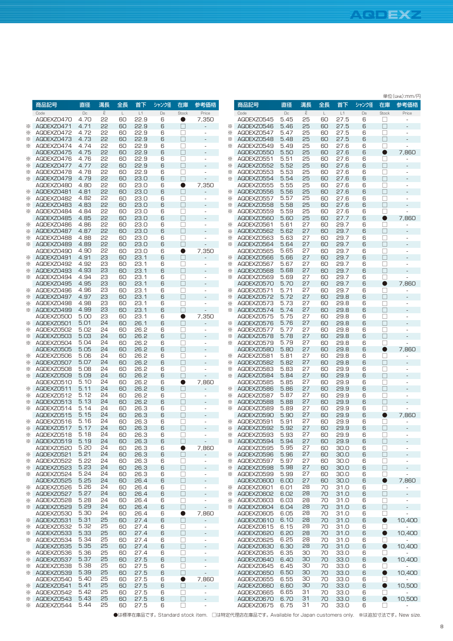**Stock** 在庫 □ □ □ □ □ ● □ □ □ □ □ □ □ □ □ ● □ □ □ □ □ □ □ □ □ ● □ □ □ □ □ □ □ □ □ ● □ □ □ □ □ □ □ □ □ ● □ □ □ □ □ □ □ □ □ ● □ □ □ □ □ ● □ ● □ ● □ ● □ ● □ ● □ ● □

**Price** 参考価格 - - - - - 7,860 - - - - - - - - - 7,860 - - - - - - -  $\sim$ - 7,860 - - - - - - - - - 7,860 - - - - - - -  $\sim$ - 7,860 - - - - - - -  $\omega_{\rm{max}}$ - 7,860 - - - - - 10,400 - 10,400 - 10,400 - 10,400 - 10,400 - 10,500 - 10,500 -

単位(Unit):mm/円

|               | 商品記号         | 直径   | 溝長           | 全長 | 首下   | シャンク径 | 在庫           | 参考価格                         |          | 商品記号       | 直径     | 溝長           | 全長           | 首下   |
|---------------|--------------|------|--------------|----|------|-------|--------------|------------------------------|----------|------------|--------|--------------|--------------|------|
|               | Code         | Dc   | $\mathcal Q$ | L  | L1   | Ds    | Stock        | Price                        |          | Code       | $\Box$ | $\mathcal Q$ | $\mathsf{L}$ | L1   |
|               | AQDEXZ0470   | 4.70 | 55           |    | 22.9 |       |              |                              |          | AQDEXZ0545 | 5.45   |              | 60           | 27.5 |
|               |              |      |              | 60 |      | 6     | Œ.           | 7,350                        |          |            |        | 25           |              |      |
| ⋇             | AQDEXZ0471   | 4.71 | 55           | 60 | 22.9 | 6     | П            |                              | ⋇        | AQDEXZ0546 | 5.46   | 25           | 60           | 27.5 |
| ⋇             | AQDEXZ0472   | 4.72 | 55           | 60 | 22.9 | 6     | □            | ÷,                           | ⋇        | AQDEXZ0547 | 5.47   | 25           | 60           | 27.5 |
| ⋇             | AQDEXZ0473   | 4.73 | 55           | 60 | 22.9 | 6     | П            |                              | ⋇        | AQDEXZ0548 | 5.48   | 25           | 60           | 27.5 |
| ⋇             | AQDEXZ0474   | 4.74 | 55           | 60 | 22.9 | 6     | П            | $\overline{a}$               | ⋇        | AQDEXZ0549 | 5.49   | 25           | 60           | 27.6 |
|               | AQDEXZ0475   | 4.75 | 55           | 60 | 22.9 | 6     | П            | ÷,                           |          | AQDEXZ0550 | 5.50   | 25           | 60           | 27.6 |
| ⋇             | AQDEXZ0476   | 4.76 | 55           | 60 | 22.9 | 6     | Н            | ÷,                           | ⋇        | AQDEXZ0551 | 5.51   | 25           | 60           | 27.6 |
| ⋇             | AQDEXZ0477   | 4.77 | 55           | 60 | 22.9 | 6     | П            |                              | ⋇        | AQDEXZ0552 | 5.52   | 25           | 60           | 27.6 |
|               |              |      | 55           |    |      |       |              |                              | ⋇        |            |        |              | 60           |      |
| ⋇             | AQDEXZ0478   | 4.78 |              | 60 | 22.9 | 6     | П            | ÷,                           |          | AQDEXZ0553 | 5.53   | 25           |              | 27.6 |
| ⋇             | AQDEXZ0479   | 4.79 | 55           | 60 | 23.0 | 6     | П            | $\overline{a}$               | ⋇        | AQDEXZ0554 | 5.54   | 25           | 60           | 27.6 |
|               | AQDEXZ0480   | 4.80 | 55           | 60 | 23.0 | 6     | O            | 7,350                        |          | AQDEXZ0555 | 5.55   | 25           | 60           | 27.6 |
| ⋇             | AQDEXZ0481   | 4.81 | 55           | 60 | 23.0 | 6     | П            |                              | ⋇        | AQDEXZ0556 | 5.56   | 25           | 60           | 27.6 |
| ⋇             | AQDEXZ0482   | 4.82 | 55           | 60 | 23.0 | 6     | П            | $\overline{\phantom{m}}$     | ⋇        | AQDEXZ0557 | 5.57   | 25           | 60           | 27.6 |
| ⋇             | AQDEXZ0483   | 4.83 | 55           | 60 | 23.0 | 6     | □            | ä,                           | ⋇        | AQDEXZ0558 | 5.58   | 25           | 60           | 27.6 |
| ⋇             | AQDEXZ0484   | 4.84 | 55           | 60 | 23.0 | 6     | ப            | ÷,                           | ⋇        | AQDEXZ0559 | 5.59   | 25           | 60           | 27.6 |
|               | AQDEXZ0485   | 4.85 | 55           | 60 | 23.0 | 6     | П            | ÷,                           |          | AQDEXZ0560 | 5.60   | 25           | 60           | 27.7 |
|               |              |      |              |    |      |       |              |                              |          |            |        |              |              |      |
| ⋇             | AQDEXZ0486   | 4.86 | 55           | 60 | 23.0 | 6     | П            | ÷,                           | ⋇        | AQDEXZ0561 | 5.61   | 27           | 60           | 29.7 |
| ⋇             | AQDEXZ0487   | 4.87 | 55           | 60 | 23.0 | 6     | П            | $\overline{a}$               | ⋇        | AQDEXZ0562 | 5.62   | 27           | 60           | 29.7 |
| ⋇             | AQDEXZ0488   | 4.88 | 55           | 60 | 23.0 | 6     | П            | ÷,                           | ⋇        | AQDEXZ0563 | 5.63   | 27           | 60           | 29.7 |
| ⋇             | AQDEXZ0489   | 4.89 | 55           | 60 | 23.0 | 6     | П            |                              | ፠        | AQDEXZ0564 | 5.64   | 27           | 60           | 29.7 |
|               | AQDEXZ0490   | 4.90 | 55           | 60 | 23.0 | 6     | 0            | 7,350                        |          | AQDEXZ0565 | 5.65   | 27           | 60           | 29.7 |
| ⋇             | AQDEXZ0491   | 4.91 | 23           | 60 | 23.1 | 6     | П            | L,                           | ፠        | AQDEXZ0566 | 5.66   | 27           | 60           | 29.7 |
| ⋇             | AQDEXZ0492   | 4.92 | 23           | 60 | 23.1 | 6     | П            | ÷,                           | ⋇        | AQDEXZ0567 | 5.67   | 27           | 60           | 29.7 |
|               | AQDEXZ0493   | 4.93 | 23           | 60 | 23.1 | 6     |              |                              |          |            | 5.68   | 27           | 60           | 29.7 |
| ⋇             |              |      |              |    |      |       | П            |                              | ⋇        | AQDEXZ0568 |        |              |              |      |
| ⋇             | AQDEXZ0494   | 4.94 | 23           | 60 | 23.1 | 6     | П            | ÷,                           | ፠        | AQDEXZ0569 | 5.69   | 27           | 60           | 29.7 |
|               | AQDEXZ0495   | 4.95 | 23           | 60 | 23.1 | 6     | П            |                              |          | AQDEXZ0570 | 5.70   | 27           | 60           | 29.7 |
| ⋇             | AQDEXZ0496   | 4.96 | 23           | 60 | 23.1 | 6     | П            | ÷,                           | ⋇        | AQDEXZ0571 | 5.71   | 27           | 60           | 29.7 |
| ⋇             | AQDEXZ0497   | 4.97 | 23           | 60 | 23.1 | 6     | П            | ÷,                           | ⋇        | AQDEXZ0572 | 5.72   | 27           | 60           | 29.8 |
| ⋇             | AQDEXZ0498   | 4.98 | 23           | 60 | 23.1 | 6     | П            | ÷,                           | ⋇        | AQDEXZ0573 | 5.73   | 27           | 60           | 29.8 |
| ⋇             | AQDEXZ0499   | 4.99 | 23           | 60 | 23.1 | 6     | П            | ÷,                           | ፠        | AQDEXZ0574 | 5.74   | 27           | 60           | 29.8 |
|               | AQDEXZ0500   | 5.00 | 23           | 60 | 23.1 | 6     | 0            |                              |          | AQDEXZ0575 | 5.75   | 27           | 60           | 29.8 |
|               |              |      |              |    |      |       |              | 7,350                        |          |            |        |              |              |      |
| ⋇             | AQDEXZ0501   | 5.01 | 24           | 60 | 26.1 | 6     | $\mathbf{L}$ |                              | ⋇        | AQDEXZ0576 | 5.76   | 27           | 60           | 29.8 |
| ⋇             | AQDEXZ0502   | 5.02 | 24           | 60 | 26.2 | 6     | П            | ÷,                           | ⋇        | AQDEXZ0577 | 5.77   | 27           | 60           | 29.8 |
| ⋇             | AQDEXZ0503   | 5.03 | 24           | 60 | 26.2 | 6     | П            | $\overline{a}$               | ⋇        | AQDEXZ0578 | 5.78   | 27           | 60           | 29.8 |
| ⋇             | AQDEXZ0504   | 5.04 | 24           | 60 | 26.2 | 6     | П            | $\sim$                       | ⋇        | AQDEXZ0579 | 5.79   | 27           | 60           | 29.8 |
|               | AQDEXZ0505   | 5.05 | 24           | 60 | 26.2 | 6     | П            | $\qquad \qquad \blacksquare$ |          | AQDEXZ0580 | 5.80   | 27           | 60           | 29.8 |
| ⋇             | AQDEXZ0506   | 5.06 | 24           | 60 | 26.2 | 6     | П            | ÷,                           | ⋇        | AQDEXZ0581 | 5.81   | 27           | 60           | 29.8 |
| ⋇             | AQDEXZ0507   | 5.07 | 24           | 60 | 26.2 | 6     | П            |                              | ⋇        | AQDEXZ0582 | 5.82   | 27           | 60           | 29.8 |
| ⋇             | AQDEXZ0508   | 5.08 | 24           | 60 | 26.2 | 6     | П            | ÷,                           | ⋇        | AQDEXZ0583 | 5.83   | 27           | 60           | 29.9 |
| ⋇             |              | 5.09 | 24           | 60 | 26.2 | 6     | П            |                              | ⋇        | AQDEXZ0584 | 5.84   | 27           | 60           | 29.9 |
|               | AQDEXZ0509   |      |              |    |      |       |              |                              |          |            |        |              |              |      |
|               | AQDEXZ0510   | 5.10 | 24           | 60 | 26.2 | 6     | 0            | 7,860                        |          | AQDEXZ0585 | 5.85   | 27           | 60           | 29.9 |
| ⋇             | AQDEXZ0511   | 5.11 | 24           | 60 | 26.2 | 6     | П            |                              | ⋇        | AQDEXZ0586 | 5.86   | 27           | 60           | 29.9 |
| ⋇             | AQDEXZ0512   | 5.12 | 24           | 60 | 26.2 | 6     | П            | $\sim$                       | ⋇        | AQDEXZ0587 | 5.87   | 27           | 60           | 29.9 |
| ⋇             | AQDEXZ0513   | 5.13 | 24           | 60 | 26.2 | 6     | П            |                              | ⋇        | AQDEXZ0588 | 5.88   | 27           | 60           | 29.9 |
| ⋇             | AQDEXZ0514   | 5.14 | 24           | 60 | 26.3 | 6     | П            | $\overline{\phantom{a}}$     | ⋇        | AQDEXZ0589 | 5.89   | 27           | 60           | 29.9 |
|               | AQDEXZ0515   | 5.15 | 24           | 60 | 26.3 | 6     | П            |                              |          | AQDEXZ0590 | 5.90   | 27           | 60           | 29.9 |
| ⋇             | AQDEXZ0516   | 5.16 | 24           | 60 | 26.3 | 6     | □            | ÷,                           | ⋇        | AQDEXZ0591 | 5.91   | 27           | 60           | 29.9 |
| ⋇             | AQDEXZ0517   | 5.17 | 24           | 60 | 26.3 | 6     | Ш            | L,                           | ⋇        | AQDEXZ0592 | 5.92   | 27           | 60           | 29.9 |
| ⋇             | AQDEXZ0518   | 5.18 | 24           | 60 | 26.3 |       | П            |                              | ⋇        |            | 5.93   | 27           | 60           | 29.9 |
|               |              |      |              |    |      | 6     |              | ä,                           |          | AQDEXZ0593 |        |              |              |      |
| $\times$      | AQDEXZ0519   | 5.19 | 24           | 60 | 26.3 | 6     | ⊔            | $\sigma_{\rm{eff}}$          | ⋇        | AQDEXZ0594 | 5.94   | 27           | 60           | 29.9 |
|               | AQDEXZ0520   | 5.20 | 24           | 60 | 26.3 | 6     | $\bullet$    | 7,860                        |          | AQDEXZ0595 | 5.95   | 27           | 60           | 30.0 |
|               | * AQDEXZ0521 | 5.21 | 24           | 60 | 26.3 | 6     | $\Box$       | -                            | ⋇        | AQDEXZ0596 | 5.96   | 27           | 60           | 30.0 |
| ⋇             | AQDEXZ0522   | 5.22 | 24           | 60 | 26.3 | 6     | $\Box$       | $\overline{\phantom{a}}$     | ⋇        | AQDEXZ0597 | 5.97   | 27           | 60           | 30.0 |
| $\times$      | AQDEXZ0523   | 5.23 | 24           | 60 | 26.3 | 6     | $\Box$       | ÷                            | ⋇        | AQDEXZ0598 | 5.98   | 27           | 60           | 30.0 |
|               | * AQDEXZ0524 | 5.24 | 24           | 60 | 26.3 | 6     | □            | $\overline{\phantom{a}}$     | ⋇        | AQDEXZ0599 | 5.99   | 27           | 60           | 30.0 |
|               | AQDEXZ0525   | 5.25 | 24           | 60 | 26.4 | 6     | $\Box$       | $\frac{1}{2}$                |          | AQDEXZ0600 | 6.00   | 27           | 60           | 30.0 |
| ╳             | AQDEXZ0526   | 5.26 | 24           | 60 | 26.4 | 6     | $\Box$       | $\blacksquare$               | ⋇        | AQDEXZ0601 | 6.01   | 28           | 70           |      |
|               |              |      |              |    |      |       |              |                              |          |            |        |              |              | 31.0 |
| $\times$      | AQDEXZ0527   | 5.27 | 24           | 60 | 26.4 | 6     | $\Box$       | ÷,                           | ⋇        | AQDEXZ0602 | 6.02   | 28           | 70           | 31.0 |
| $\times$      | AQDEXZ0528   | 5.28 | 24           | 60 | 26.4 | 6     | □            | ÷,                           | ⋇        | AQDEXZ0603 | 6.03   | 28           | 70           | 31.0 |
|               | * AGDEXZ0529 | 5.29 | 24           | 60 | 26.4 | 6     | $\Box$       | ÷,                           | $\times$ | AQDEXZ0604 | 6.04   | 28           | 70           | 31.0 |
|               | AQDEXZ0530   | 5.30 | 24           | 60 | 26.4 | 6     | $\bullet$    | 7,860                        |          | AQDEXZ0605 | 6.05   | 28           | 70           | 31.0 |
| $\times$      | AQDEXZ0531   | 5.31 | 25           | 60 | 27.4 | 6     | $\Box$       | $\overline{\phantom{a}}$     |          | AQDEXZ0610 | 6.10   | 28           | 70           | 31.0 |
|               | * AQDEXZ0532 | 5.32 | 25           | 60 | 27.4 | 6     | □            | ÷                            |          | AQDEXZO615 | 6.15   | 28           | 70           | 31.0 |
|               | * AQDEXZ0533 | 5.33 | 25           | 60 | 27.4 | 6     | $\Box$       | $\frac{1}{2}$                |          | AQDEXZ0620 | 6.20   | 28           | 70           | 31.0 |
| $\times$      | AQDEXZ0534   | 5.34 | 25           | 60 | 27.4 | 6     | $\Box$       | $\frac{1}{2}$                |          | AQDEXZ0625 | 6.25   | 28           | 70           | 31.0 |
|               |              |      |              |    |      |       |              |                              |          |            |        |              |              |      |
|               | AQDEXZ0535   | 5.35 | 25           | 60 | 27.4 | 6     | $\Box$       | $\overline{\phantom{a}}$     |          | AQDEXZ0630 | 6.30   | 28           | 70           | 31.0 |
| ⋇             | AQDEXZ0536   | 5.36 | 25           | 60 | 27.4 | 6     | □            | $\blacksquare$               |          | AQDEXZ0635 | 6.35   | 30           | 70           | 33.0 |
|               | * AGDEXZ0537 | 5.37 | 25           | 60 | 27.5 | 6     | $\Box$       | $\blacksquare$               |          | AQDEXZ0640 | 6.40   | 30           | 70           | 33.0 |
| ⋇             | AQDEXZ0538   | 5.38 | 25           | 60 | 27.5 | 6     | $\Box$       | $\frac{1}{2}$                |          | AQDEXZO645 | 6.45   | 30           | 70           | 33.0 |
|               | * AGDEXZ0539 | 5.39 | 25           | 60 | 27.5 | 6     | $\Box$       | ÷,                           |          | AQDEXZ0650 | 6.50   | 30           | 70           | 33.0 |
|               | AQDEXZ0540   | 5.40 | 25           | 60 | 27.5 | 6     | $\bullet$    | 7,860                        |          | AQDEXZ0655 | 6.55   | 30           | 70           | 33.0 |
| $\frac{1}{2}$ | AQDEXZ0541   | 5.41 | 25           | 60 | 27.5 | 6     | $\Box$       | ÷,                           |          | AQDEXZ0660 | 6.60   | 30           | 70           | 33.0 |
| $\times$      | AQDEXZ0542   | 5.42 | 25           | 60 | 27.5 | 6     | □            | $\frac{1}{2}$                |          | AQDEXZ0665 | 6.65   | 31           | 70           | 33.0 |
|               | AQDEXZ0543   | 5.43 | 25           | 60 | 27.5 | 6     | $\Box$       |                              |          | AQDEXZ0670 |        | 31           | 70           | 33.0 |
| $\times$      |              |      |              |    |      |       |              | $\overline{\phantom{m}}$     |          |            | 6.70   |              |              |      |
| ፠             | AQDEXZ0544   | 5.44 | 25           | 60 | 27.5 | 6     | □            | $\overline{\phantom{a}}$     |          | AQDEXZ0675 | 6.75   | 31           | 70           | 33.0 |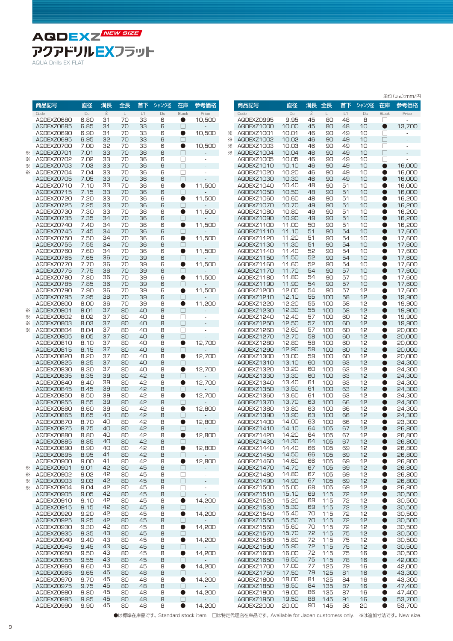**AQDEXZ NEW SIZE** アクアドリルEXフラット

|  | AQUA Drills EX FLAT |  |  |
|--|---------------------|--|--|
|  |                     |  |  |

|        |                          |                |              |                   |                     |             |                     |                                                          |        |                          |                |          |                      |                     |          |                  | 単位(Unit):mm/円    |
|--------|--------------------------|----------------|--------------|-------------------|---------------------|-------------|---------------------|----------------------------------------------------------|--------|--------------------------|----------------|----------|----------------------|---------------------|----------|------------------|------------------|
|        | 商品記号                     | 直径             | 溝長           | 全長                | 首下                  | シャンク径       | 在庫                  | 参考価格                                                     |        | 商品記号                     | 直径             | 溝長       | 全長                   | 首下                  | シャンク径    | 在庫               | 参考価格             |
|        | Code<br>AQDEXZ0680       | $\Box$<br>6.80 | $\ell$<br>31 | $\mathsf L$<br>70 | $\mathsf{L}1$<br>33 | $\Box$<br>6 | Stock<br>0          | Price                                                    |        | Code<br>AQDEXZ0995       | $\Box$<br>9.95 | $\ell$   | $\mathsf{L}^-$<br>80 | $\mathsf{L}1$<br>48 | Ds<br>8  | <b>Stock</b>     | Price            |
|        | AQDEXZ0685               | 6.85           | 31           | 70                | 33                  | 6           | П                   | 10,500                                                   |        | AQDEXZ1000               | 10.00          | 45<br>45 | 80                   | 48                  | 10       | ⊔<br>$\bullet$   | 13,700           |
|        | AQDEXZ0690               | 6.90           | 31           | 70                | 33                  | 6           | $\bullet$           | 10,500                                                   | ⋇      | AQDEXZ1001               | 10.01          | 46       | 90                   | 49                  | 10       | □                | ÷.               |
|        | AQDEXZ0695               | 6.95           | 32           | 70                | 33                  | 6           | $\Box$              |                                                          | ⋇      | AQDEXZ1002               | 10.02          | 46       | 90                   | 49                  | 10       | $\Box$           |                  |
| ⋇      | AQDEXZ0700<br>AQDEXZ0701 | 7.00<br>7.01   | 32<br>33     | 70<br>70          | 33<br>36            | 6<br>6      | $\bullet$<br>$\Box$ | 10,500                                                   | ☀<br>⋇ | AQDEXZ1003<br>AQDEXZ1004 | 10.03<br>10.04 | 46<br>46 | 90<br>90             | 49<br>49            | 10<br>10 | $\Box$<br>$\Box$ | ä,               |
| ⋇      | AQDEXZ0702               | 7.02           | 33           | 70                | 36                  | 6           | $\Box$              | $\overline{\phantom{a}}$                                 |        | AQDEXZ1005               | 10.05          | 46       | 90                   | 49                  | 10       | П                | ٠                |
| ⋇      | AQDEXZ0703               | 7.03           | 33           | 70                | 36                  | 6           | $\Box$              | $\overline{\phantom{a}}$                                 |        | AQDEXZ1010               | 10.10          | 46       | 90                   | 49                  | 10       | $\bullet$        | 16,000           |
| ⋇      | AQDEXZ0704               | 7.04           | 33           | 70                | 36                  | 6           | $\Box$              | ä,                                                       |        | AQDEXZ1020               | 10.20          | 46       | 90                   | 49                  | 10       | O                | 16,000           |
|        | AQDEXZ0705               | 7.05           | 33           | 70                | 36                  | 6           | $\Box$              |                                                          |        | AQDEXZ1030               | 10.30          | 46       | 90                   | 49                  | 10       |                  | 16,000           |
|        | AQDEXZ0710<br>AQDEXZ0715 | 7.10<br>7.15   | 33<br>33     | 70<br>70          | 36<br>36            | 6<br>6      | $\bullet$<br>$\Box$ | 11,500                                                   |        | AQDEXZ1040<br>AQDEXZ1050 | 10.40<br>10.50 | 48<br>48 | 90<br>90             | 51<br>51            | 10<br>10 | ●                | 16,000<br>16,000 |
|        | AQDEXZ0720               | 7.20           | 33           | 70                | 36                  | 6           | $\bullet$           | 11,500                                                   |        | AQDEXZ1060               | 10.60          | 48       | 90                   | 51                  | 10       | 0                | 16,200           |
|        | AQDEXZ0725               | 7.25           | 33           | 70                | 36                  | 6           | $\Box$              |                                                          |        | AQDEXZ1070               | 10.70          | 49       | 90                   | 51                  | 10       | $\bullet$        | 16,200           |
|        | AQDEXZ0730               | 7.30           | 33           | 70                | 36                  | 6           | $\bullet$           | 11,500                                                   |        | AQDEXZ1080               | 10.80          | 49       | 90                   | 51                  | 10       | 0                | 16,200           |
|        | AQDEXZ0735               | 7.35           | 34<br>34     | 70                | 36                  | 6           | П                   |                                                          |        | AQDEXZ1090               | 10.90<br>11.00 | 49<br>50 | 90                   | 51<br>51            | 10       | O                | 16,200           |
|        | AQDEXZ0740<br>AQDEXZ0745 | 7.40<br>7.45   | 34           | 70<br>70          | 36<br>36            | 6<br>6      | $\bullet$<br>П      | 11,500                                                   |        | AQDEXZ1100<br>AQDEXZ1110 | 11.10          | 51       | 90<br>90             | 54                  | 10<br>10 | 0<br>$\bullet$   | 16,200<br>17,600 |
|        | AQDEXZ0750               | 7.50           | 34           | 70                | 36                  | 6           | $\bullet$           | 11,500                                                   |        | AQDEXZ1120               | 11.20          | 51       | 90                   | 54                  | 10       |                  | 17,600           |
|        | AQDEXZ0755               | 7.55           | 34           | 70                | 36                  | 6           | П                   |                                                          |        | AQDEXZ1130               | 11.30          | 51       | 90                   | 54                  | 10       | 0                | 17,600           |
|        | AQDEXZ0760               | 7.60           | 34           | 70                | 36                  | 6           | $\bullet$           | 11.500                                                   |        | AQDEXZ1140               | 11.40          | 52       | 90                   | 54                  | 10       |                  | 17,600           |
|        | AQDEXZ0765<br>AQDEXZ0770 | 7.65<br>7.70   | 36<br>36     | 70<br>70          | 39<br>39            | 6<br>6      | $\Box$<br>$\bullet$ | 11,500                                                   |        | AQDEXZ1150<br>AQDEXZ1160 | 11.50<br>11.60 | 52<br>52 | 90<br>90             | 54<br>54            | 10<br>10 | ●<br>C           | 17.600<br>17,600 |
|        | AQDEXZ0775               | 7.75           | 36           | 70                | 39                  | 6           | $\Box$              |                                                          |        | AQDEXZ1170               | 11.70          | 54       | 90                   | 57                  | 10       | O                | 17,600           |
|        | AQDEXZ0780               | 7.80           | 36           | 70                | 39                  | 6           | $\bullet$           | 11,500                                                   |        | AQDEXZ1180               | 11.80          | 54       | 90                   | 57                  | 10       |                  | 17,600           |
|        | AQDEXZ0785               | 7.85           | 36           | 70                | 39                  | 6           | □                   |                                                          |        | AQDEXZ1190               | 11.90          | 54       | 90                   | 57                  | 10       |                  | 17,600           |
|        | AQDEXZ0790               | 7.90           | 36<br>36     | 70                | 39                  | 6           | $\bullet$           | 11,500                                                   |        | AQDEXZ1200               | 12.00<br>12.10 | 54<br>55 | 90                   | 57                  | 12       | ●                | 17,600<br>19,900 |
|        | AQDEXZ0795<br>AQDEXZ0800 | 7.95<br>8.00   | 36           | 70<br>70          | 39<br>39            | 6<br>8      | П<br>$\bullet$      | 11,200                                                   |        | AQDEXZ1210<br>AQDEXZ1220 | 12.20          | 55       | 100<br>100           | 58<br>58            | 12<br>12 | 0                | 19,900           |
| ⋇      | AQDEXZ0801               | 8.01           | 37           | 80                | 40                  | 8           | $\Box$              |                                                          |        | AQDEXZ1230               | 12.30          | 55       | 100                  | 58                  | 12       | O                | 19,900           |
| ⋇      | AQDEXZ0802               | 8.02           | 37           | 80                | 40                  | 8           | $\Box$              | $\overline{\phantom{a}}$                                 |        | AQDEXZ1240               | 12.40          | 57       | 100                  | 60                  | 12       | $\bullet$        | 19,900           |
| ⋇      | AQDEXZ0803               | 8.03           | 37           | 80                | 40                  | 8           | $\Box$              | $\overline{\phantom{a}}$                                 |        | AQDEXZ1250               | 12.50          | 57       | 100                  | 60                  | 12       | O                | 19,900           |
| ⋇      | AQDEXZ0804<br>AQDEXZ0805 | 8.04<br>8.05   | 37<br>37     | 80<br>80          | 40<br>40            | 8<br>8      | $\Box$<br>П         | $\overline{\phantom{a}}$<br>$\overline{a}$               |        | AQDEXZ1260<br>AQDEXZ1270 | 12.60<br>12.70 | 57<br>58 | 100<br>100           | 60<br>60            | 12<br>12 | C                | 20,000<br>20,000 |
|        | AQDEXZ0810               | 8.10           | 37           | 80                | 40                  | 8           | $\bullet$           | 12,700                                                   |        | AQDEXZ1280               | 12.80          | 58       | 100                  | 60                  | 12       | 0                | 20,000           |
|        | AQDEXZ0815               | 8.15           | 37           | 80                | 40                  | 8           | П                   |                                                          |        | AQDEXZ1290               | 12.90          | 58       | 100                  | 60                  | 12       | C                | 20,000           |
|        | AQDEXZ0820               | 8.20           | 37           | 80                | 40                  | 8           | $\bullet$           | 12,700                                                   |        | AQDEXZ1300               | 13.00          | 59       | 100                  | 60                  | 12       |                  | 20,000           |
|        | AQDEXZ0825<br>AQDEXZ0830 | 8.25<br>8.30   | 37<br>37     | 80<br>80          | 40<br>40            | 8<br>8      | $\Box$<br>$\bullet$ | 12,700                                                   |        | AQDEXZ1310<br>AQDEXZ1320 | 13.10<br>13.20 | 60<br>60 | 100<br>100           | 63<br>63            | 12<br>12 | C                | 24,300<br>24,300 |
|        | AQDEXZ0835               | 8.35           | 39           | 80                | 42                  | 8           | $\Box$              |                                                          |        | AQDEXZ1330               | 13.30          | 60       | 100                  | 63                  | 12       |                  | 24,300           |
|        | AQDEXZ0840               | 8.40           | 39           | 80                | 42                  | 8           | $\bullet$           | 12,700                                                   |        | AQDEXZ1340               | 13.40          | 61       | 100                  | 63                  | 12       |                  | 24,300           |
|        | AQDEXZ0845               | 8.45           | 39           | 80                | 42                  | 8           | □                   |                                                          |        | AQDEXZ1350               | 13.50          | 61       | 100                  | 63                  | 12       |                  | 24,300           |
|        | AQDEXZ0850<br>AQDEXZ0855 | 8.50<br>8.55   | 39<br>39     | 80<br>80          | 42<br>42            | 8<br>8      | $\bullet$<br>$\Box$ | 12.700                                                   |        | AQDEXZ1360<br>AQDEXZ1370 | 13.60<br>13.70 | 61<br>63 | 100<br>100           | 63<br>66            | 12<br>12 | ●                | 24,300<br>24,300 |
|        | AQDEXZ0860               | 8.60           | 39           | 80                | 42                  | 8           | $\bullet$           | 12,800                                                   |        | AQDEXZ1380               | 13.80          | 63       | 100                  | 66                  | 12       | 0                | 24,300           |
|        | AQDEXZ0865               | 8.65           | 40           | 80                | 42                  | 8           | $\Box$              |                                                          |        | AQDEXZ1390               | 13.90          | 63       | 100                  | 66                  | 12       | O                | 24,300           |
|        | AQDEXZ0870               | 8.70           | 40           | 80                | 42                  | 8           | $\bullet$           | 12,800                                                   |        | AQDEXZ1400               | 14.00          | 63       | 100                  | 66                  | 12       | 0                | 23,300           |
|        | AQDEXZ0875               | 8.75           | 40           | 80                | 42                  | 8           | П                   |                                                          |        | AQDEXZ1410               | 14.10          | 64       | 105                  | 67                  | 12       | O                | 26,800           |
|        | AQDEXZ0880<br>AQDEXZ0885 | 8.80<br>8.85   | 40<br>40     | 80<br>80          | 42<br>42            | 8<br>8      | $\bullet$<br>$\Box$ | 12,800                                                   |        | AQDEXZ1420<br>AQDEXZ1430 | 14.20<br>14.30 | 64<br>64 | 105<br>105           | 67<br>67            | 12<br>12 | $\bullet$        | 26,800<br>26,800 |
|        | AQDEXZ0890               | 8.90           | 40           | 80                | 42                  | 8           | $\bullet$           | 12,800                                                   |        | AQDEXZ1440               | 14.40          | 66       | 105                  | 69                  | 12       | $\bullet$        | 26,800           |
|        | AQDEXZ0895               | 8.95           | 41           | 80                | 42                  | 8           | $\Box$              |                                                          |        | AQDEXZ1450               | 14.50          | 66       | 105                  | 69                  | 12       | ●                | 26,800           |
|        | AQDEXZ0900<br>AQDEXZ0901 | 9.00           | 41           | 80                | 42                  | 8           | $\bullet$           | 12,800                                                   |        | AQDEXZ1460               | 14.60<br>14.70 | 66       | 105                  | 69                  | 12       | 0                | 26,800           |
| ⋇<br>⋇ | AQDEXZ0902               | 9.01<br>9.02   | 42<br>42     | 80<br>80          | 45<br>45            | 8<br>8      | $\Box$<br>$\Box$    | $\qquad \qquad \blacksquare$<br>$\overline{\phantom{a}}$ |        | AQDEXZ1470<br>AQDEXZ1480 | 14.80          | 67<br>67 | 105<br>105           | 69<br>69            | 12<br>12 | 0                | 26,800<br>26,800 |
| ⋇      | AQDEXZ0903               | 9.03           | 42           | 80                | 45                  | 8           | $\Box$              | $\overline{\phantom{a}}$                                 |        | AQDEXZ1490               | 14.90          | 67       | 105                  | 69                  | 12       |                  | 26,800           |
| ⋇      | AQDEXZ0904               | 9.04           | 42           | 80                | 45                  | 8           | $\Box$              | $\overline{\phantom{a}}$                                 |        | AQDEXZ1500               | 15.00          | 68       | 105                  | 69                  | 12       |                  | 26,800           |
|        | AQDEXZ0905               | 9.05           | 42           | 80                | 45                  | 8           | $\Box$              | $\overline{\phantom{a}}$                                 |        | AQDEXZ1510               | 15.10          | 69       | 115                  | 72                  | 12       |                  | 30,500           |
|        | AQDEXZ0910<br>AQDEXZ0915 | 9.10<br>9.15   | 42<br>42     | 80<br>80          | 45<br>45            | 8<br>8      | $\bullet$<br>$\Box$ | 14,200                                                   |        | AQDEXZ1520<br>AQDEXZ1530 | 15.20<br>15.30 | 69<br>69 | 115<br>115           | 72<br>72            | 12<br>12 | $\bullet$        | 30.500<br>30,500 |
|        | AQDEXZ0920               | 9.20           | 42           | 80                | 45                  | 8           | $\bullet$           | 14,200                                                   |        | AQDEXZ1540               | 15.40          | 70       | 115                  | 72                  | 12       | $\bullet$        | 30,500           |
|        | AQDEXZ0925               | 9.25           | 42           | 80                | 45                  | 8           | $\Box$              |                                                          |        | AQDEXZ1550               | 15.50          | 70       | 115                  | 72                  | 12       | ●                | 30,500           |
|        | AQDEXZ0930               | 9.30           | 42           | 80                | 45                  | 8           | $\bullet$           | 14,200                                                   |        | AQDEXZ1560               | 15.60          | 70       | 115                  | 72                  | 12       | $\bullet$        | 30,500           |
|        | AQDEXZ0935<br>AQDEXZ0940 | 9.35<br>9.40   | 43<br>43     | 80<br>80          | 45<br>45            | 8<br>8      | $\Box$              |                                                          |        | AQDEXZ1570               | 15.70<br>15.80 | 72<br>72 | 115<br>115           | 75<br>75            | 12<br>12 | 0<br>0           | 30,500           |
|        | AQDEXZ0945               | 9.45           | 43           | 80                | 45                  | 8           | $\bullet$<br>$\Box$ | 14,200                                                   |        | AQDEXZ1580<br>AQDEXZ1590 | 15.90          | 72       | 115                  | 75                  | 12       | ●                | 30,500<br>30,500 |
|        | AQDEXZ0950               | 9.50           | 43           | 80                | 45                  | 8           | $\bullet$           | 14,200                                                   |        | AQDEXZ1600               | 16.00          | 72       | 115                  | 75                  | 16       | 0                | 30,500           |
|        | AQDEXZ0955               | 9.55           | 43           | 80                | 45                  | 8           | $\Box$              |                                                          |        | AQDEXZ1650               | 16.50          | 75       | 115                  | 78                  | 16       | $\bullet$        | 42,000           |
|        | AQDEXZ0960               | 9.60           | 43           | 80                | 45                  | 8           | $\bullet$           | 14,200                                                   |        | AQDEXZ1700               | 17.00          | 77       | 125                  | 79                  | 16       | $\bullet$        | 42,000           |
|        | AQDEXZ0965<br>AQDEXZ0970 | 9.65<br>9.70   | 45<br>45     | 80<br>80          | 48<br>48            | 8<br>8      | $\Box$<br>$\bullet$ | 14,200                                                   |        | AQDEXZ1750<br>AQDEXZ1800 | 17.50<br>18.00 | 79<br>81 | 125<br>125           | 81<br>84            | 16<br>16 | $\bullet$<br>0   | 43,300<br>43,300 |
|        | AQDEXZ0975               | 9.75           | 45           | 80                | 48                  | 8           | $\Box$              |                                                          |        | AQDEXZ1850               | 18.50          | 84       | 135                  | 87                  | 16       | 0                | 47,400           |
|        | AQDEXZ0980               | 9.80           | 45           | 80                | 48                  | 8           | $\bullet$           | 14,200                                                   |        | AQDEXZ1900               | 19.00          | 86       | 135                  | 87                  | 16       | 0                | 47,400           |
|        | AQDEXZ0985               | 9.85           | 45           | 80                | 48                  | 8           | $\Box$              |                                                          |        | AQDEXZ1950               | 19.50          | 88       | 145                  | 91                  | 16       |                  | 53,700           |
|        | AQDEXZ0990               | 9.90           | 45           | 80                | 48                  | 8           | $\bullet$           | 14,200                                                   |        | AQDEXZ2000               | 20.00          | 90       | 145                  | 93                  | 20       | $\bullet$        | 53,700           |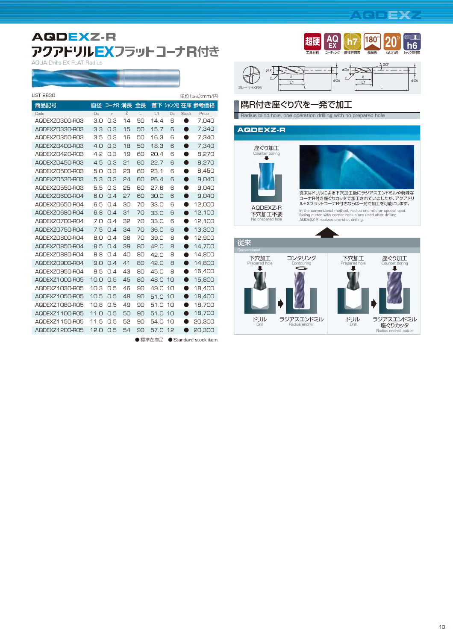## **AQDEXZ-R** アクアドリルEXフラット コーナR付き

AQUA Drills EX FLAT Radius

--

| <b>LIST 9830</b> |      |         |        |    |      |    |              | 単位(Unit):mm/円    |
|------------------|------|---------|--------|----|------|----|--------------|------------------|
| 商品記号             | 直径   | コーナR 溝長 |        | 全長 |      |    |              | 首下 シャンク径 在庫 参考価格 |
| Code             | Dc   | r       | $\ell$ | L  | L1   | Ds | <b>Stock</b> | Price            |
| AQDEXZ0300-R03   | 3.0  | 0.3     | 14     | 50 | 14.4 | 6  | ۰            | 7,040            |
| AQDEXZ0330-R03   | 3.3  | 0.3     | 15     | 50 | 15.7 | 6  | ●            | 7,340            |
| AQDEXZ0350-R03   | 3.5  | 0.3     | 16     | 50 | 16.3 | 6  | ●            | 7,340            |
| AQDEXZ0400-R03   | 4.0  | 0.3     | 18     | 50 | 18.3 | 6  | ●            | 7,340            |
| AQDEXZ0420-R03   | 4.2  | 0.3     | 19     | 60 | 20.4 | 6  | ●            | 8,270            |
| AQDEXZ0450-R03   | 4.5  | 0.3     | 21     | 60 | 22.7 | 6  | 0            | 8,270            |
| AQDEXZ0500-R03   | 5.0  | 0.3     | 23     | 60 | 23.1 | 6  | ●            | 8,450            |
| AQDEXZ0530-R03   | 5.3  | 0.3     | 24     | 60 | 26.4 | 6  | 0            | 9,040            |
| AQDEXZ0550-R03   | 5.5  | 0.3     | 25     | 60 | 27.6 | 6  |              | 9,040            |
| AQDEXZ0600-R04   | 6.0  | 0.4     | 27     | 60 | 30,0 | 6  | ●            | 9,040            |
| AQDEXZ0650-R04   | 6.5  | O.4     | 30     | 70 | 33.0 | 6  |              | 12,000           |
| AQDEXZ0680-R04   | 6.8  | 0.4     | 31     | 70 | 33.0 | 6  | 0            | 12,100           |
| AQDEXZ0700-R04   | 7.0  | 0.4     | 32     | 70 | 33.0 | 6  |              | 12,100           |
| AQDEXZ0750-R04   | 7.5  | 0.4     | 34     | 70 | 36.0 | 6  |              | 13,300           |
| AQDEXZ0800-R04   | 8.0  | 0.4     | 36     | 70 | 39.0 | 8  |              | 12,900           |
| AQDEXZ0850-R04   | 8.5  | O.4     | 39     | 80 | 42.0 | 8  | ●            | 14,700           |
| AQDEXZ0880-R04   | 8.8  | 0.4     | 40     | 80 | 42.0 | 8  | ●            | 14,800           |
| AQDEXZ0900-R04   | 9.0  | 0.4     | 41     | 80 | 42.0 | 8  | ●            | 14,800           |
| AQDEXZ0950-R04   | 9.5  | 0.4     | 43     | 80 | 45.0 | 8  | $\bullet$    | 16,400           |
| AQDEXZ1000-R05   | 10.0 | 0.5     | 45     | 80 | 48.0 | 10 | ●            | 15,800           |
| AQDEXZ1030-R05   | 10.3 | 0.5     | 46     | 90 | 49.0 | 10 | 0            | 18,400           |
| AQDEXZ1050-R05   | 10.5 | 0.5     | 48     | 90 | 51.0 | 10 | ▲            | 18,400           |
| AQDEXZ1080-R05   | 10.8 | 0.5     | 49     | 90 | 51.0 | 10 |              | 18,700           |
| AQDEXZ1100-R05   | 11.0 | 0.5     | 50     | 90 | 51.0 | 10 | O            | 18,700           |
| AQDEXZ1150-R05   | 11.5 | 0.5     | 52     | 90 | 54.0 | 10 |              | 20,300           |
| AQDEXZ1200-R05   | 12.0 | 0.5     | 54     | 90 | 57.0 | 12 |              | 20,300           |
|                  |      |         |        |    |      |    |              |                  |







## 隅R付き座ぐり穴を一発で加工

**Radius blind hole, one operation drilling with no prepared hole** 

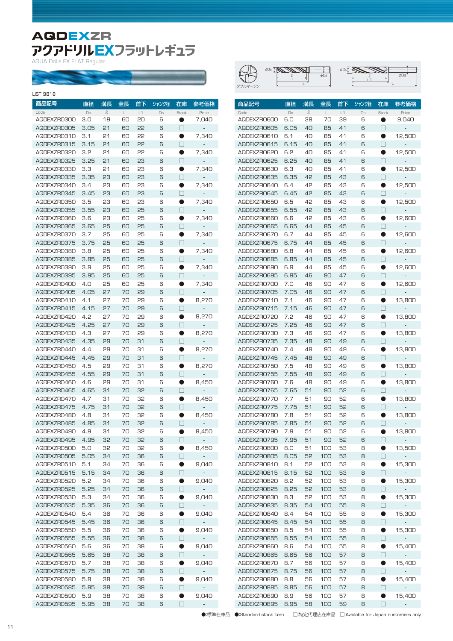## **AQDEXZR PクアドリルコX**<br><sup>AQUA Drills EX FLAT Regular</sup>

a Co

| <b>LIST 9818</b> |        |               |    |    |       |             |                          |
|------------------|--------|---------------|----|----|-------|-------------|--------------------------|
| 商品記号             | 直径     | 溝長            | 全長 | 首下 | シャンク径 | 在庫          | 参考価格                     |
| Code             | $\Box$ | $\mathcal{Q}$ | L  | L1 | Ds    | Stock       | Price                    |
| AQDEXZR0300      | 3.0    | 19            | 60 | 50 | 6     |             | 7,040                    |
| AQDEXZR0305      | 3.05   | 21            | 60 | 55 | 6     | П           |                          |
| AQDEXZRO310      | 3.1    | 21            | 60 | 55 | 6     | D           | 7,340                    |
| AQDEXZRO315      | 3.15   | 21            | 60 | 55 | 6     | П           |                          |
| AQDEXZR0320      | 3.2    | 21            | 60 | 55 | 6     | O           | 7,340                    |
| AQDEXZR0325      | 3.25   | 21            | 60 | 53 | 6     | П           |                          |
| AQDEXZR0330      | 3.3    | 21            | 60 | 23 | 6     |             | 7,340                    |
| AQDEXZR0335      | 3.35   | 23            | 60 | 53 | 6     | $\Box$      |                          |
| AQDEXZR0340      | 3.4    | 23            | 60 | 23 | 6     |             | 7,340                    |
| AQDEXZR0345      | 3.45   | 23            | 60 | 53 | 6     | П           |                          |
| AQDEXZR0350      | 3.5    | 23            | 60 | 23 | 6     | $\bullet$   | 7,340                    |
| AQDEXZR0355      | 3.55   | 23            | 60 | 25 | 6     | П           |                          |
| AQDEXZR0360      | 3.6    | 23            | 60 | 25 | 6     | D           | 7,340                    |
| AQDEXZR0365      | 3.65   | 25            | 60 | 25 | 6     | П           |                          |
| AQDEXZR0370      | 3.7    | 25            | 60 | 25 | 6     | 0           | 7,340                    |
| AQDEXZR0375      | 3.75   | 25            | 60 | 25 | 6     | П           |                          |
| AQDEXZR0380      | 3.8    | 25            | 60 | 25 | 6     |             | 7,340                    |
| AQDEXZR0385      | 3.85   | 25            | 60 | 25 | 6     | $\Box$      |                          |
| AQDEXZR0390      | 3.9    | 25            | 60 | 25 | 6     |             | 7,340                    |
| AQDEXZR0395      | 3.95   | 25            | 60 | 25 | 6     | $\Box$      |                          |
| AQDEXZR0400      | 4.O    | 25            | 60 | 25 | 6     | $\bullet$   | 7,340                    |
| AQDEXZR0405      | 4.05   | 27            | 70 | 59 | 6     | П           |                          |
| AQDEXZRO410      | 4.1    | 27            | 70 | 29 | 6     | D           | 8,270                    |
| AQDEXZRO415      | 4.15   | 27            | 70 | 29 | 6     | П           |                          |
| AQDEXZR0420      | 4.2    | 27            | 70 | 29 | 6     | $\bullet$   | 8,270                    |
| AQDEXZR0425      | 4.25   | 27            | 70 | 29 | 6     | П           |                          |
| AQDEXZR0430      | 4.3    | 27            | 70 | 29 | 6     |             | 8,270                    |
| AQDEXZR0435      | 4.35   | 29            | 70 | 31 | 6     | $\Box$      | $\overline{\phantom{a}}$ |
| AQDEXZRO440      | 4.4    | 29            | 70 | 31 | 6     |             | 8,270                    |
| AQDEXZRO445      | 4.45   | 29            | 70 | 31 | 6     | $\Box$      |                          |
| AQDEXZR0450      | 4.5    | 29            | 70 | 31 | 6     | $\bullet$   | 8,270                    |
| AQDEXZR0455      | 4.55   | 29            | 70 | 31 | 6     | $\Box$      |                          |
| AQDEXZR0460      | 4.6    | 29            | 70 | 31 | 6     | D           | 8,450                    |
| AQDEXZR0465      | 4.65   | 31            | 70 | 32 | 6     | П           |                          |
| AQDEXZR0470      | 4.7    | 31            | 70 | 32 | 6     | 0           | 8,450                    |
| AQDEXZR0475      | 4.75   | 31            | 70 | 35 | 6     | П           |                          |
| AQDEXZR0480      | 4.8    | 31            | 70 | 32 | 6     |             | 8,450                    |
| AQDEXZR0485      | 4.85   | 31            | 70 | 35 | 6     |             |                          |
| AQDEXZR0490      | 4.9    | 31            | 70 | 32 | 6     |             | 8,450                    |
| AQDEXZRO495      | 4.95   | 35            | 70 | 32 | 6     | П           |                          |
| AQDEXZR0500      | 5.0    | 35            | 70 | 32 | 6     | $\bullet$   | 8,450                    |
| AQDEXZR0505      | 5.05   | 34            | 70 | 36 | 6     | U           |                          |
| AQDEXZRO510      | 5.1    | 34            | 70 | 36 | 6     | D           | 9,040                    |
| AQDEXZRO515      | 5.15   | 34            | 70 | 36 | 6     | $\Box$      |                          |
| AQDEXZRO520      | 5.2    | 34            | 70 | 36 | 6     | $\bullet$   | 9,040                    |
| AQDEXZR0525      | 5.25   | 34            | 70 | 36 | 6     | $\Box$      |                          |
| AQDEXZR0530      | 5.3    | 34            | 70 | 36 | 6     | U           | 9,040                    |
| AQDEXZR0535      | 5.35   | 36            | 70 | 36 | 6     | $\Box$      | $\overline{\phantom{a}}$ |
| AQDEXZR0540      | 5.4    | 36            | 70 | 36 | 6     | J.          | 9,040                    |
| AQDEXZR0545      | 5.45   | 36            | 70 | 36 | 6     | □           |                          |
| AQDEXZR0550      | 5.5    | 36            | 70 | 36 | 6     | D           | 9,040                    |
| AQDEXZR0555      | 5.55   | 36            | 70 | 38 | 6     | $\Box$      |                          |
| AQDEXZR0560      | 5.6    | 36            | 70 | 38 | 6     | D           | 9,040                    |
| AQDEXZR0565      | 5.65   | 38            | 70 | 38 | 6     | □           | ÷                        |
| AQDEXZRO570      | 5.7    | 38            | 70 | 38 | 6     | $\bullet$   | 9,040                    |
| AQDEXZRO575      | 5.75   | 38            | 70 | 38 | 6     | П           |                          |
| AQDEXZR0580      | 5.8    | 38            | 70 | 38 | 6     |             | 9,040                    |
| AQDEXZR0585      | 5.85   | 38            | 70 | 38 | 6     | U<br>$\Box$ |                          |
| AQDEXZR0590      | 5.9    | 38            | 70 | 38 | 6     | D           | 9,040                    |
| AQDEXZR0595      | 5.95   | 38            | 70 | 38 | 6     | П           |                          |
|                  |        |               |    |    |       |             |                          |

| ダブルマージン | фUс<br>φDs |  |
|---------|------------|--|
|---------|------------|--|

| 商品記号                | 直径          | 溝長                 | 全長      | 首下       | シャンク径   | 在庫                | 参考価格           |
|---------------------|-------------|--------------------|---------|----------|---------|-------------------|----------------|
| Code<br>AQDEXZRO600 | Dc<br>6.0   | $\mathcal Q$<br>38 | L<br>70 | L1<br>39 | Ds<br>6 | <b>Stock</b><br>O | Price<br>9,040 |
| AQDEXZRO605         | 6.05        | 40                 | 85      | 41       | 6       | П                 |                |
| AQDEXZRO610         | 6.1         | 40                 | 85      | 41       | 6       | O                 | 12,500         |
| AQDEXZRO615         | 6.15        | 40                 | 85      | 41       | 6       | П                 |                |
| AQDEXZRO620         | 6.2         | 40                 | 85      | 41       | 6       | 0                 | 12,500         |
| AQDEXZRO625         | 6.25        | 40                 | 85      | 41       | 6       | П                 |                |
| AQDEXZRO630         | 6.3         | 40                 | 85      | 41       | 6       | O                 | 12,500         |
| AQDEXZRO635         | 6.35        | 42                 | 85      | 43       | 6       | П                 |                |
| AQDEXZRO640         | 6.4         | 42                 | 85      | 43       | 6       | ●                 | 12,500         |
| AQDEXZRO645         | 6.45        | 42                 | 85      | 43       | 6       | П                 |                |
| AQDEXZRO650         | 6.5         | 42                 | 85      | 43       | 6       | $\bullet$         | 12,500         |
| AQDEXZR0655         | 6.55        | 42                 | 85      | 43       | 6       | П                 |                |
| AQDEXZRO660         | 6.6         | 42                 | 85      | 43       | 6       | O                 | 12,600         |
| AQDEXZRO665         | 6.65        | 44                 | 85      | 45       | 6       | П                 |                |
| AQDEXZRO670         | 6.7         | 44                 | 85      | 45       | 6       | 0                 | 12,600         |
| AQDEXZRO675         | 6.75        | 44                 | 85      | 45       | 6       | П                 |                |
| AQDEXZRO680         | 6.8         | 44                 | 85      | 45       | 6       | O                 | 12,600         |
| AQDEXZRO685         |             | 44                 | 85      | 45       |         | П                 |                |
| AQDEXZRO690         | 6.85<br>6.9 | 44                 | 85      | 45       | 6<br>6  | ●                 |                |
|                     |             |                    |         |          | 6       | П                 | 12,600         |
| AQDEXZRO695         | 6.95        | 46                 | 90      | 47       |         |                   |                |
| AQDEXZRO700         | 7.0         | 46                 | 90      | 47       | 6       | 0                 | 12,600         |
| AQDEXZRO705         | 7.05        | 46                 | 90      | 47       | 6       | П                 |                |
| AQDEXZRO710         | 7.1         | 46                 | 90      | 47       | 6       | O                 | 13,800         |
| AQDEXZRO715         | 7.15        | 46                 | 90      | 47       | 6       | П                 |                |
| AQDEXZRO720         | 7.2         | 46                 | 90      | 47       | 6       | $\bullet$         | 13,800         |
| AQDEXZRO725         | 7.25        | 46                 | 90      | 47       | 6       | П                 |                |
| AQDEXZRO730         | 7.3         | 46                 | 90      | 47       | 6       | O                 | 13,800         |
| AQDEXZRO735         | 7.35        | 48                 | 90      | 49       | 6       | $\Box$            |                |
| AQDEXZRO740         | 7.4         | 48                 | 90      | 49       | 6       | O                 | 13,800         |
| AQDEXZRO745         | 7.45        | 48                 | 90      | 49       | 6       | П                 |                |
| AQDEXZRO750         | 7.5         | 48                 | 90      | 49       | 6       | 0                 | 13,800         |
| AQDEXZRO755         | 7.55        | 48                 | 90      | 49       | 6       | П                 |                |
| AQDEXZRO760         | 7.6         | 48                 | 90      | 49       | 6       | O                 | 13,800         |
| AQDEXZRO765         | 7.65        | 51                 | 90      | 52       | 6       | П                 |                |
| AQDEXZRO770         | 7.7         | 51                 | 90      | 52       | 6       | $\bullet$         | 13,800         |
| AQDEXZRO775         | 7.75        | 51                 | 90      | 52       | 6       | П                 |                |
| AQDEXZRO780         | 7.8         | 51                 | 90      | 52       | 6       | O                 | 13,800         |
| AQDEXZRO785         | 7.85        | 51                 | 90      | 52       | 6       | Ш                 |                |
| AQDEXZRO790         | 7.9         | 51                 | 90      | 52       | 6       |                   | 13,800         |
| AQDEXZRO795         | 7.95        | 51                 | 90      | 52       | 6       | $\Box$            |                |
| AQDEXZRO800         | 8.0         | 51                 | 100     | 53       | 8       | 0                 | 13,500         |
| AQDEXZR0805         | 8.05        | 52                 | 100     | 53       | 8       | $\Box$            | -              |
| AQDEXZRO810         | 8.1         | 52                 | 100     | 53       | 8       | $\bullet$         | 15,300         |
| AQDEXZRO815         | 8.15        | 52                 | 100     | 53       | 8       | $\Box$            |                |
| AQDEXZRO820         | 8.2         | 52                 | 100     | 53       | 8       | $\bullet$         | 15,300         |
| AQDEXZRO825         | 8.25        | 52                 | 100     | 53       | 8       | □                 |                |
| AQDEXZRO830         | 8.3         | 52                 | 100     | 53       | 8       | $\bullet$         | 15,300         |
| AQDEXZRO835         | 8.35        | 54                 | 100     | 55       | 8       | $\Box$            | ÷,             |
| AQDEXZRO840         | 8.4         | 54                 | 100     | 55       | 8       | D                 | 15,300         |
| AQDEXZRO845         | 8.45        | 54                 | 100     | 55       | 8       | $\Box$            | ÷,             |
| AQDEXZR0850         | 8.5         | 54                 | 100     | 55       | 8       | $\bullet$         | 15,300         |
| AQDEXZRO855         | 8.55        | 54                 | 100     | 55       | 8       | $\Box$            | -              |
| AQDEXZRO860         | 8.6         | 54                 | 100     | 55       | 8       | $\bullet$         | 15,400         |
| AQDEXZRO865         | 8.65        | 56                 | 100     | 57       | 8       | $\Box$            |                |
| AQDEXZRO870         | 8.7         | 56                 | 100     | 57       | 8       | $\bullet$         | 15,400         |
| AQDEXZRO875         | 8.75        | 56                 | 100     | 57       | 8       | □                 |                |
| AQDEXZRO880         | 8.8         | 56                 | 100     | 57       | 8       | $\bullet$         | 15,400         |
| AQDEXZRO885         | 8.85        | 56                 | 100     | 57       | 8       | $\Box$            |                |
| AQDEXZR0890         | 8.9         | 56                 | 100     | 57       | 8       |                   | 15,400         |
| AQDEXZRO895         | 8.95        | 58                 | 100     | 59       | 8       | П                 |                |

●:標準在庫品 ●:Standard stock item □:特定代理店在庫品 □:Available for Japan customers only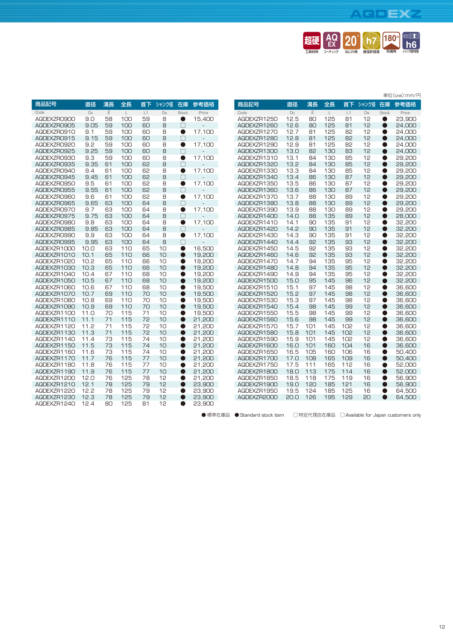## **AQDEXZ**



|             |          |              |             |    |       |           |        |             |        |               |             |     |       |              | 単位(Unit):mm/円 |
|-------------|----------|--------------|-------------|----|-------|-----------|--------|-------------|--------|---------------|-------------|-----|-------|--------------|---------------|
| 商品記号        | 直径       | 溝長           | 全長          | 首下 | シャンク径 | 在庫        | 参考価格   | 商品記号        | 直径     | 溝長            | 全長          | 首下  | シャンク径 | 在庫           | 参考価格          |
| Code        | $\Box c$ | $\mathbb{Q}$ | $\mathsf L$ | L1 | Ds    | Stock     | Price  | Code        | $\Box$ | $\mathcal{Q}$ | $\mathsf L$ | L1  | Ds    | <b>Stock</b> | Price         |
| AQDEXZR0900 | 9.0      | 58           | 100         | 59 | 8     | $\bullet$ | 15,400 | AQDEXZR1250 | 12.5   | 80            | 125         | 81  | 12    | ●            | 23,900        |
| AQDEXZR0905 | 9.05     | 59           | 100         | 60 | 8     | $\Box$    |        | AQDEXZR1260 | 12.6   | 80            | 125         | 81  | 12    | $\bullet$    | 24,000        |
| AQDEXZRO910 | 9.1      | 59           | 100         | 60 | 8     | $\bullet$ | 17,100 | AQDEXZR1270 | 12.7   | 81            | 125         | 82  | 12    | ●            | 24,000        |
| AQDEXZRO915 | 9.15     | 59           | 100         | 60 | 8     | $\Box$    |        | AQDEXZR1280 | 12.8   | 81            | 125         | 82  | 12    | ●            | 24,000        |
| AQDEXZR0920 | 9.2      | 59           | 100         | 60 | 8     | $\bullet$ | 17,100 | AQDEXZR1290 | 12.9   | 81            | 125         | 82  | 12    | ●            | 24.000        |
| AQDEXZR0925 | 9.25     | 59           | 100         | 60 | 8     | $\Box$    |        | AQDEXZR1300 | 13.0   | 82            | 130         | 83  | 12    | ●            | 24,000        |
| AQDEXZR0930 | 9.3      | 59           | 100         | 60 | 8     | $\bullet$ | 17,100 | AQDEXZR1310 | 13.1   | 84            | 130         | 85  | 12    | 0            | 29,200        |
| AQDEXZR0935 | 9.35     | 61           | 100         | 62 | 8     | $\Box$    |        | AQDEXZR1320 | 13.2   | 84            | 130         | 85  | 12    | ●            | 29,200        |
| AQDEXZR0940 | 9.4      | 61           | 100         | 62 | 8     | $\bullet$ | 17,100 | AQDEXZR1330 | 13.3   | 84            | 130         | 85  | 12    | ●            | 29,200        |
| AQDEXZR0945 | 9.45     | 61           | 100         | 62 | 8     | $\Box$    |        | AQDEXZR1340 | 13.4   | 86            | 130         | 87  | 12    | ●            | 29,200        |
| AQDEXZR0950 | 9.5      | 61           | 100         | 62 | 8     | $\bullet$ | 17,100 | AQDEXZR1350 | 13.5   | 86            | 130         | 87  | 12    | ●            | 29,200        |
| AQDEXZR0955 | 9.55     | 61           | 100         | 62 | 8     | П         |        | AQDEXZR1360 | 13.6   | 86            | 130         | 87  | 12    |              | 29,200        |
| AQDEXZR0960 | 9.6      | 61           | 100         | 62 | 8     | $\bullet$ | 17,100 | AQDEXZR1370 | 13.7   | 88            | 130         | 89  | 12    | ●            | 29,200        |
| AQDEXZR0965 | 9.65     | 63           | 100         | 64 | 8     | $\Box$    |        | AQDEXZR1380 | 13.8   | 88            | 130         | 89  | 12    |              | 29,200        |
| AQDEXZR0970 | 9.7      | 63           | 100         | 64 | 8     | $\bullet$ | 17,100 | AQDEXZR1390 | 13.9   | 88            | 130         | 89  | 12    | A            | 29,200        |
| AQDEXZRO975 | 9.75     | 63           | 100         | 64 | 8     | П         |        | AQDEXZR1400 | 14.0   | 88            | 135         | 89  | 12    |              | 28,000        |
| AQDEXZR0980 | 9.8      | 63           | 100         | 64 | 8     | $\bullet$ | 17,100 | AQDEXZR1410 | 14.1   | 90            | 135         | 91  | 12    | O            | 32,200        |
| AQDEXZR0985 | 9.85     | 63           | 100         | 64 | 8     | П         |        | AQDEXZR1420 | 14.2   | 90            | 135         | 91  | 12    | O            | 32,200        |
| AQDEXZR0990 | 9.9      | 63           | 100         | 64 | 8     | $\bullet$ | 17,100 | AQDEXZR1430 | 14.3   | 90            | 135         | 91  | 12    | 0            | 32,200        |
| AQDEXZR0995 | 9.95     | 63           | 100         | 64 | 8     | П         |        | AQDEXZR1440 | 14.4   | 92            | 135         | 93  | 12    | O            | 32,200        |
| AQDEXZR1000 | 10.0     | 63           | 110         | 65 | 10    | $\bullet$ | 16.500 | AQDEXZR1450 | 14.5   | 92            | 135         | 93  | 12    | O            | 32,200        |
| AQDEXZR1010 | 10.1     | 65           | 110         | 66 | 10    | $\bullet$ | 19,200 | AQDEXZR1460 | 14.6   | 92            | 135         | 93  | 12    | $\bullet$    | 32,200        |
| AQDEXZR1020 | 10.2     | 65           | 110         | 66 | 10    | $\bullet$ | 19,200 | AQDEXZR1470 | 14.7   | 94            | 135         | 95  | 12    | ●            | 32,200        |
| AQDEXZR1030 | 10.3     | 65           | 110         | 66 | 10    | $\bullet$ | 19,200 | AQDEXZR1480 | 14.8   | 94            | 135         | 95  | 12    | $\bullet$    | 32,200        |
| AQDEXZR1040 | 10.4     | 67           | 110         | 68 | 10    | $\bullet$ | 19,200 | AQDEXZR1490 | 14.9   | 94            | 135         | 95  | 12    | ●            | 32,200        |
| AQDEXZR1050 | 10.5     | 67           | 110         | 68 | 10    | $\bullet$ | 19,200 | AQDEXZR1500 | 15.0   | 95            | 145         | 96  | 12    | O            | 32,200        |
| AQDEXZR1060 | 10.6     | 67           | 110         | 68 | 10    | $\bullet$ | 19.500 | AQDEXZR1510 | 15.1   | 97            | 145         | 98  | 12    | 0            | 36.600        |
| AQDEXZR1070 | 10.7     | 69           | 110         | 70 | 10    | $\bullet$ | 19,500 | AQDEXZR1520 | 15.2   | 97            | 145         | 98  | 12    | $\bullet$    | 36.600        |
| AQDEXZR1080 | 10.8     | 69           | 110         | 70 | 10    | $\bullet$ | 19,500 | AQDEXZR1530 | 15.3   | 97            | 145         | 98  | 12    | 0            | 36,600        |
| AQDEXZR1090 | 10.9     | 69           | 110         | 70 | 10    | $\bullet$ | 19,500 | AQDEXZR1540 | 15.4   | 98            | 145         | 99  | 12    | $\bullet$    | 36,600        |
| AQDEXZR1100 | 11.0     | 70           | 115         | 71 | 10    | $\bullet$ | 19,500 | AQDEXZR1550 | 15.5   | 98            | 145         | 99  | 12    | 0            | 36,600        |
| AQDEXZR1110 | 11.1     | 71           | 115         | 72 | 10    | $\bullet$ | 21,200 | AQDEXZR1560 | 15.6   | 98            | 145         | 99  | 12    | ●            | 36,600        |
| AQDEXZR1120 | 11.2     | 71           | 115         | 72 | 10    | $\bullet$ | 21,200 | AQDEXZR1570 | 15.7   | 101           | 145         | 102 | 12    | 0            | 36,600        |
| AQDEXZR1130 | 11.3     | 71           | 115         | 72 | 10    | $\bullet$ | 21,200 | AQDEXZR1580 | 15.8   | 101           | 145         | 102 | 12    | ●            | 36,600        |
| AQDEXZR1140 | 11.4     | 73           | 115         | 74 | 10    | ●         | 21,200 | AQDEXZR1590 | 15.9   | 101           | 145         | 102 | 12    | ●            | 36,600        |
| AQDEXZR1150 | 11.5     | 73           | 115         | 74 | 10    | O         | 21,200 | AQDEXZR1600 | 16.0   | 101           | 160         | 104 | 16    | ●            | 36.600        |
| AQDEXZR1160 | 11.6     | 73           | 115         | 74 | 10    | $\bullet$ | 21.200 | AQDEXZR1650 | 16.5   | 105           | 160         | 106 | 16    | O            | 50.400        |
| AQDEXZR1170 | 11.7     | 76           | 115         | 77 | 10    | O         | 21,200 | AQDEXZR1700 | 17.0   | 108           | 165         | 109 | 16    | e            | 50,400        |
| AQDEXZR1180 | 11.8     | 76           | 115         | 77 | 10    | O         | 21,200 | AQDEXZR1750 | 17.5   | 111           | 165         | 112 | 16    | O            | 52,000        |
| AQDEXZR1190 | 11.9     | 76           | 115         | 77 | 10    | O         | 21,200 | AQDEXZR1800 | 18.0   | 113           | 175         | 114 | 16    |              | 52,000        |
| AQDEXZR1200 | 12.0     | 76           | 125         | 78 | 12    | O         | 21,200 | AQDEXZR1850 | 18.5   | 118           | 175         | 119 | 16    | Q            | 56.900        |
| AQDEXZR1210 | 12.1     | 78           | 125         | 79 | 12    | O         | 23,900 | AQDEXZR1900 | 19.0   | 120           | 185         | 121 | 16    | O            | 56,900        |
| AQDEXZR1220 | 12.2     | 78           | 125         | 79 | 12    | O         | 23,900 | AQDEXZR1950 | 19.5   | 124           | 185         | 125 | 16    | e            | 64,500        |
| AQDEXZR1230 | 12.3     | 78           | 125         | 79 | 12    | O         | 23,900 | AQDEXZR2000 | 20.0   | 126           | 195         | 129 | 20    |              | 64,500        |
| AQDEXZR1240 | 12.4     | 80           | 125         | 81 | 12    | 0         | 23,900 |             |        |               |             |     |       |              |               |
|             |          |              |             |    |       |           |        |             |        |               |             |     |       |              |               |

●:標準在庫品 ●:Standard stock item □:特定代理店在庫品 □:Available for Japan customers only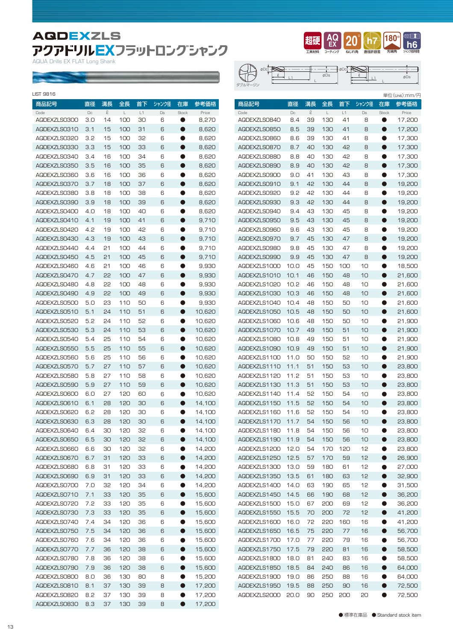## **AQDEXZLS** アクアドリルEXフラットロングシャンク

AQUA Drills EX FLAT Long Shank

**Service** 

| 商品記号<br>直径<br>溝長<br>全長<br>首下<br>シャンク径<br>在庫<br>参考価格<br>商品記号<br>直径<br>溝長<br>全長<br>首下<br>シャンク径<br>参考価格<br>在庫<br>$\mathcal{Q}$<br>$\ell$<br>L1<br>$\Box$<br>$\mathsf{L}$<br>Ds<br>$\Box$<br>$\mathsf{L}$<br>L1<br>Ds<br>Price<br>Stock<br>Price<br><b>Stock</b><br>Code<br>Code<br>39<br>17,200<br>AQDEXZLS0300<br>3.0<br>14<br>100<br>30<br>6<br>8,270<br>AQDEXZLSO840<br>8.4<br>130<br>41<br>8<br>$\bullet$<br>0<br>AQDEXZLSO310<br>100<br>8,620<br>AQDEXZLS0850<br>39<br>130<br>8<br>17,200<br>3.1<br>15<br>31<br>6<br>8.5<br>41<br>$\bullet$<br>0<br>3.2<br>15<br>100<br>32<br>6<br>8,620<br>AQDEXZLS0860<br>8.6<br>39<br>130<br>41<br>8<br>$\bullet$<br>17,300<br>AQDEXZLS0320<br>$\bullet$<br>3.3<br>15<br>100<br>33<br>8,620<br>8.7<br>40<br>130<br>42<br>8<br>17,300<br>AQDEXZLS0330<br>6<br>$\bullet$<br>AQDEXZLS0870<br>$\bullet$<br>3.4<br>16<br>100<br>34<br>6<br>8,620<br>AQDEXZLSO880<br>8.8<br>40<br>130<br>42<br>8<br>$\bullet$<br>17,300<br>AQDEXZLS0340<br>$\bullet$<br>3.5<br>16<br>100<br>35<br>8,620<br>8.9<br>40<br>130<br>42<br>8<br>17,300<br>AQDEXZLS0350<br>6<br>$\bullet$<br>AQDEXZLS0890<br>$\bullet$<br>3.6<br>16<br>100<br>36<br>6<br>8,620<br>9.0<br>41<br>130<br>43<br>8<br>$\bullet$<br>17,300<br>AQDEXZLS0360<br>$\bullet$<br>AQDEXZLS0900<br>3.7<br>18<br>100<br>37<br>8,620<br>42<br>130<br>8<br>19,200<br>AQDEXZLS0370<br>6<br>$\bullet$<br>AQDEXZLSO910<br>9.1<br>44<br>$\bullet$<br>3.8<br>18<br>100<br>38<br>6<br>8,620<br>9.2<br>42<br>130<br>44<br>8<br>$\bullet$<br>19,200<br>AQDEXZLS0380<br>$\bullet$<br>AQDEXZLS0920<br>3.9<br>18<br>100<br>39<br>8,620<br>9.3<br>42<br>130<br>8<br>19,200<br>AQDEXZLS0390<br>6<br>$\bullet$<br>AQDEXZLS0930<br>44<br>$\bullet$<br>4.0<br>18<br>100<br>40<br>6<br>8,620<br>AQDEXZLS0940<br>9.4<br>43<br>130<br>45<br>8<br>$\bullet$<br>19,200<br>AQDEXZLS0400<br>$\bullet$<br>19<br>100<br>41<br>9,710<br>9.5<br>43<br>130<br>45<br>8<br>19,200<br>AQDEXZLS0410<br>4.1<br>6<br>$\bullet$<br>AQDEXZLS0950<br>$\bullet$<br>4.2<br>19<br>100<br>42<br>6<br>9,710<br>AQDEXZLS0960<br>9.6<br>43<br>130<br>45<br>8<br>$\bullet$<br>19,200<br>AQDEXZLS0420<br>$\bullet$<br>4.3<br>19<br>100<br>43<br>9.710<br>9.7<br>45<br>130<br>47<br>8<br>19,200<br>AQDEXZLS0430<br>6<br>$\bullet$<br>AQDEXZLS0970<br>$\bullet$<br>4.4<br>21<br>100<br>44<br>6<br>9,710<br>AQDEXZLS0980<br>9.8<br>45<br>130<br>47<br>8<br>$\bullet$<br>19,200<br>AQDEXZLS0440<br>$\bullet$<br>4.5<br>21<br>100<br>45<br>9,710<br>9.9<br>45<br>130<br>47<br>8<br>19,200<br>AQDEXZLS0450<br>6<br>$\bullet$<br>AQDEXZLS0990<br>$\bullet$<br>4.6<br>21<br>100<br>46<br>6<br>9,930<br>AGDEXZLS1000<br>10.0<br>45<br>150<br>100<br>10<br>18,500<br>AQDEXZLS0460<br>$\bullet$<br>$\bullet$<br>4.7<br>22<br>100<br>47<br>9,930<br>10.1<br>46<br>150<br>48<br>AQDEXZLS0470<br>6<br>$\bullet$<br>AQDEXZLS1010<br>10<br>$\bullet$<br>21.600<br>4.8<br>55<br>100<br>48<br>6<br>9,930<br>10.2<br>46<br>150<br>48<br>$\bullet$<br>AQDEXZLS0480<br>$\bullet$<br>AQDEXZLS1020<br>10<br>21,600<br>4.9<br>22<br>100<br>49<br>9,930<br>46<br>150<br>48<br>AQDEXZLS0490<br>6<br>$\bullet$<br>AQDEXZLS1030<br>10.3<br>10<br>$\bullet$<br>21,600<br>5.0<br>23<br>110<br>50<br>6<br>9,930<br>10.4<br>48<br>150<br>50<br>AQDEXZLS0500<br>$\bullet$<br>AQDEXZLS1040<br>10<br>$\bullet$<br>21,600<br>24<br>110<br>10,620<br>48<br>150<br>50<br>AQDEXZLS0510<br>5.1<br>51<br>6<br>$\bullet$<br>AQDEXZLS1050<br>10.5<br>10<br>$\bullet$<br>21,600<br>5.2<br>24<br>110<br>52<br>6<br>10,620<br>10.6<br>48<br>150<br>50<br>21,900<br>AQDEXZLS0520<br>$\bullet$<br>AQDEXZLS1060<br>10<br>$\bullet$<br>5.3<br>24<br>110<br>53<br>6<br>10,620<br>AQDEXZLS1070<br>10.7<br>49<br>150<br>51<br>21,900<br>AQDEXZLS0530<br>$\bullet$<br>10<br>$\bullet$<br>51<br>5.4<br>25<br>110<br>54<br>6<br>10,620<br>AQDEXZLS1080<br>10.8<br>49<br>150<br>21,900<br>AQDEXZLS0540<br>$\bullet$<br>10<br>$\bullet$<br>5.5<br>25<br>110<br>55<br>6<br>10,620<br>AQDEXZLS1090<br>49<br>150<br>51<br>21,900<br>AQDEXZLS0550<br>$\bullet$<br>10.9<br>10<br>$\bullet$<br>52<br>5.6<br>25<br>110<br>56<br>6<br>10,620<br>AGDEXZLS1100<br>11.0<br>50<br>150<br>10<br>$\bullet$<br>21,900<br>AQDEXZLS0560<br>$\bullet$<br>AQDEXZLS0570<br>5.7<br>27<br>110<br>57<br>6<br>10,620<br>AGDEXZLS1110<br>51<br>150<br>53<br>23,800<br>$\bullet$<br>11.1<br>10<br>$\bullet$<br>51<br>53<br>5.8<br>27<br>110<br>58<br>6<br>10,620<br>AGDEXZLS1120<br>11.2<br>150<br>10<br>$\bullet$<br>23,800<br>AQDEXZLS0580<br>$\bullet$<br>5.9<br>27<br>110<br>59<br>10.620<br>AQDEXZLS1130<br>51<br>150<br>53<br>23,800<br>AQDEXZLS0590<br>6<br>$\bullet$<br>11.3<br>10<br>$\bullet$<br>52<br>6.0<br>27<br>120<br>60<br>6<br>10,620<br>150<br>54<br>23,800<br>AQDEXZLS0600<br>$\bullet$<br>AQDEXZLS1140<br>11.4<br>10<br>$\bullet$<br>28<br>120<br>30<br>52<br>AQDEXZLSO610<br>6.1<br>6<br>$\bullet$<br>14,100<br>AQDEXZLS1150<br>11.5<br>150<br>54<br>10<br>$\bullet$<br>23,800<br>6.2<br>28<br>120<br>30<br>6<br>52<br>150<br>54<br>AQDEXZLS0620<br>14,100<br>AQDEXZLS1160<br>11.6<br>10<br>O<br>23,800<br>0<br>6.3<br>28<br>120<br>30<br>AGDEXZLS1170<br>54<br>56<br>AQDEXZLSO630<br>6<br>0<br>14,100<br>11.7<br>150<br>10<br>$\bullet$<br>23,800<br>6<br>AQDEXZLS0640<br>30<br>120<br>35<br>14,100<br>AQDEXZLS1180<br>54<br>150<br>56<br>10<br>23,800<br>6.4<br>11.8<br>$\bullet$<br>$\bullet$<br>14,100<br>56<br>AQDEXZLS0650<br>6.5<br>30<br>120<br>35<br>6<br>AQDEXZLS1190<br>11.9<br>54<br>150<br>10<br>23,800<br>$\bullet$<br>$\bullet$<br>32<br>6<br>54<br>120<br>AQDEXZLS0660<br>6.6<br>30<br>120<br>14,200<br>AQDEXZLS1200<br>12.0<br>170<br>12<br>$\bullet$<br>23,800<br>$\bullet$<br>6<br>26,900<br>AQDEXZLS0670<br>6.7<br>31<br>120<br>33<br>$\bullet$<br>14,200<br>AQDEXZLS1250<br>12.5<br>57<br>170<br>59<br>12<br>$\bullet$<br>33<br>6<br>61<br>12<br>AQDEXZLS0680<br>6.8<br>31<br>120<br>$\bullet$<br>14,200<br>AQDEXZLS1300<br>13.0<br>59<br>180<br>$\bullet$<br>27,000<br>32,900<br>AQDEXZLS0690<br>6.9<br>31<br>120<br>33<br>6<br>$\bullet$<br>14,200<br>AQDEXZLS1350<br>13.5<br>61<br>180<br>63<br>12<br>$\bullet$<br>32<br>120<br>6<br>65<br>12<br>AQDEXZLS0700<br>7.0<br>34<br>$\bullet$<br>14,200<br>AQDEXZLS1400<br>14.0<br>63<br>190<br>$\bullet$<br>31,500<br>36,200<br>AQDEXZLSO710<br>7.1<br>33<br>120<br>35<br>6<br>$\bullet$<br>15,600<br>AQDEXZLS1450<br>14.5<br>66<br>190<br>68<br>12<br>$\bullet$<br>35<br>69<br>AQDEXZLSO720<br>7.2<br>33<br>120<br>6<br>$\bullet$<br>15,600<br>AQDEXZLS1500<br>15.0<br>67<br>200<br>12<br>$\bullet$<br>36,200<br>AQDEXZLSO730<br>7.3<br>33<br>120<br>35<br>6<br>$\bullet$<br>15,600<br>AQDEXZLS1550<br>15.5<br>70<br>200<br>72<br>12<br>$\bullet$<br>41,200<br>160<br>AQDEXZLSO740<br>7.4<br>34<br>120<br>36<br>6<br>$\bullet$<br>15,600<br>AQDEXZLS1600<br>16.0<br>72<br>220<br>16<br>$\bullet$<br>41,200<br>AQDEXZLS0750<br>7.5<br>34<br>120<br>36<br>6<br>$\bullet$<br>15,600<br>AQDEXZLS1650<br>16.5<br>75<br>220<br>77<br>16<br>$\bullet$<br>56,700<br>79<br>AQDEXZLS0760<br>7.6<br>34<br>120<br>36<br>6<br>$\bullet$<br>15,600<br>AQDEXZLS1700<br>17.0<br>77<br>220<br>16<br>$\bullet$<br>56,700<br>AQDEXZLSO770<br>7.7<br>36<br>120<br>38<br>6<br>$\bullet$<br>15,600<br>AQDEXZLS1750<br>17.5<br>79<br>220<br>81<br>16<br>$\bullet$<br>58,500<br>6<br>83<br>AQDEXZLSO780<br>7.8<br>36<br>120<br>38<br>$\bullet$<br>15,600<br>AQDEXZLS1800<br>18.0<br>81<br>240<br>16<br>$\bullet$<br>58,500<br>AQDEXZLS0790<br>7.9<br>36<br>120<br>38<br>6<br>$\bullet$<br>15,600<br>AQDEXZLS1850<br>18.5<br>84<br>240<br>86<br>16<br>$\bullet$<br>64,000<br>36<br>8<br>88<br>AQDEXZLS0800<br>8.0<br>130<br>80<br>$\bullet$<br>15,200<br>AQDEXZLS1900<br>19.0<br>86<br>250<br>16<br>$\bullet$<br>64,000<br>72,500<br>AQDEXZLSO810<br>8.1<br>37<br>130<br>39<br>8<br>$\bullet$<br>17,200<br>AQDEXZLS1950<br>19.5<br>88<br>250<br>90<br>16<br>$\bullet$<br>37<br>130<br>39<br>8<br>250<br>AQDEXZLS0820<br>8.2<br>$\bullet$<br>17,200<br>AQDEXZLS2000<br>20.0<br>90<br>200<br>20<br>$\bullet$<br>72,500<br>8<br>$\bullet$<br>17,200<br>AQDEXZLS0830<br>8.3<br>37<br>130<br>39 |           |  |  |  |  |  |  | タフルマージン |  |  |  |  |  |  |               |  |  |
|-------------------------------------------------------------------------------------------------------------------------------------------------------------------------------------------------------------------------------------------------------------------------------------------------------------------------------------------------------------------------------------------------------------------------------------------------------------------------------------------------------------------------------------------------------------------------------------------------------------------------------------------------------------------------------------------------------------------------------------------------------------------------------------------------------------------------------------------------------------------------------------------------------------------------------------------------------------------------------------------------------------------------------------------------------------------------------------------------------------------------------------------------------------------------------------------------------------------------------------------------------------------------------------------------------------------------------------------------------------------------------------------------------------------------------------------------------------------------------------------------------------------------------------------------------------------------------------------------------------------------------------------------------------------------------------------------------------------------------------------------------------------------------------------------------------------------------------------------------------------------------------------------------------------------------------------------------------------------------------------------------------------------------------------------------------------------------------------------------------------------------------------------------------------------------------------------------------------------------------------------------------------------------------------------------------------------------------------------------------------------------------------------------------------------------------------------------------------------------------------------------------------------------------------------------------------------------------------------------------------------------------------------------------------------------------------------------------------------------------------------------------------------------------------------------------------------------------------------------------------------------------------------------------------------------------------------------------------------------------------------------------------------------------------------------------------------------------------------------------------------------------------------------------------------------------------------------------------------------------------------------------------------------------------------------------------------------------------------------------------------------------------------------------------------------------------------------------------------------------------------------------------------------------------------------------------------------------------------------------------------------------------------------------------------------------------------------------------------------------------------------------------------------------------------------------------------------------------------------------------------------------------------------------------------------------------------------------------------------------------------------------------------------------------------------------------------------------------------------------------------------------------------------------------------------------------------------------------------------------------------------------------------------------------------------------------------------------------------------------------------------------------------------------------------------------------------------------------------------------------------------------------------------------------------------------------------------------------------------------------------------------------------------------------------------------------------------------------------------------------------------------------------------------------------------------------------------------------------------------------------------------------------------------------------------------------------------------------------------------------------------------------------------------------------------------------------------------------------------------------------------------------------------------------------------------------------------------------------------------------------------------------------------------------------------------------------------------------------------------------------------------------------------------------------------------------------------------------------------------------------------------------------------------------------------------------------------------------------------------------------------------------------------------------------------------------------------------------------------------------------------------------------------------------------------------------------------------------------------------------------------------------------------------------------------------------------------------------------------------------------------------------------------------------------------------------------------------------------------------------------------------------------------------------------------------------------------------------------------------------------------------------------------------------------------------------------------------------------------------------------------------------------------------------------------------------------------------------------------------------------------------------------------------------------------------------------------------------------------------------------------------------------------------------------------------------------------------------------------------------------------------------------------------------------------------------------------------------------------------------------------------------------------------------------------------------------------------------------------------------------------------------------------------------------------------------------------------------------------------------------------------------------------------------------------------------------------------------------------------------------------------------------------------------------------------------------------------------------------------------------------------------------------------------------------------------------------------------------------------------------------------------------------------------------------------------------------------------------------------------------------------------------------------------------------------------------------------------------------------------------------------------------------------------------------------------------------------------------------------------------------------------------------------------------------------------------------------------------------------------------------------------------------------------------------------------------------------------------|-----------|--|--|--|--|--|--|---------|--|--|--|--|--|--|---------------|--|--|
|                                                                                                                                                                                                                                                                                                                                                                                                                                                                                                                                                                                                                                                                                                                                                                                                                                                                                                                                                                                                                                                                                                                                                                                                                                                                                                                                                                                                                                                                                                                                                                                                                                                                                                                                                                                                                                                                                                                                                                                                                                                                                                                                                                                                                                                                                                                                                                                                                                                                                                                                                                                                                                                                                                                                                                                                                                                                                                                                                                                                                                                                                                                                                                                                                                                                                                                                                                                                                                                                                                                                                                                                                                                                                                                                                                                                                                                                                                                                                                                                                                                                                                                                                                                                                                                                                                                                                                                                                                                                                                                                                                                                                                                                                                                                                                                                                                                                                                                                                                                                                                                                                                                                                                                                                                                                                                                                                                                                                                                                                                                                                                                                                                                                                                                                                                                                                                                                                                                                                                                                                                                                                                                                                                                                                                                                                                                                                                                                                                                                                                                                                                                                                                                                                                                                                                                                                                                                                                                                                                                                                                                                                                                                                                                                                                                                                                                                                                                                                                                                                                                                                                                                                                                                                                                                                                                                                                                                                                                                                                                                                                                                                                 | LIST 9816 |  |  |  |  |  |  |         |  |  |  |  |  |  | 単位(Unit):mm/円 |  |  |
|                                                                                                                                                                                                                                                                                                                                                                                                                                                                                                                                                                                                                                                                                                                                                                                                                                                                                                                                                                                                                                                                                                                                                                                                                                                                                                                                                                                                                                                                                                                                                                                                                                                                                                                                                                                                                                                                                                                                                                                                                                                                                                                                                                                                                                                                                                                                                                                                                                                                                                                                                                                                                                                                                                                                                                                                                                                                                                                                                                                                                                                                                                                                                                                                                                                                                                                                                                                                                                                                                                                                                                                                                                                                                                                                                                                                                                                                                                                                                                                                                                                                                                                                                                                                                                                                                                                                                                                                                                                                                                                                                                                                                                                                                                                                                                                                                                                                                                                                                                                                                                                                                                                                                                                                                                                                                                                                                                                                                                                                                                                                                                                                                                                                                                                                                                                                                                                                                                                                                                                                                                                                                                                                                                                                                                                                                                                                                                                                                                                                                                                                                                                                                                                                                                                                                                                                                                                                                                                                                                                                                                                                                                                                                                                                                                                                                                                                                                                                                                                                                                                                                                                                                                                                                                                                                                                                                                                                                                                                                                                                                                                                                                 |           |  |  |  |  |  |  |         |  |  |  |  |  |  |               |  |  |
|                                                                                                                                                                                                                                                                                                                                                                                                                                                                                                                                                                                                                                                                                                                                                                                                                                                                                                                                                                                                                                                                                                                                                                                                                                                                                                                                                                                                                                                                                                                                                                                                                                                                                                                                                                                                                                                                                                                                                                                                                                                                                                                                                                                                                                                                                                                                                                                                                                                                                                                                                                                                                                                                                                                                                                                                                                                                                                                                                                                                                                                                                                                                                                                                                                                                                                                                                                                                                                                                                                                                                                                                                                                                                                                                                                                                                                                                                                                                                                                                                                                                                                                                                                                                                                                                                                                                                                                                                                                                                                                                                                                                                                                                                                                                                                                                                                                                                                                                                                                                                                                                                                                                                                                                                                                                                                                                                                                                                                                                                                                                                                                                                                                                                                                                                                                                                                                                                                                                                                                                                                                                                                                                                                                                                                                                                                                                                                                                                                                                                                                                                                                                                                                                                                                                                                                                                                                                                                                                                                                                                                                                                                                                                                                                                                                                                                                                                                                                                                                                                                                                                                                                                                                                                                                                                                                                                                                                                                                                                                                                                                                                                                 |           |  |  |  |  |  |  |         |  |  |  |  |  |  |               |  |  |
|                                                                                                                                                                                                                                                                                                                                                                                                                                                                                                                                                                                                                                                                                                                                                                                                                                                                                                                                                                                                                                                                                                                                                                                                                                                                                                                                                                                                                                                                                                                                                                                                                                                                                                                                                                                                                                                                                                                                                                                                                                                                                                                                                                                                                                                                                                                                                                                                                                                                                                                                                                                                                                                                                                                                                                                                                                                                                                                                                                                                                                                                                                                                                                                                                                                                                                                                                                                                                                                                                                                                                                                                                                                                                                                                                                                                                                                                                                                                                                                                                                                                                                                                                                                                                                                                                                                                                                                                                                                                                                                                                                                                                                                                                                                                                                                                                                                                                                                                                                                                                                                                                                                                                                                                                                                                                                                                                                                                                                                                                                                                                                                                                                                                                                                                                                                                                                                                                                                                                                                                                                                                                                                                                                                                                                                                                                                                                                                                                                                                                                                                                                                                                                                                                                                                                                                                                                                                                                                                                                                                                                                                                                                                                                                                                                                                                                                                                                                                                                                                                                                                                                                                                                                                                                                                                                                                                                                                                                                                                                                                                                                                                                 |           |  |  |  |  |  |  |         |  |  |  |  |  |  |               |  |  |
|                                                                                                                                                                                                                                                                                                                                                                                                                                                                                                                                                                                                                                                                                                                                                                                                                                                                                                                                                                                                                                                                                                                                                                                                                                                                                                                                                                                                                                                                                                                                                                                                                                                                                                                                                                                                                                                                                                                                                                                                                                                                                                                                                                                                                                                                                                                                                                                                                                                                                                                                                                                                                                                                                                                                                                                                                                                                                                                                                                                                                                                                                                                                                                                                                                                                                                                                                                                                                                                                                                                                                                                                                                                                                                                                                                                                                                                                                                                                                                                                                                                                                                                                                                                                                                                                                                                                                                                                                                                                                                                                                                                                                                                                                                                                                                                                                                                                                                                                                                                                                                                                                                                                                                                                                                                                                                                                                                                                                                                                                                                                                                                                                                                                                                                                                                                                                                                                                                                                                                                                                                                                                                                                                                                                                                                                                                                                                                                                                                                                                                                                                                                                                                                                                                                                                                                                                                                                                                                                                                                                                                                                                                                                                                                                                                                                                                                                                                                                                                                                                                                                                                                                                                                                                                                                                                                                                                                                                                                                                                                                                                                                                                 |           |  |  |  |  |  |  |         |  |  |  |  |  |  |               |  |  |
|                                                                                                                                                                                                                                                                                                                                                                                                                                                                                                                                                                                                                                                                                                                                                                                                                                                                                                                                                                                                                                                                                                                                                                                                                                                                                                                                                                                                                                                                                                                                                                                                                                                                                                                                                                                                                                                                                                                                                                                                                                                                                                                                                                                                                                                                                                                                                                                                                                                                                                                                                                                                                                                                                                                                                                                                                                                                                                                                                                                                                                                                                                                                                                                                                                                                                                                                                                                                                                                                                                                                                                                                                                                                                                                                                                                                                                                                                                                                                                                                                                                                                                                                                                                                                                                                                                                                                                                                                                                                                                                                                                                                                                                                                                                                                                                                                                                                                                                                                                                                                                                                                                                                                                                                                                                                                                                                                                                                                                                                                                                                                                                                                                                                                                                                                                                                                                                                                                                                                                                                                                                                                                                                                                                                                                                                                                                                                                                                                                                                                                                                                                                                                                                                                                                                                                                                                                                                                                                                                                                                                                                                                                                                                                                                                                                                                                                                                                                                                                                                                                                                                                                                                                                                                                                                                                                                                                                                                                                                                                                                                                                                                                 |           |  |  |  |  |  |  |         |  |  |  |  |  |  |               |  |  |
|                                                                                                                                                                                                                                                                                                                                                                                                                                                                                                                                                                                                                                                                                                                                                                                                                                                                                                                                                                                                                                                                                                                                                                                                                                                                                                                                                                                                                                                                                                                                                                                                                                                                                                                                                                                                                                                                                                                                                                                                                                                                                                                                                                                                                                                                                                                                                                                                                                                                                                                                                                                                                                                                                                                                                                                                                                                                                                                                                                                                                                                                                                                                                                                                                                                                                                                                                                                                                                                                                                                                                                                                                                                                                                                                                                                                                                                                                                                                                                                                                                                                                                                                                                                                                                                                                                                                                                                                                                                                                                                                                                                                                                                                                                                                                                                                                                                                                                                                                                                                                                                                                                                                                                                                                                                                                                                                                                                                                                                                                                                                                                                                                                                                                                                                                                                                                                                                                                                                                                                                                                                                                                                                                                                                                                                                                                                                                                                                                                                                                                                                                                                                                                                                                                                                                                                                                                                                                                                                                                                                                                                                                                                                                                                                                                                                                                                                                                                                                                                                                                                                                                                                                                                                                                                                                                                                                                                                                                                                                                                                                                                                                                 |           |  |  |  |  |  |  |         |  |  |  |  |  |  |               |  |  |
|                                                                                                                                                                                                                                                                                                                                                                                                                                                                                                                                                                                                                                                                                                                                                                                                                                                                                                                                                                                                                                                                                                                                                                                                                                                                                                                                                                                                                                                                                                                                                                                                                                                                                                                                                                                                                                                                                                                                                                                                                                                                                                                                                                                                                                                                                                                                                                                                                                                                                                                                                                                                                                                                                                                                                                                                                                                                                                                                                                                                                                                                                                                                                                                                                                                                                                                                                                                                                                                                                                                                                                                                                                                                                                                                                                                                                                                                                                                                                                                                                                                                                                                                                                                                                                                                                                                                                                                                                                                                                                                                                                                                                                                                                                                                                                                                                                                                                                                                                                                                                                                                                                                                                                                                                                                                                                                                                                                                                                                                                                                                                                                                                                                                                                                                                                                                                                                                                                                                                                                                                                                                                                                                                                                                                                                                                                                                                                                                                                                                                                                                                                                                                                                                                                                                                                                                                                                                                                                                                                                                                                                                                                                                                                                                                                                                                                                                                                                                                                                                                                                                                                                                                                                                                                                                                                                                                                                                                                                                                                                                                                                                                                 |           |  |  |  |  |  |  |         |  |  |  |  |  |  |               |  |  |
|                                                                                                                                                                                                                                                                                                                                                                                                                                                                                                                                                                                                                                                                                                                                                                                                                                                                                                                                                                                                                                                                                                                                                                                                                                                                                                                                                                                                                                                                                                                                                                                                                                                                                                                                                                                                                                                                                                                                                                                                                                                                                                                                                                                                                                                                                                                                                                                                                                                                                                                                                                                                                                                                                                                                                                                                                                                                                                                                                                                                                                                                                                                                                                                                                                                                                                                                                                                                                                                                                                                                                                                                                                                                                                                                                                                                                                                                                                                                                                                                                                                                                                                                                                                                                                                                                                                                                                                                                                                                                                                                                                                                                                                                                                                                                                                                                                                                                                                                                                                                                                                                                                                                                                                                                                                                                                                                                                                                                                                                                                                                                                                                                                                                                                                                                                                                                                                                                                                                                                                                                                                                                                                                                                                                                                                                                                                                                                                                                                                                                                                                                                                                                                                                                                                                                                                                                                                                                                                                                                                                                                                                                                                                                                                                                                                                                                                                                                                                                                                                                                                                                                                                                                                                                                                                                                                                                                                                                                                                                                                                                                                                                                 |           |  |  |  |  |  |  |         |  |  |  |  |  |  |               |  |  |
|                                                                                                                                                                                                                                                                                                                                                                                                                                                                                                                                                                                                                                                                                                                                                                                                                                                                                                                                                                                                                                                                                                                                                                                                                                                                                                                                                                                                                                                                                                                                                                                                                                                                                                                                                                                                                                                                                                                                                                                                                                                                                                                                                                                                                                                                                                                                                                                                                                                                                                                                                                                                                                                                                                                                                                                                                                                                                                                                                                                                                                                                                                                                                                                                                                                                                                                                                                                                                                                                                                                                                                                                                                                                                                                                                                                                                                                                                                                                                                                                                                                                                                                                                                                                                                                                                                                                                                                                                                                                                                                                                                                                                                                                                                                                                                                                                                                                                                                                                                                                                                                                                                                                                                                                                                                                                                                                                                                                                                                                                                                                                                                                                                                                                                                                                                                                                                                                                                                                                                                                                                                                                                                                                                                                                                                                                                                                                                                                                                                                                                                                                                                                                                                                                                                                                                                                                                                                                                                                                                                                                                                                                                                                                                                                                                                                                                                                                                                                                                                                                                                                                                                                                                                                                                                                                                                                                                                                                                                                                                                                                                                                                                 |           |  |  |  |  |  |  |         |  |  |  |  |  |  |               |  |  |
|                                                                                                                                                                                                                                                                                                                                                                                                                                                                                                                                                                                                                                                                                                                                                                                                                                                                                                                                                                                                                                                                                                                                                                                                                                                                                                                                                                                                                                                                                                                                                                                                                                                                                                                                                                                                                                                                                                                                                                                                                                                                                                                                                                                                                                                                                                                                                                                                                                                                                                                                                                                                                                                                                                                                                                                                                                                                                                                                                                                                                                                                                                                                                                                                                                                                                                                                                                                                                                                                                                                                                                                                                                                                                                                                                                                                                                                                                                                                                                                                                                                                                                                                                                                                                                                                                                                                                                                                                                                                                                                                                                                                                                                                                                                                                                                                                                                                                                                                                                                                                                                                                                                                                                                                                                                                                                                                                                                                                                                                                                                                                                                                                                                                                                                                                                                                                                                                                                                                                                                                                                                                                                                                                                                                                                                                                                                                                                                                                                                                                                                                                                                                                                                                                                                                                                                                                                                                                                                                                                                                                                                                                                                                                                                                                                                                                                                                                                                                                                                                                                                                                                                                                                                                                                                                                                                                                                                                                                                                                                                                                                                                                                 |           |  |  |  |  |  |  |         |  |  |  |  |  |  |               |  |  |
|                                                                                                                                                                                                                                                                                                                                                                                                                                                                                                                                                                                                                                                                                                                                                                                                                                                                                                                                                                                                                                                                                                                                                                                                                                                                                                                                                                                                                                                                                                                                                                                                                                                                                                                                                                                                                                                                                                                                                                                                                                                                                                                                                                                                                                                                                                                                                                                                                                                                                                                                                                                                                                                                                                                                                                                                                                                                                                                                                                                                                                                                                                                                                                                                                                                                                                                                                                                                                                                                                                                                                                                                                                                                                                                                                                                                                                                                                                                                                                                                                                                                                                                                                                                                                                                                                                                                                                                                                                                                                                                                                                                                                                                                                                                                                                                                                                                                                                                                                                                                                                                                                                                                                                                                                                                                                                                                                                                                                                                                                                                                                                                                                                                                                                                                                                                                                                                                                                                                                                                                                                                                                                                                                                                                                                                                                                                                                                                                                                                                                                                                                                                                                                                                                                                                                                                                                                                                                                                                                                                                                                                                                                                                                                                                                                                                                                                                                                                                                                                                                                                                                                                                                                                                                                                                                                                                                                                                                                                                                                                                                                                                                                 |           |  |  |  |  |  |  |         |  |  |  |  |  |  |               |  |  |
|                                                                                                                                                                                                                                                                                                                                                                                                                                                                                                                                                                                                                                                                                                                                                                                                                                                                                                                                                                                                                                                                                                                                                                                                                                                                                                                                                                                                                                                                                                                                                                                                                                                                                                                                                                                                                                                                                                                                                                                                                                                                                                                                                                                                                                                                                                                                                                                                                                                                                                                                                                                                                                                                                                                                                                                                                                                                                                                                                                                                                                                                                                                                                                                                                                                                                                                                                                                                                                                                                                                                                                                                                                                                                                                                                                                                                                                                                                                                                                                                                                                                                                                                                                                                                                                                                                                                                                                                                                                                                                                                                                                                                                                                                                                                                                                                                                                                                                                                                                                                                                                                                                                                                                                                                                                                                                                                                                                                                                                                                                                                                                                                                                                                                                                                                                                                                                                                                                                                                                                                                                                                                                                                                                                                                                                                                                                                                                                                                                                                                                                                                                                                                                                                                                                                                                                                                                                                                                                                                                                                                                                                                                                                                                                                                                                                                                                                                                                                                                                                                                                                                                                                                                                                                                                                                                                                                                                                                                                                                                                                                                                                                                 |           |  |  |  |  |  |  |         |  |  |  |  |  |  |               |  |  |
|                                                                                                                                                                                                                                                                                                                                                                                                                                                                                                                                                                                                                                                                                                                                                                                                                                                                                                                                                                                                                                                                                                                                                                                                                                                                                                                                                                                                                                                                                                                                                                                                                                                                                                                                                                                                                                                                                                                                                                                                                                                                                                                                                                                                                                                                                                                                                                                                                                                                                                                                                                                                                                                                                                                                                                                                                                                                                                                                                                                                                                                                                                                                                                                                                                                                                                                                                                                                                                                                                                                                                                                                                                                                                                                                                                                                                                                                                                                                                                                                                                                                                                                                                                                                                                                                                                                                                                                                                                                                                                                                                                                                                                                                                                                                                                                                                                                                                                                                                                                                                                                                                                                                                                                                                                                                                                                                                                                                                                                                                                                                                                                                                                                                                                                                                                                                                                                                                                                                                                                                                                                                                                                                                                                                                                                                                                                                                                                                                                                                                                                                                                                                                                                                                                                                                                                                                                                                                                                                                                                                                                                                                                                                                                                                                                                                                                                                                                                                                                                                                                                                                                                                                                                                                                                                                                                                                                                                                                                                                                                                                                                                                                 |           |  |  |  |  |  |  |         |  |  |  |  |  |  |               |  |  |
|                                                                                                                                                                                                                                                                                                                                                                                                                                                                                                                                                                                                                                                                                                                                                                                                                                                                                                                                                                                                                                                                                                                                                                                                                                                                                                                                                                                                                                                                                                                                                                                                                                                                                                                                                                                                                                                                                                                                                                                                                                                                                                                                                                                                                                                                                                                                                                                                                                                                                                                                                                                                                                                                                                                                                                                                                                                                                                                                                                                                                                                                                                                                                                                                                                                                                                                                                                                                                                                                                                                                                                                                                                                                                                                                                                                                                                                                                                                                                                                                                                                                                                                                                                                                                                                                                                                                                                                                                                                                                                                                                                                                                                                                                                                                                                                                                                                                                                                                                                                                                                                                                                                                                                                                                                                                                                                                                                                                                                                                                                                                                                                                                                                                                                                                                                                                                                                                                                                                                                                                                                                                                                                                                                                                                                                                                                                                                                                                                                                                                                                                                                                                                                                                                                                                                                                                                                                                                                                                                                                                                                                                                                                                                                                                                                                                                                                                                                                                                                                                                                                                                                                                                                                                                                                                                                                                                                                                                                                                                                                                                                                                                                 |           |  |  |  |  |  |  |         |  |  |  |  |  |  |               |  |  |
|                                                                                                                                                                                                                                                                                                                                                                                                                                                                                                                                                                                                                                                                                                                                                                                                                                                                                                                                                                                                                                                                                                                                                                                                                                                                                                                                                                                                                                                                                                                                                                                                                                                                                                                                                                                                                                                                                                                                                                                                                                                                                                                                                                                                                                                                                                                                                                                                                                                                                                                                                                                                                                                                                                                                                                                                                                                                                                                                                                                                                                                                                                                                                                                                                                                                                                                                                                                                                                                                                                                                                                                                                                                                                                                                                                                                                                                                                                                                                                                                                                                                                                                                                                                                                                                                                                                                                                                                                                                                                                                                                                                                                                                                                                                                                                                                                                                                                                                                                                                                                                                                                                                                                                                                                                                                                                                                                                                                                                                                                                                                                                                                                                                                                                                                                                                                                                                                                                                                                                                                                                                                                                                                                                                                                                                                                                                                                                                                                                                                                                                                                                                                                                                                                                                                                                                                                                                                                                                                                                                                                                                                                                                                                                                                                                                                                                                                                                                                                                                                                                                                                                                                                                                                                                                                                                                                                                                                                                                                                                                                                                                                                                 |           |  |  |  |  |  |  |         |  |  |  |  |  |  |               |  |  |
|                                                                                                                                                                                                                                                                                                                                                                                                                                                                                                                                                                                                                                                                                                                                                                                                                                                                                                                                                                                                                                                                                                                                                                                                                                                                                                                                                                                                                                                                                                                                                                                                                                                                                                                                                                                                                                                                                                                                                                                                                                                                                                                                                                                                                                                                                                                                                                                                                                                                                                                                                                                                                                                                                                                                                                                                                                                                                                                                                                                                                                                                                                                                                                                                                                                                                                                                                                                                                                                                                                                                                                                                                                                                                                                                                                                                                                                                                                                                                                                                                                                                                                                                                                                                                                                                                                                                                                                                                                                                                                                                                                                                                                                                                                                                                                                                                                                                                                                                                                                                                                                                                                                                                                                                                                                                                                                                                                                                                                                                                                                                                                                                                                                                                                                                                                                                                                                                                                                                                                                                                                                                                                                                                                                                                                                                                                                                                                                                                                                                                                                                                                                                                                                                                                                                                                                                                                                                                                                                                                                                                                                                                                                                                                                                                                                                                                                                                                                                                                                                                                                                                                                                                                                                                                                                                                                                                                                                                                                                                                                                                                                                                                 |           |  |  |  |  |  |  |         |  |  |  |  |  |  |               |  |  |
|                                                                                                                                                                                                                                                                                                                                                                                                                                                                                                                                                                                                                                                                                                                                                                                                                                                                                                                                                                                                                                                                                                                                                                                                                                                                                                                                                                                                                                                                                                                                                                                                                                                                                                                                                                                                                                                                                                                                                                                                                                                                                                                                                                                                                                                                                                                                                                                                                                                                                                                                                                                                                                                                                                                                                                                                                                                                                                                                                                                                                                                                                                                                                                                                                                                                                                                                                                                                                                                                                                                                                                                                                                                                                                                                                                                                                                                                                                                                                                                                                                                                                                                                                                                                                                                                                                                                                                                                                                                                                                                                                                                                                                                                                                                                                                                                                                                                                                                                                                                                                                                                                                                                                                                                                                                                                                                                                                                                                                                                                                                                                                                                                                                                                                                                                                                                                                                                                                                                                                                                                                                                                                                                                                                                                                                                                                                                                                                                                                                                                                                                                                                                                                                                                                                                                                                                                                                                                                                                                                                                                                                                                                                                                                                                                                                                                                                                                                                                                                                                                                                                                                                                                                                                                                                                                                                                                                                                                                                                                                                                                                                                                                 |           |  |  |  |  |  |  |         |  |  |  |  |  |  |               |  |  |
|                                                                                                                                                                                                                                                                                                                                                                                                                                                                                                                                                                                                                                                                                                                                                                                                                                                                                                                                                                                                                                                                                                                                                                                                                                                                                                                                                                                                                                                                                                                                                                                                                                                                                                                                                                                                                                                                                                                                                                                                                                                                                                                                                                                                                                                                                                                                                                                                                                                                                                                                                                                                                                                                                                                                                                                                                                                                                                                                                                                                                                                                                                                                                                                                                                                                                                                                                                                                                                                                                                                                                                                                                                                                                                                                                                                                                                                                                                                                                                                                                                                                                                                                                                                                                                                                                                                                                                                                                                                                                                                                                                                                                                                                                                                                                                                                                                                                                                                                                                                                                                                                                                                                                                                                                                                                                                                                                                                                                                                                                                                                                                                                                                                                                                                                                                                                                                                                                                                                                                                                                                                                                                                                                                                                                                                                                                                                                                                                                                                                                                                                                                                                                                                                                                                                                                                                                                                                                                                                                                                                                                                                                                                                                                                                                                                                                                                                                                                                                                                                                                                                                                                                                                                                                                                                                                                                                                                                                                                                                                                                                                                                                                 |           |  |  |  |  |  |  |         |  |  |  |  |  |  |               |  |  |
|                                                                                                                                                                                                                                                                                                                                                                                                                                                                                                                                                                                                                                                                                                                                                                                                                                                                                                                                                                                                                                                                                                                                                                                                                                                                                                                                                                                                                                                                                                                                                                                                                                                                                                                                                                                                                                                                                                                                                                                                                                                                                                                                                                                                                                                                                                                                                                                                                                                                                                                                                                                                                                                                                                                                                                                                                                                                                                                                                                                                                                                                                                                                                                                                                                                                                                                                                                                                                                                                                                                                                                                                                                                                                                                                                                                                                                                                                                                                                                                                                                                                                                                                                                                                                                                                                                                                                                                                                                                                                                                                                                                                                                                                                                                                                                                                                                                                                                                                                                                                                                                                                                                                                                                                                                                                                                                                                                                                                                                                                                                                                                                                                                                                                                                                                                                                                                                                                                                                                                                                                                                                                                                                                                                                                                                                                                                                                                                                                                                                                                                                                                                                                                                                                                                                                                                                                                                                                                                                                                                                                                                                                                                                                                                                                                                                                                                                                                                                                                                                                                                                                                                                                                                                                                                                                                                                                                                                                                                                                                                                                                                                                                 |           |  |  |  |  |  |  |         |  |  |  |  |  |  |               |  |  |
|                                                                                                                                                                                                                                                                                                                                                                                                                                                                                                                                                                                                                                                                                                                                                                                                                                                                                                                                                                                                                                                                                                                                                                                                                                                                                                                                                                                                                                                                                                                                                                                                                                                                                                                                                                                                                                                                                                                                                                                                                                                                                                                                                                                                                                                                                                                                                                                                                                                                                                                                                                                                                                                                                                                                                                                                                                                                                                                                                                                                                                                                                                                                                                                                                                                                                                                                                                                                                                                                                                                                                                                                                                                                                                                                                                                                                                                                                                                                                                                                                                                                                                                                                                                                                                                                                                                                                                                                                                                                                                                                                                                                                                                                                                                                                                                                                                                                                                                                                                                                                                                                                                                                                                                                                                                                                                                                                                                                                                                                                                                                                                                                                                                                                                                                                                                                                                                                                                                                                                                                                                                                                                                                                                                                                                                                                                                                                                                                                                                                                                                                                                                                                                                                                                                                                                                                                                                                                                                                                                                                                                                                                                                                                                                                                                                                                                                                                                                                                                                                                                                                                                                                                                                                                                                                                                                                                                                                                                                                                                                                                                                                                                 |           |  |  |  |  |  |  |         |  |  |  |  |  |  |               |  |  |
|                                                                                                                                                                                                                                                                                                                                                                                                                                                                                                                                                                                                                                                                                                                                                                                                                                                                                                                                                                                                                                                                                                                                                                                                                                                                                                                                                                                                                                                                                                                                                                                                                                                                                                                                                                                                                                                                                                                                                                                                                                                                                                                                                                                                                                                                                                                                                                                                                                                                                                                                                                                                                                                                                                                                                                                                                                                                                                                                                                                                                                                                                                                                                                                                                                                                                                                                                                                                                                                                                                                                                                                                                                                                                                                                                                                                                                                                                                                                                                                                                                                                                                                                                                                                                                                                                                                                                                                                                                                                                                                                                                                                                                                                                                                                                                                                                                                                                                                                                                                                                                                                                                                                                                                                                                                                                                                                                                                                                                                                                                                                                                                                                                                                                                                                                                                                                                                                                                                                                                                                                                                                                                                                                                                                                                                                                                                                                                                                                                                                                                                                                                                                                                                                                                                                                                                                                                                                                                                                                                                                                                                                                                                                                                                                                                                                                                                                                                                                                                                                                                                                                                                                                                                                                                                                                                                                                                                                                                                                                                                                                                                                                                 |           |  |  |  |  |  |  |         |  |  |  |  |  |  |               |  |  |
|                                                                                                                                                                                                                                                                                                                                                                                                                                                                                                                                                                                                                                                                                                                                                                                                                                                                                                                                                                                                                                                                                                                                                                                                                                                                                                                                                                                                                                                                                                                                                                                                                                                                                                                                                                                                                                                                                                                                                                                                                                                                                                                                                                                                                                                                                                                                                                                                                                                                                                                                                                                                                                                                                                                                                                                                                                                                                                                                                                                                                                                                                                                                                                                                                                                                                                                                                                                                                                                                                                                                                                                                                                                                                                                                                                                                                                                                                                                                                                                                                                                                                                                                                                                                                                                                                                                                                                                                                                                                                                                                                                                                                                                                                                                                                                                                                                                                                                                                                                                                                                                                                                                                                                                                                                                                                                                                                                                                                                                                                                                                                                                                                                                                                                                                                                                                                                                                                                                                                                                                                                                                                                                                                                                                                                                                                                                                                                                                                                                                                                                                                                                                                                                                                                                                                                                                                                                                                                                                                                                                                                                                                                                                                                                                                                                                                                                                                                                                                                                                                                                                                                                                                                                                                                                                                                                                                                                                                                                                                                                                                                                                                                 |           |  |  |  |  |  |  |         |  |  |  |  |  |  |               |  |  |
|                                                                                                                                                                                                                                                                                                                                                                                                                                                                                                                                                                                                                                                                                                                                                                                                                                                                                                                                                                                                                                                                                                                                                                                                                                                                                                                                                                                                                                                                                                                                                                                                                                                                                                                                                                                                                                                                                                                                                                                                                                                                                                                                                                                                                                                                                                                                                                                                                                                                                                                                                                                                                                                                                                                                                                                                                                                                                                                                                                                                                                                                                                                                                                                                                                                                                                                                                                                                                                                                                                                                                                                                                                                                                                                                                                                                                                                                                                                                                                                                                                                                                                                                                                                                                                                                                                                                                                                                                                                                                                                                                                                                                                                                                                                                                                                                                                                                                                                                                                                                                                                                                                                                                                                                                                                                                                                                                                                                                                                                                                                                                                                                                                                                                                                                                                                                                                                                                                                                                                                                                                                                                                                                                                                                                                                                                                                                                                                                                                                                                                                                                                                                                                                                                                                                                                                                                                                                                                                                                                                                                                                                                                                                                                                                                                                                                                                                                                                                                                                                                                                                                                                                                                                                                                                                                                                                                                                                                                                                                                                                                                                                                                 |           |  |  |  |  |  |  |         |  |  |  |  |  |  |               |  |  |
|                                                                                                                                                                                                                                                                                                                                                                                                                                                                                                                                                                                                                                                                                                                                                                                                                                                                                                                                                                                                                                                                                                                                                                                                                                                                                                                                                                                                                                                                                                                                                                                                                                                                                                                                                                                                                                                                                                                                                                                                                                                                                                                                                                                                                                                                                                                                                                                                                                                                                                                                                                                                                                                                                                                                                                                                                                                                                                                                                                                                                                                                                                                                                                                                                                                                                                                                                                                                                                                                                                                                                                                                                                                                                                                                                                                                                                                                                                                                                                                                                                                                                                                                                                                                                                                                                                                                                                                                                                                                                                                                                                                                                                                                                                                                                                                                                                                                                                                                                                                                                                                                                                                                                                                                                                                                                                                                                                                                                                                                                                                                                                                                                                                                                                                                                                                                                                                                                                                                                                                                                                                                                                                                                                                                                                                                                                                                                                                                                                                                                                                                                                                                                                                                                                                                                                                                                                                                                                                                                                                                                                                                                                                                                                                                                                                                                                                                                                                                                                                                                                                                                                                                                                                                                                                                                                                                                                                                                                                                                                                                                                                                                                 |           |  |  |  |  |  |  |         |  |  |  |  |  |  |               |  |  |
|                                                                                                                                                                                                                                                                                                                                                                                                                                                                                                                                                                                                                                                                                                                                                                                                                                                                                                                                                                                                                                                                                                                                                                                                                                                                                                                                                                                                                                                                                                                                                                                                                                                                                                                                                                                                                                                                                                                                                                                                                                                                                                                                                                                                                                                                                                                                                                                                                                                                                                                                                                                                                                                                                                                                                                                                                                                                                                                                                                                                                                                                                                                                                                                                                                                                                                                                                                                                                                                                                                                                                                                                                                                                                                                                                                                                                                                                                                                                                                                                                                                                                                                                                                                                                                                                                                                                                                                                                                                                                                                                                                                                                                                                                                                                                                                                                                                                                                                                                                                                                                                                                                                                                                                                                                                                                                                                                                                                                                                                                                                                                                                                                                                                                                                                                                                                                                                                                                                                                                                                                                                                                                                                                                                                                                                                                                                                                                                                                                                                                                                                                                                                                                                                                                                                                                                                                                                                                                                                                                                                                                                                                                                                                                                                                                                                                                                                                                                                                                                                                                                                                                                                                                                                                                                                                                                                                                                                                                                                                                                                                                                                                                 |           |  |  |  |  |  |  |         |  |  |  |  |  |  |               |  |  |
|                                                                                                                                                                                                                                                                                                                                                                                                                                                                                                                                                                                                                                                                                                                                                                                                                                                                                                                                                                                                                                                                                                                                                                                                                                                                                                                                                                                                                                                                                                                                                                                                                                                                                                                                                                                                                                                                                                                                                                                                                                                                                                                                                                                                                                                                                                                                                                                                                                                                                                                                                                                                                                                                                                                                                                                                                                                                                                                                                                                                                                                                                                                                                                                                                                                                                                                                                                                                                                                                                                                                                                                                                                                                                                                                                                                                                                                                                                                                                                                                                                                                                                                                                                                                                                                                                                                                                                                                                                                                                                                                                                                                                                                                                                                                                                                                                                                                                                                                                                                                                                                                                                                                                                                                                                                                                                                                                                                                                                                                                                                                                                                                                                                                                                                                                                                                                                                                                                                                                                                                                                                                                                                                                                                                                                                                                                                                                                                                                                                                                                                                                                                                                                                                                                                                                                                                                                                                                                                                                                                                                                                                                                                                                                                                                                                                                                                                                                                                                                                                                                                                                                                                                                                                                                                                                                                                                                                                                                                                                                                                                                                                                                 |           |  |  |  |  |  |  |         |  |  |  |  |  |  |               |  |  |
|                                                                                                                                                                                                                                                                                                                                                                                                                                                                                                                                                                                                                                                                                                                                                                                                                                                                                                                                                                                                                                                                                                                                                                                                                                                                                                                                                                                                                                                                                                                                                                                                                                                                                                                                                                                                                                                                                                                                                                                                                                                                                                                                                                                                                                                                                                                                                                                                                                                                                                                                                                                                                                                                                                                                                                                                                                                                                                                                                                                                                                                                                                                                                                                                                                                                                                                                                                                                                                                                                                                                                                                                                                                                                                                                                                                                                                                                                                                                                                                                                                                                                                                                                                                                                                                                                                                                                                                                                                                                                                                                                                                                                                                                                                                                                                                                                                                                                                                                                                                                                                                                                                                                                                                                                                                                                                                                                                                                                                                                                                                                                                                                                                                                                                                                                                                                                                                                                                                                                                                                                                                                                                                                                                                                                                                                                                                                                                                                                                                                                                                                                                                                                                                                                                                                                                                                                                                                                                                                                                                                                                                                                                                                                                                                                                                                                                                                                                                                                                                                                                                                                                                                                                                                                                                                                                                                                                                                                                                                                                                                                                                                                                 |           |  |  |  |  |  |  |         |  |  |  |  |  |  |               |  |  |
|                                                                                                                                                                                                                                                                                                                                                                                                                                                                                                                                                                                                                                                                                                                                                                                                                                                                                                                                                                                                                                                                                                                                                                                                                                                                                                                                                                                                                                                                                                                                                                                                                                                                                                                                                                                                                                                                                                                                                                                                                                                                                                                                                                                                                                                                                                                                                                                                                                                                                                                                                                                                                                                                                                                                                                                                                                                                                                                                                                                                                                                                                                                                                                                                                                                                                                                                                                                                                                                                                                                                                                                                                                                                                                                                                                                                                                                                                                                                                                                                                                                                                                                                                                                                                                                                                                                                                                                                                                                                                                                                                                                                                                                                                                                                                                                                                                                                                                                                                                                                                                                                                                                                                                                                                                                                                                                                                                                                                                                                                                                                                                                                                                                                                                                                                                                                                                                                                                                                                                                                                                                                                                                                                                                                                                                                                                                                                                                                                                                                                                                                                                                                                                                                                                                                                                                                                                                                                                                                                                                                                                                                                                                                                                                                                                                                                                                                                                                                                                                                                                                                                                                                                                                                                                                                                                                                                                                                                                                                                                                                                                                                                                 |           |  |  |  |  |  |  |         |  |  |  |  |  |  |               |  |  |
|                                                                                                                                                                                                                                                                                                                                                                                                                                                                                                                                                                                                                                                                                                                                                                                                                                                                                                                                                                                                                                                                                                                                                                                                                                                                                                                                                                                                                                                                                                                                                                                                                                                                                                                                                                                                                                                                                                                                                                                                                                                                                                                                                                                                                                                                                                                                                                                                                                                                                                                                                                                                                                                                                                                                                                                                                                                                                                                                                                                                                                                                                                                                                                                                                                                                                                                                                                                                                                                                                                                                                                                                                                                                                                                                                                                                                                                                                                                                                                                                                                                                                                                                                                                                                                                                                                                                                                                                                                                                                                                                                                                                                                                                                                                                                                                                                                                                                                                                                                                                                                                                                                                                                                                                                                                                                                                                                                                                                                                                                                                                                                                                                                                                                                                                                                                                                                                                                                                                                                                                                                                                                                                                                                                                                                                                                                                                                                                                                                                                                                                                                                                                                                                                                                                                                                                                                                                                                                                                                                                                                                                                                                                                                                                                                                                                                                                                                                                                                                                                                                                                                                                                                                                                                                                                                                                                                                                                                                                                                                                                                                                                                                 |           |  |  |  |  |  |  |         |  |  |  |  |  |  |               |  |  |
|                                                                                                                                                                                                                                                                                                                                                                                                                                                                                                                                                                                                                                                                                                                                                                                                                                                                                                                                                                                                                                                                                                                                                                                                                                                                                                                                                                                                                                                                                                                                                                                                                                                                                                                                                                                                                                                                                                                                                                                                                                                                                                                                                                                                                                                                                                                                                                                                                                                                                                                                                                                                                                                                                                                                                                                                                                                                                                                                                                                                                                                                                                                                                                                                                                                                                                                                                                                                                                                                                                                                                                                                                                                                                                                                                                                                                                                                                                                                                                                                                                                                                                                                                                                                                                                                                                                                                                                                                                                                                                                                                                                                                                                                                                                                                                                                                                                                                                                                                                                                                                                                                                                                                                                                                                                                                                                                                                                                                                                                                                                                                                                                                                                                                                                                                                                                                                                                                                                                                                                                                                                                                                                                                                                                                                                                                                                                                                                                                                                                                                                                                                                                                                                                                                                                                                                                                                                                                                                                                                                                                                                                                                                                                                                                                                                                                                                                                                                                                                                                                                                                                                                                                                                                                                                                                                                                                                                                                                                                                                                                                                                                                                 |           |  |  |  |  |  |  |         |  |  |  |  |  |  |               |  |  |
|                                                                                                                                                                                                                                                                                                                                                                                                                                                                                                                                                                                                                                                                                                                                                                                                                                                                                                                                                                                                                                                                                                                                                                                                                                                                                                                                                                                                                                                                                                                                                                                                                                                                                                                                                                                                                                                                                                                                                                                                                                                                                                                                                                                                                                                                                                                                                                                                                                                                                                                                                                                                                                                                                                                                                                                                                                                                                                                                                                                                                                                                                                                                                                                                                                                                                                                                                                                                                                                                                                                                                                                                                                                                                                                                                                                                                                                                                                                                                                                                                                                                                                                                                                                                                                                                                                                                                                                                                                                                                                                                                                                                                                                                                                                                                                                                                                                                                                                                                                                                                                                                                                                                                                                                                                                                                                                                                                                                                                                                                                                                                                                                                                                                                                                                                                                                                                                                                                                                                                                                                                                                                                                                                                                                                                                                                                                                                                                                                                                                                                                                                                                                                                                                                                                                                                                                                                                                                                                                                                                                                                                                                                                                                                                                                                                                                                                                                                                                                                                                                                                                                                                                                                                                                                                                                                                                                                                                                                                                                                                                                                                                                                 |           |  |  |  |  |  |  |         |  |  |  |  |  |  |               |  |  |
|                                                                                                                                                                                                                                                                                                                                                                                                                                                                                                                                                                                                                                                                                                                                                                                                                                                                                                                                                                                                                                                                                                                                                                                                                                                                                                                                                                                                                                                                                                                                                                                                                                                                                                                                                                                                                                                                                                                                                                                                                                                                                                                                                                                                                                                                                                                                                                                                                                                                                                                                                                                                                                                                                                                                                                                                                                                                                                                                                                                                                                                                                                                                                                                                                                                                                                                                                                                                                                                                                                                                                                                                                                                                                                                                                                                                                                                                                                                                                                                                                                                                                                                                                                                                                                                                                                                                                                                                                                                                                                                                                                                                                                                                                                                                                                                                                                                                                                                                                                                                                                                                                                                                                                                                                                                                                                                                                                                                                                                                                                                                                                                                                                                                                                                                                                                                                                                                                                                                                                                                                                                                                                                                                                                                                                                                                                                                                                                                                                                                                                                                                                                                                                                                                                                                                                                                                                                                                                                                                                                                                                                                                                                                                                                                                                                                                                                                                                                                                                                                                                                                                                                                                                                                                                                                                                                                                                                                                                                                                                                                                                                                                                 |           |  |  |  |  |  |  |         |  |  |  |  |  |  |               |  |  |
|                                                                                                                                                                                                                                                                                                                                                                                                                                                                                                                                                                                                                                                                                                                                                                                                                                                                                                                                                                                                                                                                                                                                                                                                                                                                                                                                                                                                                                                                                                                                                                                                                                                                                                                                                                                                                                                                                                                                                                                                                                                                                                                                                                                                                                                                                                                                                                                                                                                                                                                                                                                                                                                                                                                                                                                                                                                                                                                                                                                                                                                                                                                                                                                                                                                                                                                                                                                                                                                                                                                                                                                                                                                                                                                                                                                                                                                                                                                                                                                                                                                                                                                                                                                                                                                                                                                                                                                                                                                                                                                                                                                                                                                                                                                                                                                                                                                                                                                                                                                                                                                                                                                                                                                                                                                                                                                                                                                                                                                                                                                                                                                                                                                                                                                                                                                                                                                                                                                                                                                                                                                                                                                                                                                                                                                                                                                                                                                                                                                                                                                                                                                                                                                                                                                                                                                                                                                                                                                                                                                                                                                                                                                                                                                                                                                                                                                                                                                                                                                                                                                                                                                                                                                                                                                                                                                                                                                                                                                                                                                                                                                                                                 |           |  |  |  |  |  |  |         |  |  |  |  |  |  |               |  |  |
|                                                                                                                                                                                                                                                                                                                                                                                                                                                                                                                                                                                                                                                                                                                                                                                                                                                                                                                                                                                                                                                                                                                                                                                                                                                                                                                                                                                                                                                                                                                                                                                                                                                                                                                                                                                                                                                                                                                                                                                                                                                                                                                                                                                                                                                                                                                                                                                                                                                                                                                                                                                                                                                                                                                                                                                                                                                                                                                                                                                                                                                                                                                                                                                                                                                                                                                                                                                                                                                                                                                                                                                                                                                                                                                                                                                                                                                                                                                                                                                                                                                                                                                                                                                                                                                                                                                                                                                                                                                                                                                                                                                                                                                                                                                                                                                                                                                                                                                                                                                                                                                                                                                                                                                                                                                                                                                                                                                                                                                                                                                                                                                                                                                                                                                                                                                                                                                                                                                                                                                                                                                                                                                                                                                                                                                                                                                                                                                                                                                                                                                                                                                                                                                                                                                                                                                                                                                                                                                                                                                                                                                                                                                                                                                                                                                                                                                                                                                                                                                                                                                                                                                                                                                                                                                                                                                                                                                                                                                                                                                                                                                                                                 |           |  |  |  |  |  |  |         |  |  |  |  |  |  |               |  |  |
|                                                                                                                                                                                                                                                                                                                                                                                                                                                                                                                                                                                                                                                                                                                                                                                                                                                                                                                                                                                                                                                                                                                                                                                                                                                                                                                                                                                                                                                                                                                                                                                                                                                                                                                                                                                                                                                                                                                                                                                                                                                                                                                                                                                                                                                                                                                                                                                                                                                                                                                                                                                                                                                                                                                                                                                                                                                                                                                                                                                                                                                                                                                                                                                                                                                                                                                                                                                                                                                                                                                                                                                                                                                                                                                                                                                                                                                                                                                                                                                                                                                                                                                                                                                                                                                                                                                                                                                                                                                                                                                                                                                                                                                                                                                                                                                                                                                                                                                                                                                                                                                                                                                                                                                                                                                                                                                                                                                                                                                                                                                                                                                                                                                                                                                                                                                                                                                                                                                                                                                                                                                                                                                                                                                                                                                                                                                                                                                                                                                                                                                                                                                                                                                                                                                                                                                                                                                                                                                                                                                                                                                                                                                                                                                                                                                                                                                                                                                                                                                                                                                                                                                                                                                                                                                                                                                                                                                                                                                                                                                                                                                                                                 |           |  |  |  |  |  |  |         |  |  |  |  |  |  |               |  |  |
|                                                                                                                                                                                                                                                                                                                                                                                                                                                                                                                                                                                                                                                                                                                                                                                                                                                                                                                                                                                                                                                                                                                                                                                                                                                                                                                                                                                                                                                                                                                                                                                                                                                                                                                                                                                                                                                                                                                                                                                                                                                                                                                                                                                                                                                                                                                                                                                                                                                                                                                                                                                                                                                                                                                                                                                                                                                                                                                                                                                                                                                                                                                                                                                                                                                                                                                                                                                                                                                                                                                                                                                                                                                                                                                                                                                                                                                                                                                                                                                                                                                                                                                                                                                                                                                                                                                                                                                                                                                                                                                                                                                                                                                                                                                                                                                                                                                                                                                                                                                                                                                                                                                                                                                                                                                                                                                                                                                                                                                                                                                                                                                                                                                                                                                                                                                                                                                                                                                                                                                                                                                                                                                                                                                                                                                                                                                                                                                                                                                                                                                                                                                                                                                                                                                                                                                                                                                                                                                                                                                                                                                                                                                                                                                                                                                                                                                                                                                                                                                                                                                                                                                                                                                                                                                                                                                                                                                                                                                                                                                                                                                                                                 |           |  |  |  |  |  |  |         |  |  |  |  |  |  |               |  |  |
|                                                                                                                                                                                                                                                                                                                                                                                                                                                                                                                                                                                                                                                                                                                                                                                                                                                                                                                                                                                                                                                                                                                                                                                                                                                                                                                                                                                                                                                                                                                                                                                                                                                                                                                                                                                                                                                                                                                                                                                                                                                                                                                                                                                                                                                                                                                                                                                                                                                                                                                                                                                                                                                                                                                                                                                                                                                                                                                                                                                                                                                                                                                                                                                                                                                                                                                                                                                                                                                                                                                                                                                                                                                                                                                                                                                                                                                                                                                                                                                                                                                                                                                                                                                                                                                                                                                                                                                                                                                                                                                                                                                                                                                                                                                                                                                                                                                                                                                                                                                                                                                                                                                                                                                                                                                                                                                                                                                                                                                                                                                                                                                                                                                                                                                                                                                                                                                                                                                                                                                                                                                                                                                                                                                                                                                                                                                                                                                                                                                                                                                                                                                                                                                                                                                                                                                                                                                                                                                                                                                                                                                                                                                                                                                                                                                                                                                                                                                                                                                                                                                                                                                                                                                                                                                                                                                                                                                                                                                                                                                                                                                                                                 |           |  |  |  |  |  |  |         |  |  |  |  |  |  |               |  |  |
|                                                                                                                                                                                                                                                                                                                                                                                                                                                                                                                                                                                                                                                                                                                                                                                                                                                                                                                                                                                                                                                                                                                                                                                                                                                                                                                                                                                                                                                                                                                                                                                                                                                                                                                                                                                                                                                                                                                                                                                                                                                                                                                                                                                                                                                                                                                                                                                                                                                                                                                                                                                                                                                                                                                                                                                                                                                                                                                                                                                                                                                                                                                                                                                                                                                                                                                                                                                                                                                                                                                                                                                                                                                                                                                                                                                                                                                                                                                                                                                                                                                                                                                                                                                                                                                                                                                                                                                                                                                                                                                                                                                                                                                                                                                                                                                                                                                                                                                                                                                                                                                                                                                                                                                                                                                                                                                                                                                                                                                                                                                                                                                                                                                                                                                                                                                                                                                                                                                                                                                                                                                                                                                                                                                                                                                                                                                                                                                                                                                                                                                                                                                                                                                                                                                                                                                                                                                                                                                                                                                                                                                                                                                                                                                                                                                                                                                                                                                                                                                                                                                                                                                                                                                                                                                                                                                                                                                                                                                                                                                                                                                                                                 |           |  |  |  |  |  |  |         |  |  |  |  |  |  |               |  |  |
|                                                                                                                                                                                                                                                                                                                                                                                                                                                                                                                                                                                                                                                                                                                                                                                                                                                                                                                                                                                                                                                                                                                                                                                                                                                                                                                                                                                                                                                                                                                                                                                                                                                                                                                                                                                                                                                                                                                                                                                                                                                                                                                                                                                                                                                                                                                                                                                                                                                                                                                                                                                                                                                                                                                                                                                                                                                                                                                                                                                                                                                                                                                                                                                                                                                                                                                                                                                                                                                                                                                                                                                                                                                                                                                                                                                                                                                                                                                                                                                                                                                                                                                                                                                                                                                                                                                                                                                                                                                                                                                                                                                                                                                                                                                                                                                                                                                                                                                                                                                                                                                                                                                                                                                                                                                                                                                                                                                                                                                                                                                                                                                                                                                                                                                                                                                                                                                                                                                                                                                                                                                                                                                                                                                                                                                                                                                                                                                                                                                                                                                                                                                                                                                                                                                                                                                                                                                                                                                                                                                                                                                                                                                                                                                                                                                                                                                                                                                                                                                                                                                                                                                                                                                                                                                                                                                                                                                                                                                                                                                                                                                                                                 |           |  |  |  |  |  |  |         |  |  |  |  |  |  |               |  |  |
|                                                                                                                                                                                                                                                                                                                                                                                                                                                                                                                                                                                                                                                                                                                                                                                                                                                                                                                                                                                                                                                                                                                                                                                                                                                                                                                                                                                                                                                                                                                                                                                                                                                                                                                                                                                                                                                                                                                                                                                                                                                                                                                                                                                                                                                                                                                                                                                                                                                                                                                                                                                                                                                                                                                                                                                                                                                                                                                                                                                                                                                                                                                                                                                                                                                                                                                                                                                                                                                                                                                                                                                                                                                                                                                                                                                                                                                                                                                                                                                                                                                                                                                                                                                                                                                                                                                                                                                                                                                                                                                                                                                                                                                                                                                                                                                                                                                                                                                                                                                                                                                                                                                                                                                                                                                                                                                                                                                                                                                                                                                                                                                                                                                                                                                                                                                                                                                                                                                                                                                                                                                                                                                                                                                                                                                                                                                                                                                                                                                                                                                                                                                                                                                                                                                                                                                                                                                                                                                                                                                                                                                                                                                                                                                                                                                                                                                                                                                                                                                                                                                                                                                                                                                                                                                                                                                                                                                                                                                                                                                                                                                                                                 |           |  |  |  |  |  |  |         |  |  |  |  |  |  |               |  |  |
|                                                                                                                                                                                                                                                                                                                                                                                                                                                                                                                                                                                                                                                                                                                                                                                                                                                                                                                                                                                                                                                                                                                                                                                                                                                                                                                                                                                                                                                                                                                                                                                                                                                                                                                                                                                                                                                                                                                                                                                                                                                                                                                                                                                                                                                                                                                                                                                                                                                                                                                                                                                                                                                                                                                                                                                                                                                                                                                                                                                                                                                                                                                                                                                                                                                                                                                                                                                                                                                                                                                                                                                                                                                                                                                                                                                                                                                                                                                                                                                                                                                                                                                                                                                                                                                                                                                                                                                                                                                                                                                                                                                                                                                                                                                                                                                                                                                                                                                                                                                                                                                                                                                                                                                                                                                                                                                                                                                                                                                                                                                                                                                                                                                                                                                                                                                                                                                                                                                                                                                                                                                                                                                                                                                                                                                                                                                                                                                                                                                                                                                                                                                                                                                                                                                                                                                                                                                                                                                                                                                                                                                                                                                                                                                                                                                                                                                                                                                                                                                                                                                                                                                                                                                                                                                                                                                                                                                                                                                                                                                                                                                                                                 |           |  |  |  |  |  |  |         |  |  |  |  |  |  |               |  |  |
|                                                                                                                                                                                                                                                                                                                                                                                                                                                                                                                                                                                                                                                                                                                                                                                                                                                                                                                                                                                                                                                                                                                                                                                                                                                                                                                                                                                                                                                                                                                                                                                                                                                                                                                                                                                                                                                                                                                                                                                                                                                                                                                                                                                                                                                                                                                                                                                                                                                                                                                                                                                                                                                                                                                                                                                                                                                                                                                                                                                                                                                                                                                                                                                                                                                                                                                                                                                                                                                                                                                                                                                                                                                                                                                                                                                                                                                                                                                                                                                                                                                                                                                                                                                                                                                                                                                                                                                                                                                                                                                                                                                                                                                                                                                                                                                                                                                                                                                                                                                                                                                                                                                                                                                                                                                                                                                                                                                                                                                                                                                                                                                                                                                                                                                                                                                                                                                                                                                                                                                                                                                                                                                                                                                                                                                                                                                                                                                                                                                                                                                                                                                                                                                                                                                                                                                                                                                                                                                                                                                                                                                                                                                                                                                                                                                                                                                                                                                                                                                                                                                                                                                                                                                                                                                                                                                                                                                                                                                                                                                                                                                                                                 |           |  |  |  |  |  |  |         |  |  |  |  |  |  |               |  |  |
|                                                                                                                                                                                                                                                                                                                                                                                                                                                                                                                                                                                                                                                                                                                                                                                                                                                                                                                                                                                                                                                                                                                                                                                                                                                                                                                                                                                                                                                                                                                                                                                                                                                                                                                                                                                                                                                                                                                                                                                                                                                                                                                                                                                                                                                                                                                                                                                                                                                                                                                                                                                                                                                                                                                                                                                                                                                                                                                                                                                                                                                                                                                                                                                                                                                                                                                                                                                                                                                                                                                                                                                                                                                                                                                                                                                                                                                                                                                                                                                                                                                                                                                                                                                                                                                                                                                                                                                                                                                                                                                                                                                                                                                                                                                                                                                                                                                                                                                                                                                                                                                                                                                                                                                                                                                                                                                                                                                                                                                                                                                                                                                                                                                                                                                                                                                                                                                                                                                                                                                                                                                                                                                                                                                                                                                                                                                                                                                                                                                                                                                                                                                                                                                                                                                                                                                                                                                                                                                                                                                                                                                                                                                                                                                                                                                                                                                                                                                                                                                                                                                                                                                                                                                                                                                                                                                                                                                                                                                                                                                                                                                                                                 |           |  |  |  |  |  |  |         |  |  |  |  |  |  |               |  |  |
|                                                                                                                                                                                                                                                                                                                                                                                                                                                                                                                                                                                                                                                                                                                                                                                                                                                                                                                                                                                                                                                                                                                                                                                                                                                                                                                                                                                                                                                                                                                                                                                                                                                                                                                                                                                                                                                                                                                                                                                                                                                                                                                                                                                                                                                                                                                                                                                                                                                                                                                                                                                                                                                                                                                                                                                                                                                                                                                                                                                                                                                                                                                                                                                                                                                                                                                                                                                                                                                                                                                                                                                                                                                                                                                                                                                                                                                                                                                                                                                                                                                                                                                                                                                                                                                                                                                                                                                                                                                                                                                                                                                                                                                                                                                                                                                                                                                                                                                                                                                                                                                                                                                                                                                                                                                                                                                                                                                                                                                                                                                                                                                                                                                                                                                                                                                                                                                                                                                                                                                                                                                                                                                                                                                                                                                                                                                                                                                                                                                                                                                                                                                                                                                                                                                                                                                                                                                                                                                                                                                                                                                                                                                                                                                                                                                                                                                                                                                                                                                                                                                                                                                                                                                                                                                                                                                                                                                                                                                                                                                                                                                                                                 |           |  |  |  |  |  |  |         |  |  |  |  |  |  |               |  |  |
|                                                                                                                                                                                                                                                                                                                                                                                                                                                                                                                                                                                                                                                                                                                                                                                                                                                                                                                                                                                                                                                                                                                                                                                                                                                                                                                                                                                                                                                                                                                                                                                                                                                                                                                                                                                                                                                                                                                                                                                                                                                                                                                                                                                                                                                                                                                                                                                                                                                                                                                                                                                                                                                                                                                                                                                                                                                                                                                                                                                                                                                                                                                                                                                                                                                                                                                                                                                                                                                                                                                                                                                                                                                                                                                                                                                                                                                                                                                                                                                                                                                                                                                                                                                                                                                                                                                                                                                                                                                                                                                                                                                                                                                                                                                                                                                                                                                                                                                                                                                                                                                                                                                                                                                                                                                                                                                                                                                                                                                                                                                                                                                                                                                                                                                                                                                                                                                                                                                                                                                                                                                                                                                                                                                                                                                                                                                                                                                                                                                                                                                                                                                                                                                                                                                                                                                                                                                                                                                                                                                                                                                                                                                                                                                                                                                                                                                                                                                                                                                                                                                                                                                                                                                                                                                                                                                                                                                                                                                                                                                                                                                                                                 |           |  |  |  |  |  |  |         |  |  |  |  |  |  |               |  |  |
|                                                                                                                                                                                                                                                                                                                                                                                                                                                                                                                                                                                                                                                                                                                                                                                                                                                                                                                                                                                                                                                                                                                                                                                                                                                                                                                                                                                                                                                                                                                                                                                                                                                                                                                                                                                                                                                                                                                                                                                                                                                                                                                                                                                                                                                                                                                                                                                                                                                                                                                                                                                                                                                                                                                                                                                                                                                                                                                                                                                                                                                                                                                                                                                                                                                                                                                                                                                                                                                                                                                                                                                                                                                                                                                                                                                                                                                                                                                                                                                                                                                                                                                                                                                                                                                                                                                                                                                                                                                                                                                                                                                                                                                                                                                                                                                                                                                                                                                                                                                                                                                                                                                                                                                                                                                                                                                                                                                                                                                                                                                                                                                                                                                                                                                                                                                                                                                                                                                                                                                                                                                                                                                                                                                                                                                                                                                                                                                                                                                                                                                                                                                                                                                                                                                                                                                                                                                                                                                                                                                                                                                                                                                                                                                                                                                                                                                                                                                                                                                                                                                                                                                                                                                                                                                                                                                                                                                                                                                                                                                                                                                                                                 |           |  |  |  |  |  |  |         |  |  |  |  |  |  |               |  |  |
|                                                                                                                                                                                                                                                                                                                                                                                                                                                                                                                                                                                                                                                                                                                                                                                                                                                                                                                                                                                                                                                                                                                                                                                                                                                                                                                                                                                                                                                                                                                                                                                                                                                                                                                                                                                                                                                                                                                                                                                                                                                                                                                                                                                                                                                                                                                                                                                                                                                                                                                                                                                                                                                                                                                                                                                                                                                                                                                                                                                                                                                                                                                                                                                                                                                                                                                                                                                                                                                                                                                                                                                                                                                                                                                                                                                                                                                                                                                                                                                                                                                                                                                                                                                                                                                                                                                                                                                                                                                                                                                                                                                                                                                                                                                                                                                                                                                                                                                                                                                                                                                                                                                                                                                                                                                                                                                                                                                                                                                                                                                                                                                                                                                                                                                                                                                                                                                                                                                                                                                                                                                                                                                                                                                                                                                                                                                                                                                                                                                                                                                                                                                                                                                                                                                                                                                                                                                                                                                                                                                                                                                                                                                                                                                                                                                                                                                                                                                                                                                                                                                                                                                                                                                                                                                                                                                                                                                                                                                                                                                                                                                                                                 |           |  |  |  |  |  |  |         |  |  |  |  |  |  |               |  |  |
|                                                                                                                                                                                                                                                                                                                                                                                                                                                                                                                                                                                                                                                                                                                                                                                                                                                                                                                                                                                                                                                                                                                                                                                                                                                                                                                                                                                                                                                                                                                                                                                                                                                                                                                                                                                                                                                                                                                                                                                                                                                                                                                                                                                                                                                                                                                                                                                                                                                                                                                                                                                                                                                                                                                                                                                                                                                                                                                                                                                                                                                                                                                                                                                                                                                                                                                                                                                                                                                                                                                                                                                                                                                                                                                                                                                                                                                                                                                                                                                                                                                                                                                                                                                                                                                                                                                                                                                                                                                                                                                                                                                                                                                                                                                                                                                                                                                                                                                                                                                                                                                                                                                                                                                                                                                                                                                                                                                                                                                                                                                                                                                                                                                                                                                                                                                                                                                                                                                                                                                                                                                                                                                                                                                                                                                                                                                                                                                                                                                                                                                                                                                                                                                                                                                                                                                                                                                                                                                                                                                                                                                                                                                                                                                                                                                                                                                                                                                                                                                                                                                                                                                                                                                                                                                                                                                                                                                                                                                                                                                                                                                                                                 |           |  |  |  |  |  |  |         |  |  |  |  |  |  |               |  |  |
|                                                                                                                                                                                                                                                                                                                                                                                                                                                                                                                                                                                                                                                                                                                                                                                                                                                                                                                                                                                                                                                                                                                                                                                                                                                                                                                                                                                                                                                                                                                                                                                                                                                                                                                                                                                                                                                                                                                                                                                                                                                                                                                                                                                                                                                                                                                                                                                                                                                                                                                                                                                                                                                                                                                                                                                                                                                                                                                                                                                                                                                                                                                                                                                                                                                                                                                                                                                                                                                                                                                                                                                                                                                                                                                                                                                                                                                                                                                                                                                                                                                                                                                                                                                                                                                                                                                                                                                                                                                                                                                                                                                                                                                                                                                                                                                                                                                                                                                                                                                                                                                                                                                                                                                                                                                                                                                                                                                                                                                                                                                                                                                                                                                                                                                                                                                                                                                                                                                                                                                                                                                                                                                                                                                                                                                                                                                                                                                                                                                                                                                                                                                                                                                                                                                                                                                                                                                                                                                                                                                                                                                                                                                                                                                                                                                                                                                                                                                                                                                                                                                                                                                                                                                                                                                                                                                                                                                                                                                                                                                                                                                                                                 |           |  |  |  |  |  |  |         |  |  |  |  |  |  |               |  |  |
|                                                                                                                                                                                                                                                                                                                                                                                                                                                                                                                                                                                                                                                                                                                                                                                                                                                                                                                                                                                                                                                                                                                                                                                                                                                                                                                                                                                                                                                                                                                                                                                                                                                                                                                                                                                                                                                                                                                                                                                                                                                                                                                                                                                                                                                                                                                                                                                                                                                                                                                                                                                                                                                                                                                                                                                                                                                                                                                                                                                                                                                                                                                                                                                                                                                                                                                                                                                                                                                                                                                                                                                                                                                                                                                                                                                                                                                                                                                                                                                                                                                                                                                                                                                                                                                                                                                                                                                                                                                                                                                                                                                                                                                                                                                                                                                                                                                                                                                                                                                                                                                                                                                                                                                                                                                                                                                                                                                                                                                                                                                                                                                                                                                                                                                                                                                                                                                                                                                                                                                                                                                                                                                                                                                                                                                                                                                                                                                                                                                                                                                                                                                                                                                                                                                                                                                                                                                                                                                                                                                                                                                                                                                                                                                                                                                                                                                                                                                                                                                                                                                                                                                                                                                                                                                                                                                                                                                                                                                                                                                                                                                                                                 |           |  |  |  |  |  |  |         |  |  |  |  |  |  |               |  |  |
|                                                                                                                                                                                                                                                                                                                                                                                                                                                                                                                                                                                                                                                                                                                                                                                                                                                                                                                                                                                                                                                                                                                                                                                                                                                                                                                                                                                                                                                                                                                                                                                                                                                                                                                                                                                                                                                                                                                                                                                                                                                                                                                                                                                                                                                                                                                                                                                                                                                                                                                                                                                                                                                                                                                                                                                                                                                                                                                                                                                                                                                                                                                                                                                                                                                                                                                                                                                                                                                                                                                                                                                                                                                                                                                                                                                                                                                                                                                                                                                                                                                                                                                                                                                                                                                                                                                                                                                                                                                                                                                                                                                                                                                                                                                                                                                                                                                                                                                                                                                                                                                                                                                                                                                                                                                                                                                                                                                                                                                                                                                                                                                                                                                                                                                                                                                                                                                                                                                                                                                                                                                                                                                                                                                                                                                                                                                                                                                                                                                                                                                                                                                                                                                                                                                                                                                                                                                                                                                                                                                                                                                                                                                                                                                                                                                                                                                                                                                                                                                                                                                                                                                                                                                                                                                                                                                                                                                                                                                                                                                                                                                                                                 |           |  |  |  |  |  |  |         |  |  |  |  |  |  |               |  |  |
|                                                                                                                                                                                                                                                                                                                                                                                                                                                                                                                                                                                                                                                                                                                                                                                                                                                                                                                                                                                                                                                                                                                                                                                                                                                                                                                                                                                                                                                                                                                                                                                                                                                                                                                                                                                                                                                                                                                                                                                                                                                                                                                                                                                                                                                                                                                                                                                                                                                                                                                                                                                                                                                                                                                                                                                                                                                                                                                                                                                                                                                                                                                                                                                                                                                                                                                                                                                                                                                                                                                                                                                                                                                                                                                                                                                                                                                                                                                                                                                                                                                                                                                                                                                                                                                                                                                                                                                                                                                                                                                                                                                                                                                                                                                                                                                                                                                                                                                                                                                                                                                                                                                                                                                                                                                                                                                                                                                                                                                                                                                                                                                                                                                                                                                                                                                                                                                                                                                                                                                                                                                                                                                                                                                                                                                                                                                                                                                                                                                                                                                                                                                                                                                                                                                                                                                                                                                                                                                                                                                                                                                                                                                                                                                                                                                                                                                                                                                                                                                                                                                                                                                                                                                                                                                                                                                                                                                                                                                                                                                                                                                                                                 |           |  |  |  |  |  |  |         |  |  |  |  |  |  |               |  |  |
|                                                                                                                                                                                                                                                                                                                                                                                                                                                                                                                                                                                                                                                                                                                                                                                                                                                                                                                                                                                                                                                                                                                                                                                                                                                                                                                                                                                                                                                                                                                                                                                                                                                                                                                                                                                                                                                                                                                                                                                                                                                                                                                                                                                                                                                                                                                                                                                                                                                                                                                                                                                                                                                                                                                                                                                                                                                                                                                                                                                                                                                                                                                                                                                                                                                                                                                                                                                                                                                                                                                                                                                                                                                                                                                                                                                                                                                                                                                                                                                                                                                                                                                                                                                                                                                                                                                                                                                                                                                                                                                                                                                                                                                                                                                                                                                                                                                                                                                                                                                                                                                                                                                                                                                                                                                                                                                                                                                                                                                                                                                                                                                                                                                                                                                                                                                                                                                                                                                                                                                                                                                                                                                                                                                                                                                                                                                                                                                                                                                                                                                                                                                                                                                                                                                                                                                                                                                                                                                                                                                                                                                                                                                                                                                                                                                                                                                                                                                                                                                                                                                                                                                                                                                                                                                                                                                                                                                                                                                                                                                                                                                                                                 |           |  |  |  |  |  |  |         |  |  |  |  |  |  |               |  |  |
|                                                                                                                                                                                                                                                                                                                                                                                                                                                                                                                                                                                                                                                                                                                                                                                                                                                                                                                                                                                                                                                                                                                                                                                                                                                                                                                                                                                                                                                                                                                                                                                                                                                                                                                                                                                                                                                                                                                                                                                                                                                                                                                                                                                                                                                                                                                                                                                                                                                                                                                                                                                                                                                                                                                                                                                                                                                                                                                                                                                                                                                                                                                                                                                                                                                                                                                                                                                                                                                                                                                                                                                                                                                                                                                                                                                                                                                                                                                                                                                                                                                                                                                                                                                                                                                                                                                                                                                                                                                                                                                                                                                                                                                                                                                                                                                                                                                                                                                                                                                                                                                                                                                                                                                                                                                                                                                                                                                                                                                                                                                                                                                                                                                                                                                                                                                                                                                                                                                                                                                                                                                                                                                                                                                                                                                                                                                                                                                                                                                                                                                                                                                                                                                                                                                                                                                                                                                                                                                                                                                                                                                                                                                                                                                                                                                                                                                                                                                                                                                                                                                                                                                                                                                                                                                                                                                                                                                                                                                                                                                                                                                                                                 |           |  |  |  |  |  |  |         |  |  |  |  |  |  |               |  |  |
|                                                                                                                                                                                                                                                                                                                                                                                                                                                                                                                                                                                                                                                                                                                                                                                                                                                                                                                                                                                                                                                                                                                                                                                                                                                                                                                                                                                                                                                                                                                                                                                                                                                                                                                                                                                                                                                                                                                                                                                                                                                                                                                                                                                                                                                                                                                                                                                                                                                                                                                                                                                                                                                                                                                                                                                                                                                                                                                                                                                                                                                                                                                                                                                                                                                                                                                                                                                                                                                                                                                                                                                                                                                                                                                                                                                                                                                                                                                                                                                                                                                                                                                                                                                                                                                                                                                                                                                                                                                                                                                                                                                                                                                                                                                                                                                                                                                                                                                                                                                                                                                                                                                                                                                                                                                                                                                                                                                                                                                                                                                                                                                                                                                                                                                                                                                                                                                                                                                                                                                                                                                                                                                                                                                                                                                                                                                                                                                                                                                                                                                                                                                                                                                                                                                                                                                                                                                                                                                                                                                                                                                                                                                                                                                                                                                                                                                                                                                                                                                                                                                                                                                                                                                                                                                                                                                                                                                                                                                                                                                                                                                                                                 |           |  |  |  |  |  |  |         |  |  |  |  |  |  |               |  |  |



L1 φDs L

 $\Box$ 

 $\phi$ Dc  $\phi$ Dc  $\phi$ Dc  $\phi$ Dc  $\phi$ 

L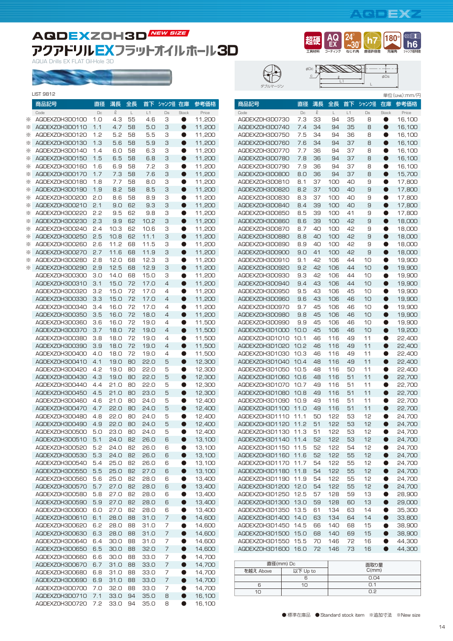## **AQDEXZ**

直径許容差 **h7**

ー<br>エ具材料 **超硬**

c

ダブルマージン

pDc TANNA

コーティング **AQ EX**

L1

**24**° **~30**° ねじれ角

ℓ

先端角 **180**

 $\overline{\phantom{a}}$  $\overline{\phantom{a}}$  . ↴

φDs

シャンク径許容差 **h6**

 $\blacksquare$ 

## **AQDEXZOH3D NEW SIZE** アクアドリルEXフラットオイルホール3D

AQUA Drills EX FLAT Oil-Hole 3D

| LIST 9812 |  |
|-----------|--|

|   | 商品記号                             | 直径         | 溝長           | 全長       | 首下           | シャンク径 在庫 |                        | 参考価格             |
|---|----------------------------------|------------|--------------|----------|--------------|----------|------------------------|------------------|
|   | Code                             | $\Box$     | Q            | L.       | L1           | Ds       | Stock                  | Price            |
| ⋇ | AQDEXZ0H3DO100                   | 1.0        | 4.3          | 55       | 4.6          | З        | $\bullet$              | 11,200           |
| ⋇ | AQDEXZOH3DO110                   | 1.1        | 4.7          | 58       | 5.0          | З        | $\bullet$              | 11,200           |
| ⋇ | AQDEXZ0H3D0120                   | 1.2        | 5.2          | 58       | 5.5          | З        | $\bullet$              | 11,200           |
| ⋇ | AQDEXZ0H3D0130                   | 1.3        | 5.6          | 58       | 5.9          | З        | $\bullet$              | 11,200           |
| ⋇ | AQDEXZOH3DO140                   | 1.4        | 6.0          | 58       | 6.3          | З        | ●                      | 11,200           |
| ⋇ | AQDEXZ0H3D0150                   | 1.5        | 6.5          | 58       | 6.8          | З        | $\bullet$              | 11,200           |
| ⋇ | AQDEXZ0H3D0160                   | 1.6        | 6.9          | 58       | 7.2          | З        | $\bullet$              | 11,200           |
| ⋇ | AQDEXZ0H3D0170                   | 1.7        | 7.3          | 58       | 7.6          | З        | $\bullet$              | 11,200           |
| ⋇ | AQDEXZOH3DO180                   | 1.8        | 7.7          | 58       | 8.0          | З        | O                      | 11,200           |
| ⋇ | AQDEXZ0H3D0190                   | 1.9        | 8.2          | 58       | 8.5          | 3        | $\bullet$              | 11,200           |
| ⋇ | AQDEXZOH3DO2OO                   | 2.0        | 8.6          | 58       | 8.9          | З        | $\bullet$              | 11,200           |
| ⋇ | AQDEXZ0H3D0210                   | 2.1        | 9.0          | 62       | 9.3          | З        | $\bullet$              | 11,200           |
| ⋇ | AQDEXZOH3DO220                   | 5'5        | 9.5          | 62       | 9.8          | З        | $\bullet$              | 11,200           |
| ⋇ | AQDEXZ0H3D0230                   | 2.3        | 9.9          | 62       | 10.2         | З        | $\bullet$              | 11,200           |
| ⋇ | AQDEXZOH3D0240                   | 2.4        | 10.3         | 62       | 10.6         | З        | ●                      | 11,200           |
| ⋇ | AQDEXZ0H3D0250                   | 2.5        | 10.8         | 62       | 11.1         | З        | $\bullet$              | 11,200           |
| ⋇ | AQDEXZOH3DO260                   | 2.6        | 11.2         | 68       | 11.5         | З        | $\bullet$              | 11,200           |
| ⋇ | AQDEXZ0H3D0270                   | 2.7        | 11.6         | 68       | 11.9         | З        | $\bullet$              | 11,200           |
| ⋇ | AQDEXZOH3DO280<br>AQDEXZ0H3D0290 | 2.8        | 12.0         | 68       | 12.3<br>12.9 | З        | $\bullet$<br>$\bullet$ | 11,200           |
| ⋇ | AQDEXZOH3DO300                   | 2.9<br>3.0 | 12.5<br>14.0 | 68<br>68 | 15.0         | З<br>З   | $\bullet$              | 11,200<br>11,200 |
|   |                                  |            | 15.0         |          |              | 4        | $\bullet$              |                  |
|   | AQDEXZ0H3D0310<br>AQDEXZOH3DO320 | 3.1<br>3.2 | 15.0         | 72<br>72 | 17.0<br>17.0 | 4        | $\bullet$              | 11,200           |
|   | AQDEXZ0H3D0330                   | 3.3        | 15.0         | 72       | 17.0         | 4        | $\bullet$              | 11,200<br>11,200 |
|   | AQDEXZ0H3D0340                   | 3.4        | 16.0         | 72       | 17.0         | 4        | $\bullet$              | 11,200           |
|   | AQDEXZ0H3D0350                   | 3.5        | 16.0         | 72       | 18.0         | 4        | $\bullet$              | 11,200           |
|   | AQDEXZOH3DO360                   | 3.6        | 16.0         | 72       | 19.0         | 4        | $\bullet$              | 11,500           |
|   | AQDEXZ0H3D0370                   | 3.7        | 18.0         | 72       | 19.0         | 4        | $\bullet$              | 11,500           |
|   | AQDEXZOH3DO380                   | 3.8        | 18.0         | 72       | 19.0         | 4        | $\bullet$              | 11,500           |
|   | AQDEXZ0H3D0390                   | 3.9        | 18.0         | 72       | 19.0         | 4        | $\bullet$              | 11,500           |
|   | AQDEXZOH3DO400                   | 4.0        | 18.0         | 72       | 19.0         | 4        | $\bullet$              | 11,500           |
|   | AQDEXZ0H3D0410                   | 4.1        | 19.0         | 80       | 22.0         | 5        | $\bullet$              | 12,300           |
|   | AQDEXZOH3DO420                   | 4.2        | 19.0         | 80       | 22.0         | 5        | $\bullet$              | 12,300           |
|   | AQDEXZOH3DO43O                   | 4.3        | 19.0         | 80       | 22.0         | 5        | $\bullet$              | 12,300           |
|   | AQDEXZOH3DO440                   | 4.4        | 21.0         | 80       | 22.0         | 5        | $\bullet$              | 12,300           |
|   | AQDEXZ0H3D0450                   | 4.5        | 21.0         | 80       | 23.0         | 5        | $\bullet$              | 12,300           |
|   | AQDEXZOH3DO460                   | 4.6        | 21.0         | 80       | 24.0         | 5        | $\bullet$              | 12,400           |
|   | AQDEXZ0H3D0470                   | 4.7        | 22.0         | 80       | 24.0         | 5        | $\bullet$              | 12,400           |
|   | AQDEXZOH3DO480                   | 4.8        | 22.0         | 80       | 24.0         | 5        | $\bullet$              | 12,400           |
|   | AQDEXZ0H3D0490                   | 4.9        | 22.0         | 80       | 24.0         | 5        | $\bullet$              | 12,400           |
|   | AQDEXZ0H3D0500                   | 5.0        | 23.0         | 80       | 24.0         | 5        | $\bullet$              | 12,400           |
|   | AQDEXZ0H3D0510                   | 5.1        | 24.0         | 82       | 26.0         | 6        |                        | 13,100           |
|   | AQDEXZOH3D0520                   | 5.2        | 24.0         | 82       | 26.0         | 6        | $\bullet$              | 13,100           |
|   | AQDEXZOH3D0530                   | 5.3        | 24.0         | 82       | 26.0         | 6        | D                      | 13,100           |
|   | AQDEXZ0H3D0540                   | 5.4        | 25.0         | 82       | 26.0         | 6        | $\bullet$              | 13,100           |
|   | AQDEXZ0H3D0550                   | 5.5        | 25.0         | 82       | 27.0         | 6        | $\bullet$              | 13,100           |
|   | AQDEXZ0H3D0560                   | 5.6        | 25.0         | 82       | 28.0         | 6        | 0                      | 13,400           |
|   | AQDEXZ0H3D0570                   | 5.7        | 27.0         | 82       | 28.0         | 6        | $\bullet$              | 13,400           |
|   | AQDEXZ0H3D0580                   | 5.8        | 27.0         | 82       | 28.0         | 6        | $\bullet$              | 13,400           |
|   | AQDEXZ0H3D0590                   | 5.9        | 27.0         | 82       | 28.0         | 6        | $\bullet$              | 13,400           |
|   | AQDEXZ0H3D0600                   | 6.0        | 27.0         | 82       | 28.0         | 6        | $\bullet$              | 13,400           |
|   | AQDEXZ0H3D0610                   | 6.1        | 28.0         | 88       | 31.0         | 7        | $\bullet$              | 14,600           |
|   | AQDEXZ0H3D0620                   | 6.2        | 28.0         | 88       | 31.0         | 7        | 0<br>$\bullet$         | 14,600           |
|   | AQDEXZ0H3D0630<br>AQDEXZOH3D0640 | 6.3<br>6.4 | 28.0<br>30.0 | 88<br>88 | 31.0<br>31.0 | 7<br>7   | $\bullet$              | 14,600<br>14,600 |
|   | AQDEXZ0H3D0650                   | 6.5        | 30.0         | 88       | 32.0         | 7        | $\bullet$              | 14,600           |
|   | AQDEXZ0H3D0660                   | 6.6        | 30.0         | 88       | 33.0         | 7        | ●                      | 14,700           |
|   | AQDEXZ0H3D0670                   | 6.7        | 31.0         | 88       | 33.0         | 7        | $\bullet$              | 14,700           |
|   | AQDEXZOH3D0680                   | 6.8        | 31.0         | 88       | 33.0         | 7        | $\bullet$              | 14,700           |
|   | AQDEXZ0H3D0690                   | 6.9        | 31.0         | 88       | 33.0         | 7        | $\bullet$              | 14,700           |
|   | AQDEXZ0H3D0700                   | 7.0        | 32.0         | 88       | 33.0         | 7        | $\bullet$              | 14,700           |
|   | AQDEXZ0H3D0710                   | 7.1        | 33.0         | 94       | 35.0         | 8        | $\bullet$              | 16,100           |
|   | AQDEXZ0H3D0720                   | 7.2        | 33.0         | 94       | 35.0         | 8        | $\bullet$              | 16,100           |

|                                  |              |          |            |          |          |                        | 単位(Unit):mm/円    |
|----------------------------------|--------------|----------|------------|----------|----------|------------------------|------------------|
| 商品記号                             | 直径           | 溝長       | 全長         | 首下       | シャンク径    | 在庫                     | 参考価格             |
| Code                             | $\Box$       | $\ell$   | L          | L1       | $\Box$   | <b>Stock</b>           | Price            |
| AQDEXZ0H3D0730                   | 7.3          | 33       | 94         | 35       | 8        | O                      | 16,100           |
| AQDEXZ0H3D0740                   | 7.4          | 34       | 94         | 35       | 8        | $\bullet$              | 16,100           |
| AQDEXZ0H3D0750                   | 7.5          | 34       | 94         | 36       | 8        | ●                      | 16,100           |
| AQDEXZ0H3D0760                   | 7.6          | 34       | 94         | 37       | 8        | $\bullet$              | 16,100           |
| AQDEXZ0H3D0770                   | 7.7          | 36       | 94         | 37       | 8        | $\bullet$              | 16,100           |
| AQDEXZ0H3D0780                   | 7.8          | 36       | 94         | 37       | 8        | $\bullet$              | 16,100           |
| AQDEXZ0H3D0790                   | 7.9          | 36       | 94         | 37       | 8        | $\bullet$              | 16,100           |
| AQDEXZ0H3D0800                   | 8.0          | 36       | 94         | 37       | 8        | $\bullet$              | 15,700           |
| AQDEXZ0H3D0810                   | 8.1          | 37       | 100        | 40       | 9        | $\bullet$              | 17,800           |
| AQDEXZ0H3D0820                   | 8.2          | 37       | 100        | 40       | 9        | $\bullet$              | 17,800           |
| AQDEXZOH3DO830                   | 8.3          | 37       | 100        | 40       | 9        | $\bullet$              | 17,800           |
| AQDEXZOH3DO840                   | 8.4          | 39       | 100        | 40       | 9        | $\bullet$              | 17,800           |
| AQDEXZOH3DO850                   | 8.5          | 39       | 100        | 41       | 9        | ●                      | 17,800           |
| AQDEXZ0H3D0860                   | 8.6          | 39       | 100        | 42       | 9        | $\bullet$              | 18,000           |
| AQDEXZ0H3D0870                   | 8.7          | 40       | 100        | 42       | 9        | $\bullet$              | 18,000           |
| AQDEXZ0H3D0880                   | 8.8          | 40       | 100        | 42       | 9        | $\bullet$              | 18,000           |
| AQDEXZ0H3D0890                   | 8.9          | 40       | 100        | 42       | 9        | $\bullet$              | 18,000           |
| AQDEXZ0H3D0900                   | 9.0          | 41       | 100        | 42       | 9        | $\bullet$              | 18,000           |
| AQDEXZ0H3D0910                   | 9.1          | 42       | 106        | 44       | 10       | O                      | 19,900           |
| AQDEXZ0H3D0920                   | 9.2          | 42       | 106        | 44       | 10       | ●                      | 19,900           |
| AQDEXZOH3DO930                   | 9.3          | 42       | 106        | 44       | 10       | $\bullet$              | 19,900           |
| AQDEXZ0H3D0940                   | 9.4          | 43       | 106        | 44       | 10       | $\bullet$              | 19,900           |
| AQDEXZOH3D0950                   | 9.5          | 43       | 106        | 45       | 10       | $\bullet$              | 19,900           |
| AQDEXZ0H3D0960                   | 9.6          | 43       | 106        | 46       | 10       | $\bullet$              | 19,900           |
| AQDEXZ0H3D0970                   | 9.7          | 45       | 106        | 46       | 10       | $\bullet$              | 19,900           |
| AQDEXZ0H3D0980                   | 9.8          | 45       | 106        | 46       | 10       | $\bullet$              | 19,900           |
| AQDEXZOH3DO990                   | 9.9          | 45       | 106        | 46       | 10       | ●                      | 19,900           |
| AQDEXZ0H3D1000                   | 10.0         | 45       | 106        | 46       | 10       | $\bullet$              | 19,200           |
| AQDEXZ0H3D1010                   | 10.1         | 46       | 116        | 49       | 11       | $\bullet$              | 22,400           |
| AQDEXZ0H3D1020                   | 10.2         | 46       | 116        | 49       | 11       | $\bullet$              | 22,400           |
| AQDEXZ0H3D1030                   | 10.3         | 46       | 116        | 49       | 11       | $\bullet$<br>$\bullet$ | 22,400           |
| AQDEXZ0H3D1040                   | 10.4         | 48       | 116        | 49       | 11       |                        | 22,400           |
| AQDEXZOH3D1050<br>AQDEXZ0H3D1060 | 10.5<br>10.6 | 48<br>48 | 116<br>116 | 50<br>51 | 11<br>11 | 0<br>$\bullet$         | 22,400           |
| AQDEXZOH3D1070                   | 10.7         | 49       | 116        | 51       | 11       | $\bullet$              | 22,700<br>22,700 |
| AQDEXZ0H3D1080                   | 10.8         | 49       | 116        | 51       | 11       | $\bullet$              | 22,700           |
| AQDEXZOH3D1090                   | 10.9         | 49       | 116        | 51       | 11       | $\bullet$              | 22,700           |
| AQDEXZ0H3D1100                   | 11.0         | 49       | 116        | 51       | 11       | $\bullet$              | 22,700           |
| AQDEXZOH3D1110                   | 11.1         | 50       | 122        | 53       | 12       | ●                      | 24,700           |
| AQDEXZ0H3D1120                   | 11.2         | 51       | 122        | 53       | 12       | 0                      | 24,700           |
| AQDEXZ0H3D1130                   | 11.3         | 51       | 122        | 53       | 12       |                        | 24,700           |
| AQDEXZ0H3D1140                   | 11.4         | 52       | 122        | 53       | 12       | $\bullet$              | 24,700           |
| AQDEXZOH3D1150                   | 11.5         | 52       | 122        | 54       | 12       | D                      | 24,700           |
| AQDEXZOH3D116O                   | 11.6         | 52       | 122        | 55       | 12       | D                      | 24,700           |
| AQDEXZ0H3D1170                   | 11.7         | 54       | 122        | 55       | 12       | $\bullet$              | 24,700           |
| AQDEXZ0H3D1180                   | 11.8         | 54       | 122        | 55       | 12       | $\bullet$              | 24,700           |
| AQDEXZOH3D1190                   | 11.9         | 54       | 122        | 55       | 12       | 0                      | 24,700           |
| AQDEXZ0H3D1200                   | 12.0         | 54       | 122        | 55       | 12       | $\bullet$              | 24,700           |
| AQDEXZOH3D1250                   | 12.5         | 57       | 128        | 59       | 13       | $\bullet$              | 28,900           |
| AQDEXZ0H3D1300                   | 13.0         | 59       | 128        | 60       | 13       | $\bullet$              | 29,000           |
| AQDEXZOH3D1350                   | 13.5         | 61       | 134        | 63       | 14       | D                      | 35,300           |
| AQDEXZ0H3D1400                   | 14.0         | 63       | 134        | 64       | 14       | $\bullet$              | 33,800           |
| AQDEXZ0H3D1450                   | 14.5         | 66       | 140        | 68       | 15       | $\bullet$              | 38,900           |
| AQDEXZ0H3D1500                   | 15.0         | 68       | 140        | 69       | 15       | $\bullet$              | 38,900           |
| AQDEXZOH3D1550                   | 15.5         | 70       | 146        | 72       | 16       | D                      | 44,300           |
| AQDEXZ0H3D1600                   | 16.0         | 72       | 146        | 73       | 16       | $\bullet$              | 44,300           |
|                                  |              |          |            |          |          |                        |                  |

|           | 直径(mm) Dc | 面取り量     |  |  |  |  |
|-----------|-----------|----------|--|--|--|--|
| を越え Above | 以下 Up to  | C(mm)    |  |  |  |  |
|           |           | 0.04     |  |  |  |  |
|           |           | $\cap$ 1 |  |  |  |  |
|           |           | n 2      |  |  |  |  |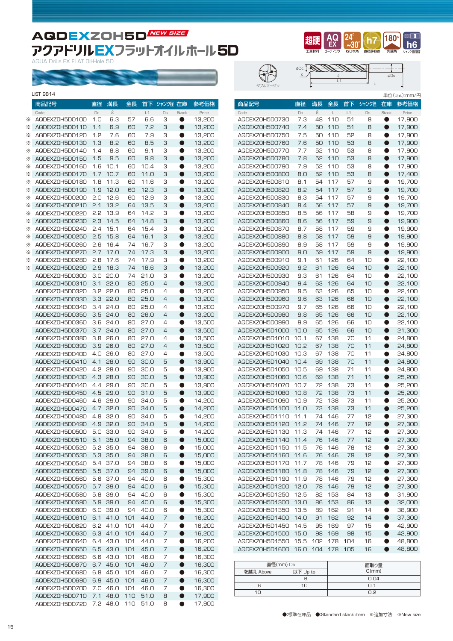## **AQDEXZOH5D NEW SIZE** アクアドリルEXフラットオイルホール5D

AQUA Drills EX FLAT Oil-Hole 5D



|        | 商品記号                             | 直径         | 溝長           | 全長         | 首下           | シャンク径 在庫 |                        | 参考価格             |
|--------|----------------------------------|------------|--------------|------------|--------------|----------|------------------------|------------------|
|        | Code                             | $\Box$     | $\mathcal Q$ | L          | L1           | Ds       | Stock                  | Price            |
| ⋇      | AQDEXZ0H5D0100                   | 1.0        | 6.3          | 57         | 6.6          | З        | $\bullet$              | 13,200           |
| ⋇      | AQDEXZOH5DO110                   | 1.1        | 6.9          | 60         | 7.2          | 3        | $\bullet$              | 13,200           |
| ⋇      | AQDEXZ0H5D0120                   | 1.2        | 7.6          | 60         | 7.9          | З        | 0                      | 13,200           |
| ⋇      | AQDEXZOH5DO130                   | 1.3        | 8.2          | 60         | 8.5          | З        | $\bullet$              | 13,200           |
| ⋇      | AQDEXZOH5DO140                   | 1.4        | 8.8          | 60         | 9.1          | З        | $\bullet$              | 13,200           |
| ⋇      | AQDEXZOH5DO150                   | 1.5        | 9.5          | 60         | 9.8          | З        | $\bullet$              | 13,200           |
| ⋇      | AQDEXZOH5DO160                   | 1.6        | 10.1         | 60         | 10.4         | З        | D<br>$\bullet$         | 13,200           |
| ⋇<br>⋇ | AQDEXZ0H5D0170<br>AQDEXZOH5DO18O | 1.7<br>1.8 | 10.7<br>11.3 | 60<br>60   | 11.0<br>11.6 | 3<br>З   | $\bullet$              | 13,200           |
| ⋇      | AQDEXZOH5DO190                   | 1.9        | 12.0         | 60         | 12.3         | З        | $\bullet$              | 13,200<br>13,200 |
| ⋇      | AQDEXZOH5D0200                   | 2.0        | 12.6         | 60         | 12.9         | З        | $\bullet$              | 13,200           |
| ⋇      | AQDEXZ0H5D0210                   | 2.1        | 13.2         | 64         | 13.5         | З        | $\bullet$              | 13,200           |
| ፠      | AQDEXZOH5DO220                   | 5.5        | 13.9         | 64         | 14.2         | З        | 0                      | 13,200           |
| ⋇      | AQDEXZOH5D0230                   | 2.3        | 14.5         | 64         | 14.8         | З        | D                      | 13,200           |
| ፠      | AQDEXZOH5D0240                   | 2.4        | 15.1         | 64         | 15.4         | З        | $\bullet$              | 13,200           |
| ⋇      | AQDEXZOH5D0250                   | 2.5        | 15.8         | 64         | 16.1         | 3        | $\bullet$              | 13,200           |
| ⋇      | AQDEXZOH5D0260                   | 2.6        | 16.4         | 74         | 16.7         | З        | 0                      | 13,200           |
| ⋇      | AQDEXZOH5DO270                   | 2.7        | 17.0         | 74         | 17.3         | З        | $\bullet$              | 13,200           |
| ⋇      | AQDEXZOH5D0280                   | 2.8        | 17.6         | 74         | 17.9         | З        | 0                      | 13,200           |
| ⋇      | AQDEXZOH5D0290                   | 2.9        | 18.3         | 74         | 18.6         | З        | $\bullet$              | 13,200           |
|        | AQDEXZOH5D0300                   | 3.0        | 20.0         | 74         | 21.0         | З        | D                      | 13,200           |
|        | AQDEXZ0H5D0310                   | 3.1        | 22.0         | 80         | 25.0         | 4        | $\bullet$              | 13,200           |
|        | AQDEXZOH5DO320                   | 3.2        | 22.0         | 80         | 25.0         | 4        | ●                      | 13,200           |
|        | AQDEXZOH5DO330<br>AQDEXZOH5D0340 | 3.3<br>3.4 | 22.0<br>24.0 | 80<br>80   | 25.0<br>25.0 | 4<br>4   | $\bullet$<br>$\bullet$ | 13,200<br>13,200 |
|        | AQDEXZOH5D0350                   | 3.5        | 24.0         | 80         | 26.0         | 4        | $\bullet$              | 13,200           |
|        | AQDEXZOH5DO360                   | 3.6        | 24.0         | 80         | 27.0         | 4        | 0                      | 13,500           |
|        | AQDEXZOH5DO370                   | 3.7        | 24.0         | 80         | 27.0         | 4        | $\bullet$              | 13,500           |
|        | AQDEXZOH5DO380                   | 3.8        | 26.0         | 80         | 27.0         | 4        | $\bullet$              | 13,500           |
|        | AQDEXZOH5D0390                   | 3.9        | 26.0         | 80         | 27.0         | 4        | $\bullet$              | 13,500           |
|        | AQDEXZOH5D0400                   | 4.0        | 26.0         | 80         | 27.0         | 4        | O                      | 13,500           |
|        | AQDEXZOH5DO410                   | 4.1        | 28.0         | 90         | 30.0         | 5        | $\bullet$              | 13,900           |
|        | AQDEXZOH5DO420                   | 4.2        | 28.0         | 90         | 30.0         | 5        | 0                      | 13,900           |
|        | AQDEXZ0H5D0430                   | 4.3        | 28.0         | 90         | 30.0         | 5        | $\bullet$              | 13,900           |
|        | AQDEXZOH5DO440                   | 4.4        | 29.0         | 90         | 30.0         | 5        | D                      | 13,900           |
|        | AQDEXZ0H5D0450                   | 4.5        | 29.0         | 90         | 31.0         | 5        | $\bullet$              | 13,900           |
|        | AQDEXZOH5D0460                   | 4.6<br>4.7 | 29.0         | 90<br>90   | 34.0         | 5        | $\bullet$              | 14,200           |
|        | AQDEXZ0H5D0470<br>AQDEXZOH5DO480 | 4.8        | 32.0<br>32.0 | 90         | 34.0<br>34.O | 5<br>5   | $\bullet$<br>●         | 14,200<br>14,200 |
|        | AQDEXZOH5D0490                   | 4.9        | 32.0         | 90         | 34.0         | 5        | ●                      | 14,200           |
|        | AQDEXZOH5D0500                   | 5.0        | 33.0         | 90         | 34.0         | 5        | 0                      | 14,200           |
|        | AQDEXZOH5DO510                   | 5.1        | 35.0         | 94         | 38.0         | 6        |                        | 15,000           |
|        | AQDEXZOH5DO520                   | 5.2        | 35.0         | 94         | 38.0         | 6        | $\bullet$              | 15,000           |
|        | AQDEXZOH5D0530                   | 5.3        | 35.0         | 94         | 38.0         | 6        | D                      | 15,000           |
|        | AQDEXZOH5D0540                   | 5.4        | 37.0         | 94         | 38.0         | 6        | D                      | 15,000           |
|        | AQDEXZ0H5D0550                   | 5.5        | 37.0         | 94         | 39.0         | 6        | $\bullet$              | 15,000           |
|        | AQDEXZOH5D0560                   | 5.6        | 37.0         | 94         | 40.0         | 6        | D                      | 15,300           |
|        | AQDEXZ0H5D0570                   | 5.7        | 39.0         | 94         | 40.0         | 6        | $\bullet$              | 15,300           |
|        | AQDEXZOH5DO580                   | 5.8        | 39.0         | 94         | 40.0         | 6        | D                      | 15,300           |
|        | AQDEXZOH5D0590                   | 5.9        | 39.0         | 94         | 40.0         | 6        | $\bullet$              | 15,300           |
|        | AQDEXZOH5DO6OO                   | 6.0<br>6.1 | 39.0         | 94         | 40.0         | 6        | D                      | 15,300           |
|        | AQDEXZOH5DO610<br>AQDEXZOH5DO620 | 6.2        | 41.0<br>41.0 | 101<br>101 | 44.O<br>44.O | 7<br>7   | D<br>$\bullet$         | 16,200<br>16,200 |
|        | AQDEXZOH5DO630                   | 6.3        | 41.0         | 101        | 44.O         | 7        | $\bullet$              | 16,200           |
|        | AQDEXZOH5DO640                   | 6.4        | 43.0         | 101        | 44.O         | 7        | D                      | 16,200           |
|        | AQDEXZOH5DO650                   | 6.5        | 43.0         | 101        | 45.0         | 7        | $\bullet$              | 16,200           |
|        | AQDEXZOH5DO660                   | 6.6        | 43.O         | 101        | 46.0         | 7        | $\bullet$              | 16,300           |
|        | AQDEXZ0H5D0670                   | 6.7        | 45.0         | 101        | 46.0         | 7        | 0                      | 16,300           |
|        | AQDEXZOH5DO680                   | 6.8        | 45.0         | 101        | 46.0         | 7        | D                      | 16,300           |
|        | AQDEXZOH5DO690                   | 6.9        | 45.0         | 101        | 46.0         | 7        | $\bullet$              | 16,300           |
|        | AQDEXZ0H5D0700                   | 7.0        | 46.0         | 101        | 46.0         | 7        | D                      | 16,300           |
|        | AQDEXZ0H5D0710                   | 7.1        | 48.O         | 110        | 51.0         | 8        | $\bullet$              | 17,900           |
|        | AQDEXZOH5DO720                   | 7.2        | 48.0         | 110        | 51.0         | 8        | $\bullet$              | 17,900           |



ダブルマージン φDc

سال سن  $\mathbb{L}$ ı <u>c / |</u> e || φDs ℓ L1 L

|                |      |        |     |     |       |              | 単位(Unit):mm/円 |
|----------------|------|--------|-----|-----|-------|--------------|---------------|
| 商品記号           | 直径   | 溝長     | 全長  | 首下  | シャンク径 | 在庫           | 参考価格          |
| Code           | Dc   | $\ell$ | L   | L1  | Ds    | <b>Stock</b> | Price         |
| AQDEXZ0H5D0730 | 7.3  | 48     | 110 | 51  | 8     | ●            | 17.900        |
| AQDEXZ0H5D0740 | 7.4  | 50     | 110 | 51  | 8     | 0            | 17,900        |
| AQDEXZ0H5D0750 | 7.5  | 50     | 110 | 52  | 8     | $\bullet$    | 17,900        |
| AQDEXZ0H5D0760 | 7.6  | 50     | 110 | 53  | 8     | $\bullet$    | 17,900        |
| AQDEXZ0H5D0770 | 7.7  | 52     | 110 | 53  | 8     | $\bullet$    | 17,900        |
| AQDEXZ0H5D0780 | 7.8  | 52     | 110 | 53  | 8     | $\bullet$    | 17,900        |
| AQDEXZ0H5D0790 | 7.9  | 52     | 110 | 53  | 8     | $\bullet$    | 17,900        |
| AQDEXZ0H5D0800 | 8.0  | 52     | 110 | 53  | 8     | $\bullet$    | 17,400        |
| AQDEXZ0H5D0810 | 8.1  | 54     | 117 | 57  | 9     | 0            | 19.700        |
| AQDEXZ0H5D0820 | 8.2  | 54     | 117 | 57  | 9     | $\bullet$    | 19,700        |
| AQDEXZOH5DO830 | 8.3  | 54     | 117 | 57  | 9     | $\bullet$    | 19,700        |
| AQDEXZOH5DO840 | 8.4  | 56     | 117 | 57  | 9     | $\bullet$    | 19,700        |
| AQDEXZOH5DO850 | 8.5  | 56     | 117 | 58  | 9     | 0            | 19,700        |
| AQDEXZ0H5D0860 | 8.6  | 56     | 117 | 59  | 9     | $\bullet$    | 19,900        |
| AQDEXZOH5DO870 | 8.7  | 58     | 117 | 59  | 9     | $\bullet$    | 19,900        |
| AQDEXZOH5DO880 | 8.8  | 58     | 117 | 59  | 9     | 0            | 19,900        |
| AQDEXZOH5DO890 | 8.9  | 58     | 117 | 59  | 9     | $\bullet$    | 19,900        |
| AQDEXZ0H5D0900 | 9.0  | 59     | 117 | 59  | 9     | $\bullet$    | 19,900        |
| AQDEXZ0H5D0910 | 9.1  | 61     | 126 | 64  | 10    | ●            | 22,100        |
| AQDEXZ0H5D0920 | 9.2  | 61     | 126 | 64  | 10    | $\bullet$    | 22,100        |
|                |      |        |     |     | 10    |              |               |
| AQDEXZOH5DO930 | 9.3  | 61     | 126 | 64  |       | $\bullet$    | 22,100        |
| AQDEXZOH5DO940 | 9.4  | 63     | 126 | 64  | 10    | $\bullet$    | 22,100        |
| AQDEXZOH5DO950 | 9.5  | 63     | 126 | 65  | 10    | 0            | 22,100        |
| AQDEXZOH5DO960 | 9.6  | 63     | 126 | 66  | 10    | $\bullet$    | 22,100        |
| AQDEXZ0H5D0970 | 9.7  | 65     | 126 | 66  | 10    | $\bullet$    | 22.100        |
| AQDEXZ0H5D0980 | 9.8  | 65     | 126 | 66  | 10    | $\bullet$    | 22,100        |
| AQDEXZOH5DO990 | 9.9  | 65     | 126 | 66  | 10    | O            | 22,100        |
| AQDEXZ0H5D1000 | 10.0 | 65     | 126 | 66  | 10    | $\bullet$    | 21,300        |
| AQDEXZOH5D1010 | 10.1 | 67     | 138 | 70  | 11    | ●            | 24,800        |
| AQDEXZ0H5D1020 | 10.2 | 67     | 138 | 70  | 11    | 0            | 24,800        |
| AQDEXZ0H5D1030 | 10.3 | 67     | 138 | 70  | 11    | $\bullet$    | 24,800        |
| AQDEXZ0H5D1040 | 10.4 | 69     | 138 | 70  | 11    | $\bullet$    | 24,800        |
| AQDEXZ0H5D1050 | 10.5 | 69     | 138 | 71  | 11    | O            | 24,800        |
| AQDEXZOH5D1060 | 10.6 | 69     | 138 | 71  | 11    | $\bullet$    | 25,200        |
| AQDEXZ0H5D1070 | 10.7 | 72     | 138 | 73  | 11    | 0            | 25,200        |
| AQDEXZ0H5D1080 | 10.8 | 72     | 138 | 73  | 11    | $\bullet$    | 25,200        |
| AQDEXZ0H5D1090 | 10.9 | 72     | 138 | 73  | 11    | 0            | 25,200        |
| AQDEXZ0H5D1100 | 11.0 | 73     | 138 | 73  | 11    | $\bullet$    | 25,200        |
| AQDEXZ0H5D1110 | 11.1 | 74     | 146 | 77  | 12    | ●            | 27,300        |
| AQDEXZ0H5D1120 | 11.2 | 74     | 146 | 77  | 12    | ●            | 27,300        |
| AQDEXZ0H5D1130 | 11.3 | 74     | 146 | 77  | 12    | ●            | 27,300        |
| AQDEXZ0H5D1140 | 11.4 | 76     | 146 | 77  | 12    | U            | 27,300        |
| AQDEXZOH5D1150 | 11.5 | 76     | 146 | 78  | 12    | D            | 27,300        |
| AQDEXZ0H5D1160 | 11.6 | 76     | 146 | 79  | 12    | 0            | 27,300        |
| AQDEXZ0H5D1170 | 11.7 | 78     | 146 | 79  | 12    | $\bullet$    | 27,300        |
| AQDEXZOH5D1180 | 11.8 | 78     | 146 |     | 12    | $\bullet$    | 27,300        |
|                |      |        |     | 79  |       |              |               |
| AQDEXZOH5D1190 | 11.9 | 78     | 146 | 79  | 12    | 0            | 27,300        |
| AQDEXZ0H5D1200 | 12.0 | 78     | 146 | 79  | 12    | $\bullet$    | 27,300        |
| AQDEXZ0H5D1250 | 12.5 | 82     | 153 | 84  | 13    | $\bullet$    | 31,900        |
| AQDEXZ0H5D1300 | 13.0 | 86     | 153 | 86  | 13    | $\bullet$    | 32,000        |
| AQDEXZ0H5D1350 | 13.5 | 89     | 162 | 91  | 14    | 0            | 38,900        |
| AQDEXZ0H5D1400 | 14.0 | 91     | 162 | 92  | 14    | $\bullet$    | 37,300        |
| AQDEXZOH5D1450 | 14.5 | 95     | 169 | 97  | 15    | $\bullet$    | 42,900        |
| AQDEXZ0H5D1500 | 15.0 | 98     | 169 | 98  | 15    | $\bullet$    | 42,900        |
| AQDEXZ0H5D1550 | 15.5 | 102    | 178 | 104 | 16    | $\bullet$    | 48,800        |
| AQDEXZ0H5D1600 | 16.0 | 104    | 178 | 105 | 16    | $\bullet$    | 48,800        |

|           | 直径(mm) Dc | 面取り量     |
|-----------|-----------|----------|
| を越え Above | 以下 Up to  | C(mm)    |
|           |           | 0.04     |
| Բ         | 1Π        | $\cap$ 1 |
| 1Π        |           | n 2      |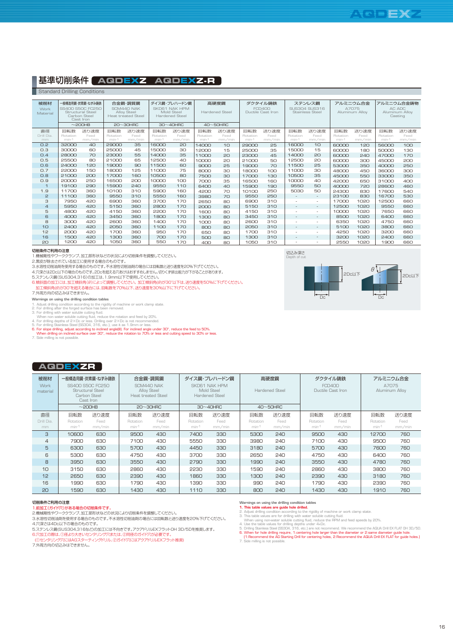## 基準切削条件 **AQDEXZ AQDEXZ-R**

Standard Drilling Condition

| 被削材<br>Work<br>Material |                 | 一般構造用鋼・炭素鋼・ねずみ鋳鉄<br>SS400 S50C FC250<br><b>Structural Steel</b><br>Carbon Steel<br>Cast Iron<br>$\sim$ 200HB |                        | 合金鋼・調質鋼<br>SCM440 NAK<br><b>Alloy Steel</b><br><b>Heat treated Steel</b><br>$20~30$ HRC |                 | ダイス鋼・プレハードン鋼<br>SKD61 NAK HPM<br>Mold Steel<br><b>Hardened Steel</b><br>$30~40$ HRC | 高硬度鋼<br><b>Hardened Steel</b><br>$40 \sim 50$ HRC |              | ダクタイル鋳鉄<br><b>FCD400</b><br>Ductile Cast Iron |              | ステンレス鋼<br>SUS304 SUS316<br><b>Stainless Steel</b> |                          | アルミニウム合金<br>A7075<br>Aluminum Alloy |              | アルミニウム合金鋳物<br>AC ADC<br>Aluminum Allov<br>Casting |              |
|-------------------------|-----------------|--------------------------------------------------------------------------------------------------------------|------------------------|-----------------------------------------------------------------------------------------|-----------------|-------------------------------------------------------------------------------------|---------------------------------------------------|--------------|-----------------------------------------------|--------------|---------------------------------------------------|--------------------------|-------------------------------------|--------------|---------------------------------------------------|--------------|
| 直径<br>Drill Dia         | 回転数<br>Rotation | 送り速度<br>Feed                                                                                                 | 回転数<br><b>Rotation</b> | 送り速度<br>Feed                                                                            | 回転数<br>Rotation | 送り速度<br>Feed                                                                        | 回転数<br>Rotation                                   | 送り速度<br>Feed | 回転数<br>Rotation                               | 送り速度<br>Feed | 回転数<br>Rotation                                   | 送り速度<br>Feed             | 回転数<br>Rotation                     | 送り速度<br>Feed | 回転数<br>Rotation                                   | 送り速度<br>Feed |
| mm                      | min-1           | mm/min                                                                                                       | min-1                  | mm/min                                                                                  | min-1           | mm/min                                                                              | min-1                                             | mm/min       | min-1                                         | mm/min       | $min-1$                                           | mm/min                   | min-1                               | mm/min       | min-1                                             | mm/min       |
| O.2                     | 32000           | 40                                                                                                           | 29000                  | 35                                                                                      | 16000           | 20                                                                                  | 14000                                             | 10           | 29000                                         | 25           | 16000                                             | 10                       | 60000                               | 120          | 56000                                             | 100          |
| O.3                     | 30000           | 60                                                                                                           | 25000                  | 45                                                                                      | 15000           | 30                                                                                  | 12000                                             | 15           | 25000                                         | 35           | 15000                                             | 15                       | 60000                               | 180          | 50000                                             | 130          |
| O.4                     | 28000           | 70                                                                                                           | 23000                  | 55                                                                                      | 14000           | 35                                                                                  | 11000                                             | 20           | 23000                                         | 45           | 14000                                             | 20                       | 60000                               | 240          | 47000                                             | 170          |
| 0.5                     | 25500           | 80                                                                                                           | 21000                  | 65                                                                                      | 12500           | 40                                                                                  | 10000                                             | 20           | 21000                                         | 50           | 12500                                             | 20                       | 60000                               | 300          | 45000                                             | 200          |
| O.6                     | 24000           | 120                                                                                                          | 19000                  | 90                                                                                      | 11500           | 60                                                                                  | 9000                                              | 25           | 19000                                         | 70           | 11500                                             | 25                       | 53000                               | 350          | 40000                                             | 250          |
| O.7                     | 22000           | 150                                                                                                          | 18000                  | 125                                                                                     | 11000           | 75                                                                                  | 8000                                              | 30           | 18000                                         | 100          | 11000                                             | 30                       | 48000                               | 450          | 36000                                             | 300          |
| $\Omega$ .8             | 21000           | 200                                                                                                          | 17000                  | 160                                                                                     | 10500           | 80                                                                                  | 7500                                              | $30^{\circ}$ | 17000                                         | 130          | 10500                                             | 35                       | 45000                               | 550          | 33000                                             | 350          |
| 0.9                     | 20000           | 250                                                                                                          | 16500                  | 200                                                                                     | 10000           | 100                                                                                 | 7000                                              | 35           | 16500                                         | 160          | 10000                                             | 40                       | 42000                               | 650          | 31000                                             | 400          |
| $\mathbf{1}$            | 19100           | 290                                                                                                          | 15900                  | 240                                                                                     | 9550            | 11 <sub>0</sub>                                                                     | 6400                                              | $4\Omega$    | 15900                                         | 190          | 9550                                              | 50                       | 40000                               | 720          | 28600                                             | 460          |
| 1.9                     | 11700           | 360                                                                                                          | 10100                  | 310                                                                                     | 5900            | 160                                                                                 | 4200                                              | 70           | 10100                                         | 250          | 5030                                              | 50                       | 24300                               | 830          | 17600                                             | 540          |
| 2                       | 11100           | 360                                                                                                          | 9550                   | 310                                                                                     | 5550            | 160                                                                                 | 3980                                              | 70           | 9550                                          | 250          | $\sim$                                            | $\sim$                   | 23100                               | 830          | 16700                                             | 530          |
| 3                       | 7950            | 420                                                                                                          | 6900                   | 360                                                                                     | 3700            | 170                                                                                 | 2650                                              | 80           | 6900                                          | 310          | $\overline{\phantom{a}}$                          | $\overline{\phantom{a}}$ | 17000                               | 1020         | 12500                                             | 660          |
| $\overline{a}$          | 5950            | 420                                                                                                          | 5150                   | 360                                                                                     | 2800            | 170                                                                                 | 2000                                              | 80           | 5150                                          | 310          | $\sim$                                            | $\sim$                   | 12500                               | 1020         | 9550                                              | 660          |
| 5                       | 4800            | 420                                                                                                          | 4150                   | 360                                                                                     | 2200            | 170                                                                                 | 1600                                              | 80           | 4150                                          | 310          | $\sim$                                            | $\overline{\phantom{a}}$ | 10000                               | 1020         | 7650                                              | 660          |
| 6                       | 4000            | 420                                                                                                          | 3450                   | 360                                                                                     | 1800            | 170                                                                                 | 1300                                              | 80           | 3450                                          | 310          | $\sim$                                            | $\sim$                   | 8500                                | 1020         | 6400                                              | 660          |
| 8                       | 3000            | 420                                                                                                          | 2600                   | 360                                                                                     | 1400            | 170                                                                                 | 1000                                              | 80           | 2600                                          | 310          | н.                                                | $\overline{\phantom{a}}$ | 6350                                | 1020         | 4750                                              | 660          |
| 10                      | 2400            | 420                                                                                                          | 2050                   | 360                                                                                     | 1100            | 170                                                                                 | 800                                               | 80           | 2050                                          | 310          | $\sim$                                            | $\sim$                   | 5100                                | 1020         | 3800                                              | 660          |
| 12                      | 2000            | 420                                                                                                          | 1700                   | 360                                                                                     | 950             | 170                                                                                 | 650                                               | 80           | 1700                                          | 310          | ٠                                                 | $\overline{\phantom{a}}$ | 4250                                | 1020         | 3200                                              | 660          |
| 16                      | 1500            | 420                                                                                                          | 1300                   | 360                                                                                     | 700             | 170                                                                                 | 500                                               | 80           | 1300                                          | 310          | $\overline{\phantom{a}}$                          | $\sim$                   | 3200                                | 1020         | 2400                                              | 660          |
| 20                      | 1200            | 420                                                                                                          | 1050                   | 360                                                                                     | 550             | 170                                                                                 | 400                                               | 80           | 1050                                          | 310          | н.                                                | $\sim$                   | 2550                                | 1020         | 1900                                              | 660          |

### 切削条件ご利用の注意

1.機械側性やワーククランプ、加工部形状などの状況により切削条件を調整してください。<br>2.黒皮が除去されている加工に使用する場合のものです。<br>3.水溶性切削油剤を使用する場合のものです。2Dcを超える穴あけはおすすめしません。切りくず排出能力が下がることがあります。<br>4.穴深さは2Dc以下の場合のものです。2Dcを超える穴あけはおすすめしません。切りくず排出能力が下がることがあります。

5.ステンレス鋼(SUS304,316)の加工は、1.9mm以下で使用してください。<br>6.傾斜面の加工には、加工傾斜角(θ)によって調整してください。 加工傾斜角(θ)が30°以下に、送り速度を50%に下げてください。<br>- 加工傾斜角(θ)が30°を超える場合には、回転数を70%以下、送り速度を30%以下に下げてください。

7.外周万向の切込みはできません。<br>Warrings on using the drilling condition tables<br>1. Adjust drilling dere drilling condition according to the rigidity of machine or work clamp state.<br>2. For drilling after the forged surface has been rem

## **AQDEXZR**

| 被削材<br>Work<br>material |          | 一般構造用鋼・炭素鋼・ねずみ鋳鉄<br>SS400 S50C FC250<br><b>Structural Steel</b><br>Carbon Steel<br>Cast Iron<br>$\sim$ 200HB |          | 合金鋼・調質鋼<br>SCM440 NAK<br>Alloy Steel<br>Heat treated Steel<br>$20 \sim 30$ HRC |          | ダイス鋼・プレハードン鋼<br>SKD61 NAK HPM<br>Mold Steel<br>Hardened Steel<br>$30~40$ HRC |          | 高硬度鋼<br><b>Hardened Steel</b><br>$40\nthicksim50$ HRC |          | ダクタイル鋳鉄<br><b>FCD400</b><br>Ductile Cast Iron | アルミニウム合金<br>A7075<br>Aluminum Alloy |        |
|-------------------------|----------|--------------------------------------------------------------------------------------------------------------|----------|--------------------------------------------------------------------------------|----------|------------------------------------------------------------------------------|----------|-------------------------------------------------------|----------|-----------------------------------------------|-------------------------------------|--------|
| 直径                      | 回転数      | 送り速度                                                                                                         | 回転数      | 送り速度                                                                           | 回転数      | 送り速度                                                                         | 回転数      | 送り速度                                                  | 回転数      | 送り速度                                          | 回転数                                 | 送り速度   |
| Drill Dia.              | Rotation | Feed                                                                                                         | Rotation | Feed                                                                           | Rotation | Feed                                                                         | Rotation | Feed                                                  | Rotation | Feed                                          | Rotation                            | Feed   |
| mm                      | $min-1$  | mm/min                                                                                                       | $min-1$  | mm/min                                                                         | $min-1$  | mm/min                                                                       | min-1    | mm/min                                                | $min-1$  | mm/min                                        | $min-1$                             | mm/min |
| 3                       | 10600    | 630                                                                                                          | 9500     | 430                                                                            | 7400     | 330                                                                          | 5300     | 240                                                   | 9500     | 430                                           | 12700                               | 760    |
| 4                       | 7900     | 630                                                                                                          | 7100     | 430                                                                            | 5550     | 330                                                                          | 3980     | 240                                                   | 7100     | 430                                           | 9500                                | 760    |
| 5                       | 6300     | 630                                                                                                          | 5700     | 430                                                                            | 4450     | 330                                                                          | 3180     | 240                                                   | 5700     | 430                                           | 7600                                | 760    |
| 6                       | 5300     | 630                                                                                                          | 4750     | 430                                                                            | 3700     | 330                                                                          | 2650     | 240                                                   | 4750     | 430                                           | 6400                                | 760    |
| 8                       | 3950     | 630                                                                                                          | 3550     | 430                                                                            | 2790     | 330                                                                          | 1990     | 240                                                   | 3550     | 430                                           | 4780                                | 760    |
| 10                      | 3150     | 630                                                                                                          | 2860     | 430                                                                            | 2230     | 330                                                                          | 1590     | 240                                                   | 2860     | 430                                           | 3800                                | 760    |
| 12                      | 2650     | 630                                                                                                          | 2390     | 430                                                                            | 1860     | 330                                                                          | 1300     | 240                                                   | 2390     | 430                                           | 3180                                | 760    |
| 16                      | 1990     | 630                                                                                                          | 1790     | 430                                                                            | 1390     | 330                                                                          | 990      | 240                                                   | 1790     | 430                                           | 2390                                | 760    |
| 20                      | 1590     | 630                                                                                                          | 1430     | 430                                                                            | 1110     | 330                                                                          | 800      | 240                                                   | 1430     | 430                                           | 1910                                | 760    |

### 切削条件ご利用の注意

1.前加工(ガイド穴)がある場合の切削条件です。<br>2.機械剛性やワーククランプ、加工部形状などの状況により切削条件を調整してください。

3.水溶性切削油剤を使用する場合のものです。不水溶性切削油剤の場合には回転数と送り速度を20%下げてください。 4.穴深さは4Dc以下の場合のものです。

5.ステンレス鋼(SUS304,316など)の加工には不向きです。アクアドリルEXフラットOH 3D/5Dを推奨します。 6.穴加工の際は、①径より大きいセンタリング穴または、②同径のガイド穴が必要です。

(①センタリング穴にはAGスターティングドリル、②ガイド穴にはアクアドリルEXフラット推奨)

7.外周方向の切込みはできません。

切込み深さ Depth of cut

Warnings on using the drilling condition tables<br>
2. Adjust chilling condition according to the rigidity of machine or work clamp state.<br>
2. Adjust chilling condition according to the rigidity of machine or work clamp state



 $\theta$ <sup>1</sup>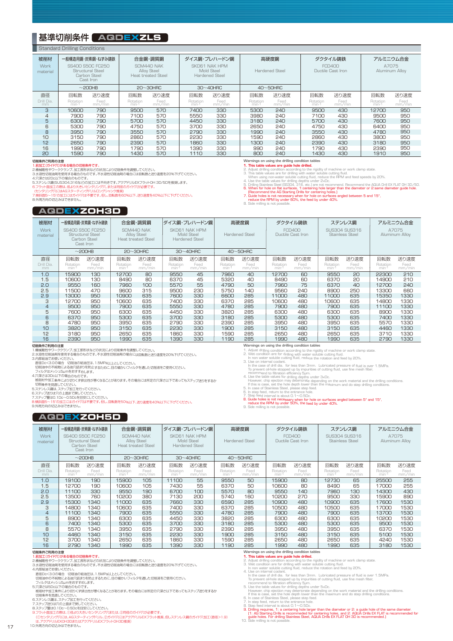## 基準切削条件 AQDEXZLS

|                                | <b>Standard Drilling Conditions</b>                                                                   |                        |                          |                                                                   |                                                                      |                        |                          |                        |                                               |                        |                                     |                        |
|--------------------------------|-------------------------------------------------------------------------------------------------------|------------------------|--------------------------|-------------------------------------------------------------------|----------------------------------------------------------------------|------------------------|--------------------------|------------------------|-----------------------------------------------|------------------------|-------------------------------------|------------------------|
| 被削材<br><b>Work</b><br>material | 一般構造用鋼・炭素鋼・ねずみ鋳鉄<br>SS400 S50C EC250<br>Structural Steel<br>Carbon Steel<br>Cast Iron<br>$\sim$ 200HB |                        |                          | 合金鋼・調質鋼<br>SCM440 NAK<br>Alloy Steel<br><b>Heat treated Steel</b> | ダイス鋼・プレハードン鋼<br>SKD61 NAK HPM<br>Mold Steel<br><b>Hardened Steel</b> |                        | 高硬度鋼<br>Hardened Steel   |                        | ダクタイル鋳鉄<br><b>FCD400</b><br>Ductile Cast Iron |                        | アルミニウム合金<br>A7075<br>Aluminum Alloy |                        |
|                                |                                                                                                       |                        |                          | $20 \sim 30$ HRC                                                  | $30~40$ HRC                                                          |                        | $40\nthicksim50$ HRC     |                        |                                               |                        |                                     |                        |
| 直径<br>Drill Dia.<br>mm         | 回転数<br>Rotation<br>min-1                                                                              | 送り速度<br>Feed<br>mm/min | 回転数<br>Rotation<br>min-1 | 送り速度<br>Feed<br>mm/min                                            | 回転数<br>Rotation<br>min-1                                             | 送り速度<br>Feed<br>mm/min | 回転数<br>Rotation<br>min-1 | 送り速度<br>Feed<br>mm/min | 回転数<br>Rotation<br>min-1                      | 送り速度<br>Feed<br>mm/min | 回転数<br>Rotation<br>min-1            | 送り速度<br>Feed<br>mm/min |
| 3                              | 10600                                                                                                 | 790                    | 9500                     | 570                                                               | 7400                                                                 | 330                    | 5300                     | 240                    | 9500                                          | 430                    | 12700                               | 950                    |
| 4                              | 7900                                                                                                  | 790                    | 7100                     | 570                                                               | 5550                                                                 | 330                    | 3980                     | 240                    | 7100                                          | 430                    | 9500                                | 950                    |
| 5                              | 6300                                                                                                  | 790                    | 5700                     | 570                                                               | 4450                                                                 | 330                    | 3180                     | 240                    | 5700                                          | 430                    | 7600                                | 950                    |
| 6                              | 5300                                                                                                  | 790                    | 4750                     | 570                                                               | 3700                                                                 | 330                    | 2650                     | 240                    | 4750                                          | 430                    | 6400                                | 950                    |
| 8                              | 3950                                                                                                  | 790                    | 3550                     | 570                                                               | 2790                                                                 | 330                    | 1990                     | 240                    | 3550                                          | 430                    | 4780                                | 950                    |
| 10                             | 3150                                                                                                  | 790                    | 2860                     | 570                                                               | 2230                                                                 | 330                    | 1590                     | 240                    | 2860                                          | 430                    | 3800                                | 950                    |
| 12                             | 2650                                                                                                  | 790                    | 2390                     | 570                                                               | 1860                                                                 | 330                    | 1300                     | 240                    | 2390                                          | 430                    | 3180                                | 950                    |
| 16                             | 1990                                                                                                  | 790                    | 1790                     | 570                                                               | 1390                                                                 | 330                    | 990                      | 240                    | 1790                                          | 430                    | 2390                                | 950                    |
| 20                             | 1590                                                                                                  | 790                    | 1430                     | 570                                                               | 1110                                                                 | 330                    | 800                      | 240                    | 1430                                          | 430                    | 1910                                | 950                    |

切削条件ご利用の注意 ある場合の切削条件です

2.機械剛性やワーククランプ、加工部形状などの状況により切削条件を調整してください。<br>3.水溶性切削油剤を使用する場合のものです。不水溶性切削油剤の場合には回転数と送り速度を20%下げてください。

4.穴深さは2Dc以下の場合のものです。 5.ステンレス鋼(SUS304,316など)の加工には不向きです。アクアドリルEXフラットOH 3D/5Dを推奨します。

6.フラット面加工の際は、径より大きいセンタリング穴、または同径のガイド穴が必要です。 (センタリング穴にはAGスターティングドリルロングシャンク推奨)

7.傾斜面5~15°の加工にはガイド穴は不要です。但し、回転数を60%以下、送り速度を40%以下に下げてください。 8.外周方向の切込みはできません。

### **AQDEXZOH3D**

| 被削材<br><b>Work</b><br>material |                               | 一般構造用鋼・炭素鋼・ねずみ鋳鉄<br>SS400 S50C FC250<br><b>Structural Steel</b><br>Carbon Steel<br>Cast Iron | 合金鋼・調質鋼<br>SCM440 NAK<br>Alloy Steel<br><b>Heat treated Steel</b> |                                  | ダイス鋼・プレハードン鋼<br>SKD61 NAK HPM<br>Mold Steel<br><b>Hardened Steel</b> |                             | 高硬度鋼<br><b>Hardened Steel</b> |                                      | ダクタイル鋳鉄<br><b>FCD400</b><br>Ductile Cast Iron |              | ステンレス鋼<br>SUS304 SUS316<br><b>Stainless Steel</b> |              | アルミニウム合金<br>A7075<br>Aluminum Alloy |              |
|--------------------------------|-------------------------------|----------------------------------------------------------------------------------------------|-------------------------------------------------------------------|----------------------------------|----------------------------------------------------------------------|-----------------------------|-------------------------------|--------------------------------------|-----------------------------------------------|--------------|---------------------------------------------------|--------------|-------------------------------------|--------------|
| 直径<br>Drill Dia.               | 回転数                           | $\sim$ 200HB<br>送り速度<br>Feed                                                                 | 回転数                                                               | $20 \sim 30$ HRC<br>送り速度<br>Feed | 回転数                                                                  | $30~40$ HRC<br>送り速度<br>Feed | 回転数                           | $40\nthicksim50$ HRC<br>送り速度<br>Feed | 回転数                                           | 送り速度<br>Feed | 回転数                                               | 送り速度<br>Feed | 回転数                                 | 送り速度<br>Feed |
| mm                             | Rotation<br>min <sup>-1</sup> | mm/min                                                                                       | Rotation<br>min <sup>-</sup>                                      | mm/min                           | Rotation<br>min-1                                                    | mm/min                      | Rotation<br>min <sup>-1</sup> | mm/min                               | Rotation<br>min-1                             | mm/min       | Rotation<br>min-1                                 | mm/min       | Rotation<br>min-1                   | mm/min       |
| 1.0                            | 15900                         | 130                                                                                          | 12700                                                             | 80                               | 9550                                                                 | 45                          | 7960                          | 40                                   | 12700                                         | 60           | 9550                                              | 20           | 22300                               | 210          |
| 1.5<br>2.0                     | 10600<br>9550                 | 130<br>160                                                                                   | 8490<br>7960                                                      | 80<br>100                        | 6370<br>5570                                                         | 45<br>55                    | 5320<br>4790                  | 40<br>50                             | 8490<br>7960                                  | 60<br>75     | 6370<br>6370                                      | 20<br>40     | 14900<br>12700                      | 210<br>240   |
| 2.5                            | 11500                         | 470                                                                                          | 9600                                                              | 315                              | 9500                                                                 | 230                         | 5750                          | 140                                  | 9560                                          | 240          | 8900                                              | 250          | 13300                               | 660          |
| 2.9                            | 13000                         | 950                                                                                          | 10900                                                             | 635                              | 7600                                                                 | 330                         | 6600                          | 285                                  | 11000                                         | 480          | 11000                                             | 635          | 15350                               | 1330         |
| 3                              | 12700                         | 950                                                                                          | 10600                                                             | 635                              | 7400                                                                 | 330                         | 6370                          | 285                                  | 10600                                         | 480          | 10600                                             | 635          | 14800                               | 1330         |
| 4                              | 9500                          | 950                                                                                          | 7900                                                              | 635                              | 5550                                                                 | 330                         | 4780                          | 285                                  | 7900                                          | 480          | 7900                                              | 635          | 11100                               | 1330         |
| 5                              | 7600                          | 950                                                                                          | 6300                                                              | 635                              | 4450                                                                 | 330                         | 3820                          | 285                                  | 6300                                          | 480          | 6300                                              | 635          | 8900                                | 1330         |
| 6                              | 6370                          | 950                                                                                          | 5300                                                              | 635                              | 3700                                                                 | 330                         | 3180                          | 285                                  | 5300                                          | 480          | 5300                                              | 635          | 7400                                | 1330         |
| 8                              | 4780                          | 950                                                                                          | 3950                                                              | 635                              | 2790                                                                 | 330                         | 2390                          | 285                                  | 3950                                          | 480          | 3950                                              | 635          | 5570                                | 1330         |
| 10                             | 3820                          | 950                                                                                          | 3150                                                              | 635                              | 2230                                                                 | 330                         | 1900                          | 285                                  | 3150                                          | 480          | 3150                                              | 635          | 4460                                | 1330         |
| 12                             | 3180                          | 950                                                                                          | 2650                                                              | 635                              | 1860                                                                 | 330                         | 1590                          | 285                                  | 2650                                          | 480          | 2650                                              | 635          | 3710                                | 1330         |
| 16                             | 2390                          | 950                                                                                          | 1990                                                              | 635                              | 1390                                                                 | 330                         | 1190                          | 285                                  | 1990                                          | 480          | 1990                                              | 635          | 2790                                | 1330         |

116 2390 950 1950 1990 1985 1130 135 135<br>初期条件2利用の注意<br>1.機械開催やワークタランプ、加工部形状などの状況により切削条件を調整してください。<br>2.水溶性が刷油剤を使用する場合のものです。不水溶性切削油剤の場合には回転数と送り速度を20%下げてください。<br>直径Dの<3.0の場合(切削油の給油日よ1.5MPa以上としてください。<br>3.内部給油でお使いください。<br>3.内部給油でのいたださい。<br>

### **AQDEXZOH5D**

**Warnings on using the drilling condition tables**

1. Adjust drilling condition according to the rigidity of machine or work clamp state.<br>2. Wet condition are for drilling with water soluble cutting fluid.<br>- In non water soluble cutting fluid, reduce the rotation and feed

- 
- 3. Lee on internal coolant.<br>
In the case of drill dia. for less than 3mm. Lubricated pressure of fluid is over 1.5MPa,<br>
To prevent oli-hole stopped up by impurities of cutting fluid, use fine mesh filter,<br>
4. Use the table
- -

Warnings on using the drilling condition tables<br>1. This table values are guide hole drilled.<br>2. Adjust drilling condition according to the rigidity of machine or work clamp state.<br>3. This table values are for drilling with

| 被削材<br><b>Work</b><br>material |                          | 一般構造用鋼・炭素鋼・ねずみ鋳鉄<br>SS400 S50C FC250<br><b>Structural Steel</b><br>Carbon Steel<br>Cast Iron<br>$\sim$ 200HB |                          | 合金鋼・調質鋼<br>SCM440 NAK<br>Alloy Steel<br><b>Heat treated Steel</b><br>$20 \sim 30$ HRC |                            | ダイス鋼・プレハードン鋼<br>SKD61 NAK HPM<br>Mold Steel<br><b>Hardened Steel</b><br>$30~40$ HRC |                          | 高硬度鋼<br><b>Hardened Steel</b><br>$40\nthicksim$ 50HRC |                          | ダクタイル鋳鉄<br><b>FCD400</b><br>Ductile Cast Iron |                          | ステンレス鋼<br>SUS304 SUS316<br><b>Stainless Steel</b> | アルミニウム合金<br>A7075<br>Aluminum Alloy  |                        |
|--------------------------------|--------------------------|--------------------------------------------------------------------------------------------------------------|--------------------------|---------------------------------------------------------------------------------------|----------------------------|-------------------------------------------------------------------------------------|--------------------------|-------------------------------------------------------|--------------------------|-----------------------------------------------|--------------------------|---------------------------------------------------|--------------------------------------|------------------------|
| 直径<br>Drill Dia.<br>mm         | 回転数<br>Rotation<br>min-1 | 送り速度<br>Feed<br>mm/min                                                                                       | 回転数<br>Rotation<br>min-1 | 送り速度<br>Feed<br>mm/min                                                                | 回転数<br>Rotation<br>$min-1$ | 送り速度<br>Feed<br>mm/min                                                              | 回転数<br>Rotation<br>min-1 | 送り速度<br>Feed<br>mm/min                                | 回転数<br>Rotation<br>min-1 | 送り速度<br>Feed<br>mm/min                        | 回転数<br>Rotation<br>min-1 | 送り速度<br>Feed<br>mm/min                            | 回転数<br>Rotation<br>min <sup>-1</sup> | 送り速度<br>Feed<br>mm/min |
| 1.0                            | 19100                    | 190                                                                                                          | 15900                    | 105                                                                                   | 11100                      | 55                                                                                  | 9550                     | 50                                                    | 15900                    | 80                                            | 12730                    | 65                                                | 25500                                | 255                    |
| 1.5<br>2.0                     | 12700<br>11100           | 190<br>330                                                                                                   | 10600<br>9550            | 105<br>190                                                                            | 7430<br>6700               | 55<br>100                                                                           | 6370<br>5570             | 50<br>80                                              | 10600<br>9550            | 80<br>140                                     | 8490<br>7960             | 65<br>130                                         | 17000<br>14300                       | 255<br>430             |
| 2.5                            | 13500                    | 760                                                                                                          | 10200                    | 380                                                                                   | 7130                       | 200                                                                                 | 5740                     | 160                                                   | 10200                    | 270                                           | 9500                     | 330                                               | 15900                                | 890                    |
| 2.9                            | 15300                    | 1340                                                                                                         | 11000                    | 635                                                                                   | 7660                       | 330                                                                                 | 6590                     | 285                                                   | 10900                    | 480                                           | 10900                    | 635                                               | 17600                                | 1530                   |
| 3                              | 14800                    | 1340                                                                                                         | 10600                    | 635                                                                                   | 7400                       | 330                                                                                 | 6370                     | 285                                                   | 10500                    | 480                                           | 10500                    | 635                                               | 17000                                | 1530                   |
| 4                              | 11100                    | 1340                                                                                                         | 7900                     | 635                                                                                   | 5550                       | 330                                                                                 | 4780                     | 285                                                   | 7900                     | 480                                           | 7900                     | 635                                               | 13700                                | 1530                   |
| 5                              | 8900                     | 1340                                                                                                         | 6300                     | 635                                                                                   | 4450                       | 330                                                                                 | 3820                     | 285                                                   | 6300                     | 480                                           | 6300                     | 635                                               | 10200                                | 1530                   |
| 6                              | 7400                     | 1340                                                                                                         | 5300                     | 635                                                                                   | 3700                       | 330                                                                                 | 3180                     | 285                                                   | 5300                     | 480                                           | 5300                     | 635                                               | 9500                                 | 1530                   |
| 8                              | 5570                     | 1340                                                                                                         | 3950                     | 635                                                                                   | 2790                       | 330                                                                                 | 2390                     | 285                                                   | 3950                     | 480                                           | 3950                     | 635                                               | 6370                                 | 1530                   |
| 10                             | 4460                     | 1340                                                                                                         | 3150                     | 635                                                                                   | 2230                       | 330                                                                                 | 1900                     | 285                                                   | 3150                     | 480                                           | 3150                     | 635                                               | 5100                                 | 1530                   |
| 12                             | 3700                     | 1340                                                                                                         | 2650                     | 635                                                                                   | 1860                       | 330                                                                                 | 1590                     | 285                                                   | 2650                     | 480                                           | 2650                     | 635                                               | 4240                                 | 1530                   |
| 16                             | 2790                     | 1340                                                                                                         | 1990                     | 635                                                                                   | 1390                       | 330                                                                                 | 1190                     | 285                                                   | 1990                     | 480                                           | 1990                     | 635                                               | 3180                                 | 1530                   |

**切削条件で利用の注意**<br>1. **前加工(オイド穴)がある場合の切削条件です。**<br>2. 機械剛性やワーククランプ、加工部形状などの状況により切削条件を調整してください。<br>3. 機械剛性やワーククランプ、加工部形状などの状況により切削条件を調整してください。<br>- 直径Dc<3.0の場合 - 切削油の給油圧は、1. 5MPa以上としてください。<br>4. 内部給油でお後側による油穴詰まりを防止するために、目の細かいフィルタを通した切削液をご使用

フィルタはメッシュ5μmをおすすめします。 5.穴深さは5Dc以下の場合のものです。

被開材や加工条件により切りくす排出性が悪くなることがあります。その場合には所定の穴深さ以下であってもステップ送りをするか<br>「切削条件を見直してください。<br>5.ステップ送りは穴の上面まで戻してください。<br>5.ステップ運は0.10に一の5.Deを目安してください。<br>8.ステップ運は0.1De〜0.5Deを目安にしてください。<br>8.ステップ運は0.1De〜0.5Deを目安にしてください。<br>- (①センタリング穴には.AGスターティングドリル、 <sub>フェリント・</sup><br>・はアクアドリルEXフラットOH3D推奨)</sub> 10.外周方向の切込みはできません。

- 
- 

- 
- 

**Varings on using the drilling condition tables<br>
2. A This table values are guide hole drilled.**<br>
2. Adjust drilling condition according to the rigidity of machine or work clamp state.<br>
2. Adjust drilling condition accord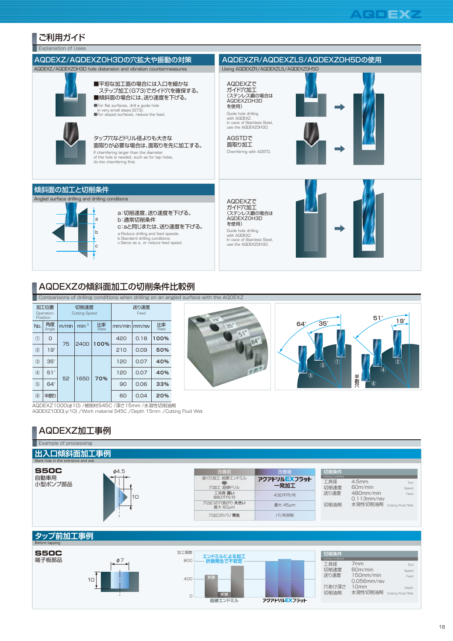$51^{\circ}$  19°

④

⑥

 $\mathcal{D}$ 

半割穴

半割穴

64° 35°

 $\mathbf{F}$ 

 $\overline{\circ}$   $\overline{\circ}$   $\overline{\circ}$ 

## ご利用ガイド

**Explanation of Uses** AQDEXZで ガイド穴加工 (ステンレス鋼の場合は AQDEXZOH3D を使用) AGSTDで 面取り加工<br>Chamfering with AGSTD. AQDEXZで ガイド穴加工 (ステンレス鋼の場合は AQDEXZOH3D を使用) AQDEXZ/AQDEXZOH3Dの穴拡大や振動の対策 AQDEXZR/AQDEXZLS/AQDEXZOH5Dの使用 ■平坦な加工面の場合には入口を細かな ステップ加工(G73)でガイド穴を確保する。 ■傾斜面の場合には、送り速度を下げる。 ■For flat surfaces, drill a guide hole in very small steps (G73). ■For sloped surfaces, reduce the feed. Guide hole drilling with AQDEXZ. In cace of Stainless Steel, use the AQDEXZOH3D. Guide hole drilling with AQDEXZ. www.educk.com<br>In cace of Stainless Steel, use the AQDEXZOH3D. If chamfering larger than the diameter<br>of the hole is needed, such as for tap holes,<br>do the chamfering first. a:Reduce drilling and feed speeds. b:Standard drilling conditions. c:Same as a, or reduce feed speed. タップ穴などドリル径よりも大きな 面取りが必要な場合は、面取りを先に加工する。 a b  $\vert$ c a:切削速度、送り速度を下げる。 b:通常切削条件 c:aと同じまたは、送り速度を下げる。 傾斜面の加工と切削条件 AQDEXZ/AQDEXZOH3D hole distension and vibration countermeasures Using AQDEXZR/AQDEXZLS/AQDEXZOH5D Angled surface drilling and drilling conditions

## AQDEXZの傾斜面加工の切削条件比較例

Comparisons of drilling conditions when drilling on an angled surface with the AQDEXZ

|               | 加工位置<br>Operation<br>Position |       | 切削速度<br><b>Cutting Speed</b> |            |                 | 送り速度<br>Feed |            |  |
|---------------|-------------------------------|-------|------------------------------|------------|-----------------|--------------|------------|--|
| No.           | 角度<br>Angle                   | m/min | $min-1$                      | 比率<br>Rate | $mm/min$ mm/rev |              | 比率<br>Rate |  |
| $\odot$       | O                             | 75    | 2400                         | 100%       | 420             | 0.18         | 100%       |  |
| $\circled{2}$ | $19^\circ$                    |       |                              |            | 210             | 0.09         | 50%        |  |
| $\circled{3}$ | $35^\circ$                    |       |                              |            | 120             | 0.07         | 40%        |  |
| $\circled{4}$ | $51^\circ$                    |       | 1650                         | 70%        | 120             | 0.07         | 40%        |  |
| $\circledS$   | $64^\circ$                    | 52    |                              |            | 90              | 0.06         | 33%        |  |
| $\circled6$   | 半割り                           |       |                              |            | 60              | 0.04         | 20%        |  |

AQDEXZ1000(φ10) /被削材S45C /深さ15mm /水溶性切削油剤 AQDEXZ1000(φ10) /Work material S45C /Depth 15mm /Cutting Fluid Wet

## AQDEXZ加工事例